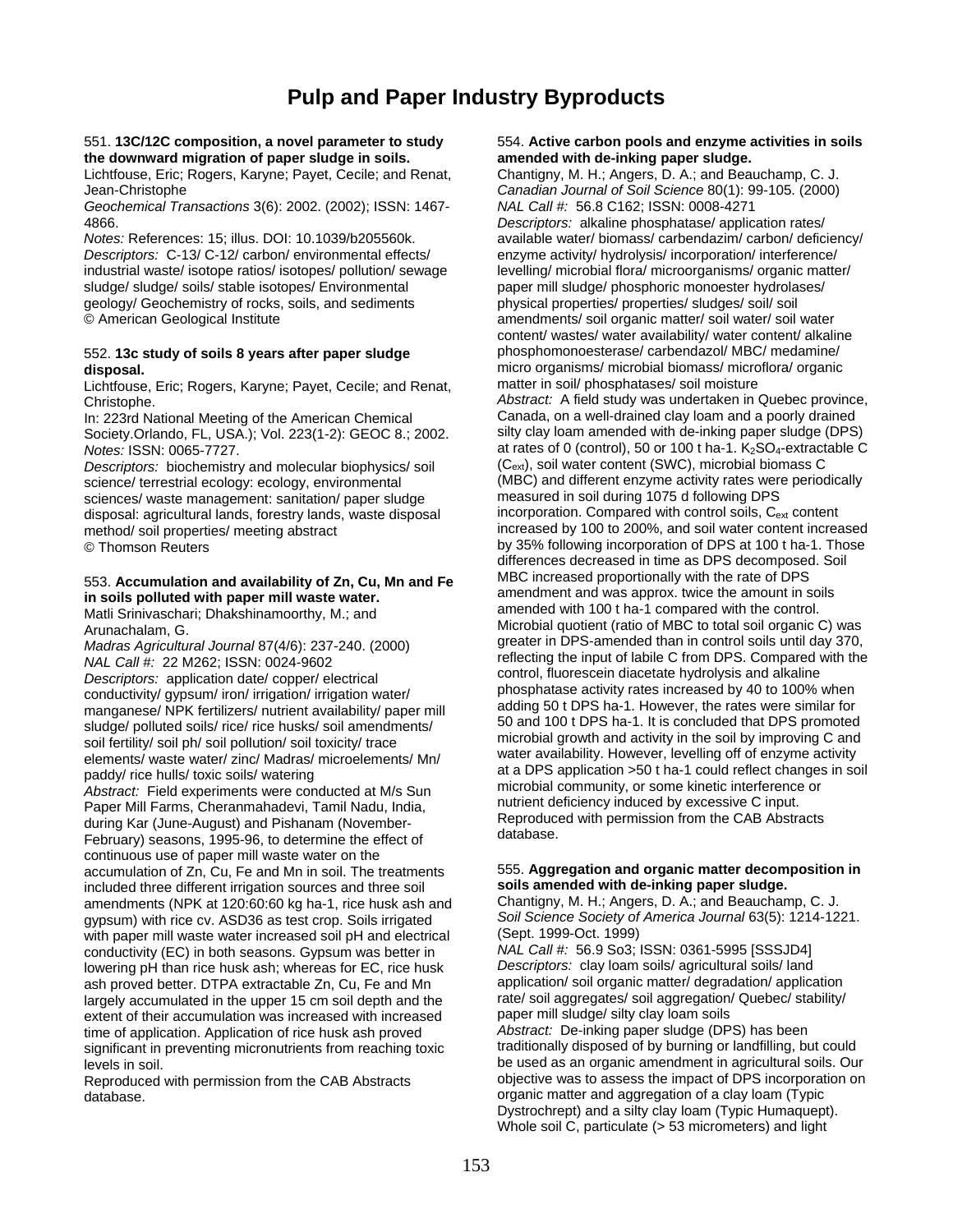## **Pulp and Paper Industry Byproducts**

Lichtfouse, Eric; Rogers, Karyne; Payet, Cecile; and Renat, Jean-Christophe *Canadian Journal of Soil Science* 80(1): 99-105. (2000)

*Geochemical Transactions* 3(6): 2002. (2002); ISSN: 1467- *NAL Call #:* 56.8 C162; ISSN: 0008-4271

*Descriptors: C-13/ C-12/ carbon/ environmental effects/* industrial waste/ isotope ratios/ isotopes/ pollution/ sewage levelling/ microbial flora/ microorganisms/ organic matter/ sludge/ sludge/ soils/ stable isotopes/ Environmental paper mill sludge/ phosphoric monoester hydrolases/ geology/ Geochemistry of rocks, soils, and sediments physical properties/ properties/ sludges/ soil/ soil © American Geological Institute amendments/ soil organic matter/ soil water/ soil water

Lichtfouse, Eric; Rogers, Karyne; Payet, Cecile; and Renat,

Society.Orlando, FL, USA.); Vol. 223(1-2): GEOC 8.; 2002.

*Descriptors:* biochemistry and molecular biophysics/ soil sciences/ waste management: sanitation/ paper sludge measured in soil during 1075 d following DPS<br>disposal: agricultural lands, forestry lands, waste disposal incorporation. Compared with control soils, C<sub>ext</sub> content disposal: agricultural lands, forestry lands, waste disposal

continuous use of paper mill waste water on the accumulation of Zn, Cu, Fe and Mn in soil. The treatments 555. **Aggregation and organic matter decomposition in**  included three different irrigation sources and three soil **soils amended with de-inking paper sludge.**  amendments (NPK at 120:60:60 kg ha-1, rice husk ash and Chantigny, M. H.; Angers, D. A.; and Beauchamp, C. J.<br>(Soil Science Society of America Journal 63(5): 1214-1221. gypsum) with rice cv. ASD36 as test crop. Soils irrigated *Soil Science Society of* America Journal 63(5): 1214-1221.<br>Mith paper mill waste water increased soil pH and electrical (Sept. 1999-Oct. 1999). with paper mill waste water increased soil pH and electrical (Sept. 1999-Oct. 1999)<br>conductivity (FC) in both seasons Gynsum was better in MAL Call #: 56.9 So3; ISSN: 0361-5995 [SSSJD4] conductivity (EC) in both seasons. Gypsum was better in *NAL Call #:* 56.9 So3; ISSN: 0361-5995 [SSSJD4] lowering pH than rice husk ash; whereas for EC, rice husk *Descriptors:* clay loam soils/ agricultural soils/ land ash proved better. DTPA extractable Zn, Cu, Fe and Mn application/ soil organic matter/ degradation/ application<br>largely accumulated in the upper 15 cm soil depth and the rate/ soil aggregates/ soil aggregation/ Quebec/ st largely accumulated in the upper 15 cm soil depth and the rate/ soil aggregates/ soil aggregation.<br>
extent of their accumulation was increased with increased paper mill sludge/ silty clay loam soils extent of their accumulation was increased with increased paper mill sludge/ silty clay loam soils<br>time of application. Application of rice husk ash proved *Abstract:* De-inking paper sludge (DPS) has been time of application. Application of rice husk ash proved *Abstract:* De-inking paper sludge (DPS) has been<br>
significant in preventing micronutrients from reaching toxic traditionally disposed of by burning or landfilling, significant in preventing micronutrients from reaching toxic

### 551. **13C/12C composition, a novel parameter to study** 554. **Active carbon pools and enzyme activities in soils**  the downward migration of paper sludge in soils. **amended with de-inking paper sludge.**<br>Lichtfouse, Eric; Rogers, Karyne; Payet, Cecile; and Renat, Chantigny, M. H.; Angers, D. A.; and Beauchamp, C. J.

4866. *Descriptors:* alkaline phosphatase/ application rates/ available water/ biomass/ carbendazim/ carbon/ deficiency/<br>enzyme activity/ hydrolysis/ incorporation/ interference/ content/ wastes/ water availability/ water content/ alkaline 552. **13c study of soils 8 years after paper sludge** phosphomonoesterase/ carbendazol/ MBC/ medamine/ disposal.<br>
Lichtfouse. Eric: Rogers. Karvne: Pavet. Cecile: and Renat. matter in soil/ phosphatases/ soil moisture<br>
matter in soil/ phosphatases/ soil moisture Christophe.<br> **Abstract: A field study was undertaken in Quebec province,**<br> **Abstract: A field study was undertaken in Quebec province,**<br> **Canada, on a well-drained clay loam and a poorly drained** In: 223rd National Meeting of the American Chemical Canada, on a well-drained clay loam and a poorly drained<br>Society Orlando, FL, USA ): Vol. 223(1-2): GEOC 8 : 2002 Silty clay loam amended with de-inking paper sludge (DPS *Notes:* ISSN: 0065-7727. <br>*Notes:* ISSN: 0065-7727. <br>*Descriptors:* biochemistry and molecular biophysics/ soil (C<sub>ext</sub>), soil water content (SWC), microbial biomass C science/ terrestrial ecology: ecology, environmental (MBC) and different enzyme activity rates were periodically<br>sciences/ waste management: sanitation/ paper sludge measured in soil during 1075 d following DPS method/ soil properties/ meeting abstract increased by 100 to 200%, and soil water content increased © Thomson Reuters by 35% following incorporation of DPS at 100 t ha-1. Those differences decreased in time as DPS decomposed. Soil 553. **Accumulation and availability of Zn, Cu, Mn and Fe** MBC increased proportionally with the rate of DPS in soils polluted with paper mill waste water. **in some amount in soils amount in soils** amount in soils approx. t Matli Srinivaschari; Dhakshinamoorthy, M.; and amended with 100 t ha-1 compared with the control. Mail Official Arrangements, Dialonial politics, M., and<br>Arunachalam, G.<br>Madras Agricultural Journal 87(4/6): 237-240 (2000) greater in DPS-amended than in control soils until day 370, Madras Agricultural Journal 87(4/6): 237-240. (2000) greater in DPS-amended than in control soils until day 370,<br>
NAL Call #: 22 M262; ISSN: 0024-9602<br>
Descriptors: application date/ copper/ electrical control, fluorescein conductivity/ gypsum/ iron/ irrigation/ irrigation water/<br>
manganese/ NPK fertilizers/ nutrient availability/ paper mill<br>
sludge/ polluted soils/ rice/ rice busks/ soil amendments/<br>
S0 and 100 t DPS ha-1. It is concluded t sludge/ polluted soils/ rice/ rice husks/ soil amendments/<br>soil and 100 t DPS ha-1. It is concluded that DPS promoted<br>soil fertility/ soil ph/ soil pollution/ soil toxicity/ trace<br>elements/ water availability. However, lev at a DPS application >50 t ha-1 could reflect changes in soil<br>
Abstract: Field experiments were conducted at M/s Sun<br>
Paper Mill Farms, Cheranmahadevi, Tamil Nadu, India,<br>
during Kar (June-August) and Pishanam (November-<br>

levels in soil. be used as an organic amendment in agricultural soils. Our Reproduced with permission from the CAB Abstracts objective was to assess the impact of DPS incorporation on database. organic matter and aggregation of a clay loam (Typic Dystrochrept) and a silty clay loam (Typic Humaquept). Whole soil C, particulate (> 53 micrometers) and light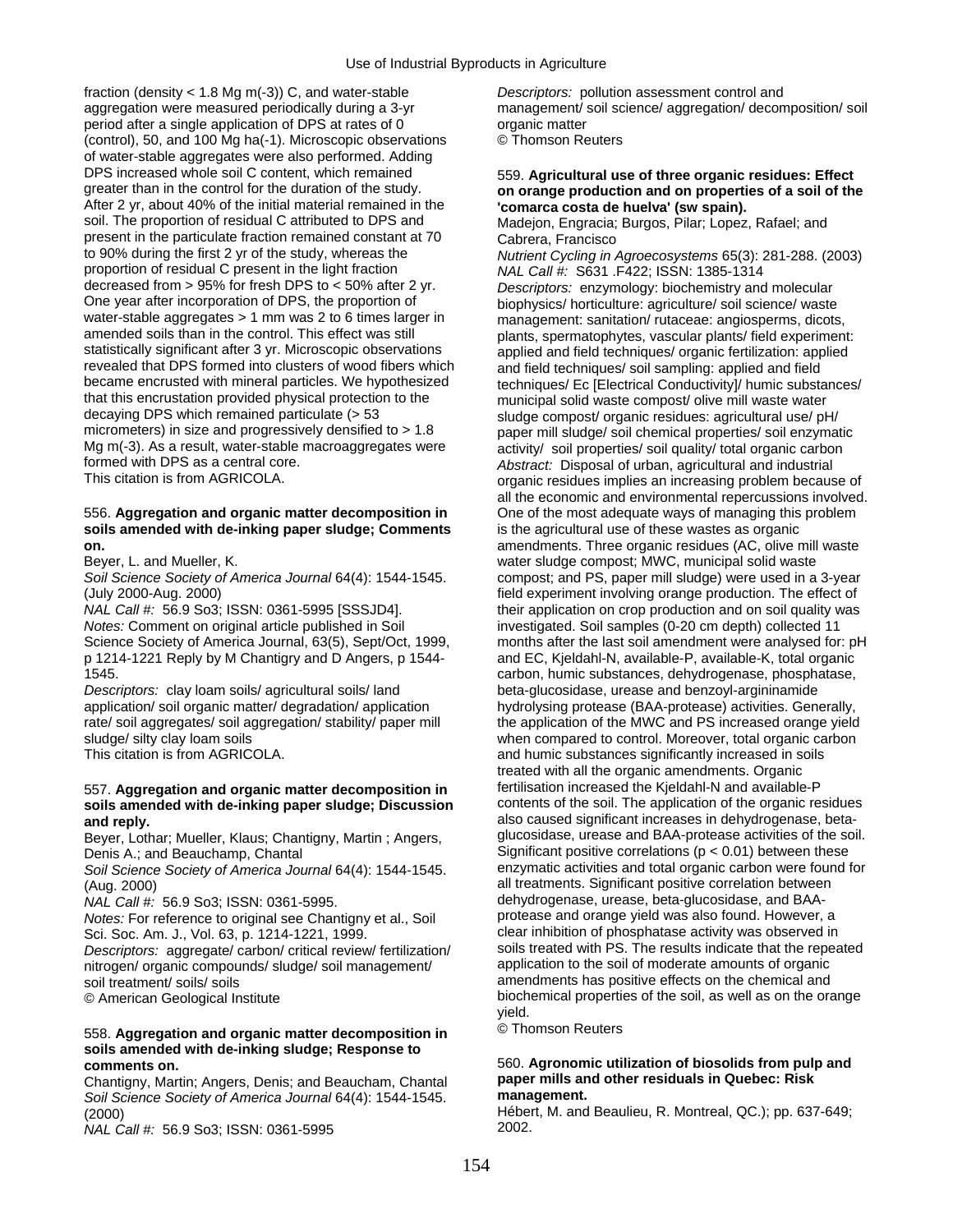fraction (density < 1.8 Mg m(-3)) C, and water-stable *Descriptors:* pollution assessment control and aggregation were measured periodically during a 3-yr management/ soil science/ aggregation/ decomposition/ soil period after a single application of DPS at rates of 0 organic matter (control), 50, and 100 Mg ha(-1). Microscopic observations © Thomson Reuters of water-stable aggregates were also performed. Adding DPS increased whole soil C content, which remained 559. **Agricultural use of three organic residues: Effect**  After 2 yr, about 40% of the initial material remained in the **comarca costa de huelva' (sw spain).**<br>
Soil. The proportion of residual C attributed to DPS and **Madelon, Engracia: Burgos. Pilar: Lopez** present in the particulate fraction remained constant at 70 Cabrera, Francisco<br>to 90% during the first 2 yr of the study, whereas the Nutrient Cycling in proportion of residual C present in the light fraction *NAL Call #:* S631 .F422; ISSN: 1385-1314 decreased from > 95% for fresh DPS to < 50% after 2 yr. *Descriptors:* enzymology: biochemistry and molecular water-stable aggregates > 1 mm was 2 to 6 times larger in management: sanitation/ rutaceae: angiosperms, dicots, amended soils than in the control. This effect was still blants spermatophytes vascular plants/ field experim amended soils than in the control. This effect was still plants, spermatophytes, vascular plants/ field experiment:<br>statistically significant after 3 yr. Microscopic observations applied and field techniques/ organic ferti statistically significant after 3 yr. Microscopic observations applied and field techniques/ organic fertilization: applied<br>The applied and field revealed that DPS formed into clusters of wood fibers which revealed that DPS formed into clusters of wood fibers which and field techniques/ soil sampling: applied and field<br>became encrusted with mineral particles. We hypothesized techniques/ Fc [Flectrical Conductivity]/ humic su became encrusted with mineral particles. We hypothesized techniques/ Ec [Electrical Conductivity]/ humic substances/<br>that this encrustation provided physical protection to the municipal solid waste compost/ olive mill wast that this encrustation provided physical protection to the municipal solid waste compost/ olive mill waste water<br>decaying DPS which remained particulate (> 53 sludge compost/ organic residues: agricultural use/ of decaying DPS which remained particulate (> 53 sludge compost/ organic residues: agricultural use/ pH/<br>micrometers) in size and progressively densified to > 1.8 paper mill sludge/ soil chemical properties/ soil enzymai Mg m(-3). As a result, water-stable macroaggregates were activity/ soil properties/ soil quality/ total organic carbon<br>
Abstract: Disposal of urban, agricultural and industrial formed with DPS as a central core. *Abstract:* Disposal of urban, agricultural and industrial

### 556. **Aggregation and organic matter decomposition in** One of the most adequate ways of managing this problem **soils amended with de-inking paper sludge; Comments** is the agricultural use of these wastes as organic **on.** amendments. Three organic residues (AC, olive mill waste

Science Society of America Journal, 63(5), Sept/Oct, 1999, p 1214-1221 Reply by M Chantigry and D Angers, p 1544- and EC, Kjeldahl-N, available-P, available-K, total organic 1545. carbon, humic substances, dehydrogenase, phosphatase,

Descriptors: clay loam soils/ agricultural soils/ land beta-glucosidase, urease and benzoyl-argininamide

## 557. **Aggregation and organic matter decomposition in** fertilisation increased the Kjeldahl-N and available-P soils amended with de-inking paper sludge; Discussion

Beyer, Lothar; Mueller, Klaus; Chantigny, Martin; Angers,

*Soil Science Society of America Journal* 64(4): 1544-1545. (Aug. 2000) all treatments. Significant positive correlation between

*Notes:* For reference to original see Chantigny et al., Soil

*Descriptors:* aggregate/ carbon/ critical review/ fertilization/ soils treated with PS. The results indicate that the repe<br>nitrogen/ organic compounds/ sludge/ soil management/ application to the soil of moderate amounts nitrogen/ organic compounds/ sludge/ soil management/ soil treatment/ soils/ soils amendments has positive effects on the chemical and

## © Thomson Reuters 558. **Aggregation and organic matter decomposition in soils amended with de-inking sludge; Response to**

Chantigny, Martin; Angers, Denis; and Beaucham, Chantal **paper mills are**<br>Soil Science Society of America Journal 64(4): 1544-1545 **management.** *Soil Science Society of America Journal* 64(4): 1544-1545. **management.**

*NAL Call #: 56.9 So3; ISSN: 0361-5995* 

# on orange production and on properties of a soil of the

Madejon, Engracia; Burgos, Pilar; Lopez, Rafael; and

Nutrient Cycling in Agroecosystems 65(3): 281-288. (2003) biophysics/ horticulture: agriculture/ soil science/ waste paper mill sludge/ soil chemical properties/ soil enzymatic organic residues implies an increasing problem because of all the economic and environmental repercussions involved. Beyer, L. and Mueller, K. water sludge compost; MWC, municipal solid waste *Soil Science Society of America Journal* 64(4): 1544-1545. compost; and PS, paper mill sludge) were used in a 3-year (July 2000-Aug. 2000)<br>
MAL Call #: 56.9 So3; ISSN: 0361-5995 [SSSJD4]. Their application on crop production and on soil quality was their application on crop production and on soil quality was *Notes:* Comment on original article published in Soil investigated. Soil samples (0-20 cm depth) collected 11<br>Science Society of America Journal, 63(5), Sept/Oct, 1999, months after the last soil amendment were analysed f application/ soil organic matter/ degradation/ application hydrolysing protease (BAA-protease) activities. Generally, rate/ soil aggregates/ soil aggregation/ stability/ paper mill the application of the MWC and PS increased orange yield sludge/ silty clay loam soils when compared to control. Moreover, total organic carbon This citation is from AGRICOLA. **And humic substances significantly increased in soils** and humic substances significantly increased in soils treated with all the organic amendments. Organic<br>fertilisation increased the Kjeldahl-N and available-P **and reply.**<br>Bever, Lothar: Mueller, Klaus: Chantigny, Martin : Angers. **and glucosidase, urease and BAA-protease** activities of the soil. Denis A.; and Beauchamp, Chantal  $\frac{3}{1544}$  Significant positive correlations (p < 0.01) between these<br>Soil Science Society of America Journal 64(4): 1544-1545. enzymatic activities and total organic carbon were found f *NAL Call #:* 56.9 So3; ISSN: 0361-5995. dehydrogenase, urease, beta-glucosidase, and BAA-Sci. Soc. Am. J., Vol. 63, p. 1214-1221, 1999.<br>Descriptors: aggregate/carbon/critical review/fertilization/ soils treated with PS. The results indicate that the repeated © American Geological Institute biochemical properties of the soil, as well as on the orange

yield.<br>© Thomson Reuters

# **comments on.**<br>Chantigny Martin: Angers Denis: and Beaucham Chantal **paper mills and other residuals in Quebec: Risk**

(2000)<br>  $M4L$  Call tt: 56.9 So<sup>3</sup>: ISSN: 0361-5995<br>  $M4L$  Call tt: 56.9 So<sup>3</sup>: ISSN: 0361-5995<br>  $2002$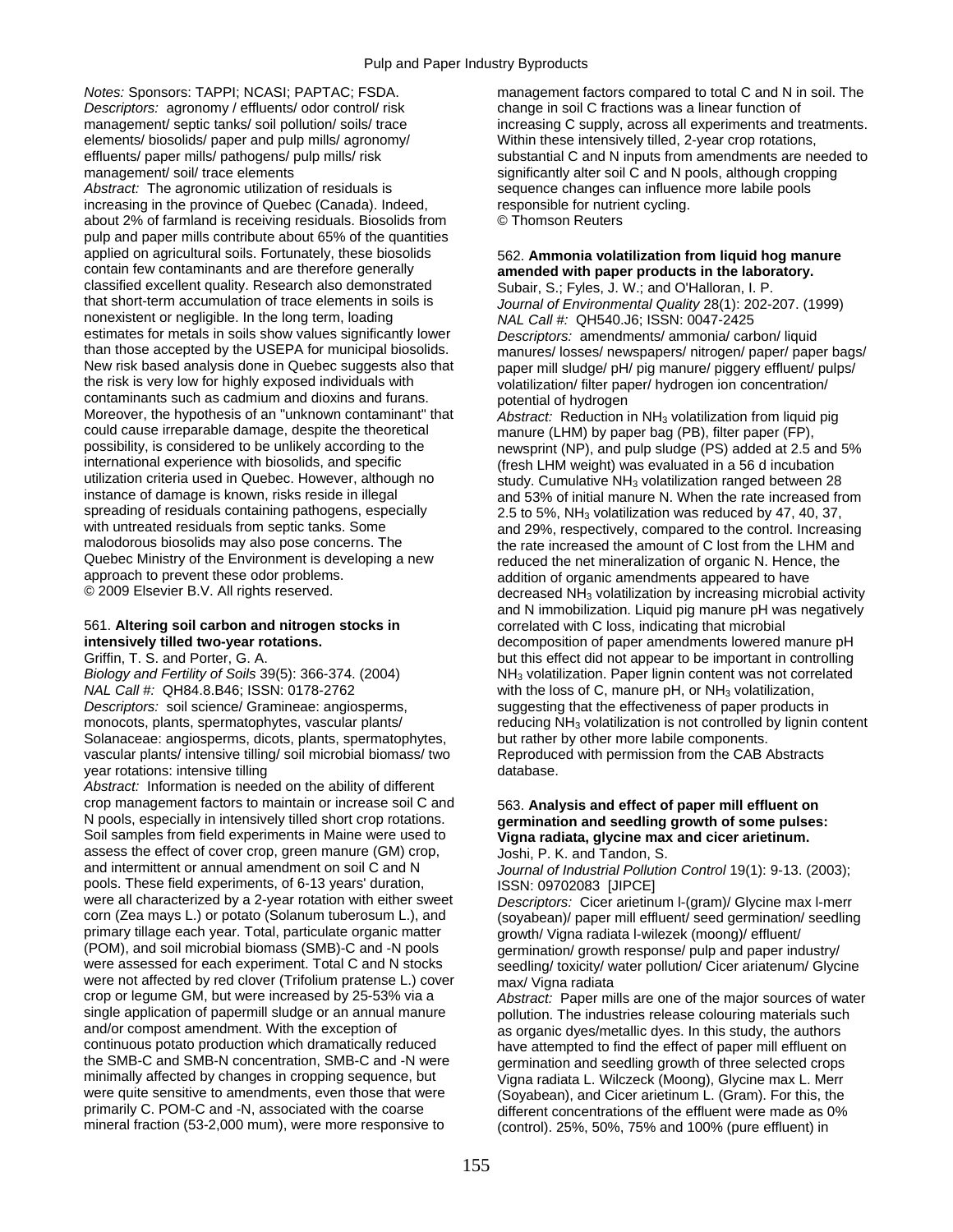*Descriptors:* agronomy / effluents/ odor control/ risk change in soil C fractions was a linear function of elements/ biosolids/ paper and pulp mills/ agronomy/ Within these intensively tilled, 2-year crop rotations,

Abstract: The agronomic utilization of residuals is sequence changes can influence more labile pools increasing in the province of Quebec (Canada). Indeed, responsible for nutrient cycling. about 2% of farmland is receiving residuals. Biosolids from © Thomson Reuters pulp and paper mills contribute about 65% of the quantities applied on agricultural soils. Fortunately, these biosolids 562. **Ammonia volatilization from liquid hog manure**  classified excellent quality. Research also demonstrated Subair, S.; Fyles, J. W.; and O'Halloran, I. P.<br>1. Journal of Friggential Quality 28(1): 202-2 nonexistent or negligible. In the long term, loading *NAL Call #:* QH540.J6; ISSN: 0047-2425 estimates for metals in soils show values significantly lower<br>than those accepted by the USEPA for municipal biosolids.<br>manures/ losses/ newspapers/ nitrogen/ paper/ paper than those accepted by the USEPA for municipal biosolids. manures/ losses/ newspapers/ nitrogen/ paper/ paper bags/<br>New risk based analysis done in Quebec suggests also that paper mill sludge/ pH/ pig manure/ piggery efflu New risk based analysis done in Quebec suggests also that paper mill sludge/ pH/ pig manure/ piggery effluent/ pulps/<br>the risk is very low for highly exposed individuals with volatilization/ filter paper/ hydrogen ion conc contaminants such as cadmium and dioxins and furans.<br>
Moreover, the hypothesis of an "unknown contaminant" that *Abstract:* Reduction i Moreover, the hypothesis of an "unknown contaminant" that *Abstract:* Reduction in NH<sub>3</sub> volatilization from liquid pig<br>could cause irreparable damage, despite the theoretical manure (LHM) by paper bag (PB), filter paper ( could cause irreparable damage, despite the theoretical manure (LHM) by paper bag (PB), filter paper (FP), possibility, is considered to be unlikely according to the newsprint (NP), and pulp sludge (PS) added at 2.5 in possibility, is considered to be unlikely according to the newsprint (NP), and pulp sludge (PS) added at 2.5 and 5%<br>international experience with biosolids, and specific freesh LHM weight) was evaluated in a 56 d incubatio international experience with biosolids, and specific (fresh LHM weight) was evaluated in a 56 d incubation<br>32 different incubation criteria used in Quebec. However, although no study. Cumulative NH<sub>3</sub> volatilization range utilization criteria used in Quebec. However, although no study. Cumulative NH<sub>3</sub> volatilization ranged between 28<br>instance of damage is known, risks reside in illegal and 53% of initial manure N. When the rate increased f instance of damage is known, risks reside in illegal and 53% of initial manure N. When the rate increased from<br>spreading of residuals containing pathogens, especially 2.5 to 5%. NH<sub>3</sub> volatilization was reduced by 47, 40, spreading of residuals containing pathogens, especially 2.5 to 5%, NH<sub>3</sub> volatilization was reduced by 47, 40, 37,<br>with untreated residuals from septic tanks. Some and 29%, respectively, compared to the control. Increasing with untreated residuals from septic tanks. Some and 29%, respectively, compared to the control. Increasing<br>malodorous biosolids may also pose concerns. The and the rate increased the amount of C lost from the LHM and malodorous biosolids may also pose concerns. The the rate increased the amount of C lost from the LHM and<br>Quebec Ministry of the Environment is developing a new streamed the net mineralization of organic N. Hence, the Quebec Ministry of the Environment is developing a new reduced the net mineralization of organic N. Hence, the<br>approach to prevent these odor problems.<br>and it is addition of organic amendments appeared to have approach to prevent these odor problems.<br>
© 2009 Elsevier B.V. All rights reserved. The manufacture of the decreased NH<sub>2</sub> volatilization by increasing microbia

## 561. **Altering soil carbon and nitrogen stocks in correlated with C loss, indicating that microbial intensively tilled two-year rotations.** decomposition of paper amendments lowered returns of paper ament

*NAL Call #:* QH84.8.B46; ISSN: 0178-2762 with the loss of C, manure pH, or NH3 volatilization, *Descriptors:* soil science/ Gramineae: angiosperms, suggesting that the effectiveness of paper products in Solanaceae: angiosperms, dicots, plants, spermatophytes, but rather by other more labile components. vascular plants/ intensive tilling/ soil microbial biomass/ two Reproduced with permission from the CAB Abstracts year rotations: intensive tilling vertical contracts of the database.

*Abstract:* Information is needed on the ability of different crop management factors to maintain or increase soil C and 563. **Analysis and effect of paper mill effluent on**  Soil samples from field experiments in Maine were used to **Vigna radiata, glycine max and cicer arietinum.** assess the effect of cover crop, green manure (GM) crop, Joshi, P. K. and Tandon, S.<br>and intermittent or annual amendment on soil C and N<br>*Journal of Industrial Pollution* pools. These field experiments, of 6-13 years' duration, <br>were all characterized by a 2-year rotation with either sweet *Descriptors:* Cicer arieting were all characterized by a 2-year rotation with either sweet *Descriptors:* Cicer arietinum I-(gram)/ Glycine max I-merr<br>corn (Zea mays L.) or potato (Solanum tuberosum L.), and *sovabean)/ paper mill effluent/ seed germi* primary tillage each year. Total, particulate organic matter exercise organic matter (POM), and soil microbial biomass (SMB)-C and -N pools examination/ growth response/ pulp and paper inc (POM), and soil microbial biomass (SMB)-C and -N pools germination/ growth response/ pulp and paper industry/<br>were assessed for each experiment. Total C and N stocks seedling/ toxicity/ water pollution/ Cicer ariatenum/ Gl were not affected by red clover (Trifolium pratense L.) cover max/ Vigna radiata<br>crop or legume GM, but were increased by 25-53% via a *Abstract:* Paper mi single application of papermill sludge or an annual manure pollution. The industries release colouring materials such and/or compost amendment. With the exception of as organic dyes/metallic dyes. In this study, the author continuous potato production which dramatically reduced have attempted to find the effect of paper mill effluent on the SMB-C and SMB-N concentration, SMB-C and -N were emittation and seedling growth of three selected crop the SMB-C and SMB-N concentration, SMB-C and -N were germination and seedling growth of three selected crops<br>minimally affected by changes in cropping sequence, but vigna radiata L Wilczeck (Moong) Glycine max L Merr minimally affected by changes in cropping sequence, but Vigna radiata L. Wilczeck (Moong), Glycine max L. Merr<br>Were quite sensitive to amendments, even those that were (Sovabean) and Cicer arietinum L. (Gram), For this, th were quite sensitive to amendments, even those that were (Soyabean), and Cicer arietinum L. (Gram). For this, the primarily C. POM-C and -N, associated with the coarse different concentrations of the effluent were made as primarily C. POM-C and -N, associated with the coarse different concentrations of the effluent were made as 0%<br>mineral fraction (53-2,000 mum), were more responsive to different control) 25% 50% 75% and 100% (pure effluent

*Notes:* Sponsors: TAPPI; NCASI; PAPTAC; FSDA. management factors compared to total C and N in soil. The management/ septic tanks/ soil pollution/ soils/ trace increasing C supply, across all experiments and treatments. effluents/ paper mills/ pathogens/ pulp mills/ risk substantial C and N inputs from amendments are needed to management/ soil/ trace elements states in the significantly alter soil C and N pools, although cropping

## amended with paper products in the laboratory.

Journal of Environmental Quality 28(1): 202-207. (1999) volatilization/ filter paper/ hydrogen ion concentration/

decreased  $NH<sub>3</sub>$  volatilization by increasing microbial activity and N immobilization. Liquid pig manure pH was negatively decomposition of paper amendments lowered manure pH Griffin, T. S. and Porter, G. A. but this effect did not appear to be important in controlling *Biology and Fertility of Soils* 39(5): 366-374. (2004) NH3 volatilization. Paper lignin content was not correlated monocots, plants, spermatophytes, vascular plants/ reducing NH<sub>3</sub> volatilization is not controlled by lignin content

# germination and seedling growth of some pulses:

Journal of Industrial Pollution Control 19(1): 9-13. (2003);

(soyabean)/ paper mill effluent/ seed germination/ seedling seedling/ toxicity/ water pollution/ Cicer ariatenum/ Glycine

Abstract: Paper mills are one of the major sources of water as organic dyes/metallic dyes. In this study, the authors (control). 25%, 50%, 75% and 100% (pure effluent) in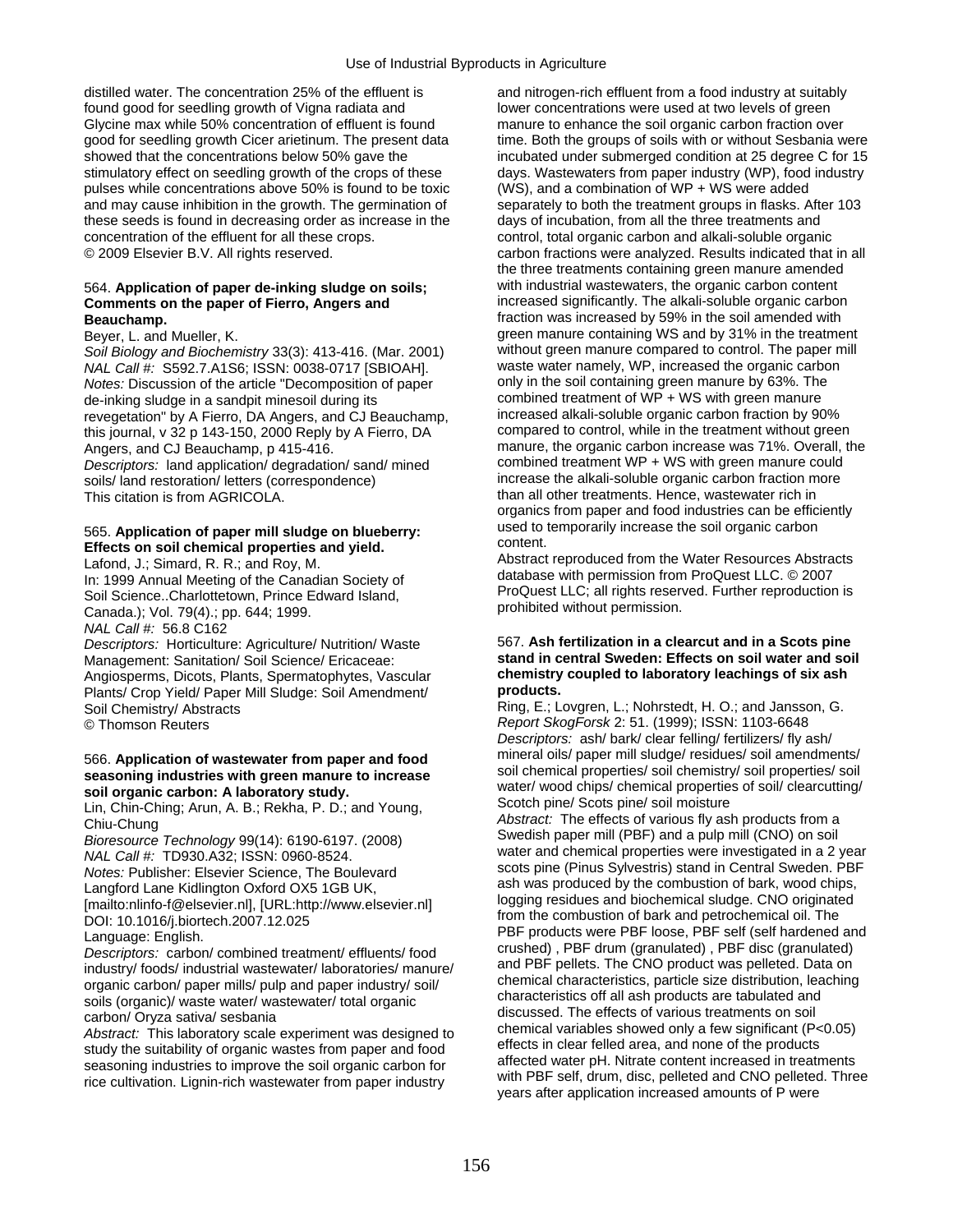distilled water. The concentration 25% of the effluent is and nitrogen-rich effluent from a food industry at suitably found good for seedling growth of Vigna radiata and lower concentrations were used at two levels of green Glycine max while 50% concentration of effluent is found manure to enhance the soil organic carbon fraction over stimulatory effect on seedling growth of the crops of these days. Wastewaters from paper industry (WP), food industry pulses while concentrations above 50% is found to be toxic (WS), and a combination of WP + WS were added and may cause inhibition in the growth. The germination of separately to both the treatment groups in flasks. After 103 these seeds is found in decreasing order as increase in the days of incubation, from all the three treatments and concentration of the effluent for all these crops. control, total organic carbon and alkali-soluble organic

# 564. Application of paper de-inking sludge on soils;

*Soil Biology and Biochemistry* 33(3): 413-416. (Mar. 2001) without green manure compared to control. The paper n<br>*NAL Call #: S592 7 A1S6: ISSN: 0038-0717 ISBIOAHI* waste water namely, WP, increased the organic carbon *NAL Call #:* S592.7.A1S6; ISSN: 0038-0717 [SBIOAH]. waste water namely, WP, increased the organic carbon Motes: Discussion of the article "Decomposition of paper *Notes:* Discussion of the article "Decomposition of paper only in the soil containing green manure by 63%. The<br>de-inking sludge in a sandpit minesoil during its combined treatment of WP + WS with green manure de-inking sludge in a sandpit minesoil during its combined treatment of WP + WS with green manure<br>revegetation" by A Fierro, DA Angers, and C.I Beauchamp increased alkali-soluble organic carbon fraction by 90% revegetation" by A Fierro, DA Angers, and CJ Beauchamp, increased alkali-soluble organic carbon fraction by 90%<br>this journal, y 32 p 143-150, 2000 Reply by A Fierro, DA compared to control, while in the treatment without g this journal, v  $32$  p  $143-150$ ,  $2000$  Reply by A Fierro, DA *Descriptors:* land application/ degradation/ sand/ mined combined treatment WP + WS with green manure could soils/ land restoration/ letters (correspondence) increase the alkali-soluble organic carbon fraction more

*NAL Call #:* 56.8 C162

Angiosperms, Dicots, Plants, Spermatophytes, Vascular **chemistry chemistry chemistry conducts.** Plants/ Crop Yield/ Paper Mill Sludge: Soil Amendment/

industry/foods/industrial wastewater/laboratories/manure/ and PBF pellets. The CNO product was pelleted. Data on<br>organic carbon/paper mills/pulp and paper industry/soil/<br>soils (organic)/waste water/wastewater/total organic

good for seedling growth Cicer arietinum. The present data time. Both the groups of soils with or without Sesbania were showed that the concentrations below 50% gave the incubated under submerged condition at 25 degree C for 15 © 2009 Elsevier B.V. All rights reserved. care carbon fractions were analyzed. Results indicated that in all the three treatments containing green manure amended with industrial wastewaters, the organic carbon content **Comments on the paper of Fierro, Angers and** increased significantly. The alkali-soluble organic carbon **Beauchamp.** fraction was increased by 59% in the soil amended with Beyer, L. and Mueller, K.<br>Beyer, L. and Mueller, K. green manure containing WS and by 31% in the treatment<br>Soil Biology and Biochemistry 33(3): 413-416 (Mar. 2001) without green manure compared to control. The paper mill Angers, and CJ Beauchamp, p 415-416. The manure, the organic carbon increase was 71%. Overall, the This citation is from AGRICOLA. This citation is from AGRICOLA. This citation is from AGRICOLA. organics from paper and food industries can be efficiently

565. Application of paper mill sludge on blueberry:<br>
Effects on soil chemical properties and yield.<br>
Lafond, J.; Simard, R. R.; and Roy, M.<br>
In: 1999 Annual Meeting of the Canadian Society of<br>
Soil Science..Charlottetown,

## *Descriptors:* Horticulture: Agriculture/ Nutrition/ Waste 567. **Ash fertilization in a clearcut and in a Scots pine**  Management: Sanitation/ Soil Science/ Ericaceae: **stand in central Sweden: Effects on soil water and soil**

Soil Chemistry/ Abstracts **Ring, E.; Lovgren, L.; Nohrstedt, H. O.**; and Jansson, G.<br>
© Thomson Reuters **Report SkogForsk 2: 51. (1999); ISSN: 1103-6648** © Thomson Reuters *Report SkogForsk* 2: 51. (1999); ISSN: 1103-6648 *Descriptors:* ash/ bark/ clear felling/ fertilizers/ fly ash/ 566. Application of wastewater from paper and food<br>
seasoning industries with green manure to increase<br>
soil chemical properties/soil chemics/soil amendments/<br>
soil organic carbon: A laboratory study.<br>
Lin, Chin-Ching; Aru carbon/ Oryza sativa/ sesbania<br>
Abstract: This laboratory scale experiment was designed to<br>
study the suitability of organic wastes from paper and food<br>
study the suitability of organic wastes from paper and food<br>
seasonin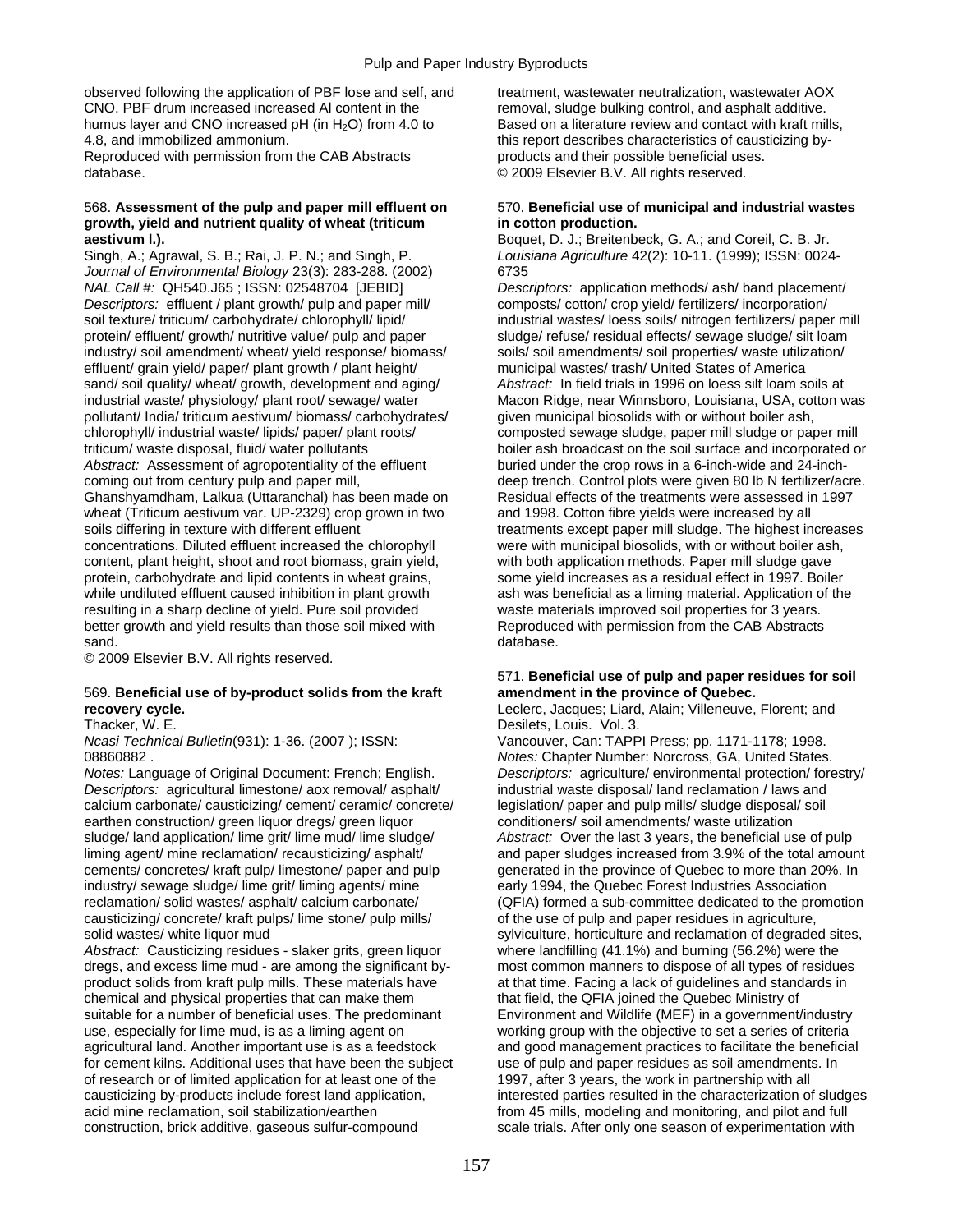observed following the application of PBF lose and self, and treatment, wastewater neutralization, wastewater AOX CNO. PBF drum increased increased Al content in the removal, sludge bulking control, and asphalt additive. humus layer and CNO increased pH (in H<sub>2</sub>O) from 4.0 to Based on a literature review and contact with kraft mills, 4.8, and immobilized ammonium. this report describes characteristics of causticizing by-

Reproduced with permission from the CAB Abstracts products and their possible beneficial uses. database. © 2009 Elsevier B.V. All rights reserved.

### 568. **Assessment of the pulp and paper mill effluent on** 570. **Beneficial use of municipal and industrial wastes growth, yield and nutrient quality of wheat (triticum in cotton production. aestivum I.). Boquet, D. J.; Breitenbeck, G. A.; and Coreil, C. B. Jr. Boquet, D. J.; Breitenbeck, G. A.; and Coreil, C. B. Jr.**

Singh, A.; Agrawal, S. B.; Rai, J. P. N.; and Singh, P. *Louisiana Agriculture* 42(2): 10-11. (1999); ISSN: 0024- *Journal of Environmental Biology* 23(3): 283-288. (2002) 6735 *NAL Call #:* QH540.J65 ; ISSN: 02548704 [JEBID] *Descriptors:* application methods/ ash/ band placement/ *Descriptors:* effluent / plant growth/ pulp and paper mill/ composts/ cotton/ crop yield/ fertilizers/ incorporation/ soil texture/ triticum/ carbohydrate/ chlorophyll/ lipid/ industrial wastes/ loess soils/ nitrogen fertilizers/ paper mill protein/ effluent/ growth/ nutritive value/ pulp and paper sludge/ refuse/ residual effects/ sewage sludge/ silt loam industry/ soil amendment/ wheat/ yield response/ biomass/ soils/ soil amendments/ soil properties/ waste utilization/ effluent/ grain yield/ paper/ plant growth / plant height/ municipal wastes/ trash/ United States of America sand/ soil quality/ wheat/ growth, development and aging/ *Abstract:* In field trials in 1996 on loess silt loam soils at pollutant/ India/ triticum aestivum/ biomass/ carbohydrates/ given municipal biosolids with or without boiler ash, chlorophyll/ industrial waste/ lipids/ paper/ plant roots/ composted sewage sludge, paper mill sludge or paper mill *Abstract:* Assessment of agropotentiality of the effluent buried under the crop rows in a 6-inch-wide and 24-inch-<br>coming out from century pulp and paper mill, end in the effluent deep trench. Control plots were given 80 Ghanshyamdham, Lalkua (Uttaranchal) has been made on Residual effects of the treatments were assessed in 1997 wheat (Triticum aestivum var. UP-2329) crop grown in two and 1998. Cotton fibre yields were increased by all concentrations. Diluted effluent increased the chlorophyll were with municipal biosolids, with or without boiler ash, content, plant height, shoot and root biomass, grain yield, with both application methods. Paper mill sludge gave protein, carbohydrate and lipid contents in wheat grains, some yield increases as a residual effect in 1997. Boiler while undiluted effluent caused inhibition in plant growth ash was beneficial as a liming material. Application of the resulting in a sharp decline of yield. Pure soil provided waste materials improved soil properties for 3 years. better growth and yield results than those soil mixed with Reproduced with permission from the CAB Abstracts sand. **database. database. database. database. database. database. database. database. database. database. database. database. database. database. database. database. database. database.**

© 2009 Elsevier B.V. All rights reserved.

### 569. **Beneficial use of by-product solids from the kraft amendment in the province of Quebec. recovery cycle. Leclerc, Jacques; Liard, Alain; Villeneuve, Florent; and** Leclerc, Jacques; Liard, Alain; Villeneuve, Florent; and

*Notes:* Language of Original Document: French; English. *Descriptors:* agriculture/ environmental protection/ forestry/ *Descriptors:* agricultural limestone/ aox removal/ asphalt/ industrial waste disposal/ land reclamation / laws and calcium carbonate/ causticizing/ cement/ ceramic/ concrete/ legislation/ paper and pulp mills/ sludge disposal/ soil earthen construction/ green liquor dregs/ green liquor conditioners/ soil amendments/ waste utilization sludge/ land application/ lime grit/ lime mud/ lime sludge/ *Abstract:* Over the last 3 years, the beneficial use of pulp cements/ concretes/ kraft pulp/ limestone/ paper and pulp generated in the province of Quebec to more than 20%. In industry/ sewage sludge/ lime grit/ liming agents/ mine early 1994, the Quebec Forest Industries Association reclamation/ solid wastes/ asphalt/ calcium carbonate/ (QFIA) formed a sub-committee dedicated to the promotion causticizing/ concrete/ kraft pulps/ lime stone/ pulp mills/ of the use of pulp and paper residues in agriculture, solid wastes/ white liquor mud sylviculture, horticulture and reclamation of degraded sites,

*Abstract:* Causticizing residues - slaker grits, green liquor where landfilling (41.1%) and burning (56.2%) were the dregs, and excess lime mud - are among the significant by- most common manners to dispose of all types of residues product solids from kraft pulp mills. These materials have at that time. Facing a lack of guidelines and standards in chemical and physical properties that can make them that field, the QFIA joined the Quebec Ministry of suitable for a number of beneficial uses. The predominant Environment and Wildlife (MEF) in a government/industry use, especially for lime mud, is as a liming agent on working group with the objective to set a series of criteria agricultural land. Another important use is as a feedstock and good management practices to facilitate the beneficial for cement kilns. Additional uses that have been the subject use of pulp and paper residues as soil amendments. In of research or of limited application for at least one of the 1997, after 3 years, the work in partnership with all acid mine reclamation, soil stabilization/earthen from 45 mills, modeling and monitoring, and pilot and full construction, brick additive, gaseous sulfur-compound scale trials. After only one season of experimentation with

industrial waste/ physiology/ plant root/ sewage/ water Macon Ridge, near Winnsboro, Louisiana, USA, cotton was triticum/ waste disposal, fluid/ water pollutants boiler ash broadcast on the soil surface and incorporated or deep trench. Control plots were given 80 lb N fertilizer/acre. soils differing in texture with different effluent treatments except paper mill sludge. The highest increases

## 571. **Beneficial use of pulp and paper residues for soil**

Thacker, W. E. **Thacker, W. E. Communist Communist Communist Communist Communist Communist Communist Communist Communist Communist Communist Communist Communist Communist Communist Communist Communist Communist Communist** 

*Ncasi Technical Bulletin*(931): 1-36. (2007 ); ISSN: Vancouver, Can: TAPPI Press; pp. 1171-1178; 1998. 08860882 . *Notes:* Chapter Number: Norcross, GA, United States. liming agent/ mine reclamation/ recausticizing/ asphalt/ and paper sludges increased from 3.9% of the total amount causticizing by-products include forest land application, interested parties resulted in the characterization of sludges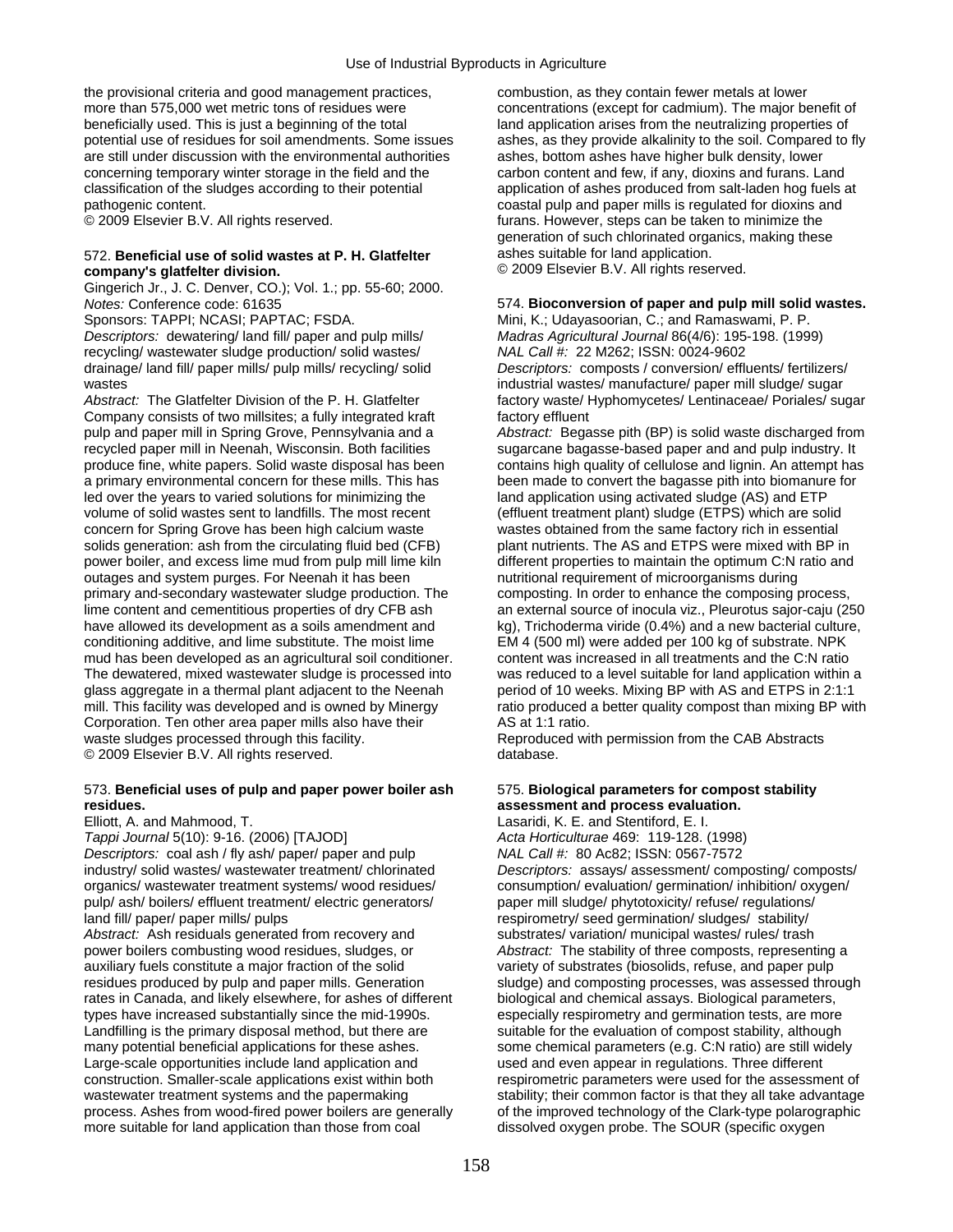the provisional criteria and good management practices, combustion, as they contain fewer metals at lower more than 575,000 wet metric tons of residues were concentrations (except for cadmium). The major benefit of beneficially used. This is just a beginning of the total land application arises from the neutralizing properties of potential use of residues for soil amendments. Some issues ashes, as they provide alkalinity to the soil. Compared to fly are still under discussion with the environmental authorities ashes, bottom ashes have higher bulk density, lower concerning temporary winter storage in the field and the carbon content and few, if any, dioxins and furans. Land classification of the sludges according to their potential application of ashes produced from salt-laden hog fuels at pathogenic content. The pathogenic content. Coastal pulp and paper mills is regulated for dioxins and

## 572. **Beneficial use of solid wastes at P. H. Glatfelter** ashes suitable for land application.<br> **company's glatfelter division.** © 2009 Elsevier B.V. All rights rese

Gingerich Jr., J. C. Denver, CO.); Vol. 1.; pp. 55-60; 2000.

*Descriptors:* dewatering/ land fill/ paper and pulp mills/ *Madras Agricultural Journal* 86(4/6): 195-198. (1999) recycling/ wastewater sludge production/ solid wastes/ *NAL Call #:* 22 M262; ISSN: 0024-9602

Company consists of two millsites; a fully integrated kraft factory effluent pulp and paper mill in Spring Grove, Pennsylvania and a *Abstract:* Begasse pith (BP) is solid waste discharged from recycled paper mill in Neenah, Wisconsin. Both facilities sugarcane bagasse-based paper and and pulp industry. It a primary environmental concern for these mills. This has been made to convert the bagasse pith into biomanure for led over the years to varied solutions for minimizing the land application using activated sludge (AS) and ETP volume of solid wastes sent to landfills. The most recent (effluent treatment plant) sludge (ETPS) which are solid concern for Spring Grove has been high calcium waste wastes obtained from the same factory rich in essential solids generation: ash from the circulating fluid bed (CFB) plant nutrients. The AS and ETPS were mixed with BP in power boiler, and excess lime mud from pulp mill lime kiln different properties to maintain the optimum C:N ratio and outages and system purges. For Neenah it has been nutritional requirement of microorganisms during primary and-secondary wastewater sludge production. The composting. In order to enhance the composing process, have allowed its development as a soils amendment and kg), Trichoderma viride (0.4%) and a new bacterial culture, conditioning additive, and lime substitute. The moist lime EM 4 (500 ml) were added per 100 kg of substrate. NPK mud has been developed as an agricultural soil conditioner. content was increased in all treatments and the C:N ratio The dewatered, mixed wastewater sludge is processed into was reduced to a level suitable for land application within a glass aggregate in a thermal plant adjacent to the Neenah period of 10 weeks. Mixing BP with AS and ETPS in 2:1:1 Corporation. Ten other area paper mills also have their **AS** at 1:1 ratio. waste sludges processed through this facility. Reproduced with permission from the CAB Abstracts © 2009 Elsevier B.V. All rights reserved. database.

### 573. **Beneficial uses of pulp and paper power boiler ash** 575. **Biological parameters for compost stability residues. assessment and process evaluation.**

### Elliott, A. and Mahmood, T. Lasaridi, K. E. and Stentiford, E. I.

*Tappi Journal* 5(10): 9-16. (2006) [TAJOD] *Acta Horticulturae* 469: 119-128. (1998) *Descriptors:* coal ash / fly ash/ paper/ paper and pulp *NAL Call #:* 80 Ac82; ISSN: 0567-7572 pulp/ ash/ boilers/ effluent treatment/ electric generators/ paper mill sludge/ phytotoxicity/ refuse/ regulations/ land fill/ paper/ paper mills/ pulps respirometry/ seed germination/ sludges/ stability/

Abstract: Ash residuals generated from recovery and substrates/ variation/ municipal wastes/ rules/ trash power boilers combusting wood residues, sludges, or *Abstract:* The stability of three composts, representing a auxiliary fuels constitute a major fraction of the solid residues produced by pulp and paper mills. Generation sludge) and composting processes, was assessed through rates in Canada, and likely elsewhere, for ashes of different biological and chemical assays. Biological parameters, types have increased substantially since the mid-1990s. especially respirometry and germination tests, are more Landfilling is the primary disposal method, but there are suitable for the evaluation of compost stability, although many potential beneficial applications for these ashes. some chemical parameters (e.g. C:N ratio) are still widely Large-scale opportunities include land application and used and even appear in regulations. Three different construction. Smaller-scale applications exist within both respirometric parameters were used for the assessment of wastewater treatment systems and the papermaking stability; their common factor is that they all take advantage process. Ashes from wood-fired power boilers are generally of the improved technology of the Clark-type polarographic more suitable for land application than those from coal dissolved oxygen probe. The SOUR (specific oxygen

© 2009 Elsevier B.V. All rights reserved. furans. However, steps can be taken to minimize the generation of such chlorinated organics, making these © 2009 Elsevier B.V. All rights reserved.

### *Notes:* Conference code: 61635 574. **Bioconversion of paper and pulp mill solid wastes.**

Sponsors: TAPPI; NCASI; PAPTAC; FSDA. Mini, K.; Udayasoorian, C.; and Ramaswami, P. P. drainage/ land fill/ paper mills/ pulp mills/ recycling/ solid *Descriptors:* composts / conversion/ effluents/ fertilizers/ wastes **industrial wastes/ manufacture/ paper mill sludge/ sugar** industrial wastes/ manufacture/ paper mill sludge/ sugar Abstract: The Glatfelter Division of the P. H. Glatfelter factory waste/ Hyphomycetes/ Lentinaceae/ Poriales/ sugar

produce fine, white papers. Solid waste disposal has been contains high quality of cellulose and lignin. An attempt has lime content and cementitious properties of dry CFB ash an external source of inocula viz., Pleurotus sajor-caju (250 mill. This facility was developed and is owned by Minergy ratio produced a better quality compost than mixing BP with

industry/ solid wastes/ wastewater treatment/ chlorinated *Descriptors:* assays/ assessment/ composting/ composts/ organics/ wastewater treatment systems/ wood residues/ consumption/ evaluation/ germination/ inhibition/ oxygen/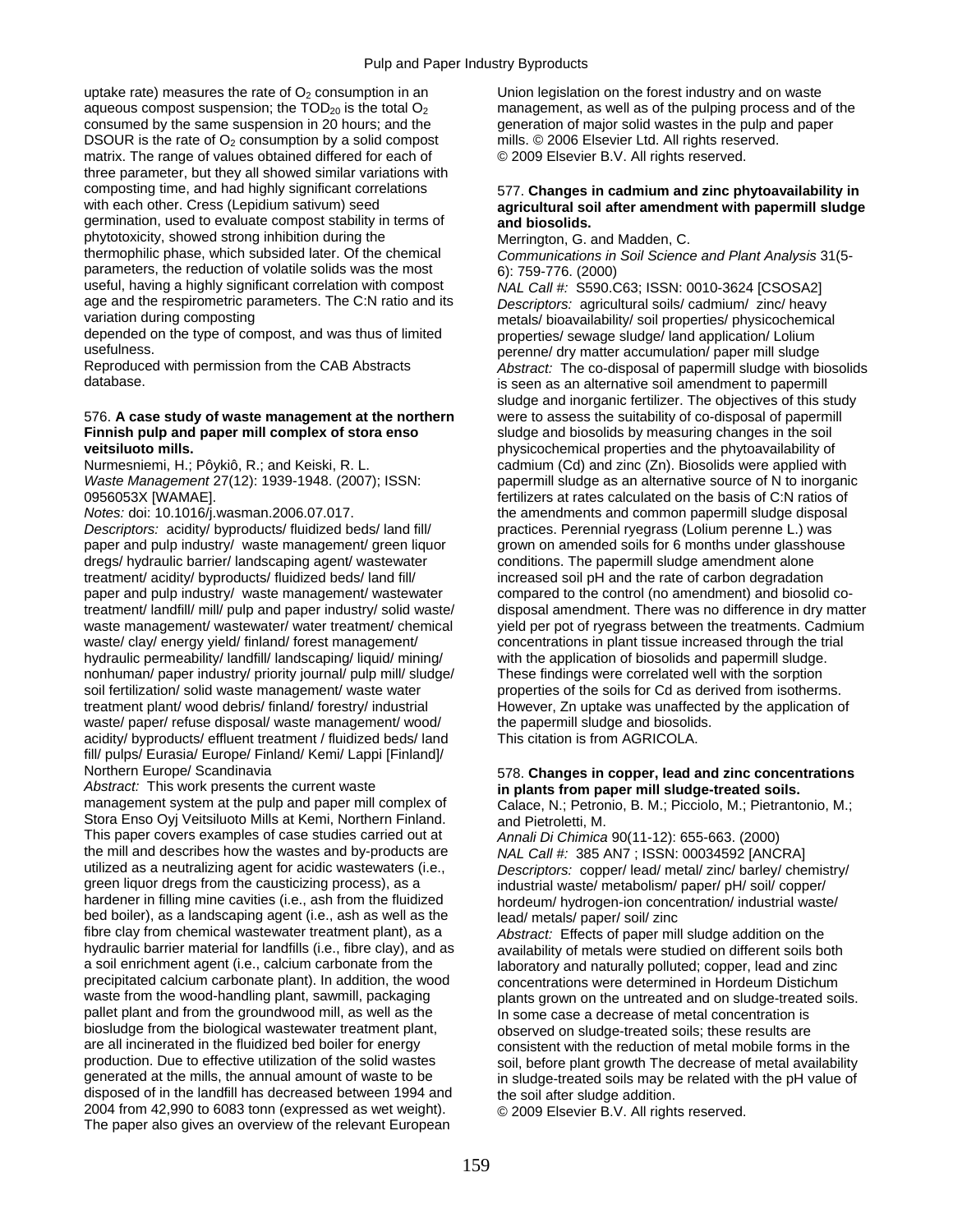uptake rate) measures the rate of  $O<sub>2</sub>$  consumption in an Union legislation on the forest industry and on waste aqueous compost suspension; the  $TOD_{20}$  is the total  $O_2$  management, as well as of the pulping process and of the consumed by the same suspension in 20 hours; and the generation of major solid wastes in the pulp and paper DSOUR is the rate of  $O_2$  consumption by a solid compost mills. © 2006 Elsevier Ltd. All rights reserved.<br>matrix. The range of values obtained differed for each of  $\degree$  © 2009 Elsevier B.V. All rights reserved. matrix. The range of values obtained differed for each of three parameter, but they all showed similar variations with composting time, and had highly significant correlations 577. **Changes in cadmium and zinc phytoavailability in**  germination, used to evaluate compost stability in terms of **and biosolids.**  phytotoxicity, showed strong inhibition during the Merrington, G. and Madden, C.<br>thermophilic phase, which subsided later. Of the chemical Communications in Soil Science parameters, the reduction of volatile solids was the most  $6$ ): 759-776. (2000) useful, having a highly significant correlation with compost *NAL Call #:* S590.C63; ISSN: 0010-3624 [CSOSA2] age and the respirometric parameters. The C:N ratio and its *Descriptors:* agricultural soils/ cadmium/ zinc/ heavy

depended on the type of compost, and was thus of limited properties/ sewage sludge/ land application/ Lolium<br>usefulness.

### 576. A case study of waste management at the northern **Finnish pulp and paper mill complex of stora enso** sludge and biosolids by measuring changes in the soil **veitsiluoto mills. physicochemical properties and the phytoavailability of physicochemical properties and the phytoavailability of**

*Descriptors:* acidity/ byproducts/ fluidized beds/ land fill/ practices. Perennial ryegrass (Lolium perenne L.) was paper and pulp industry/ waste management/ green liquor grown on amended soils for 6 months under glasshouse dregs/ hydraulic barrier/ landscaping agent/ wastewater conditions. The papermill sludge amendment alone treatment/ acidity/ byproducts/ fluidized beds/ land fill/ increased soil pH and the rate of carbon degradation paper and pulp industry/ waste management/ wastewater compared to the control (no amendment) and biosolid cotreatment/ landfill/ mill/ pulp and paper industry/ solid waste/ disposal amendment. There was no difference in dry matter<br>waste management/ wastewater/ water treatment/ chemical yield per pot of ryegrass between the treat waste management/ wastewater/ water treatment/ chemical yield per pot of ryegrass between the treatments. Cadmium<br>waste/ clay/ energy yield/ finland/ forest management/ concentrations in plant tissue increased through the hydraulic permeability/ landfill/ landscaping/ liquid/ mining/ with the application of biosolids and papermill sludge. nonhuman/ paper industry/ priority journal/ pulp mill/ sludge/ These findings were correlated well with the sorption soil fertilization/ solid waste management/ waste water properties of the soils for Cd as derived from isotherms. treatment plant/ wood debris/ finland/ forestry/ industrial However, Zn uptake was unaffected by the application of waste/ paper/ refuse disposal/ waste management/ wood/ the papermill sludge and biosolids. acidity/ byproducts/ effluent treatment / fluidized beds/ land This citation is from AGRICOLA. fill/ pulps/ Eurasia/ Europe/ Finland/ Kemi/ Lappi [Finland]/

*Abstract:* This work presents the current waste **in plants from paper mill sludge-treated soils.**  Stora Enso Oyj Veitsiluoto Mills at Kemi, Northern Finland. and Pietroletti, M. This paper covers examples of case studies carried out at *Annali Di Chimica* 90(11-12): 655-663. (2000)<br>the mill and describes how the wastes and by-products are *MALCall #: 385 AN7 : ISSN: 00034592 LANC* the mill and describes how the wastes and by-products are *NAL Call #:* 385 AN7 ; ISSN: 00034592 [ANCRA]<br>utilized as a neutralizing agent for acidic wastewaters (i.e., *Descriptors: copper*/ lead/ metal/ zinc/ barley/ che utilized as a neutralizing agent for acidic wastewaters (i.e., *Descriptors:* copper/ lead/ metal/ zinc/ barley/ chemistry/ green liquor dregs from the causticizing process), as a industrial waste/ metabolism/ paper/ pH/ soil/ copper/<br>hardener in filling mine cavities (i.e., ash from the fluidized bordeum/ hydrogen-ion concentration/ industrial bed boiler), as a landscaping agent (i.e., ash as well as the lead/ metals/ paper/ soil/ zinc<br>fibre clay from chemical wastewater treatment plant), as a a Abstract: Effects of paper mil fibre clay from chemical wastewater treatment plant), as a *Abstract:* Effects of paper mill sludge addition on the hydraulic barrier material for landfills (i.e., fibre clay), and as availability of metals were studied on different soils both a soil enrichment agent (i.e., calcium carbonate from the and provatory and naturally polluted a soil enrichment agent (i.e., calcium carbonate from the laboratory and naturally polluted; copper, lead and zinc<br>precipitated calcium carbonate plant). In addition, the wood concentrations were determined in Hordeum Dist waste from the wood-handling plant, sawmill, packaging plants grown on the untreated and on sludge-treated soils. pallet plant and from the groundwood mill, as well as the In some case a decrease of metal concentration is biosludge from the biological wastewater treatment plant, by observed on sludge-treated soils; these results are all incinerated in the fluidized bed boiler for energy consistent with the reduction of metal mobile forms are all incinerated in the fluidized bed boiler for energy consistent with the reduction of metal mobile forms in the<br>production. Due to effective utilization of the solid wastes soil before plant growth The decrease of me production. Due to effective utilization of the solid wastes soil, before plant growth The decrease of metal availability<br>generated at the mills, the annual amount of waste to be in sludge-treated soils may be related with disposed of in the landfill has decreased between 1994 and the soil after sludge addition. 2004 from 42,990 to 6083 tonn (expressed as wet weight). © 2009 Elsevier B.V. All rights reserved. The paper also gives an overview of the relevant European

# agricultural soil after amendment with papermill sludge

thermophilic phase, which subsided later. Of the chemical *Communications in Soil Science and Plant Analysis* 31(5-

metals/ bioavailability/ soil properties/ physicochemical usefulness.<br>Reproduced with permission from the CAB Abstracts **by the actual accumulation** approduced with permission from the CAB Abstracts and *Abstract*: The co-disposal of papermill sludge with bi Reproduced with permission from the CAB Abstracts *Abstract:* The co-disposal of papermill sludge with biosolids is seen as an alternative soil amendment to papermill sludge and inorganic fertilizer. The objectives of this study were to assess the suitability of co-disposal of papermill Nurmesniemi, H.; Pôykiô, R.; and Keiski, R. L. cadmium (Cd) and zinc (Zn). Biosolids were applied with *Waste Management* 27(12): 1939-1948. (2007); ISSN: papermill sludge as an alternative source of N to inorganic 0956053X [WAMAE]. fertilizers at rates calculated on the basis of C:N ratios of *Notes:* doi: 10.1016/j.wasman.2006.07.017. the amendments and common papermill sludge disposal concentrations in plant tissue increased through the trial

## Northern Europe/ Scandinavia **578. Changes in copper, lead and zinc concentrations**<br>Abstract: This work presents the current waste **in plants from paper mill sludge-treated soils**.

Calace, N.; Petronio, B. M.; Picciolo, M.; Pietrantonio, M.;

hordeum/ hydrogen-ion concentration/ industrial waste/

concentrations were determined in Hordeum Distichum in sludge-treated soils may be related with the pH value of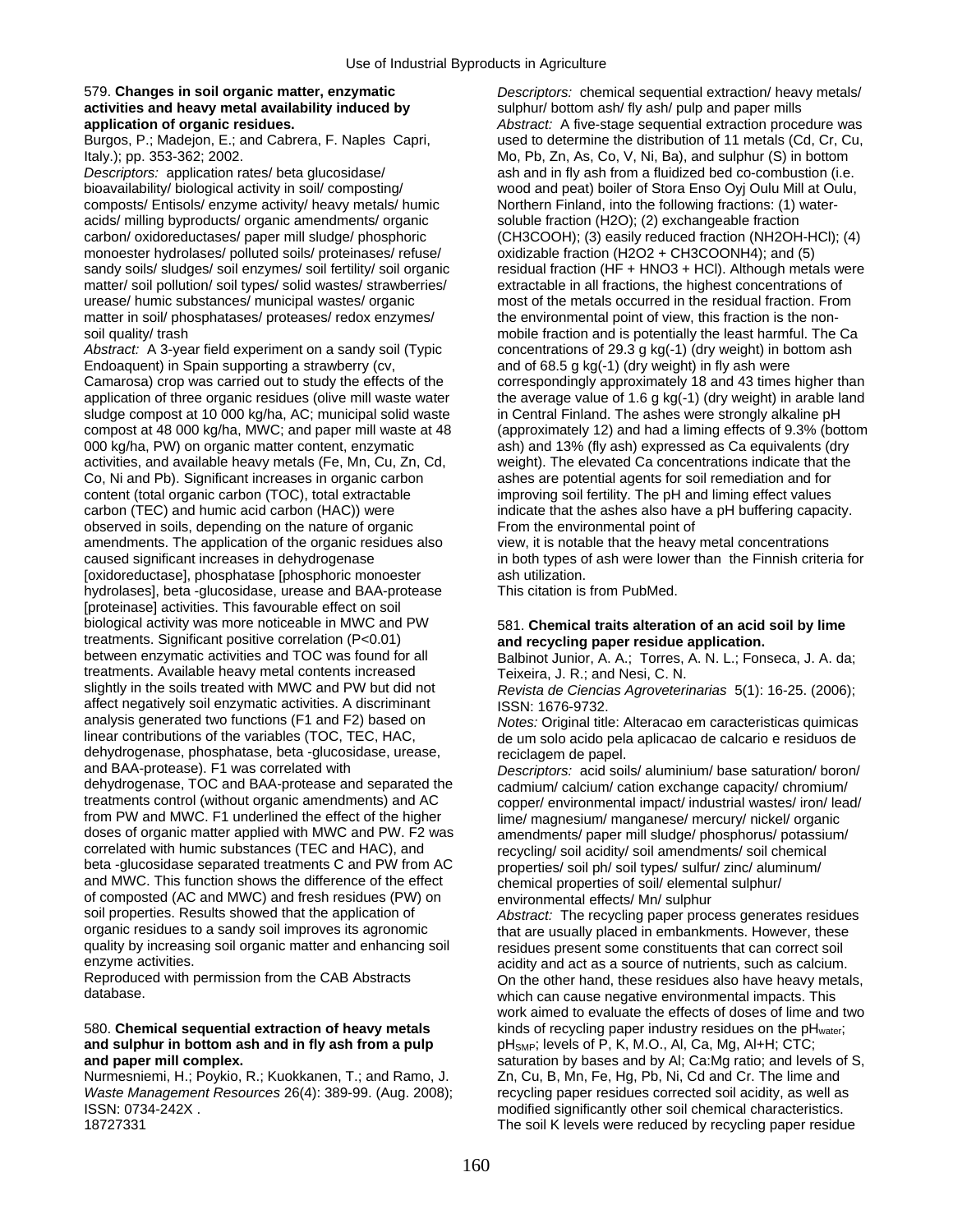## 579. **Changes in soil organic matter, enzymatic** *Descriptors:* chemical sequential extraction/ heavy metals/ **activities and heavy metal availability induced by example in sulphur/ bottom ash/ fly ash/ pulp and paper mills**

*Descriptors:* application rates/ beta glucosidase/ ash and in fly ash from a fluidized bed co-combustion (i.e. bioavailability/ biological activity in soil/ composting/ wood and peat) boiler of Stora Enso Oyj Oulu Mill at Oulu, composts/ Entisols/ enzyme activity/ heavy metals/ humic Northern Finland, into the following fractions: (1) wateracids/ milling byproducts/ organic amendments/ organic soluble fraction (H2O); (2) exchangeable fraction carbon/ oxidoreductases/ paper mill sludge/ phosphoric (CH3COOH); (3) easily reduced fraction (NH2OH-HCl); (4) monoester hydrolases/ polluted soils/ proteinases/ refuse/ oxidizable fraction (H2O2 + CH3COONH4); and (5) matter/ soil pollution/ soil types/ solid wastes/ strawberries/ extractable in all fractions, the highest concentrations of urease/ humic substances/ municipal wastes/ organic most of the metals occurred in the residual fr matter in soil/ phosphatases/ proteases/ redox enzymes/ the environmental point of view, this fraction is the nonsoil quality/ trash mobile fraction and is potentially the least harmful. The Ca

Endoaquent) in Spain supporting a strawberry (cv, and of 68.5 g kg(-1) (dry weight) in fly ash were Camarosa) crop was carried out to study the effects of the correspondingly approximately 18 and 43 times higher than application of three organic residues (olive mill waste water the average value of 1.6 g kg(-1) (dry weight) in arable land sludge compost at 10 000 kg/ha, AC; municipal solid waste in Central Finland. The ashes were strongly alkaline pH compost at 48 000 kg/ha, MWC; and paper mill waste at 48 (approximately 12) and had a liming effects of 9.3% (bottom 000 kg/ha, PW) on organic matter content, enzymatic ash) and 13% (fly ash) expressed as Ca equivalents (dry activities, and available heavy metals (Fe, Mn, Cu, Zn, Cd, weight). The elevated Ca concentrations indicate that activities, and available heavy metals (Fe, Mn, Cu, Zn, Cd, Co, Ni and Pb). Significant increases in organic carbon ashes are potential agents for soil remediation and for content (total organic carbon (TOC), total extractable improving soil fertility. The pH and liming effect values carbon (TEC) and humic acid carbon (HAC)) were indicate that the ashes also have a pH buffering capacity. observed in soils, depending on the nature of organic From the environmental point of amendments. The application of the organic residues also view, it is notable that the heavy metal concentrations caused significant increases in dehydrogenase in both types of ash were lower than the Finnish criteria for [oxidoreductase], phosphatase [phosphoric monoester ash utilization. hydrolases], beta -glucosidase, urease and BAA-protease This citation is from PubMed. [proteinase] activities. This favourable effect on soil treatments. Significant positive correlation (P<0.01) **and recycling paper residue application.**<br>between enzymatic activities and TOC was found for all **Bally Bullion** Lunior A A · Torres A N L · Fone treatments. Available heavy metal contents increased<br>slightly in the soils treated with MWC and PW but did not Revista de Ciencias Agroveteri affect negatively soil enzymatic activities. A discriminant ISSN: 1676-9732.<br>
analysis generated two functions (F1 and F2) based on *Notes:* Original title analysis generated two functions (F1 and F2) based on *Notes:* Original title: Alteracao em caracteristicas quimicas dehydrogenase, phosphatase, beta -glucosidase, urease, reciclagem de papel.<br>and BAA-protease). F1 was correlated with the papel. Descriptors: acid soil and BAA-protease). F1 was correlated with *Descriptors:* acid soils/ aluminium/ base saturation/ boron/<br>dehydrogenase, TOC and BAA-protease and separated the cadmium/ calcium/ cation exchange capacity/ chromium/ dehydrogenase, TOC and BAA-protease and separated the cadmium/ calcium/ cation exchange capacity/ chromium/<br>treatments control (without organic amendments) and AC copper environmental impact/ industrial wastes/ iron/ lea treatments control (without organic amendments) and AC copper/ environmental impact/ industrial wastes/ iron/ lead/<br>from PW and MWC. F1 underlined the effect of the higher lime/ magnesium/ manganese/ mercury/ nickel/ organ from PW and MWC. F1 underlined the effect of the higher lime/ magnesium/ manganese/ mercury/ nickel/ organic<br>doses of organic matter applied with MWC and PW. F2 was amendments/ paper mill sludge/ phosphorus/ potassium doses of organic matter applied with MWC and PW. F2 was amendments/ paper mill sludge/ phosphorus/ potassium/<br>correlated with humic substances (TEC and HAC), and recycling/ soil acidity/ soil amendments/ soil chemical beta -glucosidase separated treatments C and PW from AC properties/ soil ph/ soil types/ sulfur/ zinc/ aluminum/ and MWC. This function shows the difference of the effect chemical properties of soil/ elemental sulphur/ of composted (AC and MWC) and fresh residues (PW) on environmental effects/ Mn/ sulphur<br>soil properties. Results showed that the application of *Abstract:* The recycling paper proc soil properties. Results showed that the application of *Abstract:* The recycling paper process generates residues<br>organic residues to a sandy soil improves its agronomic that are usually placed in embankments. However, th organic residues to a sandy soil improves its agronomic entity are usually placed in embankments. However, these<br>quality by increasing soil organic matter and enhancing soil entity residues present some constituents that c quality by increasing soil organic matter and enhancing soil residues present some constituents that can correct soil<br>enzyme activities.

# and sulphur in bottom ash and in fly ash from a pulp and paper mill complex.

Nurmesniemi, H.; Poykio, R.; Kuokkanen, T.; and Ramo, J. Zn, Cu, B, Mn, Fe, Hg, Pb, Ni, Cd and Cr. The lime and *Waste Management Resources* 26(4): 389-99. (Aug. 2008); recycling paper residues corrected soil acidity, as well as ISSN: 0734-242X . modified significantly other soil chemical characteristics.

**application of organic residues.** *Abstract:* A five-stage sequential extraction procedure was used to determine the distribution of 11 metals (Cd, Cr, Cu, Italy.); pp. 353-362; 2002. Mo, Pb, Zn, As, Co, V, Ni, Ba), and sulphur (S) in bottom sandy soils/ sludges/ soil enzymes/ soil fertility/ soil organic residual fraction (HF + HNO3 + HCl). Although metals were most of the metals occurred in the residual fraction. From Abstract: A 3-year field experiment on a sandy soil (Typic concentrations of 29.3 g kg(-1) (dry weight) in bottom ash

## 581. Chemical traits alteration of an acid soil by lime

Balbinot Junior, A. A.; Torres, A. N. L.; Fonseca, J. A. da;

Revista de Ciencias Agroveterinarias 5(1): 16-25. (2006);

de um solo acido pela aplicacao de calcario e residuos de

recycling/ soil acidity/ soil amendments/ soil chemical

enzyme activities.<br>Reproduced with permission from the CAB Abstracts **acidity** and act as a source of nutrients, such as calcium. Reproduced with permission from the CAB Abstracts On the other hand, these residues also have heavy metals,<br>
Moth can cause negative environmental impacts. This which can cause negative environmental impacts. This work aimed to evaluate the effects of doses of lime and two 580. **Chemical sequential extraction of heavy metals** *kinds of recycling paper industry residues on the pH<sub>water</sub>; and sulphur in bottom ash and in fly ash from a pulp**pH<sub>SMP</sub>***; levels of P, K, M.O., Al, Ca, Mg, Al+H;** saturation by bases and by Al; Ca:Mg ratio; and levels of S, 18727331 The soil K levels were reduced by recycling paper residue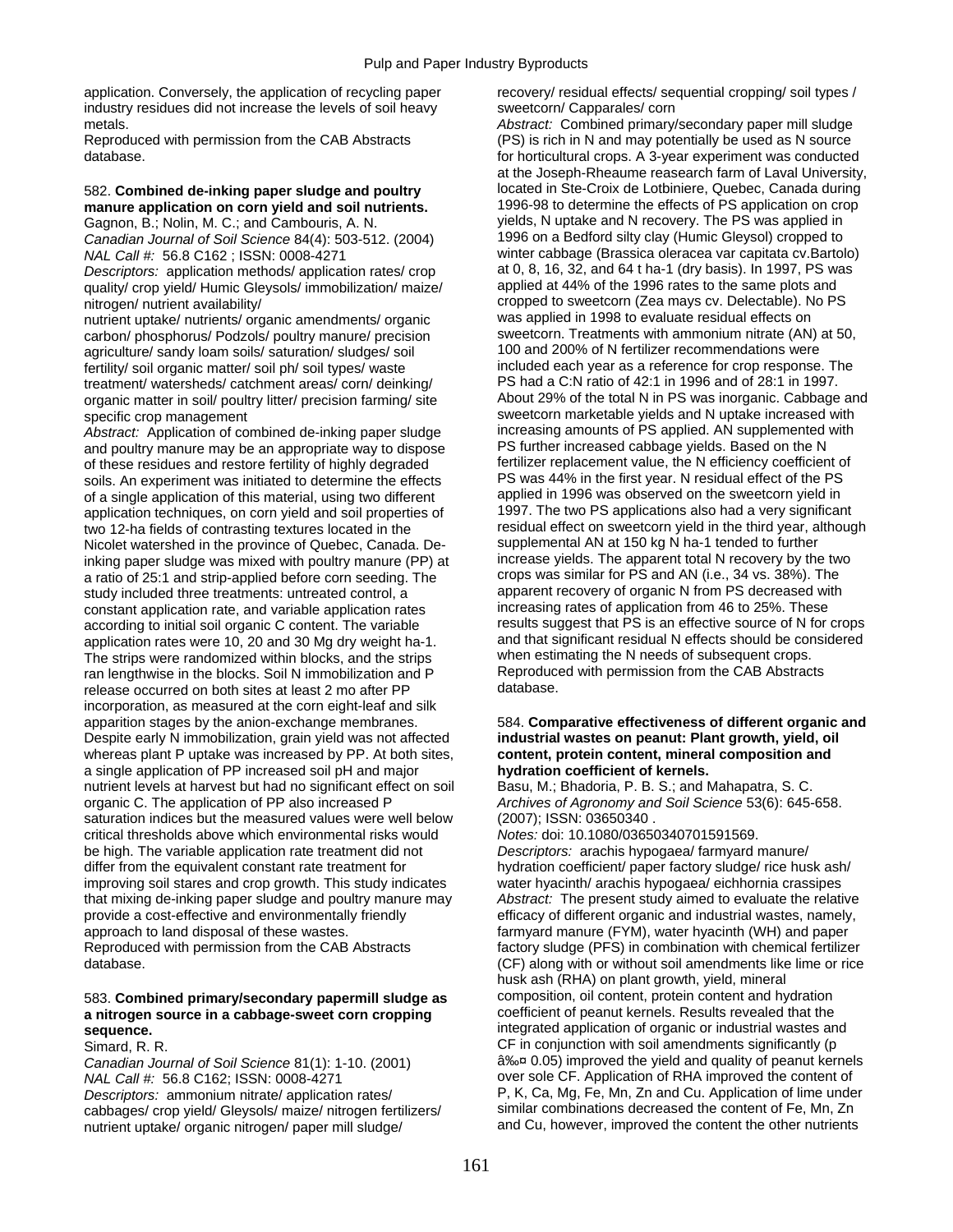application. Conversely, the application of recycling paper recovery/ residual effects/ sequential cropping/ soil types / industry residues did not increase the levels of soil heavy sweetcorn/ Capparales/ corn metals. *Abstract:* Combined primary/secondary paper mill sludge

## manure application on corn yield and soil nutrients.

*Canadian Journal of Soil Science* 84(4): 503-512. (2004)

*Descriptors:* application methods/ application rates/ crop at 0, 8, 16, 32, and 64 t ha-1 (dry basis). In 1997, PS was<br>
quality/ crop vield/ Humic Gleysols/ immobilization/ maize/ applied at 44% of the 1996 rates to the s quality/ crop yield/ Humic Gleysols/ immobilization/ maize/

carbon/ phosphorus/ Podzols/ poultry manure/ precision sweetcorn. Treatments with ammonium nitrate (AN) at 50, agriculture/ sandy loam soils/ saturation/ sludges/ soil 100 and 200% of N fertilizer recommendations were<br>
fertility/ soil proanic matter/ soil ph/ soil types/ waste included each year as a reference for crop response. Th fertility/ soil organic matter/ soil ph/ soil types/ waste included each year as a reference for crop response. The<br>Treatment/ watersheds/ catchment areas/ corn/ deinking/ FR had a C:N ratio of 42:1 in 1996 and of 28:1 in organic matter in soil/ poultry litter/ precision farming/ site

*Abstract:* Application of combined de-inking paper sludge increasing amounts of PS applied. AN supplemented and poultry manure may be an appropriate way to dispose PS further increased cabbage yields. Based on the N and poultry manure may be an appropriate way to dispose of these residues and restore fertility of highly degraded fertilizer replacement value, the N efficiency coefficient of soils. An experiment was initiated to determine the effects PS was 44% in the first year. N residual soils. An experiment was initiated to determine the effects PS was 44% in the first year. N residual effect of the PS<br>The a single application of this material, using two different applied in 1996 was observed on the sweet of a single application of this material, using two different applied in 1996 was observed on the sweetcorn yield in<br>application techniques, on corn yield and soil properties of 1997. The two PS applications also had a ver application techniques, on corn yield and soil properties of 1997. The two PS applications also had a very significant<br>two 12-ha fields of contrasting textures located in the strategy residual effect on sweetcorn yield in two 12-ha fields of contrasting textures located in the residual effect on sweetcorn yield in the third year, a<br>Nicolet watershed in the province of Quebec, Canada, De-supplemental AN at 150 kg N ha-1 tended to further Nicolet watershed in the province of Quebec, Canada. De-<br>
inking paper sludge was mixed with poultry manure (PP) at increase yields. The apparent total N recovery by the two inking paper sludge was mixed with poultry manure (PP) at increase yields. The apparent total N recovery by the tw<br>a ratio of 25:1 and strip-applied before corn seeding. The crops was similar for PS and AN (i.e., 34 vs. 38 a ratio of 25:1 and strip-applied before corn seeding. The crops was similar for PS and AN (i.e., 34 vs. 38%). The crops was similar for PS and AN (i.e., 34 vs. 38%). The crops was similar for PS and AN (i.e., 34 vs. 38%). study included three treatments: untreated control, a apparent recovery of organic N from PS decreased with constant application rate, and variable application rates increasing rates of application from 46 to 25%. These constant application rate, and variable application rates increasing rates of application from 46 to 25%. These<br>according to initial soil organic C content. The variable series in results suggest that PS is an effective so according to initial soil organic C content. The variable results suggest that PS is an effective source of N for crops<br>application rates were 10, 20 and 30 Mg dry weight ha-1. and that significant residual N effects shoul application rates were 10, 20 and 30 Mg dry weight ha-1. and that significant residual N effects should be cons<br>The strips were randomized within blocks, and the strips when estimating the N needs of subsequent crops. The strips were randomized within blocks, and the strips when estimating the N needs of subsequent crops.<br>The strips when estimating the N needs of subsequent crops.<br>Reproduced with permission from the CAB Abstracts ran lengthwise in the blocks. Soil N immobilization and P Reproduce<br>release occurred on both sites at least 2 mo after PP database. release occurred on both sites at least 2 mo after PP incorporation, as measured at the corn eight-leaf and silk apparition stages by the anion-exchange membranes. 584. **Comparative effectiveness of different organic and**  Despite early N immobilization, grain yield was not affected **industrial wastes on peanut: Plant growth, yield, oil**  whereas plant P uptake was increased by PP. At both sites, **content, protein content, mineral composition and**  a single application of PP increased soil pH and major **hydration coefficient of kernels.**  nutrient levels at harvest but had no significant effect on soil organic C. The application of PP also increased P *Archives of Agronomy and Soil Science* 53(6): 645-658. saturation indices but the measured values were well below (2007); ISSN: 03650340 . critical thresholds above which environmental risks would *Notes:* doi: 10.1080/03650340701591569. be high. The variable application rate treatment did not *Descriptors:* arachis hypogaea/ farmyard manure/ differ from the equivalent constant rate treatment for hydration coefficient/ paper factory sludge/ rice husk ash/ improving soil stares and crop growth. This study indicates water hyacinth/ arachis hypogaea/ eichhornia crassipes that mixing de-inking paper sludge and poultry manure may *Abstract:* The present study aimed to evaluate the relative provide a cost-effective and environmentally friendly efficacy of different organic and industrial wastes, namely, approach to land disposal of these wastes. **Farmyard manure (FYM), water hyacinth (WH)** and paper Reproduced with permission from the CAB Abstracts factory sludge (PFS) in combination with chemical fertilizer database. (CF) along with or without soil amendments like lime or rice

### 583. **Combined primary/secondary papermill sludge as** composition, oil content, protein content and hydration a nitrogen source in a cabbage-sweet corn cropping coefficient of peanut kernels. Results revealed that the a nitrogen source in a cabbage-sweet corn cropping **sequence. integrated application of organic or industrial wastes and integrated application of organic or industrial wastes and**

*NAL Call #:* 56.8 C162; ISSN: 0008-4271 over sole CF. Application of RHA improved the content of nutrient uptake/ organic nitrogen/ paper mill sludge/

Reproduced with permission from the CAB Abstracts (PS) is rich in N and may potentially be used as N source database. for horticultural crops. A 3-year experiment was conducted at the Joseph-Rheaume reasearch farm of Laval University, 582. **Combined de-inking paper sludge and poultry** located in Ste-Croix de Lotbiniere, Quebec, Canada during Gagnon, B.; Nolin, M. C.; and Cambouris, A. N. yields, N uptake and N recovery. The PS was applied in<br>Canadian Journal of Soil Science 84(4): 503-512. (2004) 1996 on a Bedford silty clay (Humic Gleysol) cropped to *NAL Call #:* 56.8 C162 ; ISSN: 0008-4271 winter cabbage (Brassica oleracea var capitata cv.Bartolo) nitrogen/ nutrient availability/<br>
nutrient untake/ nutrients/ organic amendments/ organic<br>
was applied in 1998 to evaluate residual effects on<br>
was applied in 1998 to evaluate residual effects on nutrient uptake/ nutrients/ organic amendments/ organic was applied in 1998 to evaluate residual effects on<br>carbon/ phosphorus/ Podzols/ poultry manure/ precision sweetcorn. Treatments with ammonium nitrate (AN) at 50. treatment/ watersheds/ catchment areas/ corn/ deinking/ PS had a C:N ratio of 42:1 in 1996 and of 28:1 in 1997.<br>The About 29% of the total N in PS was inorganic. Cabbage and a consider to the total N in PS was inorganic. C specific crop management<br>Abstract: Application of combined de-inking paper sludge increasing amounts of PS applied. AN supplemented with

husk ash (RHA) on plant growth, yield, mineral Simard, R. R. CF in conjunction with soil amendments significantly (p *Canadian Journal of Soil Science* 81(1): 1-10. (2001) ≤ 0.05) improved the yield and quality of peanut kernels *Descriptors:* ammonium nitrate/ application rates/ P, K, Ca, Mg, Fe, Mn, Zn and Cu. Application of lime under cabbages/ crop yield/ Gleysols/ maize/ nitrogen fertilizers/ similar combinations decreased the content of Fe, Mn, Zn<br>nutrient uptake/ organic nitrogen/ paper mill sludge/ and Cu, however, improved the content the other nu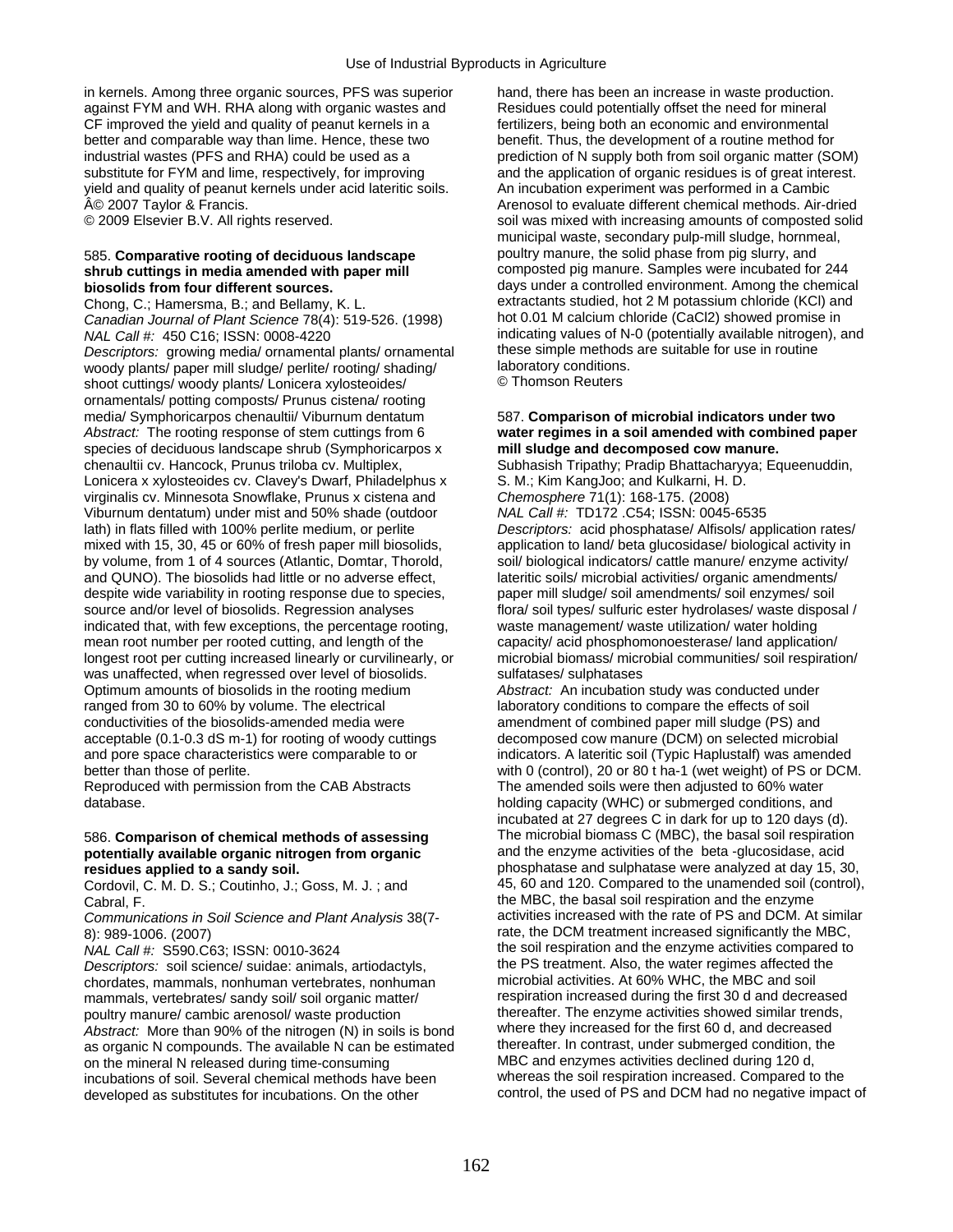in kernels. Among three organic sources, PFS was superior hand, there has been an increase in waste production. against FYM and WH. RHA along with organic wastes and Residues could potentially offset the need for mineral CF improved the yield and quality of peanut kernels in a fertilizers, being both an economic and environmental better and comparable way than lime. Hence, these two benefit. Thus, the development of a routine method for industrial wastes (PFS and RHA) could be used as a prediction of N supply both from soil organic matter (SOM) substitute for FYM and lime, respectively, for improving and the application of organic residues is of great interest. yield and quality of peanut kernels under acid lateritic soils. An incubation experiment was performed in a Cambic

*Canadian Journal of Plant Science* 78(4): 519-526. (1998) *NAL Call #:* 450 C16; ISSN: 0008-4220 **indicating values of N-0 (potentially available nitrogen), and <br>Descriptors: arowing media/ ornamental plants/ ornamental these simple methods are suitable for use in routine** *Descriptors:* growing media/ ornamental plants/ ornamental these simple methods woody plants/ paper mill sludge/ perlite/ rooting/ shading/ woody plants/ paper mill sludge/ perlite/ rooting/ shading/ laboratory conditions<br>shoot cuttings/ woody plants/ Lonicera xylosteoides/ Chomson Reuters shoot cuttings/ woody plants/ Lonicera xylosteoides/ ornamentals/ potting composts/ Prunus cistena/ rooting media/ Symphoricarpos chenaultii/ Viburnum dentatum 587. **Comparison of microbial indicators under two**  *Abstract:* The rooting response of stem cuttings from 6 **water regimes in a soil amended with combined paper**  species of deciduous landscape shrub (Symphoricarpos x **mill sludge and decomposed cow manure.**  chenaultii cv. Hancock, Prunus triloba cv. Multiplex, Subhasish Tripathy; Pradip Bhattacharyya; Equeenuddin, Lonicera x xylosteoides cv. Clavey's Dwarf, Philadelphus x S. M.; Kim KangJoo; and Kulkarni, H. D. virginalis cv. Minnesota Snowflake, Prunus x cistena and *Chemosphere* 71(1): 168-175. (2008) Viburnum dentatum) under mist and 50% shade (outdoor *NAL Call #:* TD172 .C54; ISSN: 0045-6535 lath) in flats filled with 100% perlite medium, or perlite *Descriptors:* acid phosphatase/ Alfisols/ application rates/ mixed with 15, 30, 45 or 60% of fresh paper mill biosolids, application to land/ beta glucosidase/ biological activity in by volume, from 1 of 4 sources (Atlantic, Domtar, Thorold, soil/ biological indicators/ cattle manure/ enzyme activity/ and QUNO). The biosolids had little or no adverse effect, lateritic soils/ microbial activities/ organic amendments/ despite wide variability in rooting response due to species, paper mill sludge/ soil amendments/ soil enzymes/ soil source and/or level of biosolids. Regression analyses flora/ soil types/ sulfuric ester hydrolases/ waste indicated that, with few exceptions, the percentage rooting, mean root number per rooted cutting, and length of the capacity/ acid phosphomonoesterase/ land application/<br>longest root per cutting increased linearly or curvilinearly, or microbial biomass/ microbial communities/ soil r longest root per cutting increased linearly or curvilinearly, or microbial biomass/ microbial community was unaffected, when regressed over level of biosolids. was unaffected, when regressed over level of biosolids. Optimum amounts of biosolids in the rooting medium *Abstract:* An incubation study was conducted under ranged from 30 to 60% by volume. The electrical laboratory conditions to compare the effects of soil conductivities of the biosolids-amended media were amendment of combined paper mill sludge (PS) and acceptable (0.1-0.3 dS m-1) for rooting of woody cuttings decomposed cow manure (DCM) on selected microbial and pore space characteristics were comparable to or indicators. A lateritic soil (Typic Haplustalf) was amended better than those of perlite. with 0 (control), 20 or 80 t ha-1 (wet weight) of PS or DCM.

Reproduced with permission from the CAB Abstracts The amended soils were then adjusted to 60% water

# potentially available organic nitrogen from organic

Cordovil, C. M. D. S.; Coutinho, J.; Goss, M. J.; and

*Communications in Soil Science and Plant Analysis* 38(7-

*Descriptors:* soil science/ suidae: animals, artiodactyls, the PS treatment. Also, the water regimes affected t<br>chordates mammals nonhuman vertebrates nonhuman microbial activities. At 60% WHC, the MBC and soil chordates, mammals, nonhuman vertebrates, nonhuman microbial activities. At 60% WHC, the MBC and soil mammals, vertebrates/ sandy soil/ soil organic matter/ respiration increased during the first 30 d and decreased<br>
noultry manure/ cambic arenosol/ waste production<br>
thereafter. The enzyme activities showed similar trends. poultry manure/ cambic arenosol/ waste production thereafter. The enzyme activities showed similar trends<br>Abstract: More than 90% of the nitrogen (N) in soils is bond where they increased for the first 60 d, and decreased *Abstract:* More than 90% of the nitrogen (N) in soils is bond where they increased for the first 60 d, and decreased as organic N compounds. The available N can be estimated thereafter. In contrast, under submerged condition, on the mineral N released during 120 d, on the mineral N released during time-consuming MBC and enzymes activities declined during 120 d,<br>incubations of soil. Several chemical methods have been whereas the soil respiration increased. Compared to the incubations of soil. Several chemical methods have been developed as substitutes for incubations. On the other control, the used of PS and DCM had no negative impact of

© 2007 Taylor & Francis. Arenosol to evaluate different chemical methods. Air-dried © 2009 Elsevier B.V. All rights reserved. soil was mixed with increasing amounts of composted solid municipal waste, secondary pulp-mill sludge, hornmeal, 585. **Comparative rooting of deciduous landscape** poultry manure, the solid phase from pig slurry, and **shrub cuttings in media amended with paper mill examples of the composted pig manure. Samples were incubated for 244 biosolids from four different sources.** days under a controlled environment. Among the chemical Chong, C.; Hamersma, B.; and Bellamy, K. L. extractants studied, hot 2 M potassium chloride (KCl) and<br>Canadian Journal of Plant Science 78(4): 519-526 (1998) bot 0.01 M calcium chloride (CaCl2) showed promise in

flora/soil types/ sulfuric ester hydrolases/ waste disposal /<br>waste management/ waste utilization/ water holding

database. **holding capacity (WHC) or submerged conditions**, and database. incubated at 27 degrees C in dark for up to 120 days (d). 586. **Comparison of chemical methods of assessing** The microbial biomass C (MBC), the basal soil respiration **residues applied to a sandy soil.** <br>**phosphatase and sulphatase were analyzed at day 15, 30,**<br>Cordovil C. M. D. S.: Coutinho J.: Goss. M. J.: and **45, 60 and 120. Compared to the unamended soil (control)**, Cabral, F.<br>Communications in Soil Science and Plant Analysis 38(7- activities increased with the rate of PS and DCM. At similar 8): 989-1006. (2007)<br>
MAL Call #: S590.C63; ISSN: 0010-3624<br>
The soil respiration and the enzyme activities compared to the soil respiration and the enzyme activities compared to the PS treatment. Also, the water regimes affected the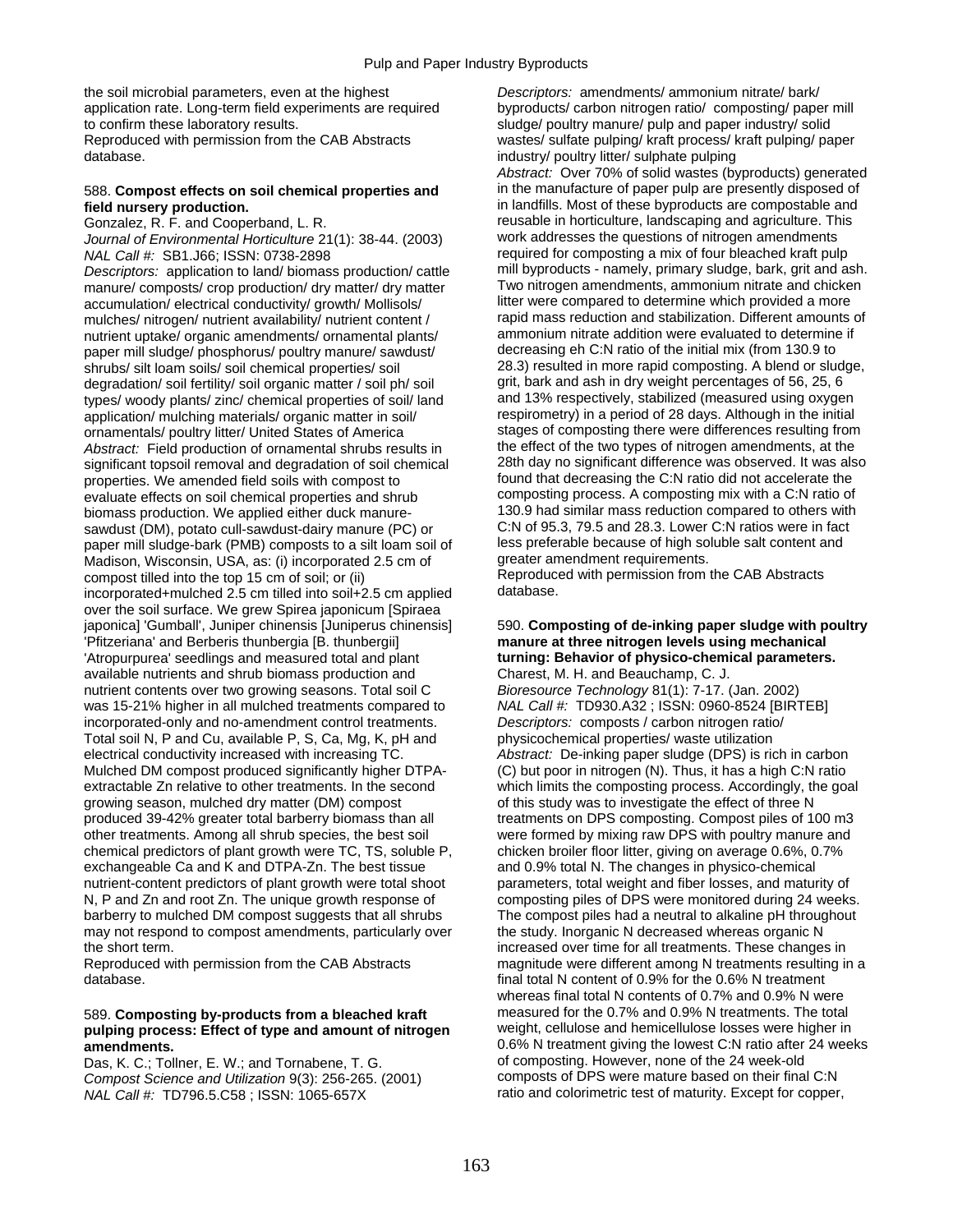the soil microbial parameters, even at the highest *Descriptors:* amendments/ ammonium nitrate/ bark/ to confirm these laboratory results. sludge/ poultry manure/ pulp and paper industry/ solid

*Journal of Environmental Horticulture* 21(1): 38-44. (2003)

*Descriptors:* application to land/ biomass production/ cattle manure/ composts/ crop production/ dry matter/ dry matter Two nitrogen amendments, ammonium nitrate and chicken<br>accumulation/ electrical conductivity/ growth/ Mollisols/ litter were compared to determine which provided a m accumulation/ electrical conductivity/ growth/ Mollisols/ litter were compared to determine which provided a more<br>mulches/ nitrogen/ putrient availability/ putrient content / sapid mass reduction and stabilization. Differe mulches/ nitrogen/ nutrient availability/ nutrient content / rapid mass reduction and stabilization. Different amounts or<br>nutrient untake/ organic amendments/ orgamental plants/ ammonium nitrate addition were evaluated to nutrient uptake/ organic amendments/ ornamental plants/ ammonium nitrate addition were evaluated to determine<br>happer mill sludge/ phosphorus/ poultry manure/ sawdust/ decreasing eh C:N ratio of the initial mix (from 130.9 paper mill sludge/ phosphorus/ poultry manure/ sawdust/ decreasing eh C:N ratio of the initial mix (from 130.9 to<br>shrubs/ silt loam soils/ soil chemical properties/ soil  $28.3$ ) resulted in more rapid composting. A blend o shrubs/ silt loam soils/ soil chemical properties/ soil 28.3) resulted in more rapid composting. A blend or slud<br>degradation/ soil fertility/ soil organic matter / soil ph/ soil grit, bark and ash in dry weight percentages degradation/ soil fertility/ soil organic matter / soil ph/ soil grit, bark and ash in dry weight percentages of 56, 25, 6<br>types/ woody plants/ zinc/ chemical properties of soil/ land and 13% respectively, stabilized (meas types/ woody plants/ zinc/ chemical properties of soil/ land and 13% respectively, stabilized (measured using oxygen<br>application/ mulching materials/ organic matter in soil/ same respirometry) in a period of 28 days. Altho application/ mulching materials/ organic matter in soil/ ornamentals/ poultry litter/ United States of America stages of composting there were differences resulting from *Abstract:* Field production of ornamental shrubs results in the effect of the two types of nitrogen amendments, at the significant topsoil removal and degradation of soil chemical 28th day no significant difference was observed. It was also properties. We amended field soils with compost to found that decreasing the C:N ratio did not accelerate the evaluate effects on soil chemical properties and shrub composting process. A composting mix with a C:N ratio of biomass production. We applied either duck manure-<br>sawdust (DM), potato cull-sawdust-dairy manure (PC) or C:N of 95.3, 79.5 and 28.3. Lower C:N ratios were in fact sawdust (DM), potato cull-sawdust-dairy manure (PC) or C:N of 95.3, 79.5 and 28.3. Lower C:N ratios were in fact<br>Daner mill sludge-bark (PMB) composts to a sit loam soil of less preferable because of high soluble salt cont paper mill sludge-bark (PMB) composts to a silt loam soil of less preferable because of high so<br>Madison Wisconsin USA as: (i) incorporated 2.5 cm of greater amendment requirements. Madison, Wisconsin, USA, as: (i) incorporated 2.5 cm of compost tilled into the top 15 cm of soil; or (ii) Reproduced with permission from the CAB Abstracts<br>incorporated+mulched 2.5 cm tilled into soil+2.5 cm applied database. incorporated+mulched 2.5 cm tilled into soil+2.5 cm applied over the soil surface. We grew Spirea japonicum [Spiraea japonica] 'Gumball', Juniper chinensis [Juniperus chinensis] 590. **Composting of de-inking paper sludge with poultry**  'Pfitzeriana' and Berberis thunbergia [B. thunbergii] **manure at three nitrogen levels using mechanical**  'Atropurpurea' seedlings and measured total and plant **turning: Behavior of physico-chemical parameters.**  available nutrients and shrub biomass production and nutrient contents over two growing seasons. Total soil C *Bioresource Technology* 81(1): 7-17. (Jan. 2002) was 15-21% higher in all mulched treatments compared to *NAL Call #:* TD930.A32 ; ISSN: 0960-8524 [BIRTEB] incorporated-only and no-amendment control treatments. *Descriptors:* composts / carbon nitrogen ratio/ Total soil N, P and Cu, available P, S, Ca, Mg, K, pH and physicochemical properties/ waste utilization electrical conductivity increased with increasing TC. *Abstract:* De-inking paper sludge (DPS) is rich in carbon Mulched DM compost produced significantly higher DTPA- (C) but poor in nitrogen (N). Thus, it has a high C:N ratio extractable Zn relative to other treatments. In the second which limits the composting process. Accordingly, the goal growing season, mulched dry matter (DM) compost of this study was to investigate the effect of three N produced 39-42% greater total barberry biomass than all treatments on DPS composting. Compost piles of 100 m3 other treatments. Among all shrub species, the best soil were formed by mixing raw DPS with poultry manure and chemical predictors of plant growth were TC, TS, soluble P, chicken broiler floor litter, giving on average 0.6%, 0.7% exchangeable Ca and K and DTPA-Zn. The best tissue and 0.9% total N. The changes in physico-chemical nutrient-content predictors of plant growth were total shoot parameters, total weight and fiber losses, and maturity of N, P and Zn and root Zn. The unique growth response of composting piles of DPS were monitored during 24 weeks. barberry to mulched DM compost suggests that all shrubs The compost piles had a neutral to alkaline pH throughout may not respond to compost amendments, particularly over the study. Inorganic N decreased whereas organic N

database. final total N content of 0.9% for the 0.6% N treatment

## 589. **Composting by-products from a bleached kraft** measured for the 0.7% and 0.9% N treatments. The total pulping process: Effect of type and amount of nitrogen

*Compost Science and Utilization* 9(3): 256-265. (2001) *NAL Call #:* TD796.5.C58; ISSN: 1065-657X **ratio and colorimetric test of maturity. Except for copper,** 

application rate. Long-term field experiments are required byproducts/ carbon nitrogen ratio/ composting/ paper mill Reproduced with permission from the CAB Abstracts wastes/ sulfate pulping/ kraft process/ kraft pulping/ paper database. industry/ poultry litter/ sulphate pulping *Abstract:* Over 70% of solid wastes (byproducts) generated 588. **Compost effects on soil chemical properties and** in the manufacture of paper pulp are presently disposed of **field nursery production.**<br>in landfills. Most of these byproducts are compostable and **field nursery production.**<br>
Gonzalez, R. F. and Cooperband, L. R. **inclusion and really contained to reusable** in horticulture, landscaping and agriculture. This reusable in horticulture, landscaping and agriculture. This work addresses the questions of nitrogen amendments *NAL Call #:* SB1.J66; ISSN: 0738-2898 *required for composting a mix of four bleached kraft pulp*<br>Descriptors: application to land/ biomass production/ cattle mill byproducts - namely, primary sludge, bark, grit and ash.

the short term.<br>
Reproduced with permission from the CAB Abstracts<br>
magnitude were different among N treatments resulting in<br>
magnitude were different among N treatments resulting in magnitude were different among N treatments resulting in a whereas final total N contents of 0.7% and 0.9% N were measured for the 0.7% and 0.9% N treatments. The total **amendments.**<br> **amendments.** Only and Tornahene T G and Composting. However, none of the 24 week-old Das K C: Tollner F W and Tornahene T G Das, K. C.; Tollner, E. W.; and Tornabene, T. G. 
of composting. However, none of the 24 week-old

Compost Science and Utilization 9(3): 256-265. (2001) Composts of DPS were mature based on their final C:N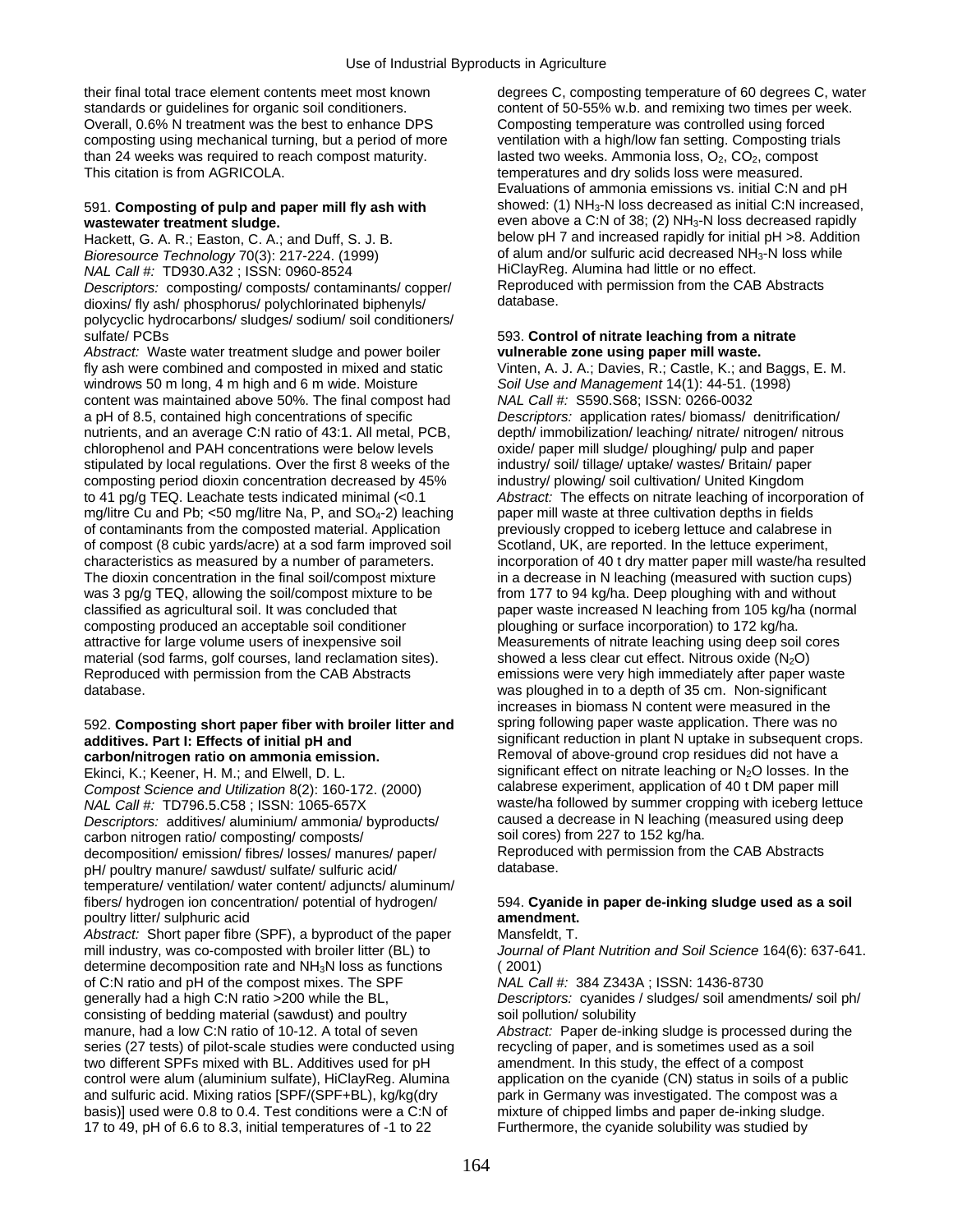standards or guidelines for organic soil conditioners. content of 50-55% w.b. and remixing two times per week. Overall, 0.6% N treatment was the best to enhance DPS Composting temperature was controlled using forced composting using mechanical turning, but a period of more ventilation with a high/low fan setting. Composting trials than 24 weeks was required to reach compost maturity. lasted two weeks. Ammonia loss,  $O_2$ ,  $CO_2$ , compost This citation is from AGRICOLA.

Hackett, G. A. R.; Easton, C. A.; and Duff, S. J. B. below pH 7 and increased rapidly for initial pH >8. Additionally for initial pH >8. Additionally for initial pH >8. Additionally for initial pH >8. Additionally for init *Bioresource Technology* 70(3): 217-224. (1999) of alum and/or sulfuric acid decreased NH<br>- NAL Call #: TD930.A32 : ISSN: 0960-8524 *NAL Call #:* TD930.A32; ISSN: 0960-8524 **HiClayReg. Alumina had little or no effect.**<br>Descriptors: composting/composts/contaminants/copper/ Reproduced with permission from the CAB Abstracts *Descriptors:* composting/ composts/ contaminants/ copper/ Reproduced Reproduced with permission from the CAB Abstracts of the CAB Abstracts Reproduced Minimals and the CAB Abstracts of the CAB Abstracts Reproduction of th dioxins/ fly ash/ phosphorus/ polychlorinated biphenyls/ polycyclic hydrocarbons/ sludges/ sodium/ soil conditioners/ sulfate/ PCBs 593. **Control of nitrate leaching from a nitrate** 

*Abstract:* Waste water treatment sludge and power boiler **vulnerable zone using paper mill waste.**  fly ash were combined and composted in mixed and static Vinten, A. J. A.; Davies, R.; Castle, K.; and Baggs, E. M. windrows 50 m long, 4 m high and 6 m wide. Moisture *Soil Use and Management* 14(1): 44-51. (1998) content was maintained above 50%. The final compost had *NAL Call #:* S590.S68; ISSN: 0266-0032 a pH of 8.5, contained high concentrations of specific *Descriptors:* application rates/ biomass/ denitrification/ nutrients, and an average C:N ratio of 43:1. All metal, PCB, depth/ immobilization/ leaching/ nitrate/ nitrogen/ nitrous chlorophenol and PAH concentrations were below levels oxide/ paper mill sludge/ ploughing/ pulp and paper stipulated by local regulations. Over the first 8 weeks of the industry/ soil/ tillage/ uptake/ wastes/ Britain/ paper composting period dioxin concentration decreased by 45% industry/ plowing/ soil cultivation/ United Kingdom to 41 pg/g TEQ. Leachate tests indicated minimal (<0.1 *Abstract:* The effects on nitrate leaching of incorporation of mg/litre Cu and Pb; <50 mg/litre Na, P, and SO<sub>4</sub>-2) leaching paper mill waste at three cultivation depths in fields of contaminants from the composted material. Application previously cropped to iceberg lettuce and calabrese in of compost (8 cubic yards/acre) at a sod farm improved soil Scotland, UK, are reported. In the lettuce experiment, characteristics as measured by a number of parameters. incorporation of 40 t dry matter paper mill waste/ha resulted The dioxin concentration in the final soil/compost mixture in a decrease in N leaching (measured with suction cups) was 3 pg/g TEQ, allowing the soil/compost mixture to be from 177 to 94 kg/ha. Deep ploughing with and without classified as agricultural soil. It was concluded that paper waste increased N leaching from 105 kg/ha (normal composting produced an acceptable soil conditioner ploughing or surface incorporation) to 172 kg/ha. attractive for large volume users of inexpensive soil Measurements of nitrate leaching using deep soil cores material (sod farms, golf courses, land reclamation sites).  $\blacksquare$  showed a less clear cut effect. Nitrous oxide (N<sub>2</sub>O) Reproduced with permission from the CAB Abstracts emissions were very high immediately after paper v database. was ploughed in to a depth of 35 cm. Non-significant

### 592. **Composting short paper fiber with broiler litter and** spring following paper waste application. There was no **additives. Part I: Effects of initial pH and** <br>**carbon/nitrogen ratio on ammonia emission.** Removal of above-ground crop residues did not have a carbon/nitrogen ratio on ammonia emission.

*Compost Science and Utilization* 8(2): 160-172. (2000)<br>NAL Call #: TD796.5.C58 : ISSN: 1065-657X *Descriptors:* additives/ aluminium/ ammonia/ byproducts/ caused a decrease in N leaching (measured using deep carbon nitrogen ratio/ compositing/ composts/ soil cores) from 227 to 152 kg/ha. carbon nitrogen ratio/ composting/ composts/ soil cores) from 227 to 152 kg/ha.<br>decomposition/ emission/ fibres/ losses/ manures/ paper/ Reproduced with permission from the CAB Abstracts decomposition/ emission/ fibres/ losses/ manures/ paper/ Reproduced Reproduced with permission for the CAB Abstracts<br>
nH/ poultry manure/ sawdust/ sulfate/ sulfuric acid/ pH/ poultry manure/ sawdust/ sulfate/ sulfuric acid/ temperature/ ventilation/ water content/ adjuncts/ aluminum/ fibers/ hydrogen ion concentration/ potential of hydrogen/ 594. **Cyanide in paper de-inking sludge used as a soil**  poultry litter/ sulphuric acid **amendment.** 

*Abstract:* Short paper fibre (SPF), a byproduct of the paper Mansfeldt, T. mill industry, was co-composted with broiler litter (BL) to *Journal of Plant Nutrition and Soil Science* 164(6): 637-641. determine decomposition rate and NH<sub>3</sub>N loss as functions (2001)<br>of C:N ratio and pH of the compost mixes. The SPF MAL Call #: 384 Z343A ; ISSN: 1436-8730 of C:N ratio and pH of the compost mixes. The SPF generally had a high C:N ratio > 200 while the BL. consisting of bedding material (sawdust) and poultry soil pollution/ solubility manure, had a low C:N ratio of 10-12. A total of seven *Abstract:* Paper de-inking sludge is processed during the series (27 tests) of pilot-scale studies were conducted using recycling of paper, and is sometimes used as a soil two different SPFs mixed with BL. Additives used for pH amendment. In this study, the effect of a compost control were alum (aluminium sulfate), HiClayReg. Alumina application on the cyanide (CN) status in soils of a public and sulfuric acid. Mixing ratios [SPF/(SPF+BL), kg/kg(dry park in Germany was investigated. The compost was a basis)] used were 0.8 to 0.4. Test conditions were a C:N of mixture of chipped limbs and paper de-inking sludge. 17 to 49, pH of 6.6 to 8.3, initial temperatures of -1 to 22 Furthermore, the cyanide solubility was studied by

their final total trace element contents meet most known degrees C, composting temperature of 60 degrees C, water temperatures and dry solids loss were measured. Evaluations of ammonia emissions vs. initial C:N and pH 591. **Composting of pulp and paper mill fly ash with** showed: (1) NH3-N loss decreased as initial C:N increased, **wastewater treatment sludge.** <br> **e**ven above a C:N of 38; (2) NH<sub>3</sub>-N loss decreased rapidly<br>
Hackett. G. A. R.: Easton, C. A.: and Duff. S. J. B. below pH 7 and increased rapidly for initial pH >8. Addition

emissions were very high immediately after paper waste increases in biomass N content were measured in the Ekinci, K.; Keener, H. M.; and Elwell, D. L. significant effect on nitrate leaching or N<sub>2</sub>O losses. In the Compost Science and Utilization 8(2): 160-172. (2000) calabrese experiment, application of 40 t DM paper mill waste/ha followed by summer cropping with iceberg lettuce

Descriptors: cyanides / sludges/ soil amendments/ soil ph/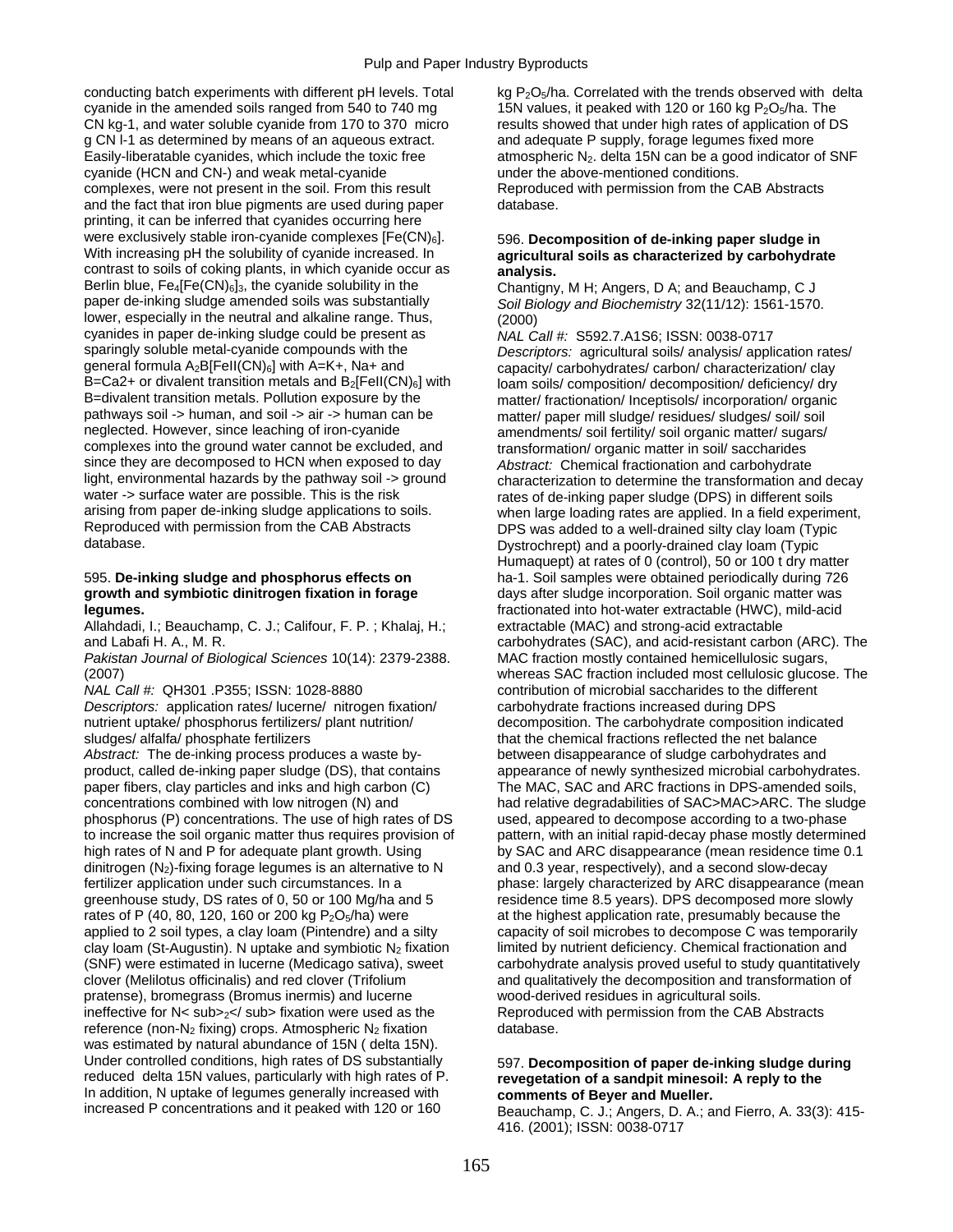conducting batch experiments with different pH levels. Total kg P<sub>2</sub>O<sub>5</sub>/ha. Correlated with the trends observed with delta cyanide in the amended soils ranged from 540 to 740 mg 15N values, it peaked with 120 or 160 kg P<sub>2</sub>O<sub>5</sub>/ha. The CN kg-1, and water soluble cyanide from 170 to 370 micro results showed that under high rates of application of DS g CN I-1 as determined by means of an aqueous extract. and adequate P supply, forage legumes fixed more Easily-liberatable cyanides, which include the toxic free atmospheric N<sub>2</sub>. delta 15N can be a good indicator of SNF cyanide (HCN and CN-) and weak metal-cyanide  $\frac{1}{2}$  and  $\frac{1}{2}$  and weak metal-cyanide cyanide (HCN and CN-) and weak metal-cyanide complexes, were not present in the soil. From this result Reproduced with permission from the CAB Abstracts and the fact that iron blue pigments are used during paper database. printing, it can be inferred that cyanides occurring here were exclusively stable iron-cyanide complexes [Fe(CN)<sub>6</sub>]. 596. **Decomposition of de-inking paper sludge in**<br>With increasing pH the solubility of cyanide increased. In **anticultural soils as characterized by carbohydra** contrast to soils of coking plants, in which cyanide occur as **analysis.**<br>Berlin blue, Fe<sub>4</sub>[Fe(CN)<sub>6</sub>]<sub>3</sub>, the cyanide solubility in the Chantign Berlin blue, Fe<sub>4</sub>[Fe(CN)<sub>6</sub>]<sub>3</sub>, the cyanide solubility in the Chantigny, M H; Angers, D A; and Beauchamp, C J begaust and Beauchamp, C J caper de-inking sludge amended soils was substantially contained and Biochemistry lower, especially in the neutral and alkaline range. Thus, (2000) cyanides in paper de-inking sludge could be present as *NAL Call #: S592.7.A1S6; ISSN: 0038-0717*<br>sparingly soluble metal-cyanide compounds with the *Descriptors: agricultural soils/ analysis/ appli* sparingly soluble metal-cyanide compounds with the *Descriptors:* agricultural soils/ analysis/ application rates/<br>general formula A<sub>2</sub>B[Fell(CN)<sub>6</sub>] with A=K+, Na+ and capacity/ carbohydrates/ carbon/ characterization/ cl general formula A<sub>2</sub>B[FeII(CN)<sub>6</sub>] with A=K+, Na+ and capacity/ carbohydrates/ carbon/ characterization/ clay<br>B=Ca2+ or divalent transition metals and B<sub>2</sub>[FeII(CN)<sub>6</sub>] with loam soils/ composition/ decomposition/ deficien B=Ca2+ or divalent transition metals and B<sub>2</sub>[FeII(CN)<sub>6</sub>] with loam soils/ composition/ decomposition/ deficiency/ dry<br>B=divalent transition metals. Pollution exposure by the matter fractionation/ Incentisols/ incorporat B=divalent transition metals. Pollution exposure by the matter/ fractionation/ Inceptisols/ incorporation/ organic<br>pathways soil -> human, and soil -> air -> human can be matter/ paper mill sludge/ residues/ sludges/ soil/ pathways soil -> human, and soil -> air -> human can be matter/ paper mill sludge/ residues/ sludges/ soil/ soil<br>neglected. However, since leaching of iron-cyanide measured meandments/ soil fertility/ soil organic matter/ complexes into the ground water cannot be excluded, and transformation/ organic matter in soil/ saccharides since they are decomposed to HCN when exposed to day *Abstract:* Chemical fractionation and carbohydrate light, environmental hazards by the pathway soil -> ground characterization to determine the transformation and decay water -> surface water are possible. This is the risk rates of de-inking paper sludge (DPS) in different arising from paper de-inking sludge applications to soils. when large loading rates are applied. In a field experiment,<br>Reproduced with permission from the CAB Abstracts DPS was added to a well-drained silty clay loam (Typ Reproduced with permission from the CAB Abstracts DPS was added to a well-drained silty clay loam (Typic<br>Dystrochrept) and a poorly-drained clay loam (Typic

Allahdadi, I.; Beauchamp, C. J.; Califour, F. P.; Khalaj, H.; extractable (MAC) and strong-acid extractable

*Pakistan Journal of Biological Sciences* 10(14): 2379-2388. MAC fraction mostly contained hemicellulosic sugars,

*NAL Call #:* QH301 .P355; ISSN: 1028-8880 contribution of microbial saccharides to the different *Descriptors:* application rates/ lucerne/ nitrogen fixation/ carbohydrate fractions increased during DPS sludges/ alfalfa/ phosphate fertilizers that the chemical fractions reflected the net balance

*Abstract:* The de-inking process produces a waste by- between disappearance of sludge carbohydrates and product, called de-inking paper sludge (DS), that contains appearance of newly synthesized microbial carbohydrates. paper fibers, clay particles and inks and high carbon (C) The MAC, SAC and ARC fractions in DPS-amended soils, concentrations combined with low nitrogen (N) and had relative degradabilities of SAC>MAC>ARC. The sludge phosphorus (P) concentrations. The use of high rates of DS used, appeared to decompose according to a two-phase<br>to increase the soil organic matter thus requires provision of pattern, with an initial rapid-decay phase most high rates of N and P for adequate plant growth. Using by SAC and ARC disappearance (mean residence time 0.1) dinitrogen (N<sub>2</sub>)-fixing forage legumes is an alternative to N and 0.3 year, respectively), and a second slow-decay<br>fertilizer application under such circumstances. In a phase: largely characterized by ARC disappearance ( greenhouse study, DS rates of 0, 50 or 100 Mg/ha and 5 residence time 8.5 years). DPS decomposed more slowly rates of P (40, 80, 120, 160 or 200 kg P<sub>2</sub>O<sub>5</sub>/ha) were at the highest application rate, presumably because the applied to 2 soil types, a clay loam (Pintendre) and a silty capacity of soil microbes to decompose C was temporarily clay loam (St-Augustin). N uptake and symbiotic  $N_2$  fixation limited by nutrient deficiency. Chemical fractionation and (SNF) were estimated in lucerne (Medicago sativa), sweet carbohydrate analysis proved useful to study quantitatively clover (Melilotus officinalis) and red clover (Trifolium and qualitatively the decomposition and transformation of pratense), bromegrass (Bromus inermis) and lucerne wood-derived residues in agricultural soils. ineffective for N< sub><sub>2</sub></ sub> fixation were used as the Reproduced with permission from the CAB Abstracts reference (non-N<sub>2</sub> fixing) crops. Atmospheric N<sub>2</sub> fixation database. was estimated by natural abundance of 15N ( delta 15N). Under controlled conditions, high rates of DS substantially 597. **Decomposition of paper de-inking sludge during**<br>
reduced delta 15N values, particularly with high rates of P. **The revegetation of a sandpit minesoil: A rep** In addition, N uptake of legumes generally increased with **comments of Beyer and Mueller.**<br>
increased P concentrations and it peaked with 120 or 160 Beauchamp. C. J.: Angers. D. A.: a

# agricultural soils as characterized by carbohydrate

Soil Biology and Biochemistry 32(11/12): 1561-1570.

amendments/ soil fertility/ soil organic matter/ sugars/ rates of de-inking paper sludge (DPS) in different soils Dystrochrept) and a poorly-drained clay loam (Typic Humaquept) at rates of 0 (control), 50 or 100 t dry matter 595. **De-inking sludge and phosphorus effects on** ha-1. Soil samples were obtained periodically during 726 **growth and symbiotic dinitrogen fixation in forage** days after sludge incorporation. Soil organic matter was **legumes.** fractionated into hot-water extractable (HWC), mild-acid and Labafi H. A., M. R. carbohydrates (SAC), and acid-resistant carbon (ARC). The (2007) whereas SAC fraction included most cellulosic glucose. The nutrient uptake/ phosphorus fertilizers/ plant nutrition/ decomposition. The carbohydrate composition indicated pattern, with an initial rapid-decay phase mostly determined phase: largely characterized by ARC disappearance (mean

# revegetation of a sandpit minesoil: A reply to the

Beauchamp, C. J.; Angers, D. A.; and Fierro, A. 33(3): 415-416. (2001); ISSN: 0038-0717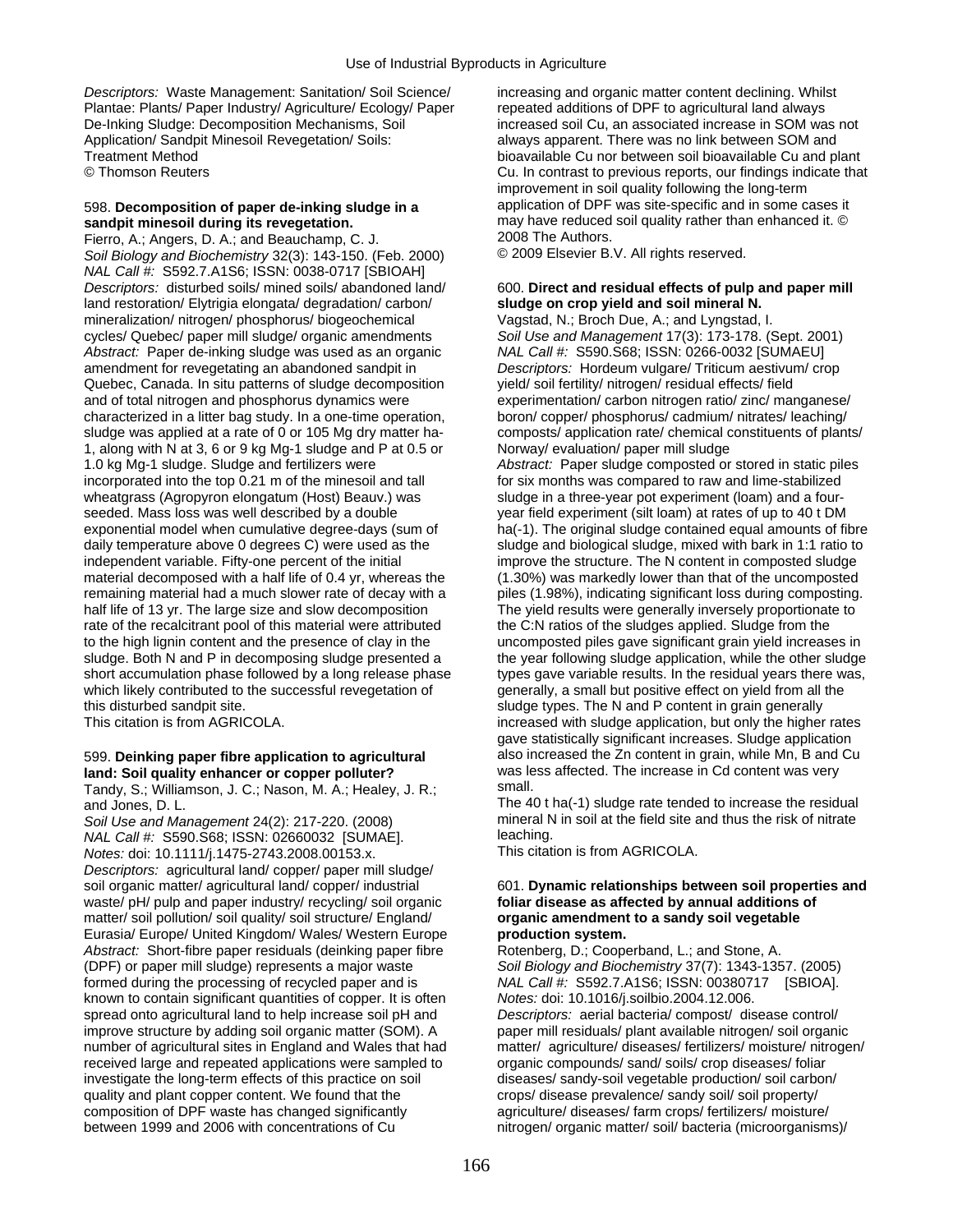*Descriptors:* Waste Management: Sanitation/ Soil Science/ increasing and organic matter content declining. Whilst Plantae: Plants/ Paper Industry/ Agriculture/ Ecology/ Paper repeated additions of DPF to agricultural land always De-Inking Sludge: Decomposition Mechanisms, Soil increased soil Cu, an associated increase in SOM was not Application/ Sandpit Minesoil Revegetation/ Soils: always apparent. There was no link between SOM and Treatment Method bioavailable Cu nor between soil bioavailable Cu and plant

Fierro, A.; Angers, D. A.; and Beauchamp, C. J. 2000 7he Authors.<br>Soil Biology and Biochemistry 32(3): 143-150. (Feb. 2000) © 2009 Elsevier B.V. All rights reserved. *Soil Biology and Biochemistry* 32(3): 143-150. (Feb. 2000) *NAL Call #:* S592.7.A1S6; ISSN: 0038-0717 [SBIOAH] *Descriptors:* disturbed soils/ mined soils/ abandoned land/ 600. **Direct and residual effects of pulp and paper mill**  land restoration/ Elytrigia elongata/ degradation/ carbon/ **sludge on crop yield and soil mineral N.**  mineralization/ nitrogen/ phosphorus/ biogeochemical Vagstad, N.; Broch Due, A.; and Lyngstad, I. cycles/ Quebec/ paper mill sludge/ organic amendments *Soil Use and Management* 17(3): 173-178. (Sept. 2001) *Abstract:* Paper de-inking sludge was used as an organic *NAL Call #:* S590.S68; ISSN: 0266-0032 [SUMAEU] amendment for revegetating an abandoned sandpit in *Descriptors:* Hordeum vulgare/ Triticum aestivum/ crop Quebec, Canada. In situ patterns of sludge decomposition yield/ soil fertility/ nitrogen/ residual effects/ field and of total nitrogen and phosphorus dynamics were experimentation/ carbon nitrogen ratio/ zinc/ manganese/ characterized in a litter bag study. In a one-time operation, boron/ copper/ phosphorus/ cadmium/ nitrates/ leaching/ sludge was applied at a rate of 0 or 105 Mg dry matter ha- composts/ application rate/ chemical constituents of plants/ 1, along with N at 3, 6 or 9 kg Mg-1 sludge and P at 0.5 or Norway/ evaluation/ paper mill sludge 1.0 kg Mg-1 sludge. Sludge and fertilizers were *Abstract:* Paper sludge composted or stored in static piles incorporated into the top 0.21 m of the minesoil and tall for six months was compared to raw and lime-stabilized wheatgrass (Agropyron elongatum (Host) Beauv.) was sludge in a three-year pot experiment (loam) and a fourseeded. Mass loss was well described by a double year field experiment (silt loam) at rates of up to 40 t DM daily temperature above 0 degrees C) were used as the sludge and biological sludge, mixed with bark in 1:1 ratio to independent variable. Fifty-one percent of the initial improve the structure. The N content in composted sludge material decomposed with a half life of 0.4 yr, whereas the (1.30%) was markedly lower than that of the uncomposted remaining material had a much slower rate of decay with a piles (1.98%), indicating significant loss during composting. half life of 13 yr. The large size and slow decomposition The yield results were generally inversely proportionate to rate of the recalcitrant pool of this material were attributed the C:N ratios of the sludges applied. Sludge from the to the high lignin content and the presence of clay in the uncomposted piles gave significant grain yield increases in short accumulation phase followed by a long release phase types gave variable results. In the residual years there was, which likely contributed to the successful revegetation of generally, a small but positive effect on yield from all the this disturbed sandpit site. sludge types. The N and P content in grain generally

Tandy, S.; Williamson, J. C.; Nason, M. A.; Healey, J. R.; and Jones, D. L.

*Soil Use and Management* 24(2): 217-220. (2008) mineral mineral N<br>NAL CalL#: S590 S68: ISSN: 02660032. ISLIMAE1 state risk of leaching. *NAL Call #:* S590.S68; ISSN: 02660032 [SUMAE]. leaching.<br>*Notes: doi: 10 1111/i 1475-2743 2008 00153 x* This citation is from AGRICOLA. *Notes: doi:* 10.1111/j.1475-2743.2008.00153.x. *Descriptors:* agricultural land/ copper/ paper mill sludge/ waste/ pH/ pulp and paper industry/ recycling/ soil organic **foliar disease as affected by annual additions of** matter/ soil pollution/ soil quality/ soil structure/ England/ **organic amendment to a sandy soil vegetable**  Eurasia/ Europe/ United Kingdom/ Wales/ Western Europe **production system.**  Abstract: Short-fibre paper residuals (deinking paper fibre Rotenberg, D.; Cooperband, L.; and Stone, A. (DPF) or paper mill sludge) represents a major waste *Soil Biology and Biochemistry* 37(7): 1343-1357. (2005) formed during the processing of recycled paper and is *NAL Call #:* S592.7.A1S6; ISSN: 00380717 [SBIOA]. known to contain significant quantities of copper. It is often *Notes:* doi: 10.1016/j.soilbio.2004.12.006. spread onto agricultural land to help increase soil pH and *Descriptors:* aerial bacteria/ compost/ disease control/ improve structure by adding soil organic matter (SOM). A paper mill residuals/ plant available nitrogen/ soil organic received large and repeated applications were sampled to organic compounds/ sand/ soils/ crop diseases/ foliar investigate the long-term effects of this practice on soil diseases/ sandy-soil vegetable production/ soil carbon/ quality and plant copper content. We found that the crops/ disease prevalence/ sandy soil/ soil property/ composition of DPF waste has changed significantly agriculture/ diseases/ farm crops/ fertilizers/ moisture/ between 1999 and 2006 with concentrations of Cu nitrogen/ organic matter/ soil/ bacteria (microorganisms)/

© Thomson Reuters Cu. In contrast to previous reports, our findings indicate that improvement in soil quality following the long-term 598. **Decomposition of paper de-inking sludge in a** application of DPF was site-specific and in some cases it **sandpit minesoil during its revegetation.** The analy have reduced soil quality rather than enhanced it. © may have reduced soil quality rather than enhanced it. © 2008 The Authors.

exponential model when cumulative degree-days (sum of ha(-1). The original sludge contained equal amounts of fibre sludge. Both N and P in decomposing sludge presented a the year following sludge application, while the other sludge This citation is from AGRICOLA. increased with sludge application, but only the higher rates gave statistically significant increases. Sludge application 599. **Deinking paper fibre application to agricultural** also increased the Zn content in grain, while Mn, B and Cu **land: Soil quality enhancer or copper polluter?** was less affected. The increase in Cd content was very<br>Tandy, S.: Williamson, J. C.: Nason, M. A.: Healey, J. R.: small.

The 40 t ha(-1) sludge rate tended to increase the residual mineral N in soil at the field site and thus the risk of nitrate

# soil organic matter/ agricultural land/ copper/ industrial 601. **Dynamic relationships between soil properties and**

number of agricultural sites in England and Wales that had matter/ agriculture/ diseases/ fertilizers/ moisture/ nitrogen/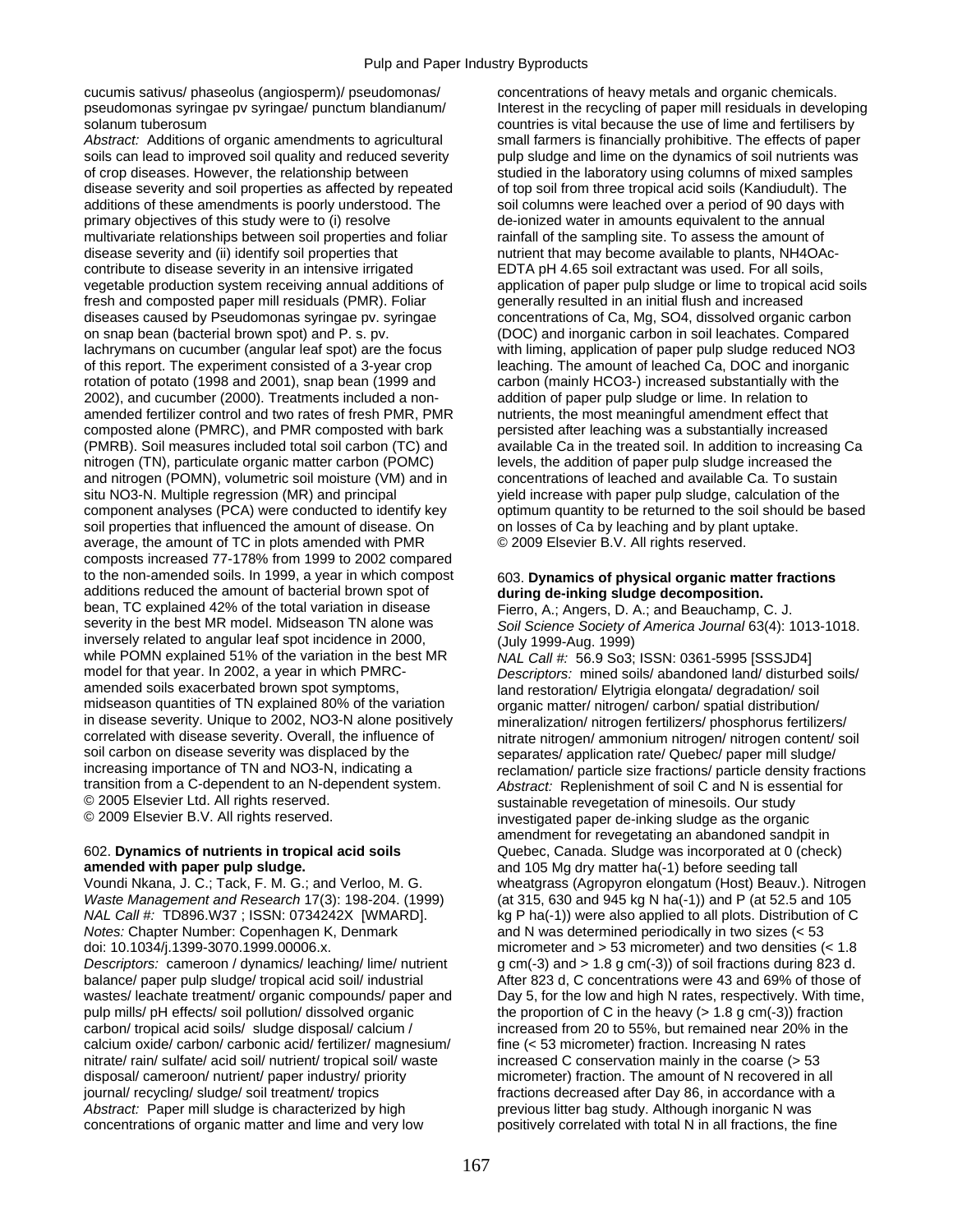cucumis sativus/ phaseolus (angiosperm)/ pseudomonas/ concentrations of heavy metals and organic chemicals. solanum tuberosum countries is vital because the use of lime and fertilisers by

*Abstract:* Additions of organic amendments to agricultural small farmers is financially prohibitive. The effects of paper soils can lead to improved soil quality and reduced severity pulp sludge and lime on the dynamics of soil nutrients was of crop diseases. However, the relationship between studied in the laboratory using columns of mixed samples disease severity and soil properties as affected by repeated of top soil from three tropical acid soils (Kandiudult). The additions of these amendments is poorly understood. The soil columns were leached over a period of 90 days with primary objectives of this study were to (i) resolve de-ionized water in amounts equivalent to the annual multivariate relationships between soil properties and foliar rainfall of the sampling site. To assess the amount of disease severity and (ii) identify soil properties that nutrient that may become available to plants, NH4OAccontribute to disease severity in an intensive irrigated EDTA pH 4.65 soil extractant was used. For all soils, vegetable production system receiving annual additions of application of paper pulp sludge or lime to tropical acid soils fresh and composted paper mill residuals (PMR). Foliar generally resulted in an initial flush and increased diseases caused by Pseudomonas syringae pv. syringae concentrations of Ca, Mg, SO4, dissolved organic carbon on snap bean (bacterial brown spot) and P. s. pv. (DOC) and inorganic carbon in soil leachates. Compared lachrymans on cucumber (angular leaf spot) are the focus with liming, application of paper pulp sludge reduced NO3 of this report. The experiment consisted of a 3-year crop leaching. The amount of leached Ca, DOC and inorganic rotation of potato (1998 and 2001), snap bean (1999 and carbon (mainly HCO3-) increased substantially with the 2002), and cucumber (2000). Treatments included a non- addition of paper pulp sludge or lime. In relation to amended fertilizer control and two rates of fresh PMR, PMR nutrients, the most meaningful amendment effect that composted alone (PMRC), and PMR composted with bark persisted after leaching was a substantially increased (PMRB). Soil measures included total soil carbon (TC) and available Ca in the treated soil. In addition to increasing Ca nitrogen (TN), particulate organic matter carbon (POMC) levels, the addition of paper pulp sludge increased the and nitrogen (POMN), volumetric soil moisture (VM) and in concentrations of leached and available Ca. To sustain situ NO3-N. Multiple regression (MR) and principal yield increase with paper pulp sludge, calculation of the component analyses (PCA) were conducted to identify key optimum quantity to be returned to the soil should be based soil properties that influenced the amount of disease. On on losses of Ca by leaching and by plant uptake. average, the amount of TC in plots amended with PMR © 2009 Elsevier B.V. All rights reserved. composts increased 77-178% from 1999 to 2002 compared to the non-amended soils. In 1999, a year in which compost 603. Dynamics of physical organic matter fractions additions reduced the amount of bacterial brown spot of **during de-inking sludge decomposition.**  bean, TC explained 42% of the total variation in disease Fierro, A.; Angers, D. A.; and Beauchamp, C. J. Severity in the best MR model. Midseason TN alone was Soil Science Society of America Journal 63(4): 1 inversely related to angular leaf spot incidence in 2000, (July 1999-Aug. 1999)<br>while POMN explained 51% of the variation in the best MR MAL Call # 56.9 So3: while POMN explained 51% of the variation in the best MR *NAL Call #:*  56.9 So3; ISSN: 0361-5995 [SSSJD4]<br>model for that year. In 2002, a year in which PMRC-<br>Descriptors: mined soils/ abandoned land/ disturbe model for that year. In 2002, a year in which PMRC-<br>amended soils exacerbated brown spot symptoms,<br>land restoration/ Flytrigia elongata/ degradation/ soil midseason quantities of TN explained 80% of the variation organic matter/ nitrogen/ carbon/ spatial distribution/ in disease severity. Unique to 2002, NO3-N alone positively mineralization/ nitrogen fertilizers/ phosphorus fertilizers/<br>correlated with disease severity. Overall, the influence of nitrate nitrogen/ ammonium nitrogen/ pit correlated with disease severity. Overall, the influence of nitrate nitrogen/ ammonium nitrogen/ nitrogen content/ soil<br>soil carbon on disease severity was displaced by the senarates/ application rate/ Quebec/ paper mill s soil carbon on disease severity was displaced by the separates/ application rate/ Quebec/ paper mill sludge/<br>increasing importance of TN and NO3-N, indicating a separation/ particle size fractions/ particle density frac increasing importance of TN and NO3-N, indicating a reclamation/ particle size fractions/ particle density fractions<br>transition from a C-dependent to an N-dependent system.<br> $\overrightarrow{Abstract}$ : Replenishment of soil C and N is essen transition from a C-dependent to an N-dependent system. *Abstract:* Replenishment of soil C and N is essential for © 2005 Elsevier Ltd. All rights reserved. sustainable revegetation of minesoils. Our study<br>© 2009 Elsevier B.V. All rights reserved. substantion of minesticated paper de-inking sludge as the organ

## **amended with paper pulp sludge. and 105 Mg dry matter ha(-1) before seeding tall**

*Waste Management and Research* 17(3): 198-204. (1999) (at 315, 630 and 945 kg N ha(-1)) and P (at 52.5 and 105 *NAL Call #:* TD896.W37 ; ISSN: 0734242X [WMARD]. kg P ha(-1)) were also applied to all plots. Distribution of C *Notes:* Chapter Number: Copenhagen K, Denmark and N was determined periodically in two sizes (< 53 doi: 10.1034/j.1399-3070.1999.00006.x. micrometer and > 53 micrometer) and two densities (< 1.8 *Descriptors:* cameroon / dynamics/ leaching/ lime/ nutrient g cm(-3) and > 1.8 g cm(-3)) of soil fractions during 823 d. balance/ paper pulp sludge/ tropical acid soil/ industrial After 823 d, C concentrations were 43 and 69% of those of wastes/ leachate treatment/ organic compounds/ paper and Day 5, for the low and high N rates, respectively. With time, pulp mills/ pH effects/ soil pollution/ dissolved organic the proportion of C in the heavy (> 1.8 g cm(-3)) fraction carbon/ tropical acid soils/ sludge disposal/ calcium / increased from 20 to 55%, but remained near 20% i calcium oxide/ carbon/ carbonic acid/ fertilizer/ magnesium/ fine (< 53 micrometer) fraction. Increasing N rates nitrate/ rain/ sulfate/ acid soil/ nutrient/ tropical soil/ waste increased C conservation mainly in the coarse (> 53 disposal/ cameroon/ nutrient/ paper industry/ priority micrometer) fraction. The amount of N recovered in all journal/ recycling/ sludge/ soil treatment/ tropics fractions decreased after Day 86, in accordance with a Abstract: Paper mill sludge is characterized by high previous litter bag study. Although inorganic N was concentrations of organic matter and lime and very low positively correlated with total N in all fractions, the fine

pseudomonas syringae pv syringae/ punctum blandianum/ Interest in the recycling of paper mill residuals in developing

Soil Science Society of America Journal 63(4): 1013-1018.

land restoration/ Elytrigia elongata/ degradation/ soil investigated paper de-inking sludge as the organic amendment for revegetating an abandoned sandpit in 602. **Dynamics of nutrients in tropical acid soils** Quebec, Canada. Sludge was incorporated at 0 (check) Voundi Nkana, J. C.; Tack, F. M. G.; and Verloo, M. G. wheatgrass (Agropyron elongatum (Host) Beauv.). Nitrogen increased from 20 to 55%, but remained near 20% in the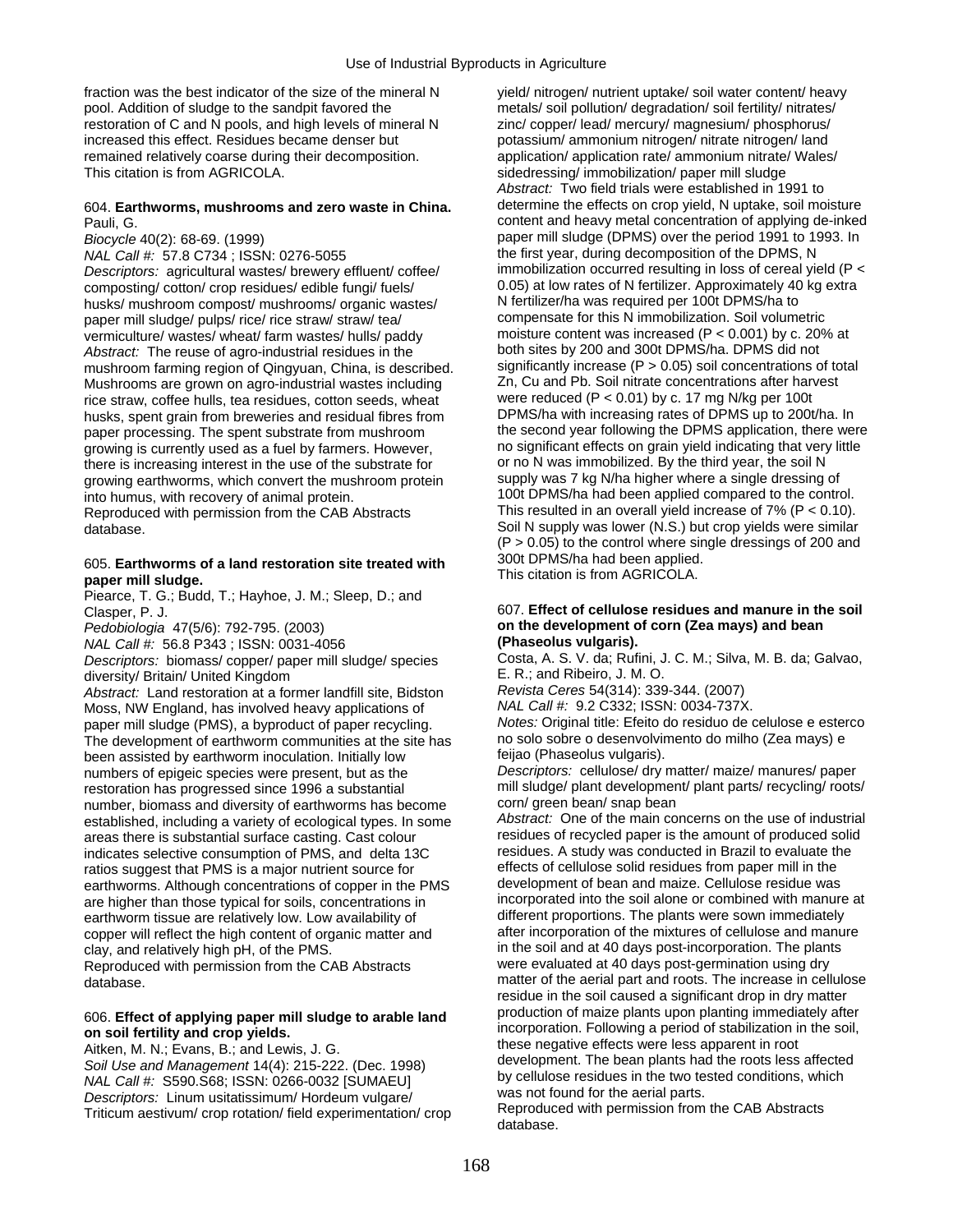fraction was the best indicator of the size of the mineral N yield/ nitrogen/ nutrient uptake/ soil water content/ heavy pool. Addition of sludge to the sandpit favored the metals/ soil pollution/ degradation/ soil fertility/ nitrates/ restoration of C and N pools, and high levels of mineral N zinc/ copper/ lead/ mercury/ magnesium/ phosphorus/ increased this effect. Residues became denser but potassium/ ammonium nitrogen/ nitrate nitrogen/ land remained relatively coarse during their decomposition. application/ application rate/ ammonium nitrate/ Wales/ This citation is from AGRICOLA. Sidedressing/ immobilization/ paper mill sludge

*Descriptors:* agricultural wastes/ brewery effluent/ coffee/ husks/ mushroom compost/ mushrooms/ organic wastes/ Nertilizer/ha was required per 100t DPMS/ha to<br>naper mill sludge/ pulps/ rice/ rice straw/ straw/ tea/ compensate for this N immobilization. Soil volumetric paper mill sludge/ pulps/ rice/ rice straw/ straw/ tea/ vermiculture/ wastes/ wheat/ farm wastes/ hulls/ paddy moisture content was increased (P < 0.001) by c. 20% at<br>Abstract: The reuse of agro-industrial residues in the both sites by 200 and 300t DPMS/ha. DPMS did not mushroom farming region of Qingyuan, China, is described. significantly increase (P > 0.05) soil concentrations of to<br>Mushrooms are grown on agro-industrial wastes including Zn, Cu and Pb. Soil nitrate concentrations after Mushrooms are grown on agro-industrial wastes including Zn, Cu and Pb. Soil nitrate concentrations after harvest rice straw coffee hulls tea residues cotton seeds wheat were reduced (P < 0.01) by c. 17 mg N/kg per 100t rice straw, coffee hulls, tea residues, cotton seeds, wheat were reduced (P < 0.01) by c. 17 mg N/kg per 100t<br>husks, spent grain from breweries and residual fibres from DPMS/ha with increasing rates of DPMS up to 200t/ha. growing is currently used as a fuel by farmers. However, no significant effects on grain yield indicating that very<br>there is increasing interest in the use of the substrate for on a N was immobilized. By the third year, th there is increasing interest in the use of the substrate for or no N was immobilized. By the third year, the soil N<br>growing earthworms, which convert the mushroom protein supply was 7 kg N/ha higher where a single dressing growing earthworms, which convert the mushroom protein into humus, with recovery of animal protein. 100t DPMS/ha had been applied compared to the control. Reproduced with permission from the CAB Abstracts This resulted in an overall yield increase of 7% (P < 0.10).

### 300t DPMS/ha had been applied. 605. **Earthworms of a land restoration site treated with**  This citation is from AGRICOLA. **paper mill sludge.**

Piearce, T. G.; Budd, T.; Hayhoe, J. M.; Sleep, D.; and

*Descriptors: \biomass/ copper/ paper mill sludge/ species* Costa, A. S. V. da; Rufini, J. M. O.<br>diversity/ Britain/ United Kingdom

diversity/ Britain/ United Kingdom<br>Abstract: Land restoration at a former landfill site. Bidston Revista Ceres 54(314): 339-344. (2007) *Abstract:* Land restoration at a former landfill site, Bidston *Revista Ceres* 54(314): 339-344. (2007) Moss, NW England, has involved heavy applications of *NAL Call #:* 9.2 C332; ISSN: 0034-737X. paper mill sludge (PMS), a byproduct of paper recycling. *Notes:* Original title: Efeito do residuo de celulose e esterco The development of earthworm communities at the site has no solo sobre o desenvolvir<br>been assisted by earthworm inoculation, Initially low feijao (Phaseolus vulgaris). been assisted by earthworm inoculation. Initially low numbers of epigeic species were present, but as the *Descriptors:* cellulose/ dry matter/ maize/ manures/ paper restoration has progressed since 1996 a substantial mill sludge/ plant development/ plant parts/ recycling/ roots/<br>number biomass and diversity of earthworms has become corn/ green bean/ snap bean number, biomass and diversity of earthworms has become corn/ green bean/ snap bean<br>established including a variety of ecological types In some *Abstract:* One of the main concerns on the use of industrial established, including a variety of ecological types. In some *Abstract:* One of the main concerns on the use of industrial areas there is substantial surface casting. Cast colour residues of recycled paper is the amount of produced solid<br>indicates selective consumption of PMS, and delta 13C. The residues. A study was conducted in Brazil to eva indicates selective consumption of PMS, and delta 13C residues. A study was conducted in Brazil to evaluate th<br>ratios suggest that PMS is a major putrient source for effects of cellulose solid residues from paper mill in t ratios suggest that PMS is a major nutrient source for effects of cellulose solid residues from paper mill in the<br>earthworms. Although concentrations of copper in the PMS development of bean and maize. Cellulose residue wa earthworms. Although concentrations of copper in the PMS are higher than those typical for soils, concentrations in incorporated into the soil alone or combined with manure at earthworm tissue are relatively low. I ow availability of different proportions. The plants were sown i earthworm tissue are relatively low. Low availability of different proportions. The plants were sown immediately<br>copper will reflect the high content of organic matter and after incorporation of the mixtures of cellulose a copper will reflect the high content of organic matter and clay, and relatively high pH, of the PMS. Reproduced with permission from the CAB Abstracts database. matter of the aerial part and roots. The increase in cellulose

*Abstract:* Two field trials were established in 1991 to 604. **Earthworms, mushrooms and zero waste in China.** determine the effects on crop yield, N uptake, soil moisture Pauli, G. The content and heavy metal concentration of applying de-inked *Biocycle* 40(2): 68-69. (1999)<br> *NAL Call #:* 57.8 C734 : ISSN: 0276-5055 **by the first year, during decomposition of the DPMS**, N *Inal the first year, during decomposition of the DPMS, N*<br>*immobilization occurred resulting in loss of cereal yield (P <* composting/ cotton/ crop residues/ edible fungi/ fuels/ 0.05) at low rates of N fertilizer. Approximately 40 kg extra<br>husks/ mushroom compost/ mushrooms/ organic wastes/ N fertilizer/ha was required per 100t DPMS/ha to Abstract: The reuse of agro-industrial residues in the both sites by 200 and 300t DPMS/ha. DPMS did not<br>mushroom farming region of Qingyuan, China, is described significantly increase (P > 0.05) soil concentrations of tota husks, spent grain from breweries and residual fibres from DPMS/ha with increasing rates of DPMS up to 200t/ha. In<br>paper processing. The spent substrate from mushroom the second year following the DPMS application, there w paper processing. The spent substrate from mushroom the second year following the DPMS application, there were<br>or or the second year following the DPMS application, there were<br>no significant effects on grain yield indicati database. Soil N supply was lower (N.S.) but crop yields were similar  $(P > 0.05)$  to the control where single dressings of 200 and

### Clasper, P. J. 607. **Effect of cellulose residues and manure in the soil**  *Pedobiologia* 47(5/6): 792-795. (2003) **on the development of corn (Zea mays) and bean**

*NAL Call #:* 56.8 P343 ; ISSN: 0031-4056 **(Phaseolus vulgaris).** 

in the soil and at 40 days post-incorporation. The plants were evaluated at 40 days post-germination using dry residue in the soil caused a significant drop in dry matter<br>production of maize plants upon planting immediately after 606. **Effect of applying paper mill sludge to arable land but the production** of maize plants upon planting immediately after<br> **on soil fertility and crop yields.**<br>
Aitken, M. N.; Evans, B.; and Lewis, J. G.<br>
Soil Use an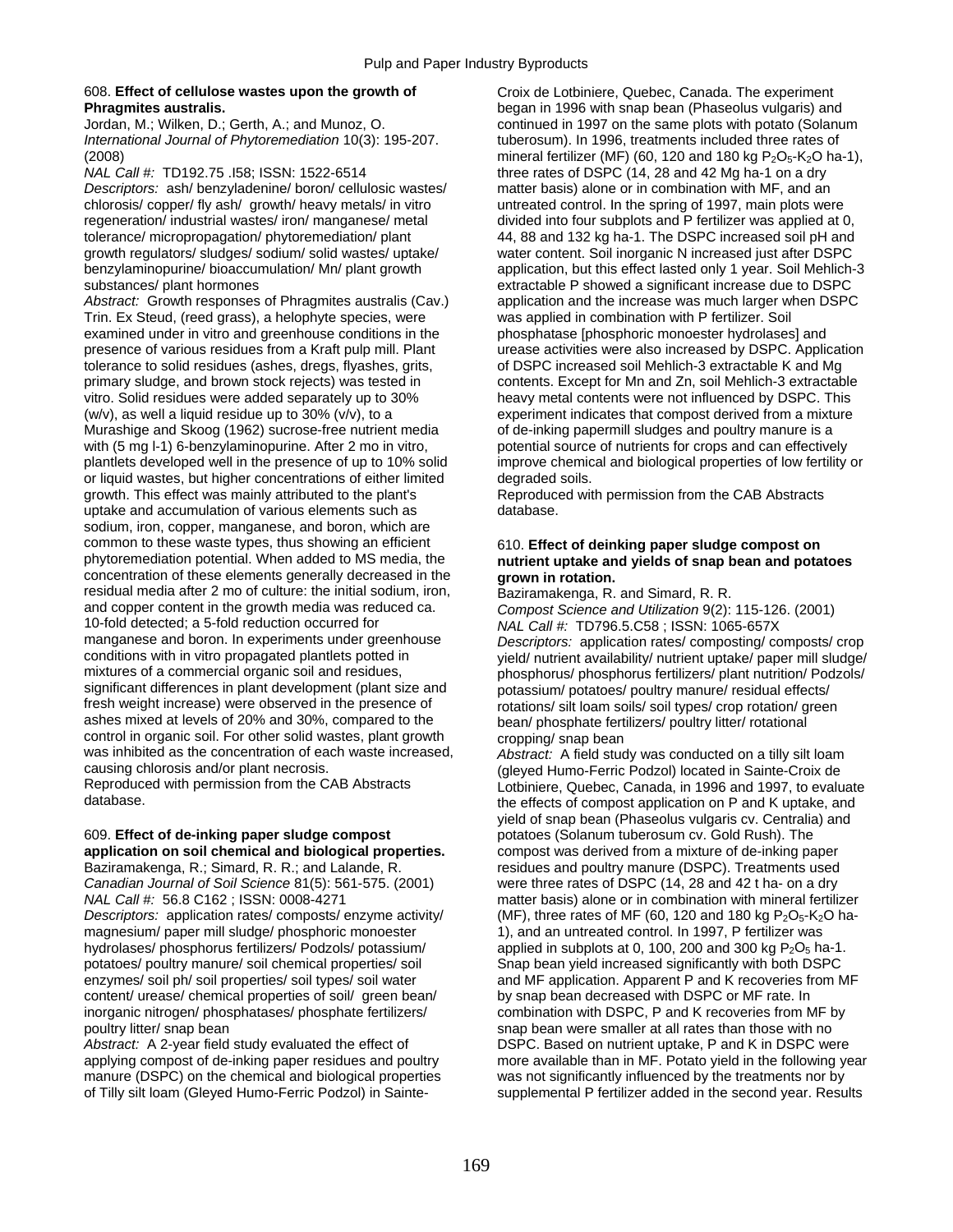## 608. **Effect of cellulose wastes upon the growth of** Croix de Lotbiniere, Quebec, Canada. The experiment

*International Journal of Phytoremediation* 10(3): 195-207. tuberosum). In 1996, treatments included three rates of

*Descriptors:* ash/ benzyladenine/ boron/ cellulosic wastes/ matter basis) alone or in combination with MF, and an chlorosis/ copper/ fly ash/ growth/ heavy metals/ in vitro untreated control. In the spring of 1997, main plots were regeneration/ industrial wastes/ iron/ manganese/ metal divided into four subplots and P fertilizer was applied at 0, tolerance/ micropropagation/ phytoremediation/ plant 44, 88 and 132 kg ha-1. The DSPC increased soil pH and growth regulators/ sludges/ sodium/ solid wastes/ uptake/ water content. Soil inorganic N increased just after DSPC

*Abstract:* Growth responses of Phragmites australis (Cav.) application and the increase was much larger when DSPC Trin. Ex Steud, (reed grass), a helophyte species, were was applied in combination with P fertilizer. Soil<br>examined under in vitro and greenhouse conditions in the phosphatase [phosphoric monoester hydrolases] and examined under in vitro and greenhouse conditions in the presence of various residues from a Kraft pulp mill. Plant tolerance to solid residues (ashes, dregs, flyashes, grits, of DSPC increased soil Mehlich-3 extractable K and Mg primary sludge, and brown stock rejects) was tested in contents. Except for Mn and Zn, soil Mehlich-3 extractable vitro. Solid residues were added separately up to 30% heavy metal contents were not influenced by DSPC. This  $(w/v)$ , as well a liquid residue up to 30%  $(v/v)$ , to a experiment indicates that compost derived from a mixture Murashige and Skoog (1962) sucrose-free nutrient media of de-inking papermill sludges and poultry manure is a with (5 mg l-1) 6-benzylaminopurine. After 2 mo in vitro, potential source of nutrients for crops and can effectively plantlets developed well in the presence of up to 10% solid improve chemical and biological properties of low fertility or or liquid wastes, but higher concentrations of either limited degraded soils. growth. This effect was mainly attributed to the plant's Reproduced with permission from the CAB Abstracts uptake and accumulation of various elements such as database. sodium, iron, copper, manganese, and boron, which are common to these waste types, thus showing an efficient 610. **Effect of deinking paper sludge compost on**<br>
phytoremediation potential. When added to MS media, the **container under the proper sludge of shap bean and pota** concentration of these elements generally decreased in the **grown in rotation.**  residual media after 2 mo of culture: the initial sodium, iron, Baziramakenga, R. and Simard, R. R. and Copper content in the growth media was reduced ca. Compost Science and Utilization 9(2): and copper content in the growth media was reduced ca. *Compost Science and Utilization* 9(2): 115-126. (2001)<br>10-fold detected; a 5-fold reduction occurred for **All Call #:** TD796.5.C58 : ISSN: 1065-657X 10-fold detected; a 5-fold reduction occurred for *NAL Call #:* TD796.5.C58 ; ISSN: 1065-657X manganese and boron. In experiments under greenhouse *Descriptors:* application rates/ composting/ composts/ crop<br>conditions with in vitro propagated plantlets potted in vield/ nutrient availability/ nutrient uptake/ paper conditions with in vitro propagated plantlets potted in yield/ nutrient availability/ nutrient uptake/ paper mill sludge/<br>mixtures of a commercial organic soil and residues, boosphorus/ phosphorus fertilizers/ plant nutrit significant differences in plant development (plant size and potassium/ potatoes/ poultry manure/ residual effects/<br>
fresh weight increase) were observed in the presence of restations/ sit loam soils/ soil types/ crop rota fresh weight increase) were observed in the presence of rotations/ silt loam soils/ soil types/ crop rotation/ green<br>ashes mixed at levels of 20% and 30%, compared to the bean/ phosphate fertilizers/ poultry litter/ rotati control in organic soil. For other solid wastes, plant growth cropping/ snap bean<br>was inhibited as the concentration of each waste increased. Abstract: A field stud was inhibited as the concentration of each waste increased, *Abstract:* A field study was conducted on a tilly silt loam<br>(aleved Humo-Ferric Podzol) located in Sainte-Croix de causing chlorosis and/or plant necrosis. (gleyed Humo-Ferric Podzol) located in Sainte-Croix de

### 609. **Effect of de-inking paper sludge compost** potatoes (Solanum tuberosum cv. Gold Rush). The **application on soil chemical and biological properties.** compost was derived from a mixture of de-inking paper

*Canadian Journal of Soil Science* 81(5): 561-575. (2001) *NAL Call #:* 56.8 C162 ; ISSN: 0008-4271 matter basis) alone or in combination with mineral fertilizer *Descriptors:* application rates/ composts/ enzyme activity/ (MF), three rates of MF (60, 120 and 180 kg P<sub>2</sub>O<sub>5</sub>-K<sub>2</sub>O hamagnesium/ paper mill sludge/ phosphoric monoester 1), and an untreated control. In 1997, P fertilizer was hydrolases/ phosphorus fertilizers/ Podzols/ potassium/ applied in subplots at 0, 100, 200 and 300 kg P<sub>2</sub>O<sub>5</sub> ha-1. potatoes/ poultry manure/ soil chemical properties/ soil Snap bean yield increased significantly with both DSPC enzymes/ soil ph/ soil properties/ soil types/ soil water and MF application. Apparent P and K recoveries from MF content/ urease/ chemical properties of soil/ green bean/ by snap bean decreased with DSPC or MF rate. In content/ urease/ chemical properties of soil/ green bean/ by snap bean decreased with DSPC or MF rate. In<br>
inorganic nitrogen/ phosphatases/ phosphate fertilizers/ combination with DSPC. P and K recoveries from MF by inorganic nitrogen/ phosphatases/ phosphate fertilizers/ poultry litter/ snap bean

Abstract: A 2-year field study evaluated the effect of DSPC. Based on nutrient uptake, P and K in DSPC were manure (DSPC) on the chemical and biological properties

**Phragmites australis.**<br>
Jordan, M.; Wilken, D.; Gerth, A.; and Munoz, O. **Burge and South Soutinued in 1996** with snap bean (Phaseolus vulgaris) and Jordan. continued in 1997 on the same plots with potato (Solanum (2008)<br>  $\mu$  mineral fertilizer (MF) (60, 120 and 180 kg P<sub>2</sub>O<sub>5</sub>-K<sub>2</sub>O ha-1),<br>
MAL Call #: TD192.75 .158; ISSN: 1522-6514<br>
three rates of DSPC (14, 28 and 42 Mg ha-1 on a dry three rates of DSPC (14, 28 and 42 Mg ha-1 on a dry benzylaminopurine/ bioaccumulation/ Mn/ plant growth application, but this effect lasted only 1 year. Soil Mehlich-3<br>substances/ plant hormones extractable P showed a significant increase due to DSPC extractable P showed a significant increase due to DSPC urease activities were also increased by DSPC. Application

# nutrient uptake and yields of snap bean and potatoes

phosphorus/ phosphorus fertilizers/ plant nutrition/ Podzols/ bean/ phosphate fertilizers/ poultry litter/ rotational

Reproduced with permission from the CAB Abstracts Lotbiniere, Quebec, Canada, in 1996 and 1997, to evaluate<br>database. In effects of compost application on P and K untake, and the effects of compost application on P and K uptake, and yield of snap bean (Phaseolus vulgaris cv. Centralia) and Baziramakenga, R.; Simard, R. R.; and Lalande, R. residues and poultry manure (DSPC). Treatments used<br>Canadian Journal of Soil Science 81(5): 561-575. (2001) were three rates of DSPC (14, 28 and 42 t ha- on a dry snap bean were smaller at all rates than those with no applying compost of de-inking paper residues and poultry more available than in MF. Potato yield in the following year<br>manure (DSPC) on the chemical and biological properties was not significantly influenced by the treatme of Tilly silt loam (Gleyed Humo-Ferric Podzol) in Sainte- supplemental P fertilizer added in the second year. Results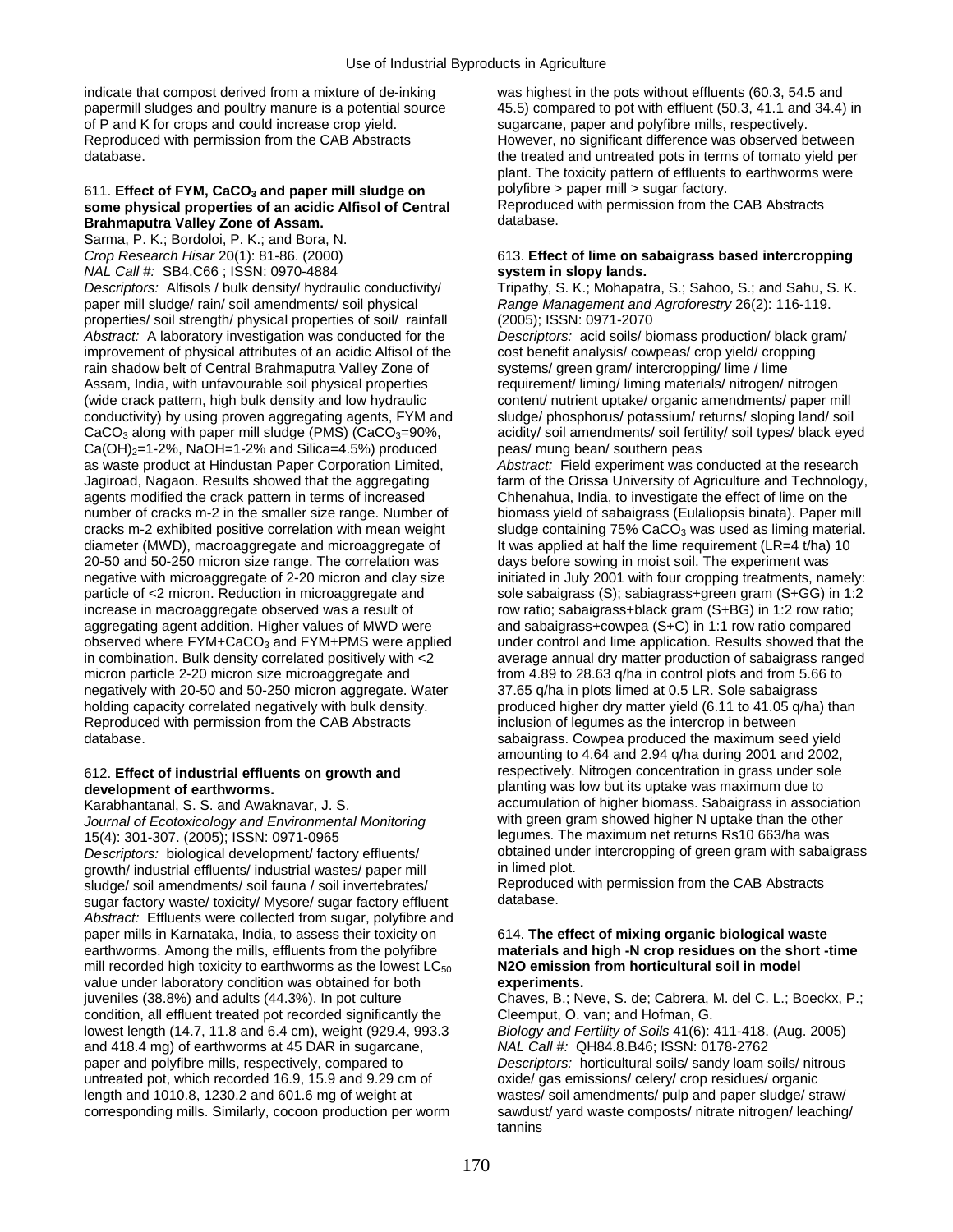indicate that compost derived from a mixture of de-inking was highest in the pots without effluents (60.3, 54.5 and of P and K for crops and could increase crop yield. Sugarcane, paper and polyfibre mills, respectively. Reproduced with permission from the CAB Abstracts However, no significant difference was observed between

### 611. **Effect of FYM, CaCO<sub>3</sub> and paper mill sludge on** polyfibre > paper mill > sugar factory.<br> **some physical properties of an acidic Alfisol of Central** Reproduced with permission from the CAB Abstracts **some physical properties of an acidic Alfisol of Central** *Reproduce***<br>Brahmaputra Valley Zone of Assam. <br>CAB Abstracts of Assam. Brahmaputra Valley Zone of Assam.**

Sarma, P. K.; Bordoloi, P. K.; and Bora, N. *Crop Research Hisar* 20(1): 81-86. (2000) 613. **Effect of lime on sabaigrass based intercropping**  *NAL Call #:* SB4.C66 ; ISSN: 0970-4884 **system in slopy lands.**  *Descriptors:* Alfisols / bulk density/ hydraulic conductivity/ Tripathy, S. K.; Mohapatra, S.; Sahoo, S.; and Sahu, S. K. paper mill sludge/ rain/ soil amendments/ soil physical *Range Management and Agroforestry* 26(2): 116-119. properties/ soil strength/ physical properties of soil/ rainfall (2005); ISSN: 0971-2070 *Abstract:* A laboratory investigation was conducted for the *Descriptors:* acid soils/ biomass production/ black gram/ improvement of physical attributes of an acidic Alfisol of the cost benefit analysis/ cowpeas/ crop yield/ cropping rain shadow belt of Central Brahmaputra Valley Zone of systems/ green gram/ intercropping/ lime / lime Assam, India, with unfavourable soil physical properties requirement/ liming/ liming materials/ nitrogen/ nitrogen (wide crack pattern, high bulk density and low hydraulic content/ nutrient uptake/ organic amendments/ paper mill conductivity) by using proven aggregating agents, FYM and sludge/ phosphorus/ potassium/ returns/ sloping land/ soil  $CaCO<sub>3</sub>$  along with paper mill sludge (PMS) (CaCO<sub>3</sub>=90%, acidity/ soil amendments/ soil fertility/ soil types/ black eyed  $Ca(OH)<sub>2</sub>=1-2%$ , NaOH=1-2% and Silica=4.5%) produced peas/ mung bean/ southern peas as waste product at Hindustan Paper Corporation Limited, *Abstract:* Field experiment was conducted at the research Jagiroad, Nagaon. Results showed that the aggregating farm of the Orissa University of Agriculture and Technology, agents modified the crack pattern in terms of increased Chhenahua, India, to investigate the effect of lime on the number of cracks m-2 in the smaller size range. Number of biomass yield of sabaigrass (Eulaliopsis binata). Paper mill cracks m-2 exhibited positive correlation with mean weight sludge containing 75% CaCO<sub>3</sub> was used as liming material. diameter (MWD), macroaggregate and microaggregate of It was applied at half the lime requirement (LR=4 t/ha) 10 20-50 and 50-250 micron size range. The correlation was days before sowing in moist soil. The experiment was negative with microaggregate of 2-20 micron and clay size initiated in July 2001 with four cropping treatments, namely: particle of <2 micron. Reduction in microaggregate and sole sabaigrass (S); sabiagrass+green gram (S+GG) in 1:2 increase in macroaggregate observed was a result of row ratio; sabaigrass+black gram (S+BG) in 1:2 row ratio; aggregating agent addition. Higher values of MWD were and sabaigrass+cowpea (S+C) in 1:1 row ratio compared observed where FYM+CaCO<sub>3</sub> and FYM+PMS were applied under control and lime application. Results showed that the in combination. Bulk density correlated positively with  $\lt 2$  average annual dry matter production of sabaig in combination. Bulk density correlated positively with <2 micron particle 2-20 micron size microaggregate and from 4.89 to 28.63 g/ha in control plots and from 5.66 to negatively with 20-50 and 50-250 micron aggregate. Water 37.65 g/ha in plots limed at 0.5 LR. Sole sabaigrass holding capacity correlated negatively with bulk density. produced higher dry matter yield (6.11 to 41.05 g/ha) than Reproduced with permission from the CAB Abstracts inclusion of legumes as the intercrop in between database. **Sabaigrass.** Cowpea produced the maximum seed yield

*Journal of Ecotoxicology and Environmental Monitoring* 15(4): 301-307. (2005); ISSN: 0971-0965 legumes. The maximum net returns Rs10 663/ha was growth/ industrial effluents/ industrial wastes/ paper mill in limed plot.<br>
sludge/ soil amendments/ soil fauna / soil invertebrates/ Reproduced with permission from the CAB Abstracts sludge/ soil amendments/ soil fauna / soil invertebrates/ Reproduce<br>sugar factory waste/ toxicity/ Mysore/ sugar factory effluent database. sugar factory waste/ toxicity/ Mysore/ sugar factory effluent *Abstract:* Effluents were collected from sugar, polyfibre and paper mills in Karnataka, India, to assess their toxicity on 614. **The effect of mixing organic biological waste**  earthworms. Among the mills, effluents from the polyfibre **materials and high -N crop residues on the short -time**  mill recorded high toxicity to earthworms as the lowest LC<sub>50</sub> N2O emission from horticultural soil in model value under laboratory condition was obtained for both **experiments.**  juveniles (38.8%) and adults (44.3%). In pot culture Chaves, B.; Neve, S. de; Cabrera, M. del C. L.; Boeckx, P.; condition, all effluent treated pot recorded significantly the Cleemput, O. van; and Hofman, G.<br>lowest length (14.7, 11.8 and 6.4 cm), weight (929.4, 993.3 Biology and Fertility of Soils 41(6): 411-418. (Aug. 2005) lowest length (14.7, 11.8 and 6.4 cm), weight (929.4, 993.3 and 418.4 mg) of earthworms at 45 DAR in sugarcane, *NAL Call #:* QH84.8.B46; ISSN: 0178-2762 paper and polyfibre mills, respectively, compared to *Descriptors:* horticultural soils/ sandy loam soils/ nitrous untreated pot, which recorded 16.9, 15.9 and 9.29 cm of oxide/ gas emissions/ celery/ crop residues/ organic length and 1010.8, 1230.2 and 601.6 mg of weight at wastes/ soil amendments/ pulp and paper sludge/ straw/ corresponding mills. Similarly, cocoon production per worm sawdust/ yard waste composts/ nitrate nitrogen/ leaching/

papermill sludges and poultry manure is a potential source 45.5) compared to pot with effluent (50.3, 41.1 and 34.4) in database. the treated and untreated pots in terms of tomato yield per plant. The toxicity pattern of effluents to earthworms were

amounting to 4.64 and 2.94 q/ha during 2001 and 2002, 612. **Effect of industrial effluents on growth and** respectively. Nitrogen concentration in grass under sole **development of earthworms. planting was low but its uptake was maximum due to** Karabhantanal, S. S. and Awaknavar, J. S. and Awaknavar, J. S. accumulation of higher biomass. Sabaigrass in association of higher biomass. Sabaigrass in association of higher N uptake than the other *Descriptors:* biological development/ factory effluents/ obtained under intercropping of green gram with sabaigrass<br>
growth/ industrial effluents/ industrial wastes/ paper mill in limed plot.

tannins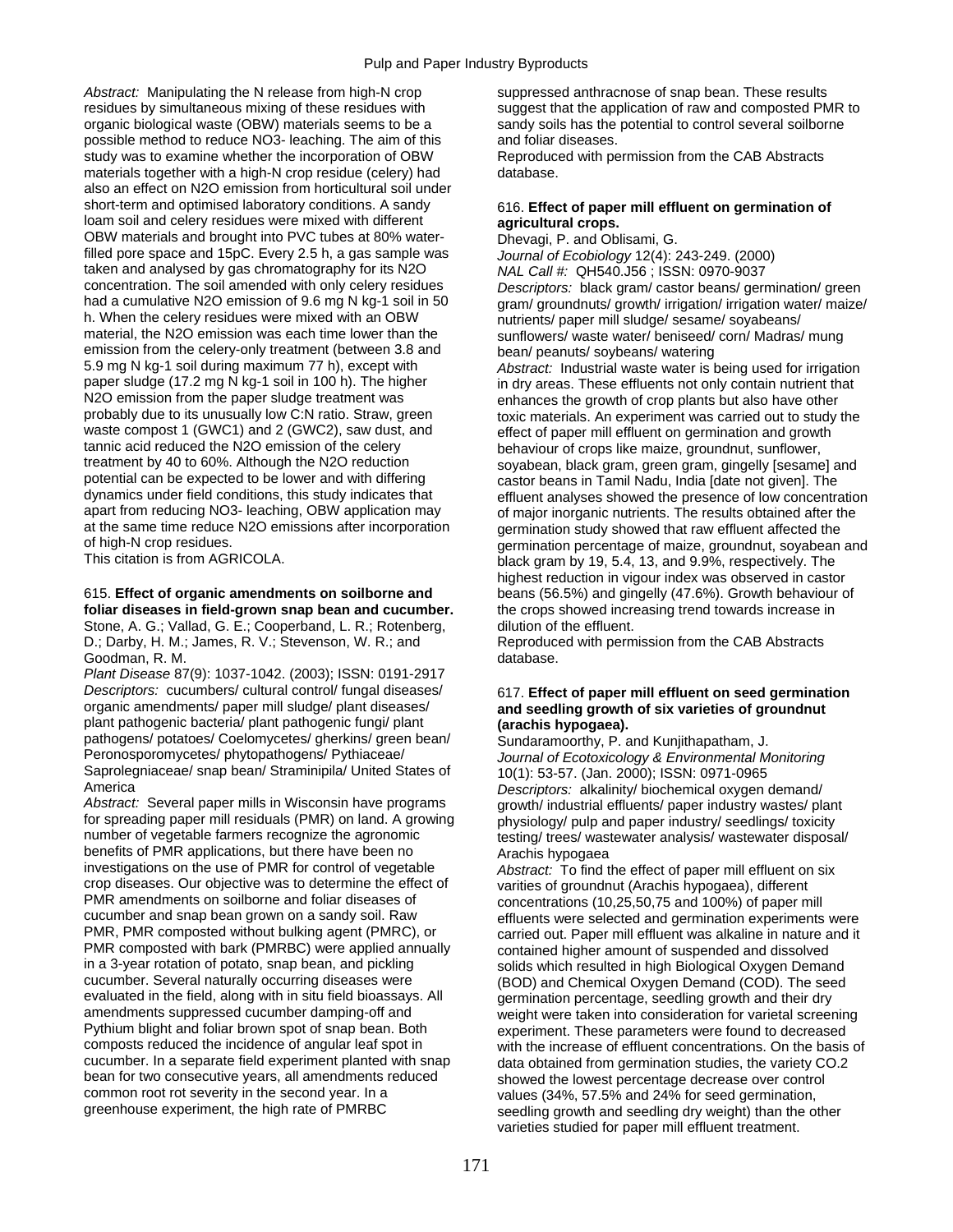Abstract: Manipulating the N release from high-N crop suppressed anthracnose of snap bean. These results residues by simultaneous mixing of these residues with suggest that the application of raw and composted PMR to organic biological waste (OBW) materials seems to be a sandy soils has the potential to control several soilborne possible method to reduce NO3- leaching. The aim of this and foliar diseases. study was to examine whether the incorporation of OBW Reproduced with permission from the CAB Abstracts materials together with a high-N crop residue (celery) had database. also an effect on N2O emission from horticultural soil under short-term and optimised laboratory conditions. A sandy 616. **Effect of paper mill effluent on germination of** loam soil and celery residues were mixed with different **agricultural crops.**<br>OBW materials and brought into PVC tubes at 80% water-<br>Dhevagi, P. and Oblisami, G. OBW materials and brought into PVC tubes at 80% water-<br>
filled pore space and 15pC. Every 2.5 h, a gas sample was *Journal of Ecobiology* 12(4): 243-249. (2000) filled pore space and 15pC. Every 2.5 h, a gas sample was taken and analysed by gas chromatography for its N2O *NAL Call #:* QH540.J56 ; ISSN: 0970-9037 had a cumulative N2O emission of 9.6 mg N kg-1 soil in 50 gram/ groundnuts/ growth/ irrigation/ irrigation water/ maize/ h. When the celery residues were mixed with an OBW<br>mutrients/ paper mill sludge/ sesame/ soyabeans/<br>material, the N2O emission was each time lower than the<br>sunflowers/ waste water/ beniseed/ corn/ Madras emission from the celery-only treatment (between 3.8 and bean/ peanuts/ soybeans/ watering<br>5.9 mg N kg-1 soil during maximum 77 h), except with a a a a a a a a a a a a sete water is t 5.9 mg N kg-1 soil during maximum 77 h), except with *Abstract:* Industrial waste water is being used for irrigation paper sludge (17.2 mg N kg-1 soil in 100 h). The higher in dry areas. These effluents not only contain nutrient that<br>N2O emission from the paper sludge treatment was enhances the growth of crop plants but also have other N2O emission from the paper sludge treatment was enhances the growth of crop plants but also have other<br>probably due to its unusually low C:N ratio. Straw, green<br>toxic materials. An experiment was carried out to study probably due to its unusually low C:N ratio. Straw, green toxic materials. An experiment was carried out to study the<br>waste compost 1 (GWC1) and 2 (GWC2), saw dust, and effect of paper mill effluent on germination and grow waste compost 1 (GWC1) and 2 (GWC2), saw dust, and effect of paper mill effluent on germination and growth tannic acid reduced the N2O emission of the celery behaviour of crops like maize, groundnut, sunflower, tannic acid reduced the N2O emission of the celery behaviour of crops like maize, groundnut, sunflower,<br>treatment by 40 to 60%. Although the N2O reduction sovabean, black gram, green gram, gingelly [sesame treatment by 40 to 60%. Although the N2O reduction soyabean, black gram, green gram, gingelly [sesame] and<br>potential can be expected to be lower and with differing castor beans in Tamil Nadu, India Idate not given]. The potential can be expected to be lower and with differing castor beans in Tamil Nadu, India [date not given]. The<br>dynamics under field conditions, this study indicates that effluent analyses showed the presence of low conce apart from reducing NO3- leaching, OBW application may of major inorganic nutrients. The results obtained after the<br>at the same time reduce N2O emissions after incorporation opermination study showed that raw effluent affe at the same time reduce N2O emissions after incorporation germination study showed that raw effluent affected the<br>of high-N crop residues.

## 615. **Effect of organic amendments on soilborne and** beans (56.5%) and gingelly (47.6%). Growth behaviour of

Stone, A. G.; Vallad, G. E.; Cooperband, L. R.; Rotenberg, dilution of the effluent. D.; Darby, H. M.; James, R. V.; Stevenson, W. R.; and Reproduced with permission from the CAB Abstracts Goodman, R. M. database.

*Plant Disease* 87(9): 1037-1042. (2003); ISSN: 0191-2917 *Descriptors:* cucumbers/ cultural control/ fungal diseases/ 617. **Effect of paper mill effluent on seed germination**  plant pathogenic bacteria/ plant pathogenic fungi/ plant **(arachis hypogaea).**<br>
pathogens/ potatoes/ Coelomycetes/ gherkins/ green bean/ Sundaramoorthy P pathogens/ potatoes/ Coelomycetes/ gherkins/ green bean/ Sundaramoorthy, P. and Kunjithapatham, J.<br>Peronosporomycetes/ phytopathogens/ Pythiaceae/ Journal of Ecotoxicology & Environmental M Saprolegniaceae/ snap bean/ Straminipila/ United States of 10(1): 53-57. (Jan. 2000); ISSN: 0971-0965<br>America (Operators: alkalinity/ biochemical oxygen

for spreading paper mill residuals (PMR) on land. A growing physiology/ pulp and paper industry/ seedlings/ toxicity<br>number of vegetable farmers recognize the agronomic<br>testing/ trees/ wastewater analysis/ wastewater dispo benefits of PMR applications, but there have been no Arachis hypogaea<br>investigations on the use of PMR for control of vegetable *Abstract:* To find t crop diseases. Our objective was to determine the effect of varities of groundnut (Arachis hypogaea), different<br>PMR amendments on soilborne and foliar diseases of concentrations (10.25.50.75 and 100%) of paper m PMR amendments on soilborne and foliar diseases of concentrations (10,25,50,75 and 100%) of paper mill<br>cucumber and snap bean grown on a sandy soil. Raw<br>effluents were selected and germination experiments cucumber and snap bean grown on a sandy soil. Raw effluents were selected and germination experiments were<br>PMR, PMR composted without bulking agent (PMRC), or experied out. Paper mill effluent was alkaline in nature and it PMR, PMR composted without bulking agent (PMRC), or carried out. Paper mill effluent was alkaline in nature and it<br>PMR composted with bark (PMRBC) were applied annually contained higher amount of suspended and dissolved PMR composted with bark (PMRBC) were applied annually contained higher amount of suspended and dissolved<br>in a 3-year rotation of potato, snap bean, and pickling solids which resulted in high Biological Oxygen Demar in a 3-year rotation of potato, snap bean, and pickling solids which resulted in high Biological Oxygen Demand<br>Cucumber, Several naturally occurring diseases were (ROD) and Chemical Oxygen Demand (COD). The seed evaluated in the field, along with in situ field bioassays. All germination percentage, seedling growth and their dry<br>amendments suppressed cucumber damping-off and weight were taken into consideration for varietal screen amendments suppressed cucumber damping-off and weight were taken into consideration for varietal screening<br>Pythium blight and foliar brown spot of snap bean. Both experiment. These parameters were found to decreased Pythium blight and foliar brown spot of snap bean. Both experiment. These parameters were found to decreased composts reduced the incidence of angular leaf spot in experiment. These parameters were found to decreased composts reduced the incidence of angular leaf spot in with the increase of effluent concentrations. On the basis of<br>cucumber. In a separate field experiment planted with snap data obtained from germination studies the var cucumber. In a separate field experiment planted with snap data obtained from germination studies, the variety CO.2<br>bean for two consecutive years, all amendments reduced showed the lowest percentage decrease over control bean for two consecutive years, all amendments reduced showed the lowest percentage decrease over control<br>common root rot severity in the second year. In a section of the lowest (34%, 57.5% and 24% for seed germination common root rot severity in the second year. In a values (34%, 57.5% and 24% for seed germination, greenhouse experiment, the high rate of PMRBC<br>seedling growth and seedling dry weight) than the or

Descriptors: black gram/ castor beans/ germination/ green sunflowers/ waste water/ beniseed/ corn/ Madras/ mung dynamics under field conditions, this study indicates that effluent analyses showed the presence of low concentration<br>apart from reducing NO3- leaching, OBW application may of maior inorganic nutrients. The results obtaine of high-N crop residues.<br>This citation is from AGRICOLA. This citation is from AGRICOLA. black gram by 19, 5.4, 13, and 9.9%, respectively. The highest reduction in vigour index was observed in castor **foliar diseases in field-grown snap bean and cucumber.** the crops showed increasing trend towards increase in

# and seedling growth of six varieties of groundnut

**Journal of Ecotoxicology & Environmental Monitoring** America *Descriptors:* alkalinity/ biochemical oxygen demand/ growth/ industrial effluents/ paper industry wastes/ plant testing/ trees/ wastewater analysis/ wastewater disposal/

Abstract: To find the effect of paper mill effluent on six (BOD) and Chemical Oxygen Demand (COD). The seed seedling growth and seedling dry weight) than the other varieties studied for paper mill effluent treatment.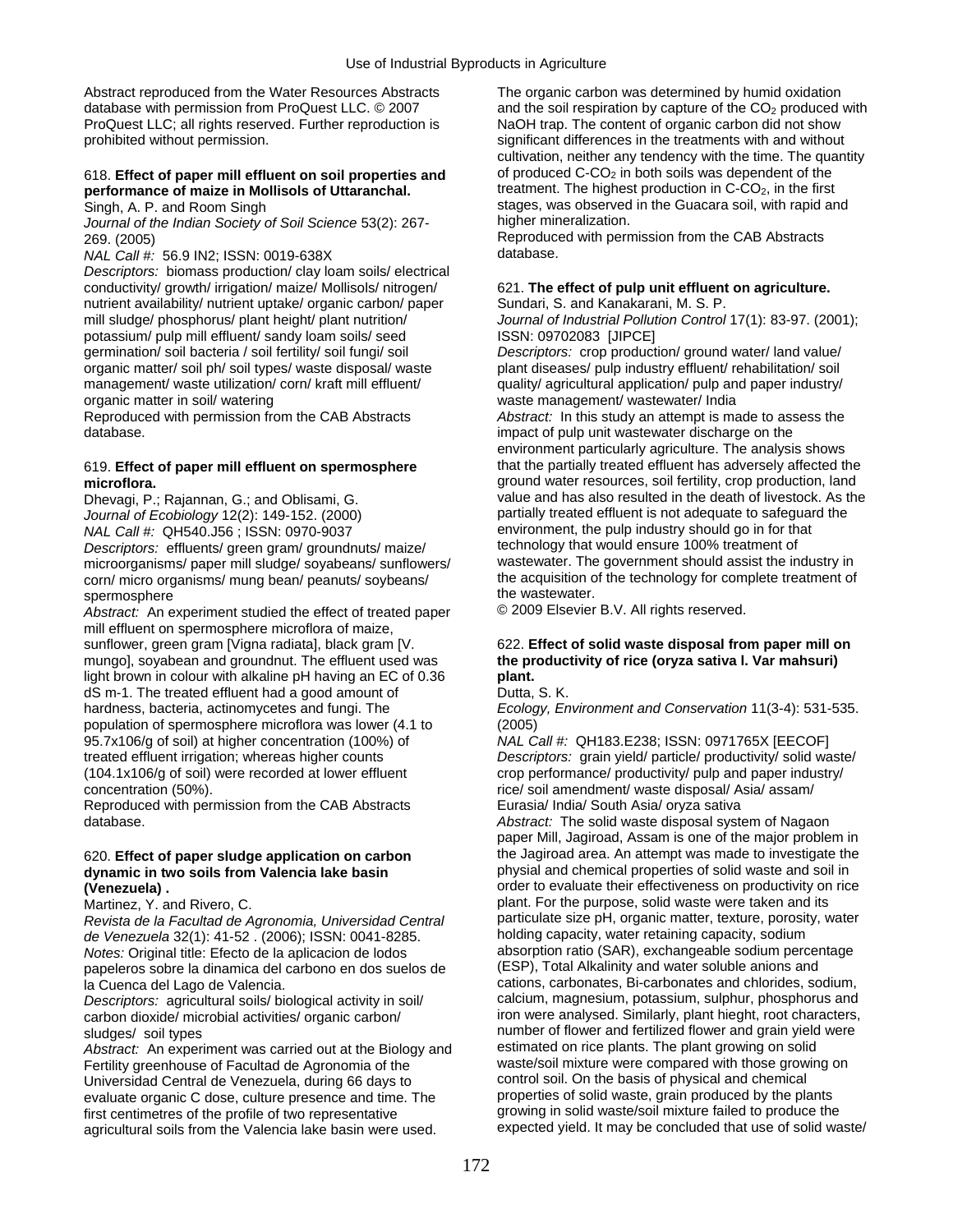Abstract reproduced from the Water Resources Abstracts The organic carbon was determined by humid oxidation ProQuest LLC; all rights reserved. Further reproduction is NaOH trap. The content of organic carbon did not show prohibited without permission. significant differences in the treatments with and without

### 618. **Effect of paper mill effluent on soil properties and** of produced C-CO<sub>2</sub> in both soils was dependent of the **properties of properties and** treatment. The highest production in C-CO<sub>2</sub>, in the first performance of maize in Mollisols of Uttaranchal.

Journal of the Indian Society of Soil Science 53(2): 267-

*NAL Call #: 56.9 IN2; ISSN: 0019-638X* 

*Descriptors:* biomass production/ clay loam soils/ electrical conductivity/ growth/ irrigation/ maize/ Mollisols/ nitrogen/ 621. **The effect of pulp unit effluent on agriculture.**  nutrient availability/ nutrient uptake/ organic carbon/ paper Sundari, S. and Kanakarani, M. S. P. mill sludge/ phosphorus/ plant height/ plant nutrition/ *Journal of Industrial Pollution Control* 17(1): 83-97. (2001); potassium/ pulp mill effluent/ sandy loam soils/ seed ISSN: 09702083 [JIPCE] germination/ soil bacteria / soil fertility/ soil fungi/ soil *Descriptors:* crop production/ ground water/ land value/ organic matter/ soil ph/ soil types/ waste disposal/ waste plant diseases/ pulp industry effluent/ rehabilitation/ soil<br>management/ waste utilization/ corn/ kraft mill effluent/ quality/ agricultural application/ pulp and management/ waste utilization/ corn/ kraft mill effluent/ quality/ agricultural application/ pulp and paper industry/<br>organic matter in soil/ watering vaste management/ wastewater/ India

database. **impact of pulp unit wastewater discharge on the database**.

*Journal of Ecobiology* 12(2): 149-152. (2000) partially treated effluent is not adequate to safeguard the <br>
NAL Call #: QH540.J56 : ISSN: 0970-9037 *NAL Call #:* QH540.J56 ; ISSN: 0970-9037<br> *Descriptors:* effluents/ green gram/ groundnuts/ maize/ technology that would ensure 100% treatment of *Descriptors:* effluents/ green gram/ groundnuts/ maize/ technology that would ensure 100% treatment of microorganisms/ paper mill sludge/ soyabeans/ sunflowers/ wastewater. The government should assist the industry in<br>
corn/ micro organisms/ mung bean/ peanuts/ soybeans/ the acquisition of the technology for complete treatm corn/ micro organisms/ mung bean/ peanuts/ soybeans/ spermosphere<br>
Abstract: An experiment studied the effect of treated paper<br>  $\degree$  2009 Elsevier B.V. All rights reserved.

*Abstract:* An experiment studied the effect of treated paper mill effluent on spermosphere microflora of maize, sunflower, green gram [Vigna radiata], black gram [V. 622. **Effect of solid waste disposal from paper mill on** mungo], soyabean and groundnut. The effluent used was **the productivity of rice (oryza sativa l. Var mahsuri)**  light brown in colour with alkaline pH having an EC of 0.36 **plant.**  dS m-1. The treated effluent had a good amount of Dutta, S. K. hardness, bacteria, actinomycetes and fungi. The *Ecology, Environment and Conservation* 11(3-4): 531-535. population of spermosphere microflora was lower (4.1 to (2005) 95.7x106/g of soil) at higher concentration (100%) of *NAL Call #:* QH183.E238; ISSN: 0971765X [EECOF] treated effluent irrigation; whereas higher counts *Descriptors:* grain yield/ particle/ productivity/ solid waste/ (104.1x106/g of soil) were recorded at lower effluent crop performance/ productivity/ pulp and paper industry/ concentration (50%). The concentration (50%). The concentration (50%).

Reproduced with permission from the CAB Abstracts Eurasia/ India/ South Asia/ oryza sativa

# dynamic in two soils from Valencia lake basin (Venezuela) .

*Revista de la Facultad de Agronomia, Universidad Central* particulate size pH, organic matter, texture, porosity, water *de Venezuela* 32(1): 41-52 . (2006); ISSN: 0041-8285. *Notes:* Original title: Efecto de la aplicacion de lodos absorption ratio (SAR), exchangeable sodium percentage<br>papeleros sobre la dinamica del carbono en dos suelos de (ESP), Total Alkalinity and water soluble anions and papeleros sobre la dinamica del carbono en dos suelos de

carbon dioxide/ microbial activities/ organic carbon/

Abstract: An experiment was carried out at the Biology and estimated on rice plants. The plant growing on solid<br>Fertility greenhouse of Facultad de Agronomia of the explorer waste/soil mixture were compared with those grow Fertility greenhouse of Facultad de Agronomia of the waste/soil mixture were compared with those growing Universidad Central de Venezuela, during 66 days to control soil. On the basis of physical and chemical Universidad Central de Venezuela, during 66 days to control soil. On the basis of physical and chemical<br>evaluate organic C dose, culture presence and time. The properties of solid waste, grain produced by the plants evaluate organic C dose, culture presence and time. The first centimetres of the profile of two representative growing in solid waste/soil mixture failed to produce the<br>agricultural soils from the Valencia lake basin were used. expected yield. It may be concluded that use of so agricultural soils from the Valencia lake basin were used.

database with permission from ProQuest LLC. © 2007 and the soil respiration by capture of the CO<sub>2</sub> produced with cultivation, neither any tendency with the time. The quantity Singh, A. P. and Room Singh stages, was observed in the Guacara soil, with rapid and<br>Journal of the Indian Society of Soil Science 53(2): 267-<br>higher mineralization.

269. (2005)<br>
269. (2005) Reproduced with permission from the CAB Abstracts<br>
269. (2005) Reproduced with permission from the CAB Abstracts

waste management/ wastewater/ India

Reproduced with permission from the CAB Abstracts *Abstract:* In this study an attempt is made to assess the environment particularly agriculture. The analysis shows 619. **Effect of paper mill effluent on spermosphere** that the partially treated effluent has adversely affected the **microflora.** ground water resources, soil fertility, crop production, land Dhevagi, P.; Rajannan, G.; and Oblisami, G. value and has also resulted in the death of livestock. As the

database. *Abstract:* The solid waste disposal system of Nagaon paper Mill, Jagiroad, Assam is one of the major problem in 620. **Effect of paper sludge application on carbon** the Jagiroad area. An attempt was made to investigate the **(Venezuela) .** order to evaluate their effectiveness on productivity on rice Martinez, Y. and Rivero, C. blant and its<br>Revista de la Facultad de Agronomia Universidad Central particulate size pH, organic matter, texture, porosity, water la Cuenca del Lago de Valencia.<br>
Descriptors: agricultural soils/ biological activity in soil/ calcium, magnesium, potassium, sulphur, phosphorus and *Descriptors:* agricultural soils/ biological activity in soil/ calcium, magnesium, potassium, sulphur, phosphorus and<br>carbon dioxide/ microbial activities/ organic carbon/ iron were analysed. Similarly, plant hieght, root sludges/ soil types<br>Abstract: An experiment was carried out at the Biology and estimated on rice plants. The plant growing on solid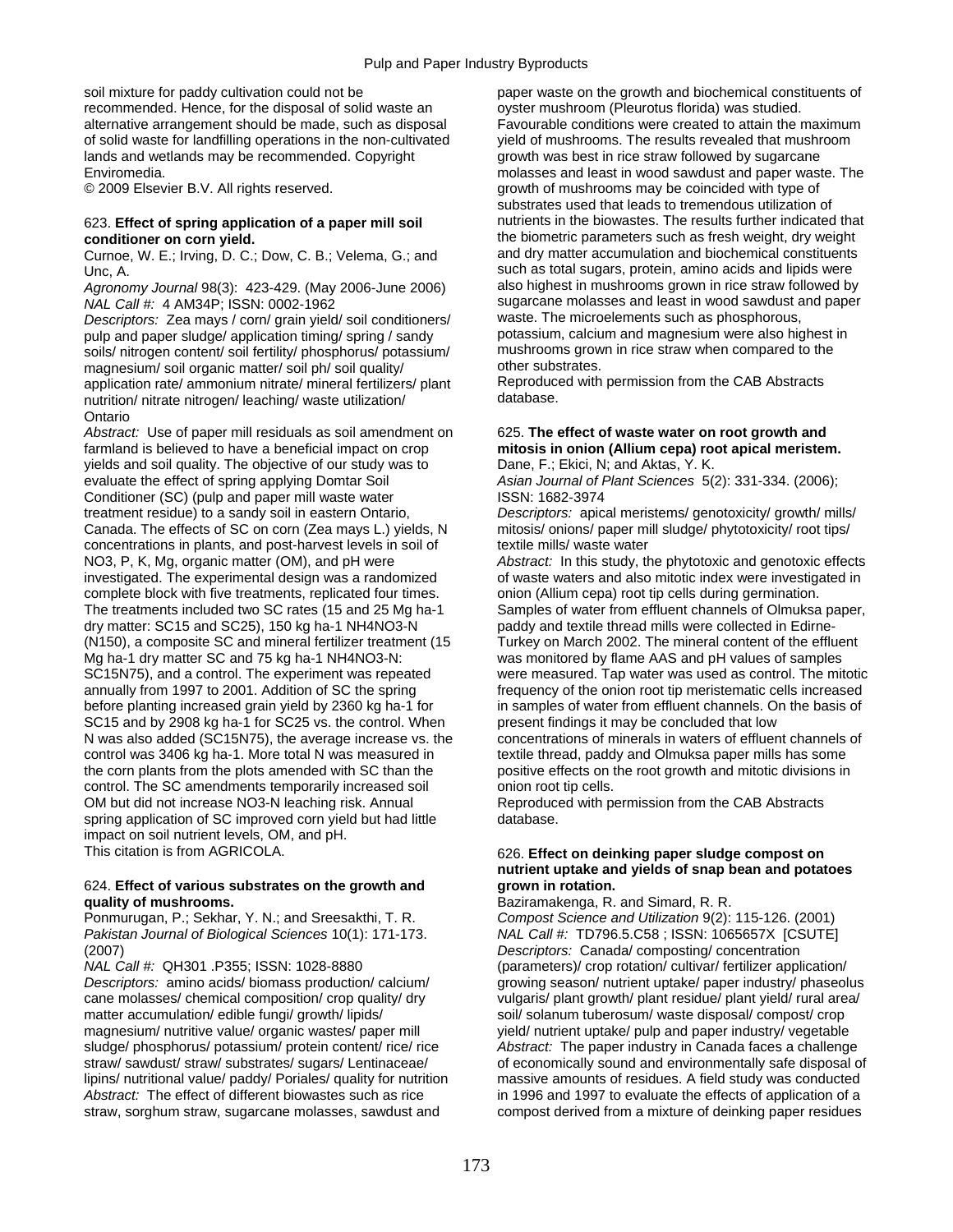recommended. Hence, for the disposal of solid waste an ovster mushroom (Pleurotus florida) was studied.<br>
alternative arrangement should be made, such as disposal Favourable conditions were created to attain the maximum alternative arrangement should be made, such as disposal of solid waste for landfilling operations in the non-cultivated yield of mushrooms. The results revealed that mushroom lands and wetlands may be recommended. Copyright growth was best in rice straw followed by sugarcane

Curnoe, W. E.; Irving, D. C.; Dow, C. B.; Velema, G.; and

*Agronomy Journal* 98(3): 423-429. (May 2006-June 2006)

*Descriptors:* Zea mays / corn/ grain yield/ soil conditioners/ waste. The microelements such as phosphorous, pulp and paper sludge/ application timing/ spring / sandy potassium, calcium and magnesium were also highest i<br>soils/ nitrogen content/ soil fertility/ phosphorus/ potassium/ mushrooms grown in rice straw when compared to soils/ nitrogen content/ soil fertility/ phosphorus/ potassium/ mushrooms grow<br>magnesium/ soil proanic matter/ soil ph/ soil quality/ other substrates. magnesium/soil organic matter/soil ph/soil quality/ other substrates.<br>application rate/ammonium nitrate/mineral fertilizers/plant Reproduced with permission from the CAB Abstracts application rate/ ammonium nitrate/ mineral fertilizers/ plant Reproduce<br>nutrition/ pitrate pitrogen/ leaching/ waste utilization/ database. nutrition/ nitrate nitrogen/ leaching/ waste utilization/ Ontario

*Abstract:* Use of paper mill residuals as soil amendment on 625. **The effect of waste water on root growth and**  farmland is believed to have a beneficial impact on crop **mitosis in onion (Allium cepa) root apical meristem.**  yields and soil quality. The objective of our study was to Dane, F.; Ekici, N; and Aktas, Y. K. evaluate the effect of spring applying Domtar Soil *Asian Journal of Plant Sciences* 5(2): 331-334. (2006); Conditioner (SC) (pulp and paper mill waste water ISSN: 1682-3974 treatment residue) to a sandy soil in eastern Ontario, *Descriptors:* apical meristems/ genotoxicity/ growth/ mills/ Canada. The effects of SC on corn (Zea mays L.) yields, N mitosis/ onions/ paper mill sludge/ phytotoxicity/ root tips/ concentrations in plants, and post-harvest levels in soil of textile mills/ waste water NO3, P, K, Mg, organic matter (OM), and pH were *Abstract:* In this study, the phytotoxic and genotoxic effects investigated. The experimental design was a randomized of waste waters and also mitotic index were investigated in complete block with five treatments, replicated four times. onion (Allium cepa) root tip cells during germination.<br>The treatments included two SC rates (15 and 25 Mg ha-1 Samples of water from effluent channels of Olmuksa The treatments included two SC rates (15 and 25 Mg ha-1 Samples of water from effluent channels of Olmuksa paper, dry matter: SC15 and SC25), 150 kg ha-1 NH4NO3-N paddy and textile thread mills were collected in Edirne-(N150), a composite SC and mineral fertilizer treatment (15 Mg ha-1 dry matter SC and 75 kg ha-1 NH4NO3-N: SC15N75), and a control. The experiment was repeated were measured. Tap water was used as control. The mitotic annually from 1997 to 2001. Addition of SC the spring frequency of the onion root tip meristematic cells increased before planting increased grain yield by 2360 kg ha-1 for in samples of water from effluent channels. On the basis of SC15 and by 2908 kg ha-1 for SC25 vs. the control. When present findings it may be concluded that low N was also added (SC15N75), the average increase vs. the concentrations of minerals in waters of effluent channels of control was 3406 kg ha-1. More total N was measured in textile thread, paddy and Olmuksa paper mills has some the corn plants from the plots amended with SC than the positive effects on the root growth and mitotic divisions in control. The SC amendments temporarily increased soil onion root tip cells. OM but did not increase NO3-N leaching risk. Annual Reproduced with permission from the CAB Abstracts spring application of SC improved corn yield but had little database. impact on soil nutrient levels, OM, and pH.

### 624. **Effect of various substrates on the growth and grown in rotation. quality of mushrooms. and Simard, R. R.** Baziramakenga, R. and Simard, R. R. R. Compost Science and Utilization 9(2):

Ponmurugan, P.; Sekhar, Y. N.; and Sreesakthi, T. R. *Compost Science and Utilization* 9(2): 115-126. (2001)

cane molasses/ chemical composition/ crop quality/ dry vulgaris/ plant growth/ plant residue/ plant yield/ rural area/ matter accumulation/ edible fungi/ growth/ lipids/ solanum tuberosum/ waste disposal/ compost/ crop magnesium/ nutritive value/ organic wastes/ paper mill yield/ nutrient uptake/ pulp and paper industry/ vegetable sludge/ phosphorus/ potassium/ protein content/ rice/ rice *Abstract:* The paper industry in Canada faces a challenge lipins/ nutritional value/ paddy/ Poriales/ quality for nutrition massive amounts of residues. A field study was conducted *Abstract:* The effect of different biowastes such as rice in 1996 and 1997 to evaluate the effects of application of a straw, sorghum straw, sugarcane molasses, sawdust and compost derived from a mixture of deinking paper residues

soil mixture for paddy cultivation could not be paper waste on the growth and biochemical constituents of Enviromedia. molasses and least in wood sawdust and paper waste. The © 2009 Elsevier B.V. All rights reserved. Growth of mushrooms may be coincided with type of substrates used that leads to tremendous utilization of 623. **Effect of spring application of a paper mill soil** nutrients in the biowastes. The results further indicated that **conditioner on corn yield. conditioner on corn yield. the biometric parameters such as fresh weight, dry weight**<br>Curnoe W. F. Irving D. C. Dow, C. B. Velema G. and **and dry matter accumulation and biochemical constitu** Unc, A.<br>Agronomy Journal 98(3): 423-429. (May 2006-June 2006) Such as total sugars, protein, amino acids and lipids were *NAL Call #:* 4 AM34P; ISSN: 0002-1962<br>*Descriptors: Zea mays / corn/ grain vield/ soil conditioners/* waste. The microelements such as phosphorous,

paddy and textile thread mills were collected in Edirne-<br>Turkey on March 2002. The mineral content of the effluent was monitored by flame AAS and pH values of samples

## This citation is from AGRICOLA. **626. Effect on deinking paper sludge compost on** 626. **nutrient uptake and yields of snap bean and potatoes**

*Pakistan Journal of Biological Sciences* 10(1): 171-173. *NAL Call #:* TD796.5.C58 ; ISSN: 1065657X [CSUTE] (2007) *Descriptors:* Canada/ composting/ concentration (parameters)/ crop rotation/ cultivar/ fertilizer application/ *Descriptors:* amino acids/ biomass production/ calcium/ growing season/ nutrient uptake/ paper industry/ phaseolus straw/ sawdust/ straw/ substrates/ sugars/ Lentinaceae/ of economically sound and environmentally safe disposal of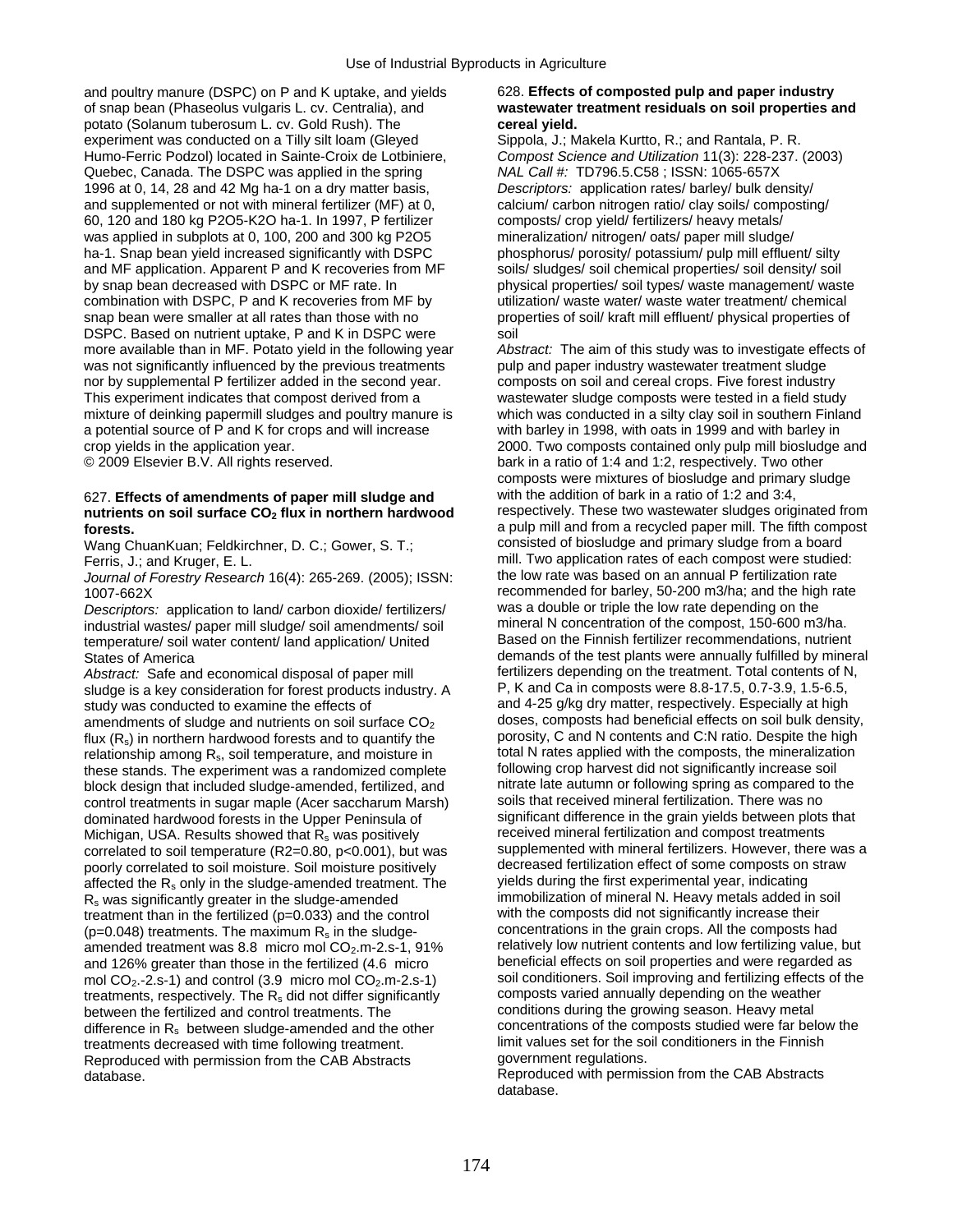and poultry manure (DSPC) on P and K uptake, and yields 628. **Effects of composted pulp and paper industry** of snap bean (Phaseolus vulgaris L. cv. Centralia), and **wastewater treatment residuals on soil properties and**  potato (Solanum tuberosum L. cv. Gold Rush). The **cereal yield. cannosism cereal yield. experiment was conducted on a Tilly silt loam (Gleved** Sippola, J.; Makela Kurtto, R.; and Rantala, P. R. experiment was conducted on a Tilly silt loam (Gleyed Humo-Ferric Podzol) located in Sainte-Croix de Lotbiniere, *Compost Science and Utilization* 11(3): 228-237. (2003) Quebec, Canada. The DSPC was applied in the spring *NAL Call #:* TD796.5.C58 ; ISSN: 1065-657X 1996 at 0, 14, 28 and 42 Mg ha-1 on a dry matter basis, *Descriptors:* application rates/ barley/ bulk density/ and supplemented or not with mineral fertilizer (MF) at 0, calcium/ carbon nitrogen ratio/ clay soils/ composting/ 60, 120 and 180 kg P2O5-K2O ha-1. In 1997, P fertilizer composts/ crop yield/ fertilizers/ heavy metals/ was applied in subplots at 0, 100, 200 and 300 kg P2O5 mineralization/ nitrogen/ oats/ paper mill sludge/ ha-1. Snap bean yield increased significantly with DSPC phosphorus/ porosity/ potassium/ pulp mill effluent/ silty and MF application. Apparent P and K recoveries from MF soils/ sludges/ soil chemical properties/ soil density/ soil<br>by snap bean decreased with DSPC or MF rate. In physical properties/ soil types/ waste management/ was combination with DSPC, P and K recoveries from MF by utilization/ waste water/ waste water treatment/ chemical snap bean were smaller at all rates than those with no properties of soil/ kraft mill effluent/ physical properties of DSPC. Based on nutrient uptake, P and K in DSPC were soil<br>more available than in MF. Potato yield in the following year Abs was not significantly influenced by the previous treatments nor by supplemental P fertilizer added in the second year. composts on soil and cereal crops. Five forest industry This experiment indicates that compost derived from a wastewater sludge composts were tested in a field study mixture of deinking papermill sludges and poultry manure is which was conducted in a silty clay soil in southern Finland a potential source of P and K for crops and will increase with barley in 1998, with oats in 1999 and with barley in

# nutrients on soil surface CO<sub>2</sub> flux in northern hardwood

Wang ChuanKuan; Feldkirchner, D. C.; Gower, S. T.;

*Journal of Forestry Research* 16(4): 265-269. (2005); ISSN:

*Descriptors:* application to land/ carbon dioxide/ fertilizers/ was a double or triple the low rate depending on the industrial wastes/ paper mill sludge/ soil amendments/ soil mineral N concentration of the compost, 150-600 m3/ha.<br>
temperature/ soil water content/ land application/ United Based on the Finnish fertilizer recommendations, temperature/ soil water content/ land application/ United

sludge is a key consideration for forest products industry. A study was conducted to examine the effects of and 4-25 g/kg dry matter, respectively. Especially at high flux  $(R_s)$  in northern hardwood forests and to quantify the porosity, C and N contents and C:N ratio. Despite the high relationship among R, soil temperature and moisture in total N rates applied with the composts, the mi relationship among  $R_s$ , soil temperature, and moisture in total N rates applied with the composts, the mineralization<br>these stands. The experiment was a randomized complete following crop harvest did not significantly in these stands. The experiment was a randomized complete following crop harvest did not significantly increase soil<br>block design that included sludge-amended fertilized and fitrate late autumn or following spring as compared block design that included sludge-amended, fertilized, and nitrate late autumn or following spring as compared to the control treatments in sugar maple (Acer saccharum Marsh) soils that received mineral fertilization. Ther control treatments in sugar maple (Acer saccharum Marsh) soils that received mineral fertilization. There was no<br>dominated hardwood forests in the Upper Peninsula of significant difference in the grain yields between plots dominated hardwood forests in the Upper Peninsula of significant difference in the grain yields between plots<br>Michigan LISA Results showed that R, was positively received mineral fertilization and compost treatments Michigan, USA. Results showed that  $R_s$  was positively poorly correlated to soil moisture. Soil moisture positively decreased fertilization effect of some composts on straw affected the  $R_s$  only in the sludge-amended treatment. The yields during the first experimental year, affected the  $R_s$  only in the sludge-amended treatment. The yields during the first experimental year, indicating<br>R<sub>s</sub> was significantly greater in the sludge-amended immobilization of mineral N. Heavy metals added in soi  $R_s$  was significantly greater in the sludge-amended immobilization of mineral N. Heavy metals added in s<br>treatment than in the fertilized (p=0.033) and the control with the composts did not significantly increase their treatment than in the fertilized (p=0.033) and the control with the composts did not significantly increase their<br> $(n=0.048)$  treatments. The maximum R<sub>s</sub> in the sludge-<br>concentrations in the grain crops. All the composts (p=0.048) treatments. The maximum R<sub>s</sub> in the sludge-<br>amended treatment was 8.8 micro mol CO<sub>2</sub> m-2 s-1, 91% relatively low nutrient contents and low fertilizing value, but amended treatment was 8.8 micro mol CO<sub>2</sub>.m-2.s-1, 91% relatively low nutrient contents and low fertilizing value, but and 126% greater than those in the fertilized (4.6 micro beneficial effects on soil properties and wer mol CO<sub>2</sub>.-2.s-1) and control (3.9 micro mol CO<sub>2</sub>.m-2.s-1) soil conditioners. Soil improving and fertilizing effects of the theather of the theather of the theather of the weather treatments, respectively. The R<sub>s</sub> did not differ significantly composts varied annually depending on the weathe<br>between the fertilized and control treatments. The conditions during the growing season. Heavy metal between the fertilized and control treatments. The conditions during the growing season. Heavy metal<br>difference in R<sub>s</sub> between sludge-amended and the other concentrations of the composts studied were far below the difference in  $R_s$  between sludge-amended and the other concentrations of the composts studied were far below treatment<br>treatments decreased with time following treatment<br>limit values set for the soil conditioners in the treatments decreased with time following treatment. limit values set for the soil conditioners in the CAR Abstracts quickless in the GAR Abstracts quickless in the GAR Abstracts quickless quickless quickless in the GAR Abs Reproduced with permission from the CAB Abstracts database.

physical properties/ soil types/ waste management/ waste

Abstract: The aim of this study was to investigate effects of pulp and paper industry was tewater treatment sludge crop yields in the application year.<br>
© 2009 Elsevier B.V. All rights reserved. <br>
2000 Elsevier B.V. All rights reserved. <br>
2000 Elsevier B.V. All rights reserved. bark in a ratio of 1:4 and 1:2, respectively. Two other composts were mixtures of biosludge and primary sludge 627. **Effects of amendments of paper mill sludge and** with the addition of bark in a ratio of 1:2 and 3:4, **forests.**<br>
Wang ChuanKuan: Feldkirchner. D. C.: Gower. S. T.: consisted of biosludge and primary sludge from a board Ferris, J.; and Kruger, E. L.<br>Journal of Forestry Research 16(4): 265-269 (2005): ISSN: the low rate was based on an annual P fertilization rate 1007-662X<br>Descriptors: application to land/ carbon dioxide/ fertilizers/ was a double or triple the low rate depending on the States of America demands of the test plants were annually fulfilled by mineral *Abstract:* Safe and economical disposal of paper mill fertilizers depending on the treatment. Total contents of N, sludge is a key consideration for forest products industry. A P, K and Ca in composts were 8.8-17.5, 0.7-3 amendments of sludge and nutrients on soil surface  $CO<sub>2</sub>$  doses, composts had beneficial effects on soil bulk density, correlated to soil temperature  $(R2=0.80, p<0.001)$ , but was supplemented with mineral fertilizers. However, there was a and 126% greater than those in the fertilized (4.6 micro beneficial effects on soil properties and were regarded as mol CO<sub>2</sub>.-2.s-1) and control (3.9 micro mol CO<sub>2</sub>.m-2.s-1) and control (3.9 micro mol CO<sub>2</sub>.m-2.s-1) and

Reproduced with permission from the CAB Abstracts database.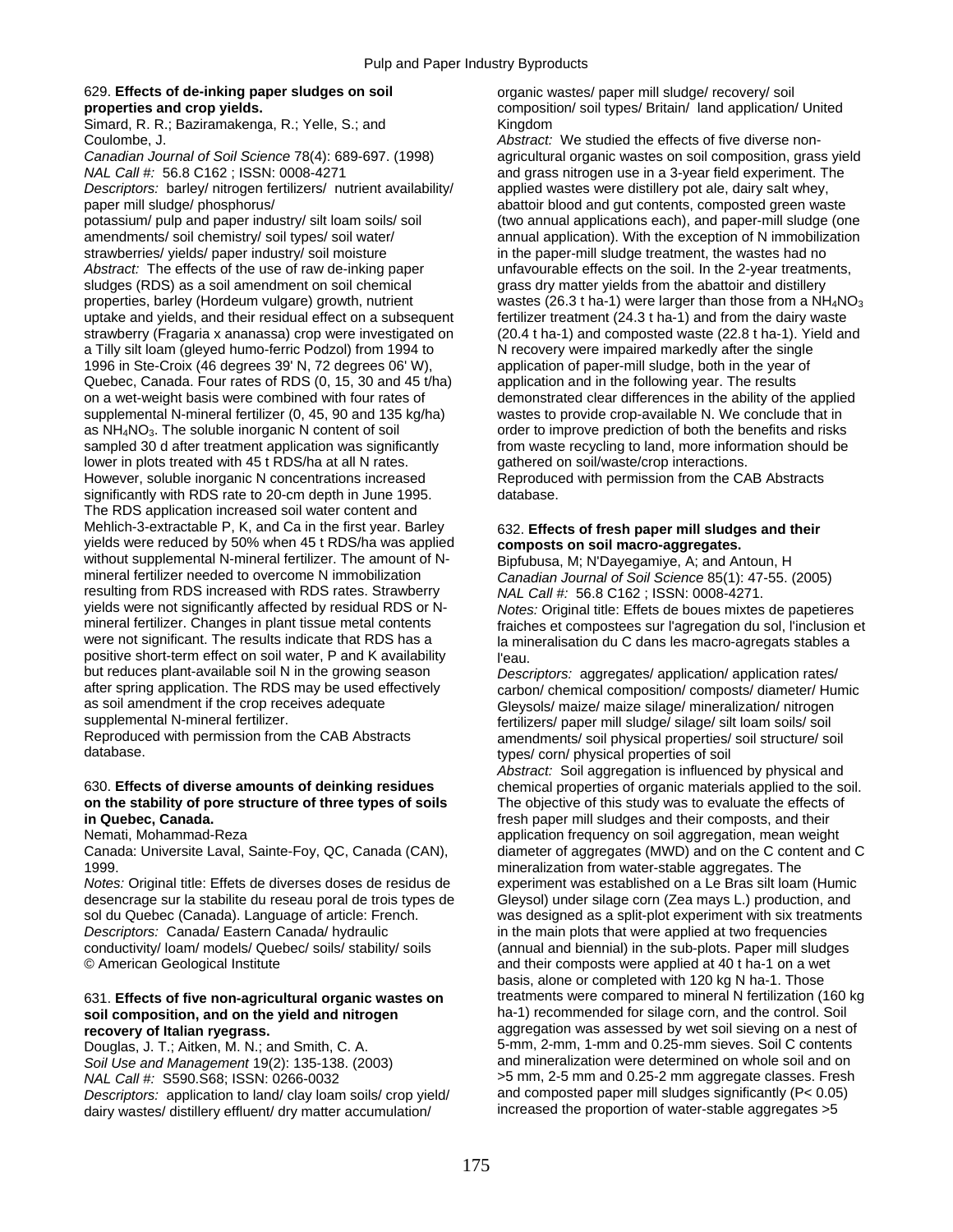## 629. **Effects of de-inking paper sludges on soil** organic wastes/ paper mill sludge/ recovery/ soil

Simard, R. R.; Baziramakenga, R.; Yelle, S.; and Kingdom

*NAL Call #:* 56.8 C162 ; ISSN: 0008-4271 and grass nitrogen use in a 3-year field experiment. The

*Descriptors:* barley/ nitrogen fertilizers/ nutrient availability/ applied wastes were distillery pot ale, dairy salt whey, paper mill sludge/ phosphorus/ abattoir blood and gut contents, composted green waste

potassium/ pulp and paper industry/ silt loam soils/ soil (two annual applications each), and paper-mill sludge (one amendments/ soil chemistry/ soil types/ soil water/ annual application). With the exception of N immobilization strawberries/ yields/ paper industry/ soil moisture in the paper-mill sludge treatment, the wastes had no *Abstract:* The effects of the use of raw de-inking paper unfavourable effects on the soil. In the 2-year treatments, sludges (RDS) as a soil amendment on soil chemical grass dry matter yields from the abattoir and distill properties, barley (Hordeum vulgare) growth, nutrient wastes (26.3 t ha-1) were larger than those from a NH<sub>4</sub>NO<sub>3</sub> uptake and vields, and their residual effect on a subsequent fertilizer treatment (24.3 t ha-1) and from uptake and yields, and their residual effect on a subsequent strawberry (Fragaria x ananassa) crop were investigated on (20.4 t ha-1) and composted waste (22.8 t ha-1). Yield and<br>a Tilly silt loam (gleved humo-ferric Podzol) from 1994 to (N) recovery were impaired markedly after the a Tilly silt loam (gleyed humo-ferric Podzol) from 1994 to 1996 in Ste-Croix (46 degrees 39' N, 72 degrees 06' W), application of paper-mill sludge, both in the year of Quebec, Canada. Four rates of RDS (0, 15, 30 and 45 t/ha) application and in the following year. The results on a wet-weight basis were combined with four rates of demonstrated clear differences in the ability of the applied supplemental N-mineral fertilizer (0, 45, 90 and 135 kg/ha) wastes to provide crop-available N. We conclude that in<br>as NH<sub>4</sub>NO<sub>3</sub>. The soluble inorganic N content of soil example order to improve prediction of both the ben sampled 30 d after treatment application was significantly from waste recycling to land, more information should be lower in plots treated with 45 t RDS/ha at all N rates.<br>However, soluble inorganic N concentrations increased<br>Reproduced with permission from the CAB Abstracts However, soluble inorganic N concentrations increased significantly with RDS rate to 20-cm depth in June 1995. database. The RDS application increased soil water content and Mehlich-3-extractable P, K, and Ca in the first year. Barley 632. **Effects of fresh paper mill sludges and their** yields were reduced by 50% when 45 t RDS/ha was applied **composts on soil macro-aggregates.**  without supplemental N-mineral fertilizer. The amount of N-<br>mineral fertilizer needed to overcome N immobilization<br>Canadian Journal of Soil Science 85(1): 47-55 resulting from RDS increased with RDS rates. Strawberry *NAL Call #:* 56.8 C162 ; ISSN: 0008-4271. yields were not significantly affected by residual RDS or N- *Notes:* Original title: Effets de boues mixtes de papetieres mineral fertilizer. Changes in plant tissue metal contents fraiches et compostees sur l'agregation du sol, l'inclusion et<br>were not significant. The results indicate that RDS has a la mineralisation du C dans les macro-agre positive short-term effect on soil water, P and K availability lieau.<br>but reduces plant-available soil N in the growing season Desca after spring application. The RDS may be used effectively<br>as soil amendment if the crop receives adequate<br>Glevsols/ maize/ maize silage/ mineralization/ nitrogen as soil amendment if the crop receives adequate Gleysols/ maize/ maize/ maize silage/ mineralization/ nitrogen<br>Supplemental N-mineral fertilizer.

### 630. **Effects of diverse amounts of deinking residues** chemical properties of organic materials applied to the soil. **on the stability of pore structure of three types of soils** The objective of this study was to evaluate the effects of **in Quebec, Canada.** *in Quebec***, Canada.** *fresh paper mill sludges and their composts, and their* $\frac{1}{2}$

1999. mineralization from water-stable aggregates. The

desencrage sur la stabilite du reseau poral de trois types de Gleysol) under silage corn (Zea mays L.) production, and sol du Quebec (Canada). Language of article: French. was designed as a split-plot experiment with six treatments *Descriptors:* Canada/ Eastern Canada/ hydraulic in the main plots that were applied at two frequencies conductivity/ loam/ models/ Quebec/ soils/ stability/ soils (annual and biennial) in the sub-plots. Paper mill sludges © American Geological Institute and their composts were applied at 40 t ha-1 on a wet

## **soil composition, and on the yield and nitrogen** ha-1) recommended for silage corn, and the control. Soil **recovery of Italian ryegrass.** aggregation was assessed by wet soil sieving on a nest of

*Soil Use and Management* 19(2): 135-138. (2003) and mineralization were determined on whole soil and on *NAL Call #:* S590.S68; ISSN: 0266-0032 >5 mm, 2-5 mm and 0.25-2 mm aggregate classes. Fresh *Descriptors:* application to land/ clay loam soils/ crop yield/ and composted paper mill sludges significantly (P< 0.05) dairy wastes/ distillery effluent/ dry matter accumulation/

**properties and crop yields.** composition/ soil types/ Britain/ land application/ United

Coulombe, J. *Abstract:* We studied the effects of five diverse non-*Canadian Journal of Soil Science* 78(4): 689-697. (1998) agricultural organic wastes on soil composition, grass yield grass dry matter yields from the abattoir and distillery order to improve prediction of both the benefits and risks

Canadian Journal of Soil Science 85(1): 47-55. (2005) la mineralisation du C dans les macro-agregats stables a

**Descriptors: aggregates/ application/ application rates/** supplemental N-mineral fertilizer.<br>Reproduced with permission from the CAB Abstracts and amendments/ soil physical properties/ soil structure/ so Reproduced with permission from the CAB Abstracts amendments/ soil physical properties/ soil structure/ soil <br>database. types/ corp/ physical properties of soil types/ corn/ physical properties of soil

*Abstract:* Soil aggregation is influenced by physical and Nemati, Mohammad-Reza and application frequency on soil aggregation, mean weight Canada: Universite Laval, Sainte-Foy, QC, Canada (CAN), diameter of aggregates (MWD) and on the C content and C *Notes:* Original title: Effets de diverses doses de residus de experiment was established on a Le Bras silt loam (Humic basis, alone or completed with 120 kg N ha-1. Those 631. **Effects of five non-agricultural organic wastes on** treatments were compared to mineral N fertilization (160 kg Douglas, J. T.; Aitken, M. N.; and Smith, C. A. 5-mm, 2-mm, 1-mm and 0.25-mm sieves. Soil C contents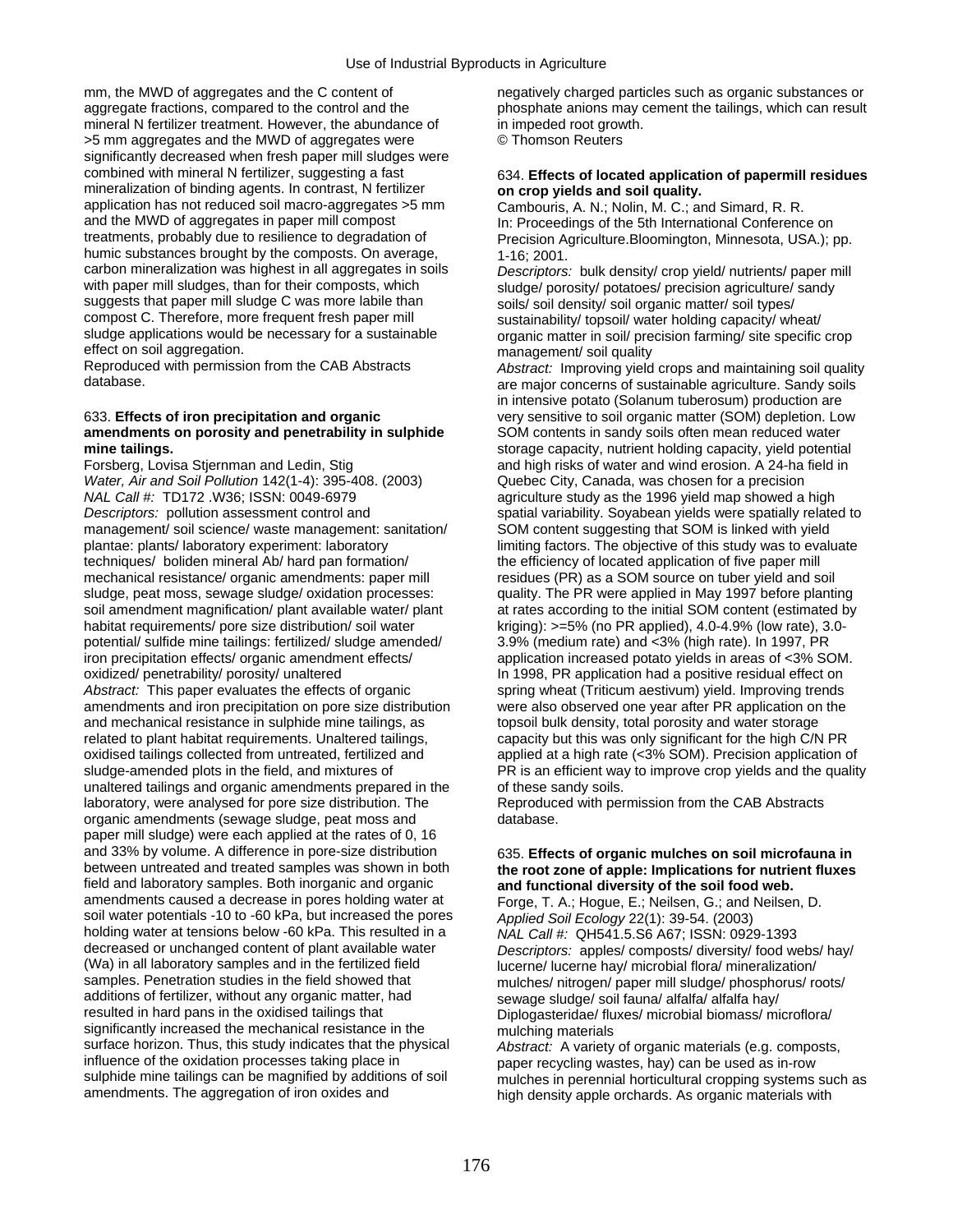mm, the MWD of aggregates and the C content of negatively charged particles such as organic substances or aggregate fractions, compared to the control and the phosphate anions may cement the tailings, which can result mineral N fertilizer treatment. However, the abundance of in impeded root growth. >5 mm aggregates and the MWD of aggregates were © Thomson Reuters significantly decreased when fresh paper mill sludges were combined with mineral N fertilizer, suggesting a fast 634. **Effects of located application of papermill residues** mineralization of binding agents. In contrast, N fertilizer **on crop yields and soil quality.**<br>application has not reduced soil macro-aggregates >5 mm Cambouris, A. N.: Nolin, M. C.: are application has not reduced soil macro-aggregates >5 mm Cambouris, A. N.; Nolin, M. C.; and Simard, R. R. and the MWD of aggregates in paper mill compost In: Proceedings of the 5th International Conference and the MWD of aggregates in paper mill compost In: Proceedings of the 5th International Conference on treatments, probably due to resilience to degradation of Precision Agriculture. Bloomington, Minnesota, USA.): humic substances brought by the composts. On average,  $1-16$ ; 2001.<br>
carbon mineralization was highest in all aggregates in soils *Descriptors* carbon mineralization was highest in all aggregates in soils *Descriptors:* bulk density/ crop yield/ nutrients/ paper mill suggests that paper mill sludge C was more labile than soils/ soil density/ soil organic matter/ soil types/<br>compost C. Therefore, more frequent fresh paper mill sustainability/ tonsoil/ water holding capacity/ wh compost C. Therefore, more frequent fresh paper mill sustainability/ topsoil/ water holding capacity/ wheat/<br>sludge applications would be necessary for a sustainable organic matter in soil/ precision farming/ site specific sludge applications would be necessary for a sustainable organic matter in soil/ precision farming/ site specific crop<br>effect on soil aggregation. effect on soil aggregation.<br>Reproduced with permission from the CAB Abstracts and a abstract: Improving vield

# **amendments on porosity and penetrability in sulphide** SOM contents in sandy soils often mean reduced water<br>storage capacity. nutrient holding capacity. vield potential

*Water, Air and Soil Pollution* 142(1-4): 395-408. (2003) Quebec City, Canada, was chosen for a precision *NAL Call #:* TD172 .W36; ISSN: 0049-6979 agriculture study as the 1996 yield map showed a high *Descriptors:* pollution assessment control and spatial variability. Soyabean yields were spatially related to management/ soil science/ waste management: sanitation/ SOM content suggesting that SOM is linked with yield plantae: plants/ laboratory experiment: laboratory limiting factors. The objective of this study was to evaluate techniques/ boliden mineral Ab/ hard pan formation/ the efficiency of located application of five paper mill mechanical resistance/ organic amendments: paper mill residues (PR) as a SOM source on tuber yield and soil sludge, peat moss, sewage sludge/ oxidation processes: quality. The PR were applied in May 1997 before planting<br>soil amendment magnification/ plant available water/ plant at rates according to the initial SOM content (esti soil amendment magnification/ plant available water/ plant at rates according to the initial SOM content (estimated by habitat requirements/ pore size distribution/ soil water kriging):  $> = 5\%$  (no PR applied), 4.0-4.9% ( potential/ sulfide mine tailings: fertilized/ sludge amended/ iron precipitation effects/ organic amendment effects/ oxidized/ penetrability/ porosity/ unaltered In 1998, PR application had a positive residual effect on *Abstract:* This paper evaluates the effects of organic spring wheat (Triticum aestivum) yield. Improving trends amendments and iron precipitation on pore size distribution were also observed one year after PR application on the and mechanical resistance in sulphide mine tailings, as topsoil bulk density, total porosity and water storage related to plant habitat requirements. Unaltered tailings, capacity but this was only significant for the high C/N PR oxidised tailings collected from untreated, fertilized and applied at a high rate (<3% SOM). Precision application of sludge-amended plots in the field, and mixtures of PR is an efficient way to improve crop yields and the unaltered tailings and organic amendments prepared in the of these sandy soils. laboratory, were analysed for pore size distribution. The Reproduced with permission from the CAB Abstracts organic amendments (sewage sludge, peat moss and database. paper mill sludge) were each applied at the rates of 0, 16 and 33% by volume. A difference in pore-size distribution 635. **Effects of organic mulches on soil microfauna in**<br>
between untreated and treated samples was shown in both **the root zone of apple: Implications for nutrient** between untreated and treated samples was shown in both **the root zone of apple: Implications for nutrient fluxes**  field and laboratory samples. Both inorganic and organic **and functional diversity of the soil food web.**<br>**amendments caused a decrease in pores holding water at Borge T. A. Hoque F. Neilsen, G. and Neilser** soil water potentials -10 to -60 kPa, but increased the pores holding water at tensions below -60 kPa. This resulted in a *NAL Call #:* QH541.5.S6 A67; ISSN: 0929-1393<br>decreased or unchanged content of plant available water *Descriptors: apples/ composts/ diversity/ food we* decreased or unchanged content of plant available water *Descriptors:* apples/ composts/ diversity/ food webs/ hay/ (Wa) in all laboratory samples and in the fertilized field lucerne/ lucerne/ lucerne hay/ microbial flora/ mineralization/<br>samples. Penetration studies in the field showed that mulches/ nitrogen/ paper mill sludge/ phospho samples. Penetration studies in the field showed that mulches/ nitrogen/ paper mill sludge/ phosphorus/ roots/<br>additions of fertilizer, without any organic matter, had<br>sewage sludge/ soil fauna/ alfalfa/ alfalfa hay/ additions of fertilizer, without any organic matter, had sewage sludge/ soil fauna/ alfalfa/ alfalfa hay/<br>resulted in hard pans in the oxidised tailings that Diplograsteridae/ fluxes/ microbial biomass/ mi significantly increased the mechanical resistance in the mulching materials surface horizon. Thus, this study indicates that the physical *Abstract:* A variety of organic materials (e.g. composts, influence of the oxidation processes taking place in paper recycling wastes hav) can be used as in-ro influence of the oxidation processes taking place in example paper recycling wastes, hay) can be used as in-row<br>sulphide mine tailings can be magnified by additions of soil example has in perennial horticultural cropping s sulphide mine tailings can be magnified by additions of soil mulches in perennial horticultural cropping systems such as amendments. The aggregation of iron oxides and bigh density apple or chards. As organic materials wit

Precision Agriculture. Bloomington, Minnesota, USA.); pp.

sludge/ porosity/ potatoes/ precision agriculture/ sandy

Reproduced with permission from the CAB Abstracts *Abstract:* Improving yield crops and maintaining soil quality<br>database. are maior concerns of sustainable agriculture. Sandy soils are major concerns of sustainable agriculture. Sandy soils in intensive potato (Solanum tuberosum) production are 633. **Effects of iron precipitation and organic** very sensitive to soil organic matter (SOM) depletion. Low storage capacity, nutrient holding capacity, yield potential Forsberg, Lovisa Stjernman and Ledin, Stig and high risks of water and wind erosion. A 24-ha field in the efficiency of located application of five paper mill kriging):  $>=5\%$  (no PR applied), 4.0-4.9% (low rate), 3.0-3.9% (medium rate) and  $<3\%$  (high rate). In 1997, PR application increased potato yields in areas of <3% SOM. PR is an efficient way to improve crop yields and the quality

Forge, T. A.; Hogue, E.; Neilsen, G.; and Neilsen, D.<br>Applied Soil Ecology 22(1): 39-54. (2003) Diplogasteridae/ fluxes/ microbial biomass/ microflora/

high density apple orchards. As organic materials with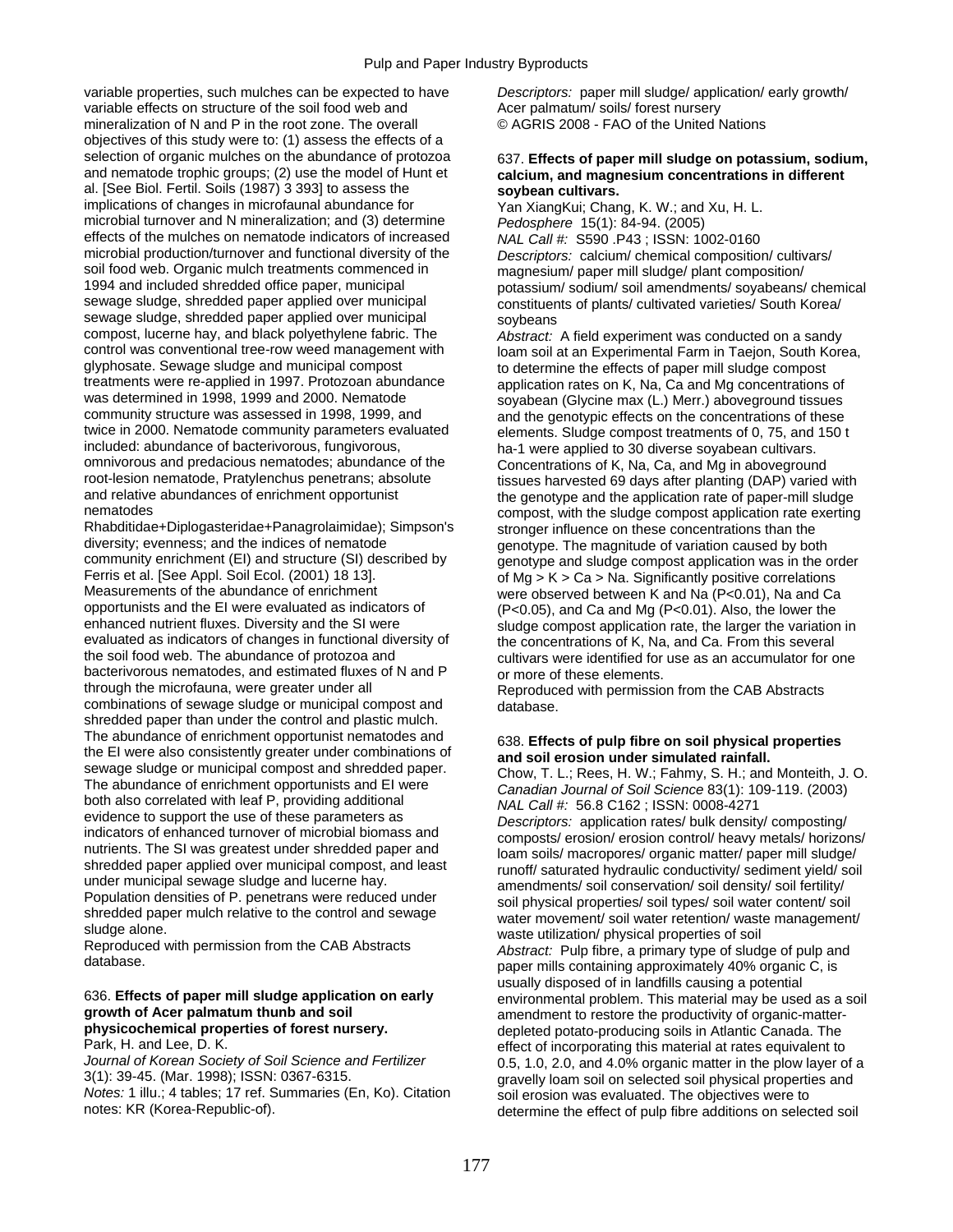variable properties, such mulches can be expected to have *Descriptors:* paper mill sludge/ application/ early growth/ variable effects on structure of the soil food web and Acer palmatum/ soils/ forest nursery mineralization of N and P in the root zone. The overall © AGRIS 2008 - FAO of the United Nations objectives of this study were to: (1) assess the effects of a selection of organic mulches on the abundance of protozoa 637. **Effects of paper mill sludge on potassium, sodium,**<br>and nematode trophic groups; (2) use the model of Hunt et calcium, and magnesium concentrations in differe al. [See Biol. Fertil. Soils (1987) 3 393] to assess the **soybean cultivars.**  microbial turnover and N mineralization; and (3) determine effects of the mulches on nematode indicators of increased *NAL Call #:* S590 .P43 ; ISSN: 1002-0160<br>microbial production/turnover and functional diversity of the *Descriptors: calcium/ chemical compositio* soil food web. Organic mulch treatments commenced in magnesium/ paper mill sludge/ plant composition/<br>1994 and included shredded office paper, municipal profassium/ sodium/ soli amendments/ sovabeans/ sewage sludge, shredded paper applied over municipal constituents of plants/ cultivated varieties/ South Korea/ sewage sludge, shredded paper applied over municipal soybeans<br>compost, lucerne hay, and black polyethylene fabric. The *Abstract* compost, lucerne hay, and black polyethylene fabric. The *Abstract:* A field experiment was conducted on a sandy control was conventional tree-row weed management with loam soil at an Experimental Farm in Taejon, South Korea,<br>glyphosate. Sewage sludge and municipal compost to determine the effects of paper mill sludge compost glyphosate. Sewage sludge and municipal compost to determine the effects of paper mill sludge compost<br>treatments were re-applied in 1997. Protozoan abundance application rates on K. Na. Ca and Mg concentrations treatments were re-applied in 1997. Protozoan abundance application rates on K, Na, Ca and Mg concentrations of<br>was determined in 1998, 1999 and 2000. Nematode sovabean (Glycine max (L.) Merr.) aboveground tissues was determined in 1998, 1999 and 2000. Nematode soyabean (Glycine max (L.) Merr.) aboveground tissues<br>community structure was assessed in 1998, 1999, and some and the genotypic effects on the concentrations of these community structure was assessed in 1998, 1999, and and the genotypic effects on the concentrations of these<br>twice in 2000. Nematode community parameters evaluated elements. Sludge compost treatments of 0, 75, and 150 t twice in 2000. Nematode community parameters evaluated elements. Sludge compost treatments of 0, 75, and 150 t<br>included: abundance of bacterivorous, fungivorous,  $h$  ha-1 were applied to 30 diverse sovabean cultivars. omnivorous and predacious nematodes; abundance of the Concentrations of K, Na, Ca, and Mg in aboveground<br>
root-lesion nematode, Pratylenchus penetrans; absolute tissues harvested 69 days after planting (DAP) varied root-lesion nematode, Pratylenchus penetrans; absolute tissues harvested 69 days after planting (DAP) varied with<br>the genotype and relative abundances of enrichment opportunist the genotype and the application rate of pape and relative abundances of enrichment opportunist the genotype and the application rate of paper-mill sludge<br>
compost with the sludge compost application rate exerting

Rhabditidae+Diplogasteridae+Panagrolaimidae); Simpson's stronger influence on these concentrations than the diversity; evenness; and the indices of nematode openations of nenotype The magnitude of variation caused by bot diversity; evenness; and the indices of nematode genotype. The magnitude of variation caused by both<br>community enrichment (EI) and structure (SI) described by a nenotype and sludge compost application was in the community enrichment (EI) and structure (SI) described by genotype and sludge compost application was in the order<br>Ferris et al. [See Appl. Soil Ecol. (2001) 18 13]. <br>of Mg > K > Ca > Na. Significantly positive correlation Ferris et al. [See Appl. Soil Ecol. (2001) 18 13]. Ferris et al. Significantly positive correlations<br>Measurements of the abundance of enrichment were observed between K and Na (P<0.01). Na and Ca Measurements of the abundance of enrichment were observed between K and Na (P<0.01), Na and Ca<br>opportunists and the EI were evaluated as indicators of (P<0.05), and Ca and Mg (P<0.01), Also, the lower the opportunists and the EI were evaluated as indicators of (P<0.05), and Ca and Mg (P<0.01). Also, the lower the enhanced nutrient fluxes. Diversity and the SI were sludge compost application rate, the larger the variation enhanced nutrient fluxes. Diversity and the SI were sludge compost application rate, the larger the variation in<br>evaluated as indicators of changes in functional diversity of the concentrations of K. Na and Ca. From this s evaluated as indicators of changes in functional diversity of the concentrations of K, Na, and Ca. From this several<br>the soil food web. The abundance of protozoa and the cultivars were identified for use as an accumulator bacterivorous nematodes, and estimated fluxes of N and P or more of these elements.<br>
through the microfauna, were greater under all Reproduced with permissic combinations of sewage sludge or municipal compost and database. shredded paper than under the control and plastic mulch. The abundance of enrichment opportunist nematodes and<br>the EI were also consistently greater under combinations of and soil erosion under simulated rainfall.<br>sewage sludge or municipal compost and shredded paper. Chow T.L.

# **growth of Acer palmatum thunb and soil example and amendment to restore the productivity of organic-matter-<br>
<b>physicochemical properties of forest nursery.** And a depleted potato-producing soils in Atlantic Canada. The

3(1): 39-45. (Mar. 1998); ISSN: 0367-6315.<br>Notes: 1 illu.; 4 tables; 17 ref. Summaries (En, Ko). Citation soil erosion was evaluated. The objectives were to *Notes:* 1 illu.; 4 tables; 17 ref. Summaries (En, Ko). Citation soil erosion was evaluated. The objectives were to<br>notes: KR (Korea-Republic-of).

# calcium, and magnesium concentrations in different

Yan XiangKui; Chang, K. W.; and Xu, H. L.<br>Pedosphere 15(1): 84-94. (2005) Descriptors: calcium/ chemical composition/ cultivars/ potassium/ sodium/ soil amendments/ sovabeans/ chemical

ha-1 were applied to 30 diverse soyabean cultivars. compost, with the sludge compost application rate exerting cultivars were identified for use as an accumulator for one

Reproduced with permission from the CAB Abstracts

sewage sludge or municipal compost and shredded paper.<br>
The abundance of enrichment opportunits and EI were local and Journal of Soil Science 83(1): 109-119. (2003)<br>
both also correlated with leaf P, providing additional<br> usually disposed of in landfills causing a potential 636. **Effects of paper mill sludge application on early** environmental problem. This material may be used as a soil **physicochemical properties of forest nursery.**  $\qquad \qquad$  depleted potato-producing soils in Atlantic Canada. The **Park, H. and Lee, D. K.** effect of incorporating this material at rates equivalent to Park, H. and Lee, D. K.<br>Journal of Korean Society of Soil Science and Fertilizer **1990 Contained and ACC and 4.0% organic matter** in the plow layer of *Journal of Korean Society of Soil Science and Fertilizer* 0.5, 1.0, 2.0, and 4.0% organic matter in the plow layer of a determine the effect of pulp fibre additions on selected soil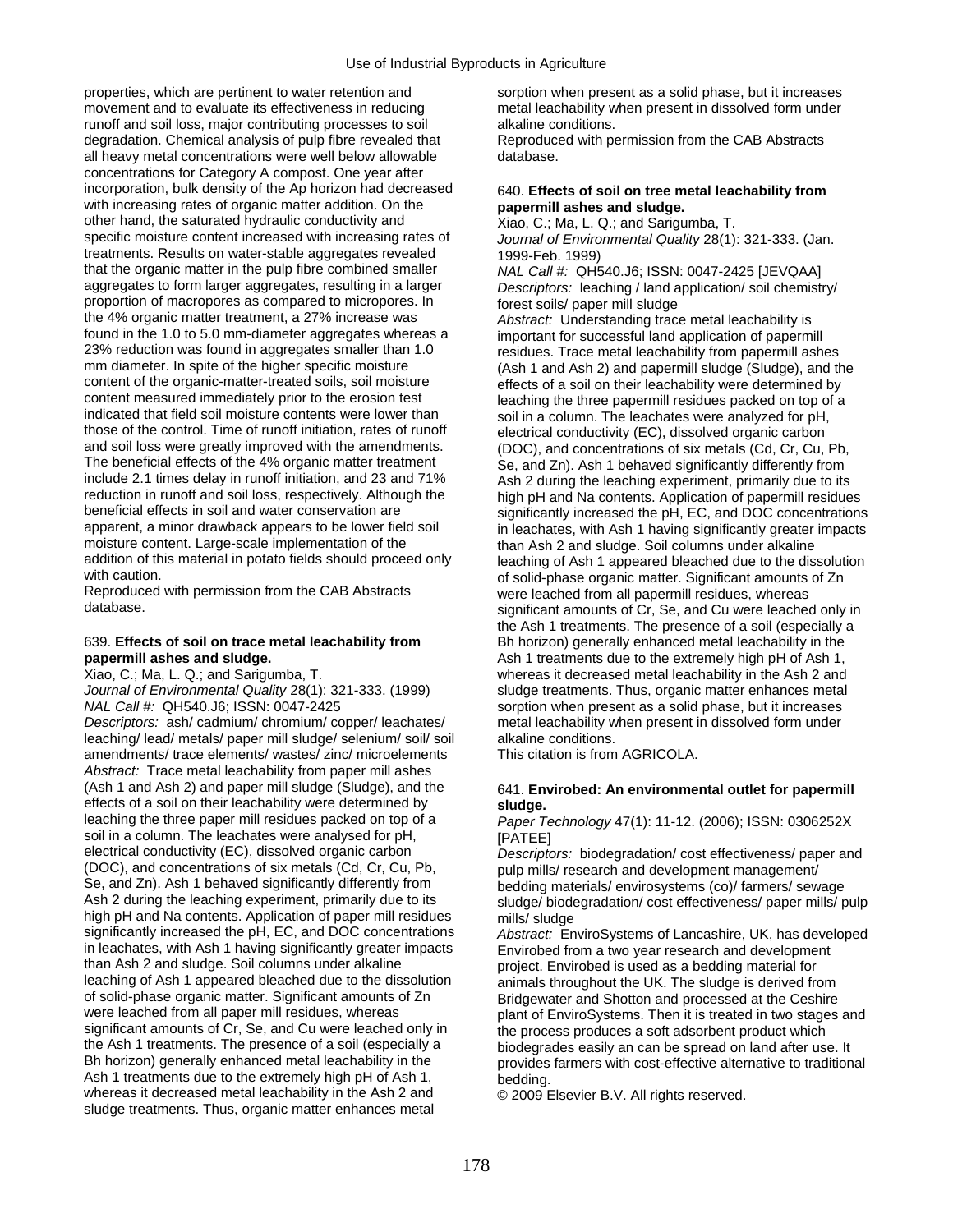properties, which are pertinent to water retention and sorption when present as a solid phase, but it increases movement and to evaluate its effectiveness in reducing metal leachability when present in dissolved form under runoff and soil loss, major contributing processes to soil alkaline conditions. degradation. Chemical analysis of pulp fibre revealed that Reproduced with permission from the CAB Abstracts all heavy metal concentrations were well below allowable database. concentrations for Category A compost. One year after incorporation, bulk density of the Ap horizon had decreased 640. **Effects of soil on tree metal leachability from** with increasing rates of organic matter addition. On the **papermill ashes and sludge.** with increasing rates of organic matter addition. On the **papermill ashes and sludge.**<br>
other hand, the saturated hydraulic conductivity and **Example 20** Xiao, C.; Ma, L. Q.; and Sarigumba, T. other hand, the saturated hydraulic conductivity and specific moisture content increased with increasing rates of treatments. Results on water-stable aggregates revealed  $1999-Feb. 1999$ <br>that the organic matter in the pulp fibre combined smaller  $NAICa||H:OH$ aggregates to form larger aggregates, resulting in a larger *Descriptors:* leaching / land application/ soil chemistry/ proportion of macropores as compared to micropores. In forest soils/ paper mill sludge<br>the 4% organic matter treatment, a 27% increase was *Abstract:* Understanding traction found in the 1.0 to 5.0 mm-diameter aggregates whereas a important for successful land application of papermill<br>23% reduction was found in aggregates smaller than 1.0 residues. Trace metal leachability from papermill ashi 23% reduction was found in aggregates smaller than 1.0 residues. Trace metal leachability from papermill ashes<br>mm diameter. In spite of the higher specific moisture (Ash 1 and Ash 2) and papermill sludge (Sludge) and th mm diameter. In spite of the higher specific moisture (Ash 1 and Ash 2) and papermill sludge (Sludge), and the<br>content of the organic-matter-treated soils, soil moisture effects of a soil on their leachability were determi content of the organic-matter-treated soils, soil moisture effects of a soil on their leachability were determined by<br>content measured immediately prior to the erosion test<br>leaching the three papermill residues packed on t content measured immediately prior to the erosion test leaching the three papermill residues packed on top of a<br>
indicated that field soil moisture contents were lower than soil in a column. The leachates were analyzed for indicated that field soil moisture contents were lower than soil in a column. The leachates were analyzed for pH,<br>those of the control. Time of runoff initiation, rates of runoff electrical conductivity (FC), dissolved org and soil loss were greatly improved with the amendments. (DOC), and concentrations of six metals (Cd, Cr, Cu, Pb, The beneficial effects of the 4% organic matter treatment Se, and Zn). Ash 1 behaved significantly differently from<br>
include 2.1 times delay in runoff initiation, and 23 and 71% Ash 2 during the leaching experiment, primar include 2.1 times delay in runoff initiation, and 23 and 71% Ash 2 during the leaching experiment, primarily due to its reduction in runoff and soil loss, respectively. Although the high pH and Na contents. Application of reduction in runoff and soil loss, respectively. Although the high pH and Na contents. Application of papermill residues<br>beneficial effects in soil and water conservation are significantly increased the pH. FC, and DOC con beneficial effects in soil and water conservation are significantly increased the pH, EC, and DOC concentrations<br>strategy and an experience in pacts in pachates with Ash 1 having significantly greater impacts apparent, a minor drawback appears to be lower field soil in leachates, with Ash 1 having significantly greater impacts<br>moisture content. Large-scale implementation of the than Ash 2 and sludge. Soil columns under alkaline moisture content. Large-scale implementation of the than Ash 2 and sludge. Soil columns under alkaline<br>addition of this material in potato fields should proceed only a leaching of Ash 1 appeared bleached due to the dis addition of this material in potato fields should proceed only leaching of Ash 1 appeared bleached due to the dissolution<br>of solid-phase organic matter. Significant amounts of Zn

Reproduced with permission from the CAB Abstracts were leached from all papermill residues, whereas<br>cinnificant amounts of Cr. Se, and Cu were leache

*NAL Call #:* QH540.J6; ISSN: 0047-2425 sorption when present as a solid phase, but it increases

*Descriptors:* ash/ cadmium/ chromium/ copper/ leachates/ metal leachability when present in dissolved form under leaching/ lead/ metals/ paper mill sludge/ selenium/ soil/ soil alkaline conditions.<br>amendments/ trace elements/ wastes/ zinc/ microelements This citation is from AGRICOLA. amendments/ trace elements/ wastes/ zinc/ microelements *Abstract:* Trace metal leachability from paper mill ashes (Ash 1 and Ash 2) and paper mill sludge (Sludge), and the 641. **Envirobed: An environmental outlet for papermill** effects of a soil on their leachability were determined by **sludge.**<br>leaching the three paper mill residues packed on top of a **Paper T** soil in a column. The leachates were analysed for pH, [PATEE]<br>electrical conductivity (EC), dissolved organic carbon *Descripte* electrical conductivity (EC), dissolved organic carbon *Descriptors:* biodegradation/ cost effectiveness/ paper and<br>(DOC), and concentrations of six metals (Cd, Cr, Cu, Pb, null mills/ research and development management/ (DOC), and concentrations of six metals (Cd, Cr, Cu, Pb, extending mills/ research and development management/<br>Se, and Zn), Ash 1 behaved significantly differently from bedding materials/ envirosystems (co)/ farmers/ sew Se, and Zn). Ash 1 behaved significantly differently from bedding materials/ envirosystems (co)/ farmers/ sewage<br>Ash 2 during the leaching experiment, primarily due to its sudget biodegradation/ cost effectiveness/ paper m high pH and Na contents. Application of paper mill residues mills/ sludge significantly increased the pH, EC, and DOC concentrations *Abstract*: Fn significantly increased the pH, EC, and DOC concentrations *Abstract:* EnviroSystems of Lancashire, UK, has developed in leachates, with Ash 1 having significantly greater impacts Envirobed from a two year research and development<br>than Ash 2 and sludge. Soil columns under alkaline envirobed: Envirobed is used as a bedding material for than Ash 2 and sludge. Soil columns under alkaline entity project. Envirobed is used as a bedding material for<br>I animals throughout the UK. The sludge is derived from the law animals throughout the UK. The sludge is derive leaching of Ash 1 appeared bleached due to the dissolution animals throughout the UK. The sludge is derived from<br>
of solid-phase organic matter. Significant amounts of Zn<br>
Bridgewater and Shotton and processed at the Ceshi of solid-phase organic matter. Significant amounts of Zn Bridgewater and Shotton and processed at the Ceshire<br>Were leached from all paper mill residues, whereas blant of FnyiroSystems. Then it is treated in two stages significant amounts of Cr, Se, and Cu were leached only in the process produces a soft adsorbent product which the Ash 1 treatments. The presence of a soil (especially a biodegrades easily an can be spread on land after use. It Bh horizon) generally enhanced metal leachability in the provides farmers with cost-effective alternative to traditional Ash 1 treatments due to the extremely high pH of Ash 1, bedding. whereas it decreased metal leachability in the Ash 2 and  $\circ$  2009 Elsevier B.V. All rights reserved. sludge treatments. Thus, organic matter enhances metal

Journal of Environmental Quality 28(1): 321-333. (Jan.

NAL Call #: QH540.J6; ISSN: 0047-2425 [JEVQAA]

Abstract: Understanding trace metal leachability is electrical conductivity (EC), dissolved organic carbon with caution.<br>Reproduced with permission from the CAB Abstracts of the solid-phase organic matter. Significant amounts of Zn significant amounts of Cr, Se, and Cu were leached only in the Ash 1 treatments. The presence of a soil (especially a 639. **Effects of soil on trace metal leachability from** Bh horizon) generally enhanced metal leachability in the **papermill ashes and sludge. Ash 1** treatments due to the extremely high pH of Ash 1, Xiao, C.; Ma, L. Q.; and Sarigumba, T. whereas it decreased metal leachability in the Ash 2 and *Journal of Environmental Quality* 28(1): 321-333. (1999) sludge treatments. Thus, organic matter enhances metal

Paper Technology 47(1): 11-12. (2006); ISSN: 0306252X

sludge/ biodegradation/ cost effectiveness/ paper mills/ pulp

plant of EnviroSystems. Then it is treated in two stages and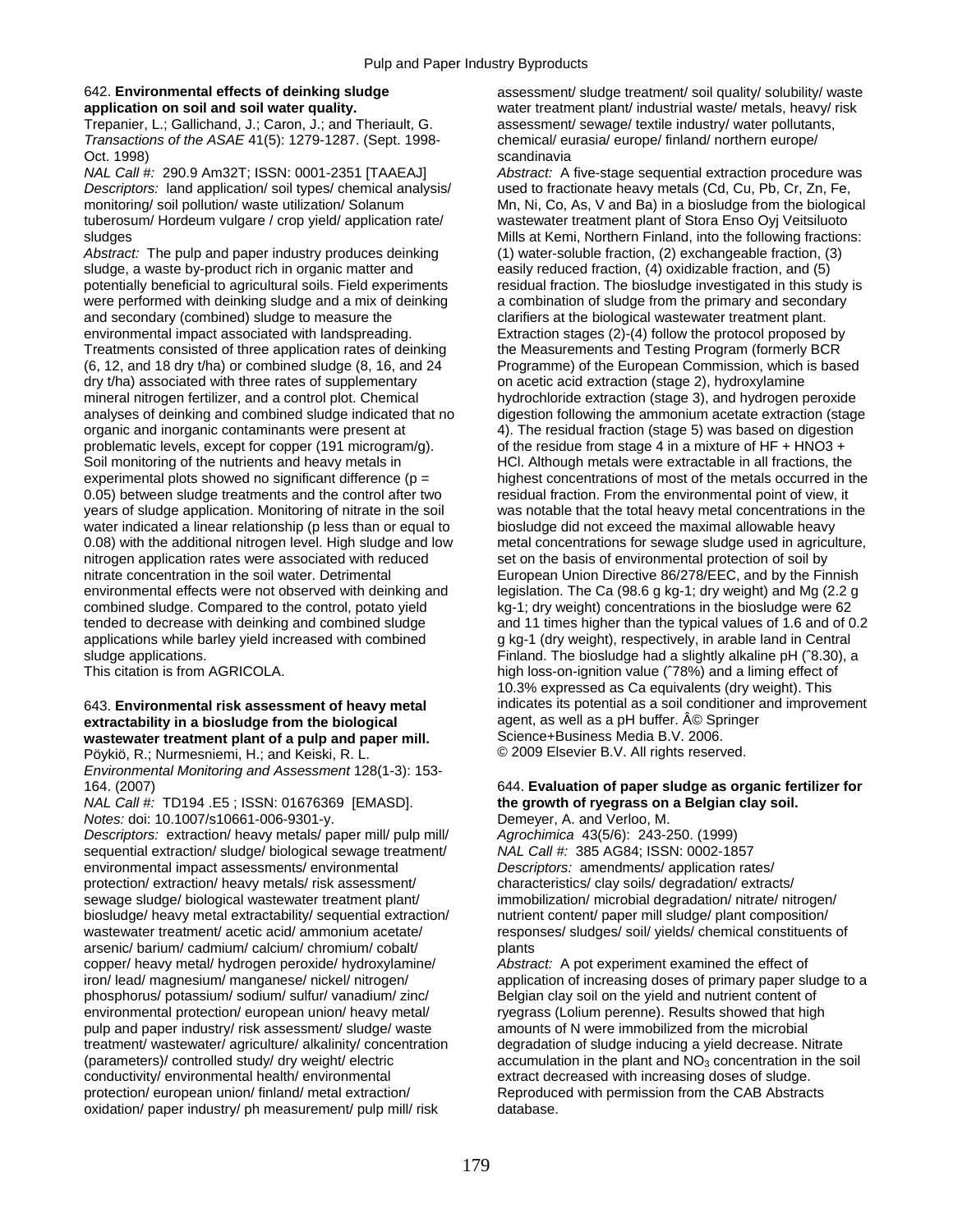Trepanier, L.; Gallichand, J.; Caron, J.; and Theriault, G. assessment/ sewage/ textile industry/ water pollutants, *Transactions of the ASAE* 41(5): 1279-1287. (Sept. 1998- chemical/ eurasia/ europe/ finland/ northern europe/ Oct. 1998) scandinavia<br>
NAL Call #: 290.9 Am32T; ISSN: 0001-2351 [TAAEAJ] Abstract: A

*Descriptors:* land application/ soil types/ chemical analysis/ used to fractionate heavy metals (Cd, Cu, Pb, Cr, Zn, Fe, tuberosum/ Hordeum vulgare / crop yield/ application rate/ wastewater treatment plant of Stora Enso Oyj Veitsiluoto sludges structure of the matrice of the Mills at Kemi, Northern Finland, into the following fractions:

*Abstract:* The pulp and paper industry produces deinking (1) water-soluble fraction, (2) exchangeable fraction, (3) sludge, a waste by-product rich in organic matter and easily reduced fraction, (4) oxidizable fraction, and (5)<br>potentially beneficial to agricultural soils. Field experiments residual fraction. The biosludge investigated potentially beneficial to agricultural soils. Field experiments were performed with deinking sludge and a mix of deinking a combination of sludge from the primary and secondary and secondary (combined) sludge to measure the clarifiers at the biological wastewater treatment plant. environmental impact associated with landspreading. Extraction stages (2)-(4) follow the protocol proposed by<br>Treatments consisted of three application rates of deinking the Measurements and Testing Program (formerly BCR (6, 12, and 18 dry t/ha) or combined sludge (8, 16, and 24 Programme) of the European Commission, which is based dry t/ha) associated with three rates of supplementary on acetic acid extraction (stage 2), hydroxylamine mineral nitrogen fertilizer, and a control plot. Chemical hydrochloride extraction (stage 3), and hydrogen peroxide analyses of deinking and combined sludge indicated that no digestion following the ammonium acetate extraction (stage organic and inorganic contaminants were present at 4). The residual fraction (stage 5) was based on digestion problematic levels, except for copper (191 microgram/g). of the residue from stage 4 in a mixture of HF + HNO3 + Soil monitoring of the nutrients and heavy metals in HCl. Although metals were extractable in all fractions, the 0.05) between sludge treatments and the control after two residual fraction. From the environmental point of view, it years of sludge application. Monitoring of nitrate in the soil was notable that the total heavy metal concentrations in the water indicated a linear relationship (p less than or equal to biosludge did not exceed the maximal allowable heavy 0.08) with the additional nitrogen level. High sludge and low metal concentrations for sewage sludge used in agriculture, nitrogen application rates were associated with reduced set on the basis of environmental protection of soil by nitrate concentration in the soil water. Detrimental European Union Directive 86/278/EEC, and by the Finnish environmental effects were not observed with deinking and legislation. The Ca (98.6 g kg-1; dry weight) and Mg (2.2 g combined sludge. Compared to the control, potato yield kg-1; dry weight) concentrations in the biosludge were 62 tended to decrease with deinking and combined sludge and 11 times higher than the typical values of 1.6 and of 0.2 applications while barley yield increased with combined g kg-1 (dry weight), respectively, in arable land in Central

## **extractability in a biosludge from the biological and a senul as a pH buffer. A© Springer was tew and property**<br> **A stracted was tew ater treatment plant of a pulp and paper mill.** Science+Business Media B.V. 2006. **wastewater treatment plant of a pulp and paper mill.** Science+Business Media B.V. 2006.<br>Pöykiö, R.: Nurmesniemi, H.: and Keiski, R. L. (2009 Elsevier B.V. All rights reserved.

Pöykiö, R.; Nurmesniemi, H.; and Keiski, R. L. *Environmental Monitoring and Assessment* 128(1-3): 153-

*NAL Call #:* TD194 .E5 ; ISSN: 01676369 [EMASD]. **the growth of ryegrass on a Belgian clay soil.**  *Notes: doi: 10.1007/s10661-006-9301-y.* 

*Descriptors:* extraction/ heavy metals/ paper mill/ pulp mill/ *Agrochimica* 43(5/6): 243-250. (1999) sequential extraction/ sludge/ biological sewage treatment/ *NAL Call #:* 385 AG84; ISSN: 0002-1857 environmental impact assessments/ environmental *Descriptors:* amendments/ application rates/ protection/ extraction/ heavy metals/ risk assessment/ characteristics/ clay soils/ degradation/ extracts/ sewage sludge/ biological wastewater treatment plant/ immobilization/ microbial degradation/ nitrate/ nitrogen/ biosludge/ heavy metal extractability/ sequential extraction/ nutrient content/ paper mill sludge/ plant composition/ wastewater treatment/ acetic acid/ ammonium acetate/ responses/ sludges/ soil/ yields/ chemical constituents of arsenic/ barium/ cadmium/ calcium/ chromium/ cobalt/ plants copper/ heavy metal/ hydrogen peroxide/ hydroxylamine/ *Abstract:* A pot experiment examined the effect of phosphorus/ potassium/ sodium/ sulfur/ vanadium/ zinc/ Belgian clay soil on the yield and nutrient content of environmental protection/ european union/ heavy metal/ ryegrass (Lolium perenne). Results showed that high environmental protection/ european union/ heavy metal/ ryegrass (Lolium perenne). Results showed that highly pulp and paper industry/ risk assessment/ sludge/ waste amounts of N were immobilized from the microbial pulp and paper industry/ risk assessment/ sludge/ waste<br>treatment/ wastewater/ agriculture/ alkalinity/ concentration (parameters)/ controlled study/ dry weight/ electric exercumulation in the plant and NO<sub>3</sub> concentration in the soil<br>conductivity/ environmental health/ environmental extract decreased with increasing doses of sludge. protection/ european union/ finland/ metal extraction/ oxidation/ paper industry/ ph measurement/ pulp mill/ risk database.

642. **Environmental effects of deinking sludge** assessment/ sludge treatment/ soil quality/ solubility/ waste **application on soil and soil water quality.** water treatment plant/ industrial waste/ metals, heavy/ risk

*Abstract:* A five-stage sequential extraction procedure was monitoring/ soil pollution/ waste utilization/ Solanum Mn, Ni, Co, As, V and Ba) in a biosludge from the biological the Measurements and Testing Program (formerly BCR experimental plots showed no significant difference (p = highest concentrations of most of the metals occurred in the sludge applications.<br>Finland. The biosludge had a slightly alkaline pH (^8.30), a<br>high loss-on-ignition value (^78%) and a liming effect of high loss-on-ignition value (^78%) and a liming effect of 10.3% expressed as Ca equivalents (dry weight). This 643. **Environmental risk assessment of heavy metal** indicates its potential as a soil conditioner and improvement **extractability in a biosludge from the biological** and a sent, as well as a pH buffer. A © Springer

## 164. (2007) 644. **Evaluation of paper sludge as organic fertilizer for**

iron/ lead/ magnesium/ manganese/ nickel/ nitrogen/ application of increasing doses of primary paper sludge to a<br>phosphorus/ potassium/ sodium/ sulfur/ vanadium/ zinc/ Belgian clay soil on the yield and nutrient content of degradation of sludge inducing a yield decrease. Nitrate extract decreased with increasing doses of sludge.<br>Reproduced with permission from the CAB Abstracts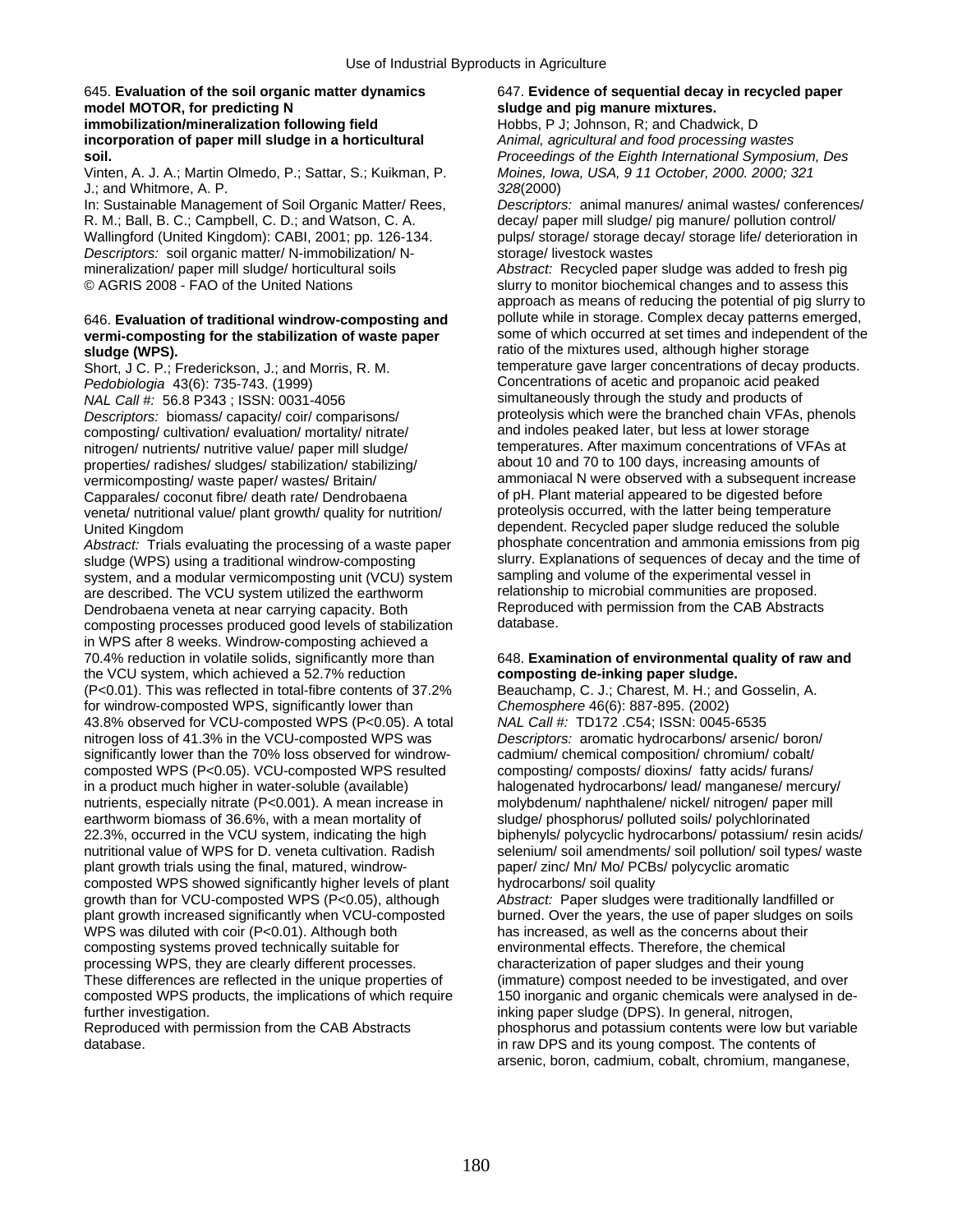### 645. **Evaluation of the soil organic matter dynamics** 647. **Evidence of sequential decay in recycled paper model MOTOR, for predicting N sludge and pig manure mixtures. immobilization/mineralization following field** Hobbs, P J; Johnson, R; and Chadwick, D **incorporation of paper mill sludge in a horticultural** *Animal, agricultural and food processing wastes*

Vinten, A. J. A.; Martin Olmedo, P.; Sattar, S.; Kuikman, P. *Moines, Iowa, USA, 9 11 October, 2000. 2000; 321*  J.; and Whitmore, A. P. *328*(2000)

R. M.; Ball, B. C.; Campbell, C. D.; and Watson, C. A. decay/ paper mill sludge/ pig manure/ pollution control/<br>Wallingford (United Kingdom): CABI, 2001; pp. 126-134. pulps/ storage/ storage decay/ storage life/ deteriorat *Descriptors:* soil organic matter/ N-immobilization/ N- storage/ livestock wastes<br>mineralization/ paper mill sludge/ horticultural soils *Abstract:* Recycled paper mineralization/ paper mill sludge/ horticultural soils *Abstract:* Recycled paper sludge was added to fresh pig<br>
© AGRIS 2008 - FAO of the United Nations **but all the state of the United Nations** slurry to monitor bioche

# vermi-composting for the stabilization of waste paper

Short, J C. P.; Frederickson, J.; and Morris, R. M.

*Descriptors:* biomass/ capacity/ coir/ comparisons/ **proteolysis which were the branched chain VFAs**, phenometric compartion/ mortality/ nitrate/ and indoles peaked later, but less at lower storage composting/ cultivation/ evaluation/ mortality/ nitrate/ nitrogen/ nutrients/ nutritive value/ paper mill sludge/ temperatures. After maximum concentrations of VFAs at<br>properties/ radishes/ sludges/ stabilization/ stabilizing/ about 10 and 70 to 100 days, increasing amounts of properties/ radishes/ sludges/ stabilization/ stabilizing/ Capparales/ coconut fibre/ death rate/ Dendrobaena of pH. Plant material appeared to be digested before<br>
veneta/ nutritional value/ plant growth/ quality for nutrition/ proteolysis occurred, with the latter being temperatu veneta/ nutritional value/ plant growth/ quality for nutrition/

*Abstract:* Trials evaluating the processing of a waste paper sludge (WPS) using a traditional windrow-composting slurry. Explanations of sequences of decay and the time of system, and a modular vermicomposting unit (VCU) system sampling and volume of the experimental vessel in system, and a modular vermicomposting unit (VCU) system sampling and volume of the experimental vessel in<br>are described. The VCU system utilized the earthworm relationship to microbial communities are proposed. are described. The VCU system utilized the earthworm relationship to microbial communities are proposed.<br>
Dendrobaena veneta at near carrying capacity. Both Reproduced with permission from the CAB Abstracts Dendrobaena veneta at near carrying capacity. Both Reproduce<br>
composting processes produced good levels of stabilization database. composting processes produced good levels of stabilization in WPS after 8 weeks. Windrow-composting achieved a 70.4% reduction in volatile solids, significantly more than the VCU system, which achieved a 52.7% reduction (P<0.01). This was reflected in total-fibre contents of 37.2% Beauchamp, C. J.; Charest, M. H.; and Gosselin, A. for windrow-composted WPS, significantly lower than *Chemosphere* 46(6): 887-895. (2002) 43.8% observed for VCU-composted WPS (P<0.05). A total *NAL Call #:* TD172 .C54; ISSN: 0045-6535 nitrogen loss of 41.3% in the VCU-composted WPS was *Descriptors:* aromatic hydrocarbons/ arsenic/ boron/ significantly lower than the 70% loss observed for windrow-<br>
composting/ composted WPS (P<0.05). VCU-composted WPS resulted composting/ composts/ dioxins/ fatty acids/ furans/ composted WPS (P<0.05). VCU-composted WPS resulted in a product much higher in water-soluble (available) nutrients, especially nitrate (P<0.001). A mean increase in molybdenum/ naphthalene/ nickel/ nitrogen/ paper mill earthworm biomass of 36.6%, with a mean mortality of sludge/ phosphorus/ polluted soils/ polychlorinated 22.3%, occurred in the VCU system, indicating the high biphenyls/ polycyclic hydrocarbons/ potassium/ resin acids/ nutritional value of WPS for D. veneta cultivation. Radish selenium/ soil amendments/ soil pollution/ soil types/ waste<br>plant growth trials using the final, matured, windrow-<br>paper/ zinc/ Mn/ Mo/ PCBs/ polycyclic aromatic plant growth trials using the final, matured, windrowcomposted WPS showed significantly higher levels of plant hydrocarbons/ soil quality growth than for VCU-composted WPS (P<0.05), although *Abstract:* Paper sludges were traditionally landfilled or plant growth increased significantly when VCU-composted burned. Over the years, the use of paper sludges on soils WPS was diluted with coir (P<0.01). Although both has increased, as well as the concerns about their composting systems proved technically suitable for environmental effects. Therefore, the chemical processing WPS, they are clearly different processes. characterization of paper sludges and their young These differences are reflected in the unique properties of (immature) compost needed to be investigated, and over composted WPS products, the implications of which require 150 inorganic and organic chemicals were analysed in de-<br>
inking paper sludge (DPS). In general, nitrogen,

database. **in raw DPS and its young compost. The contents of** in raw DPS and its young compost. The contents of

**soil.** *Proceedings of the Eighth International Symposium, Des* 

In: Sustainable Management of Soil Organic Matter/ Rees, *Descriptors:* animal manures/ animal wastes/ conferences/ pulps/ storage/ storage decay/ storage life/ deterioration in

slurry to monitor biochemical changes and to assess this approach as means of reducing the potential of pig slurry to pollute while in storage. Complex decay patterns emerged. 646. **Evaluation of traditional windrow-composting and** pollute while in storage. Complex decay patterns emerged, **sludge (WPS).**<br> **sludge (WPS).** The mixtures used, although higher storage in the mixtures used, although higher storage in the storage short J.C. P. Erederickson, J. and Morris R. M. The mixture gave larger concentration *Pedobiologia* 43(6): 735-743. (1999) **Concentrations of acetic and propanoic acid peaked**<br> *NAL Call #:* 56.8 P343 · ISSN: 0031-4056 **Concentrations** simultaneously through the study and products of *NAL Call #:* 56.8 P343 ; ISSN: 0031-4056 simultaneously through the study and products of<br>Descriptors: biomass/ capacity/ coir/ comparisons/ proteolysis which were the branched chain VFAs, phenols vermicomposting/ waste paper/ wastes/ Britain/ ammoniacal N were observed with a subsequent increase<br>Cannarales/ coconut fibre/ death rate/ Dendrobaena of pH. Plant material appeared to be digested before United Kingdom<br>Abstract: Trials evaluating the processing of a waste paper<br>abstract: Trials evaluating the processing of a waste paper<br>probably phosphate concentration and ammonia emissions from pig

## 648. Examination of environmental quality of raw and composting de-inking paper sludge.

halogenated hydrocarbons/ lead/ manganese/ mercury/

inking paper sludge (DPS). In general, nitrogen, Reproduced with permission from the CAB Abstracts phosphorus and potassium contents were low but variable arsenic, boron, cadmium, cobalt, chromium, manganese,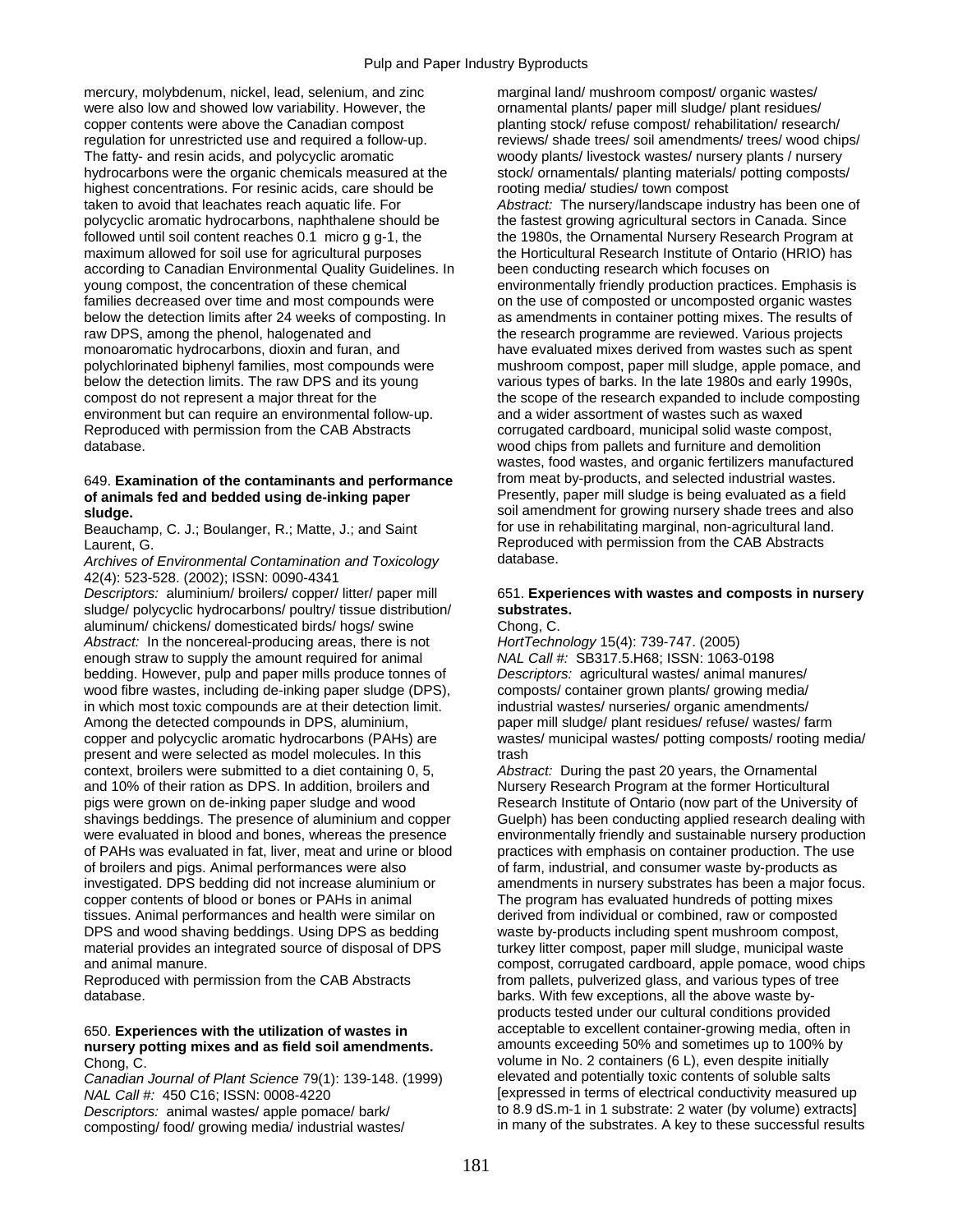mercury, molybdenum, nickel, lead, selenium, and zinc marginal land/ mushroom compost/ organic wastes/ were also low and showed low variability. However, the ornamental plants/ paper mill sludge/ plant residues/ copper contents were above the Canadian compost planting stock/ refuse compost/ rehabilitation/ research/ regulation for unrestricted use and required a follow-up. reviews/ shade trees/ soil amendments/ trees/ wood chips/ The fatty- and resin acids, and polycyclic aromatic woody plants/ livestock wastes/ nursery plants / nursery hydrocarbons were the organic chemicals measured at the stock/ ornamentals/ planting materials/ potting composts/ highest concentrations. For resinic acids, care should be rooting media/ studies/ town compost taken to avoid that leachates reach aquatic life. For *Abstract:* The nursery/landscape industry has been one of polycyclic aromatic hydrocarbons, naphthalene should be the fastest growing agricultural sectors in Canada. Since followed until soil content reaches 0.1 micro g g-1, the the 1980s, the Ornamental Nursery Research Program at maximum allowed for soil use for agricultural purposes the Horticultural Research Institute of Ontario (HRIO) has according to Canadian Environmental Quality Guidelines. In been conducting research which focuses on young compost, the concentration of these chemical environmentally friendly production practices. Emphasis is families decreased over time and most compounds were on the use of composted or uncomposted organic wastes below the detection limits after 24 weeks of composting. In as amendments in container potting mixes. The results of raw DPS, among the phenol, halogenated and the research programme are reviewed. Various projects<br>monoaromatic hydrocarbons, dioxin and furan, and the research programme are reviewed from wastes such as sper polychlorinated biphenyl families, most compounds were mushroom compost, paper mill sludge, apple pomace, and below the detection limits. The raw DPS and its young various types of barks. In the late 1980s and early 1990s, compost do not represent a major threat for the the scope of the research expanded to include composting environment but can require an environmental follow-up. and a wider assortment of wastes such as waxed Reproduced with permission from the CAB Abstracts corrugated cardboard, municipal solid waste compost, database. wood chips from pallets and furniture and demolition

# **of animals fed and bedded using de-inking paper** Presently, paper mill sludge is being evaluated as a field

Beauchamp, C. J.; Boulanger, R.; Matte, J.; and Saint

**Archives of Environmental Contamination and Toxicology** 42(4): 523-528. (2002); ISSN: 0090-4341

*Descriptors:* aluminium/ broilers/ copper/ litter/ paper mill 651. **Experiences with wastes and composts in nursery**  sludge/ polycyclic hydrocarbons/ poultry/ tissue distribution/ **substrates.** aluminum/ chickens/ domesticated birds/ hogs/ swine Chong, C. *Abstract:* In the noncereal-producing areas, there is not *HortTechnology* 15(4): 739-747. (2005) enough straw to supply the amount required for animal *NAL Call #:* SB317.5.H68; ISSN: 1063-0198 bedding. However, pulp and paper mills produce tonnes of *Descriptors:* agricultural wastes/ animal manures/ wood fibre wastes, including de-inking paper sludge (DPS), composts/ container grown plants/ growing media/ in which most toxic compounds are at their detection limit. industrial wastes/ nurseries/ organic amendments/ Among the detected compounds in DPS, aluminium, paper mill sludge/ plant residues/ refuse/ wastes/ farm copper and polycyclic aromatic hydrocarbons (PAHs) are wastes/ municipal wastes/ potting composts/ rooting media/ present and were selected as model molecules. In this trash context, broilers were submitted to a diet containing 0, 5, *Abstract:* During the past 20 years, the Ornamental and 10% of their ration as DPS. In addition, broilers and Nursery Research Program at the former Horticultural pigs were grown on de-inking paper sludge and wood Research Institute of Ontario (now part of the University of shavings beddings. The presence of aluminium and copper Guelph) has been conducting applied research dealing with were evaluated in blood and bones, whereas the presence environmentally friendly and sustainable nursery pro of PAHs was evaluated in fat, liver, meat and urine or blood practices with emphasis on container production. The use of broilers and pigs. Animal performances were also of farm, industrial, and consumer waste by-products as investigated. DPS bedding did not increase aluminium or amendments in nursery substrates has been a major focus. copper contents of blood or bones or PAHs in animal The program has evaluated hundreds of potting mixes tissues. Animal performances and health were similar on derived from individual or combined, raw or composted DPS and wood shaving beddings. Using DPS as bedding waste by-products including spent mushroom compost, material provides an integrated source of disposal of DPS turkey litter compost, paper mill sludge, municipal waste and animal manure. compost, corrugated cardboard, apple pomace, wood chips

database. **barks.** With few exceptions, all the above waste by-

# nursery potting mixes and as field soil amendments.

*Canadian Journal of Plant Science* 79(1): 139-148. (1999)

composting/ food/ growing media/ industrial wastes/

have evaluated mixes derived from wastes such as spent wastes, food wastes, and organic fertilizers manufactured 649. **Examination of the contaminants and performance** from meat by-products, and selected industrial wastes. **sludge.**<br> **soil amendment for growing nursery shade trees and also**<br> **Seauchamp. C. J.: Boulanger. R.: Matte. J.: and Saint the solution of the state of the state of the state of the state of the state of the state of t** Laurent, G.<br>Archives of Environmental Contamination and Toxicology database.<br>Archives of Environmental Contamination and Toxicology database.

environmentally friendly and sustainable nursery production Reproduced with permission from the CAB Abstracts from pallets, pulverized glass, and various types of tree products tested under our cultural conditions provided 650. **Experiences with the utilization of wastes in** acceptable to excellent container-growing media, often in Chong, C.<br>Canadian Journal of Plant Science 79(1): 139-148 (1999) volume in No. 2 containers (6 L), even despite initially<br>Canadian Journal of Plant Science 79(1): 139-148 (1999) elevated and potentially toxic contents of *NAL Call #:* 450 C16; ISSN: 0008-4220 <br>Descriptors: animal wastes/ apple pomace/ bark/ to 8.9 dS.m-1 in 1 substrate: 2 water (by volume) extracts] *Descriptors:* animal wastes/ apple pomace/ bark/ to 8.9 dS.m-1 in 1 substrate: 2 water (by volume) extracts]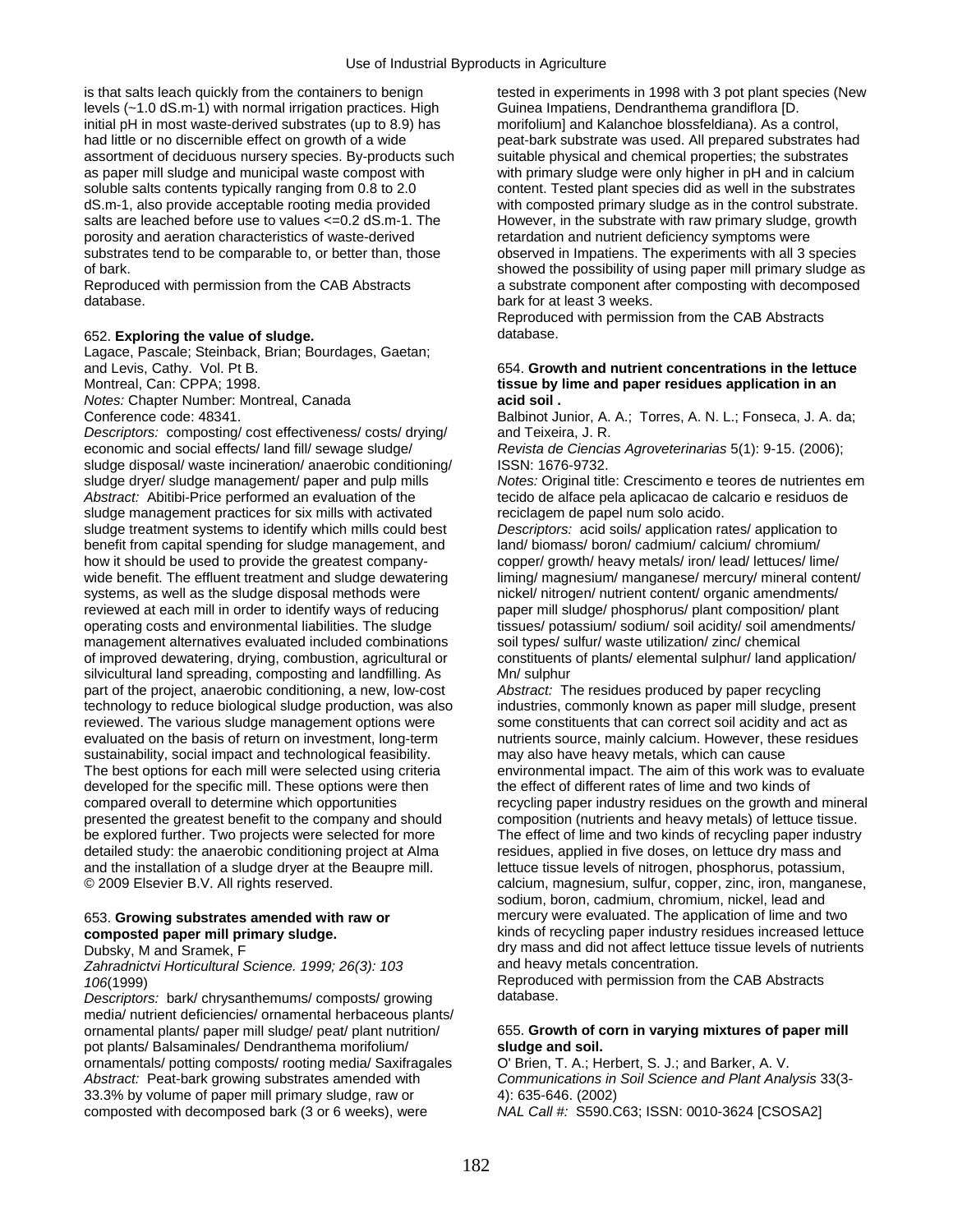is that salts leach quickly from the containers to benign tested in experiments in 1998 with 3 pot plant species (New levels (~1.0 dS.m-1) with normal irrigation practices. High Guinea Impatiens, Dendranthema grandiflora [D. initial pH in most waste-derived substrates (up to 8.9) has morifolium] and Kalanchoe blossfeldiana). As a control, had little or no discernible effect on growth of a wide peat-bark substrate was used. All prepared substrates had assortment of deciduous nursery species. By-products such suitable physical and chemical properties; the substrates as paper mill sludge and municipal waste compost with with primary sludge were only higher in pH and in calcium soluble salts contents typically ranging from 0.8 to 2.0 content. Tested plant species did as well in the substrates dS.m-1, also provide acceptable rooting media provided with composted primary sludge as in the control substrate. salts are leached before use to values <=0.2 dS.m-1. The However, in the substrate with raw primary sludge, growth porosity and aeration characteristics of waste-derived retardation and nutrient deficiency symptoms were substrates tend to be comparable to, or better than, those observed in Impatiens. The experiments with all 3 species

database. bark for at least 3 weeks.

### 652. **Exploring the value of sludge.** database.

Lagace, Pascale; Steinback, Brian; Bourdages, Gaetan; and Levis, Cathy. Vol. Pt B.

*Notes:* Chapter Number: Montreal, Canada **acid soil .** 

*Descriptors:* composting/ cost effectiveness/ costs/ drying/ and Teixeira, J. R. economic and social effects/ land fill/ sewage sludge/ *Revista de Ciencias Agroveterinarias* 5(1): 9-15. (2006); sludge disposal/ waste incineration/ anaerobic conditioning/ ISSN: 1676-9732. sludge dryer/ sludge management/ paper and pulp mills *Notes:* Original title: Crescimento e teores de nutrientes em *Abstract:* Abitibi-Price performed an evaluation of the tecido de alface pela aplicacao de calcario e residuos de sludge management practices for six mills with activated reciclagem de papel num solo acido. sludge treatment systems to identify which mills could best *Descriptors:* acid soils/ application rates/ application to benefit from capital spending for sludge management, and land/ biomass/ boron/ cadmium/ calcium/ chromium/ how it should be used to provide the greatest company- copper/ growth/ heavy metals/ iron/ lead/ lettuces/ lime/ wide benefit. The effluent treatment and sludge dewatering liming/ magnesium/ manganese/ mercury/ mineral content/ systems, as well as the sludge disposal methods were nickel/ nitrogen/ nutrient content/ organic amendments/<br>
reviewed at each mill in order to identify ways of reducing paper mill sludge/ phosphorus/ plant composition/ pl reviewed at each mill in order to identify ways of reducing operating costs and environmental liabilities. The sludge management alternatives evaluated included combinations soil types/ sulfur/ waste utilization/ zinc/ chemical of improved dewatering, drying, combustion, agricultural or constituents of plants/ elemental sulphur/ land application/ silvicultural land spreading, composting and landfilling. As Mn/ sulphur<br>
part of the project, anaerobic conditioning, a new, low-cost *Abstract:* The residues produced by paper recycling part of the project, anaerobic conditioning, a new, low-cost technology to reduce biological sludge production, was also industries, commonly known as paper mill sludge, present reviewed. The various sludge management options were some constituents that can correct soil acidity and act as evaluated on the basis of return on investment, long-term nutrients source, mainly calcium. However, these residues sustainability, social impact and technological feasibility. may also have heavy metals, which can cause The best options for each mill were selected using criteria environmental impact. The aim of this work was to evaluate developed for the specific mill. These options were then the effect of different rates of lime and two kinds of compared overall to determine which opportunities recycling paper industry residues on the growth and mineral presented the greatest benefit to the company and should composition (nutrients and heavy metals) of lettuce tissue. be explored further. Two projects were selected for more The effect of lime and two kinds of recycling paper industry detailed study: the anaerobic conditioning project at Alma residues, applied in five doses, on lettuce dry mass and and the installation of a sludge dryer at the Beaupre mill. **In the lettuce tissue levels of nitrogen**, phosphorus, potassium, © 2009 Elsevier B.V. All rights reserved. calcium, magnesium, sulfur, copper, zinc, iron, manganese,

Zahradnictvi Horticultural Science. 1999; 26(3): 103

*Descriptors: bark/ chrvsanthemums/ composts/ growing* media/ nutrient deficiencies/ ornamental herbaceous plants/ ornamental plants/ paper mill sludge/ peat/ plant nutrition/ 655. **Growth of corn in varying mixtures of paper mill**  pot plants/ Balsaminales/ Dendranthema morifolium/ **sludge and soil.**  ornamentals/ potting composts/ rooting media/ Saxifragales O' Brien, T. A.; Herbert, S. J.; and Barker, A. V. *Abstract:* Peat-bark growing substrates amended with *Communications in Soil Science and Plant Analysis* 33(3- 33.3% by volume of paper mill primary sludge, raw or 4): 635-646. (2002) composted with decomposed bark (3 or 6 weeks), were *NAL Call #:* S590.C63; ISSN: 0010-3624 [CSOSA2]

of bark. Showed the possibility of using paper mill primary sludge as showed the possibility of using paper mill primary sludge as Reproduced with permission from the CAB Abstracts a substrate component after composting with decomposed

Reproduced with permission from the CAB Abstracts

## and Levis, Cathy. Vol. Pt B. **Exercise 2018 12: Exercise 2018 12: 654. Growth and nutrient concentrations in the lettuce <br>Montreal, Can: CPPA; 1998. <b>Exercise 20: Exercise 20: Exercise 20: Exercise 20: Exercise 20: Exercis** tissue by lime and paper residues application in an

Conference code: 48341. Conference code: 48341. A. South Assembly Conference code: 48341.

tissues/ potassium/ sodium/ soil acidity/ soil amendments/

sodium, boron, cadmium, chromium, nickel, lead and 653. **Growing substrates amended with raw or** mercury were evaluated. The application of lime and two **composted paper mill primary sludge.** kinds of recycling paper industry residues increased lettuce Dubsky, M and Sramek, F<br>
Zahradnictvi Horticultural Science 1999: 26(3): 103 and heavy metals concentration.

106(1999)<br>Descriptors: bark/chrysanthemums/composts/growing database.<br>Descriptors: bark/chrysanthemums/composts/growing database.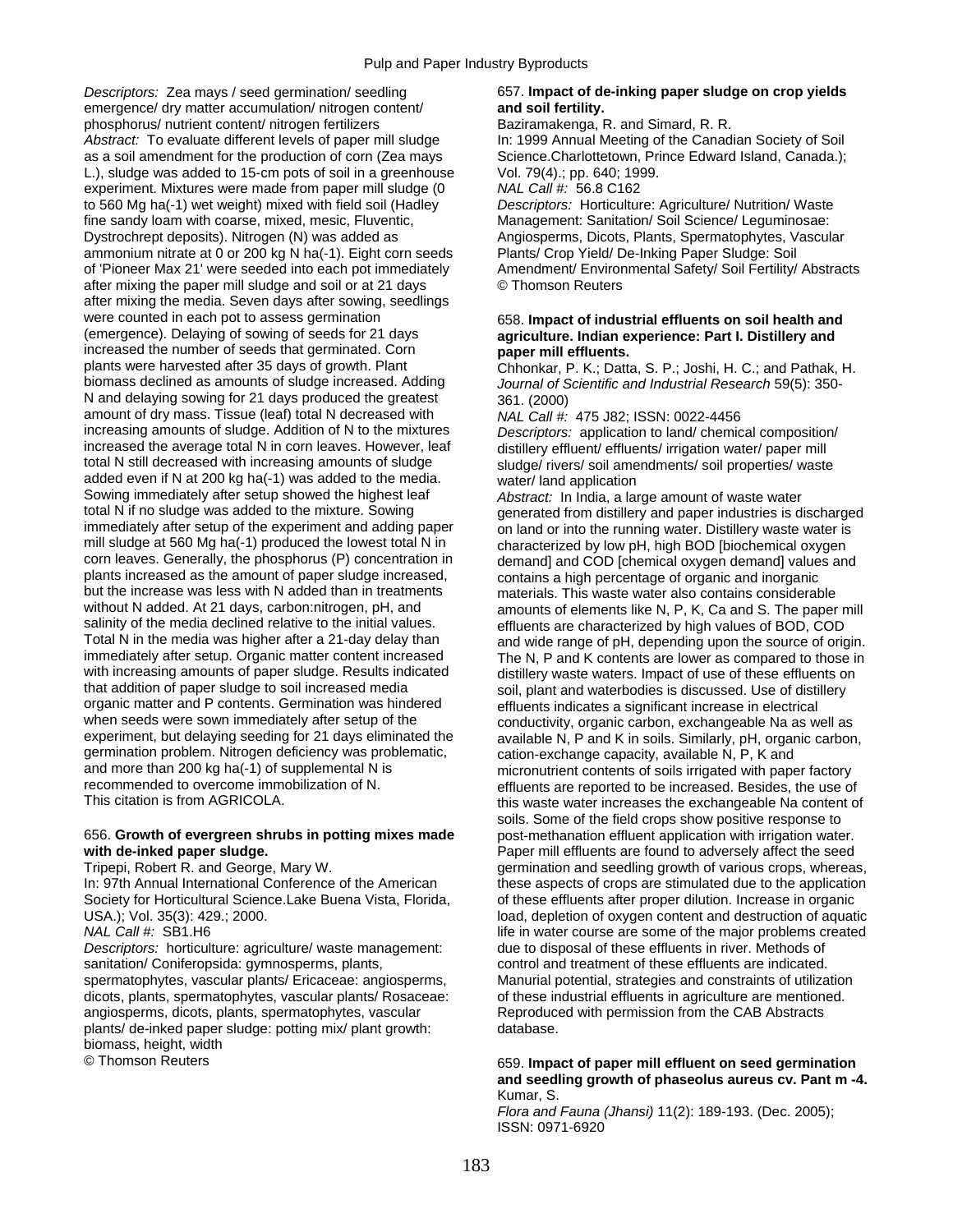*Descriptors: Zea mays / seed germination/ seedling* 657. **Impact of de-inking paper sludge on crop yields emergence/** dry matter accumulation/ nitrogen content/ **and soil fertility.** emergence/ dry matter accumulation/ nitrogen content/ phosphorus/ nutrient content/ nitrogen fertilizers Baziramakenga, R. and Simard, R. R. Abstract: To evaluate different levels of paper mill sludge In: 1999 Annual Meeting of the Canadian Society of Soil as a soil amendment for the production of corn (Zea mays Science.Charlottetown, Prince Edward Island, Canada.); L.), sludge was added to 15-cm pots of soil in a greenhouse Vol. 79(4).; pp. 640; 1999. experiment. Mixtures were made from paper mill sludge (0 *NAL Call #:* 56.8 C162 to 560 Mg ha(-1) wet weight) mixed with field soil (Hadley *Descriptors:* Horticulture: Agriculture/ Nutrition/ Waste fine sandy loam with coarse, mixed, mesic, Fluventic, Management: Sanitation/ Soil Science/ Leguminosae: Dystrochrept deposits). Nitrogen (N) was added as Angiosperms, Dicots, Plants, Spermatophytes, Vascular ammonium nitrate at 0 or 200 kg N ha(-1). Eight corn seeds Plants/ Crop Yield/ De-Inking Paper Sludge: Soil of 'Pioneer Max 21' were seeded into each pot immediately Amendment/ Environmental Safety/ Soil Fertility/ Abstracts after mixing the paper mill sludge and soil or at 21 days © Thomson Reuters after mixing the media. Seven days after sowing, seedlings were counted in each pot to assess germination 658. **Impact of industrial effluents on soil health and**<br>
(emergence). Delaying of sowing of seeds for 21 days **agriculture**. Indian experience: Part I. Distillery and increased the number of seeds that germinated. Corn **paper mill effluents.**<br>
plants were harvested after 35 days of growth. Plant **paper Changer Polity Chhonkar P. K.** Datt plants were harvested after 35 days of growth. Plant Chhonkar, P. K.; Datta, S. P.; Joshi, H. C.; and Pathak, H<br>biomass declined as amounts of sludge increased. Adding *Journal of Scientific and Industrial Research* 59(5): N and delaying sowing for 21 days produced the greatest 361. (2000) amount of dry mass. Tissue (leaf) total N decreased with *NAL Call #:* 475 J82; ISSN: 0022-4456<br>increasing amounts of sludge. Addition of N to the mixtures *Descriptors: application to land/ chemic* increased the average total N in corn leaves. However, leaf distillery effluent/ effluents/ irrigation water/ paper mill<br>total N still decreased with increasing amounts of sludge sudge sludge/ rivers/ soil amendments/ soil added even if N at 200 kg ha(-1) was added to the media. water/ land application Sowing immediately after setup showed the highest leaf *Abstract:* In India, a large amount of waste water total N if no sludge was added to the mixture. Sowing one negated from distillery and paper industries is d total N if no sludge was added to the mixture. Sowing enerated from distillery and paper industries is discharged<br>immediately after setup of the experiment and adding paper on land or into the running water. Distillery was immediately after setup of the experiment and adding paper on land or into the running water. Distillery waste water is<br>mill sludge at 560 Mg ha(-1) produced the lowest total N in characterized by low pH, high BOD [biochem mill sludge at 560 Mg ha(-1) produced the lowest total N in characterized by low pH, high BOD [biochemical oxygen<br>Corn leaves. Generally, the phosphorus (P) concentration in characterized by Ichemical oxygen demand] values plants increased as the amount of paper sludge increased, contains a high percentage of organic and inorganic but the increase was less with N added than in treatments materials. This waste water also contains considerable<br>without N added. At 21 days, carbon:nitrogen, pH, and mounts of elements like N. P. K. Ca and S. The paper without N added. At 21 days, carbon:nitrogen, pH, and amounts of elements like N, P, K, Ca and S. The paper mill<br>salinity of the media declined relative to the initial values.<br>effluents are characterized by high values of salinity of the media declined relative to the initial values.<br>Total N in the media was higher after a 21-day delay than ending wide range of pH, depending upon the source of oric Total N in the media was higher after a 21-day delay than and wide range of pH, depending upon the source of origin.<br>
immediately after setup. Organic matter content increased The N, P and K contents are lower as compared immediately after setup. Organic matter content increased The N, P and K contents are lower as compared to those in<br>with increasing amounts of paper sludge. Results indicated distillery waste waters. Impact of use of these with increasing amounts of paper sludge. Results indicated distillery waste waters. Impact of use of these effluents on<br>that addition of paper sludge to soil increased media soil, plant and waterbodies is discussed. Use of organic matter and P contents. Germination was hindered effluents indicates a significant increase in electrical<br>when seeds were sown immediately after setup of the conductivity organic carbon exchangeable Na as w experiment, but delaying seeding for 21 days eliminated the available N, P and K in soils. Similarly, pH, organic carbon, germination problem. Nitrogen deficiency was problematic, cation-exchange capacity, available N, P, K and<br>and more than 200 kg ha(-1) of supplemental N is<br>micronutrient contents of soils irrigated with pape and more than 200 kg ha(-1) of supplemental N is micronutrient contents of soils irrigated with paper factory<br>Frecommended to overcome immobilization of N.<br>effluents are reported to be increased. Besides, the use of recommended to overcome immobilization of N. effluents are reported to be increased. Besides, the use of<br>This citation is from AGRICOLA.<br>This citation is from AGRICOLA.

## **with de-inked paper sludge.** Paper mill effluents are found to adversely affect the seed

Society for Horticultural Science.Lake Buena Vista, Florida, on these effluents after proper dilution. Increase in organic

*Descriptors:* horticulture: agriculture/ waste management: due to disposal of these effluents in river. Methods of sanitation/ Coniferopsida: gymnosperms, plants, control and treatment of these effluents are indicated. spermatophytes, vascular plants/ Ericaceae: angiosperms, Manurial potential, strategies and constraints of utilization dicots, plants, spermatophytes, vascular plants/ Rosaceae: of these industrial effluents in agriculture are mentioned. angiosperms, dicots, plants, spermatophytes, vascular Reproduced with permission from the CAB Abstracts<br>
plants/de-inked paper sludge: potting mix/ plant growth: database. plants/ de-inked paper sludge: potting mix/ plant growth: biomass, height, width

# agriculture. Indian experience: Part I. Distillery and

Journal of Scientific and Industrial Research 59(5): 350-

Descriptors: application to land/ chemical composition/ sludge/ rivers/ soil amendments/ soil properties/ waste

demand] and COD [chemical oxygen demand] values and soil, plant and waterbodies is discussed. Use of distillery conductivity, organic carbon, exchangeable Na as well as this waste water increases the exchangeable Na content of soils. Some of the field crops show positive response to 656. **Growth of evergreen shrubs in potting mixes made** post-methanation effluent application with irrigation water. Tripepi, Robert R. and George, Mary W. Grammer School and seedling growth of various crops, whereas, In: 97th Annual International Conference of the American these aspects of crops are stimulated due to the application USA.); Vol. 35(3): 429.; 2000. load, depletion of oxygen content and destruction of aquatic *NAL Call #:* SB1.H6 life in water course are some of the major problems created

### © Thomson Reuters 659. **Impact of paper mill effluent on seed germination and seedling growth of phaseolus aureus cv. Pant m -4.**  Kumar, S.

*Flora and Fauna (Jhansi)* 11(2): 189-193. (Dec. 2005); ISSN: 0971-6920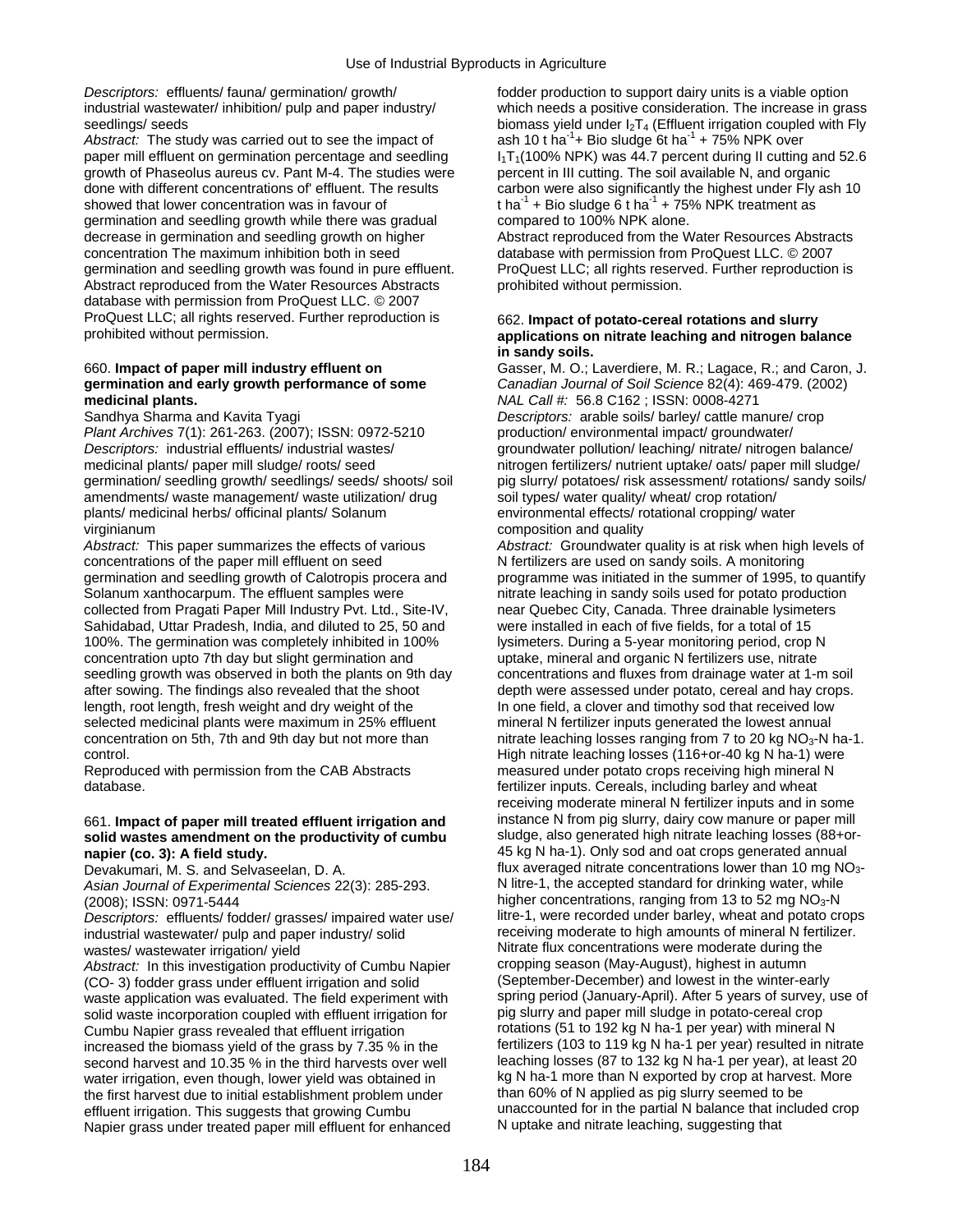*Descriptors:* effluents/ fauna/ germination/ growth/ fodder production to support dairy units is a viable option

paper mill effluent on germination percentage and seedling  $I_1T_1(100\%$  NPK) was 44.7 percent during II cutting and 52.6 growth of Phaseolus aureus cv. Pant M-4. The studies were percent in III cutting. The soil availab growth of Phaseolus aureus cv. Pant M-4. The studies were done with different concentrations of' effluent. The results carbon were also significantly the highest under Fly ash 10 showed that lower concentration was in favour of tha<sup>-1</sup> + Bio sludge  $6$  t ha<sup>-1</sup> + 75% NPK treatment as germination and seedling growth while there was gradual compared to 100% NPK alone.<br>decrease in germination and seedling growth on higher **Abstract reproduced from the Water Resources** Abstracts decrease in germination and seedling growth on higher concentration The maximum inhibition both in seed database with permission from ProQuest LLC. © 2007 germination and seedling growth was found in pure effluent. ProQuest LLC; all rights reserved. Further reproduction is Abstract reproduced from the Water Resources Abstracts prohibited without permission. database with permission from ProQuest LLC. © 2007 ProQuest LLC; all rights reserved. Further reproduction is 662. **Impact of potato-cereal rotations and slurry** 

# **medicinal plants.** *NAL Call #:* 56.8 C162 ; ISSN: 0008-4271

*Plant Archives* 7(1): 261-263. (2007); ISSN: 0972-5210 production/ environmental impact/ groundwater/ *Descriptors:* industrial effluents/ industrial wastes/ groundwater pollution/ leaching/ nitrate/ nitrogen balance/ medicinal plants/ paper mill sludge/ roots/ seed nitrogen fertilizers/ nutrient uptake/ oats/ paper mill sludge/ amendments/ waste management/ waste utilization/ drug soil types/ water quality/ wheat/ crop rotation/ plants/ medicinal herbs/ officinal plants/ Solanum environmental effects/ rotational cropping/ water virginianum composition and quality virginianum

*Abstract:* This paper summarizes the effects of various *Abstract:* Groundwater quality is at risk when high levels of concentrations of the paper mill effluent on seed N fertilizers are used on sandy soils. A monitoring Solanum xanthocarpum. The effluent samples were nitrate leaching in sandy soils used for potato production collected from Pragati Paper Mill Industry Pvt. Ltd., Site-IV, near Quebec City, Canada. Three drainable lysimeters<br>Sahidabad, Uttar Pradesh, India, and diluted to 25, 50 and were installed in each of five fields, for a to Sahidabad, Uttar Pradesh, India, and diluted to 25, 50 and 100%. The germination was completely inhibited in 100% lysimeters. During a 5-year monitoring period, crop N concentration upto 7th day but slight germination and uptake, mineral and organic N fertilizers use, nitrate<br>seedling growth was observed in both the plants on 9th day concentrations and fluxes from drainage water at 1-m s seedling growth was observed in both the plants on 9th day after sowing. The findings also revealed that the shoot depth were assessed under potato, cereal and hay crops. length, root length, fresh weight and dry weight of the In one field, a clover and timothy sod that received low selected medicinal plants were maximum in 25% effluent mineral N fertilizer inputs generated the lowest annual concentration on 5th, 7th and 9th day but not more than nitrate leaching losses ranging from 7 to 20 kg NO<sub>3</sub>-N ha-1. control. High nitrate leaching losses (116+or-40 kg N ha-1) were

database. fertilizer inputs. Cereals, including barley and wheat

## solid wastes amendment on the productivity of cumbu **napier (co. 3): A field study. 1998 12: 1999 12: 1999 12: 1999 12: 1999 12: 1999 12: 1999 12: 1999 12: 1999 12: 1999 12: 1999 12: 1999 12: 1999 12: 1999 12: 1999 12: 1999 12: 1999 12: 1999 12: 1999 12: 1999 12: 1999 12:**

*Asian Journal of Experimental Sciences* 22(3): 285-293.

*Descriptors:* effluents/ fodder/ grasses/ impaired water use/ litre-1, were recorded under barley, wheat and potato crops<br>industrial wastewater/ pulp and paper industry/ solid receiving moderate to high amounts of mineral industrial wastewater/ pulp and paper industry/ solid wastes/ wastewater irrigation/ yield

*Abstract:* In this investigation productivity of Cumbu Napier cropping season (May-August), highest in autumn<br>(CO-3) fodder grass under effluent irrigation and solid (September-December) and lowest in the winter-early waste application was evaluated. The field experiment with spring period (January-April). After 5 years of survey,<br>solid waste incorporation coupled with effluent irrigation for pig slurry and paper mill sludge in potato-c solid waste incorporation coupled with effluent irrigation for Cumbu Napier grass revealed that effluent irrigation rotations (51 to 192 kg N ha-1 per year) with mineral N increased the biomass yield of the grass by 7.35 % in the fertilizers (103 to 119 kg N ha-1 per year) resulted in nitrate second harvest and 10.35 % in the third harvests over well leaching losses (87 to 132 kg N ha-1 per year), at least 20<br>water irrigation, even though, lower vield was obtained in kg N ha-1 more than N exported by crop at ha water irrigation, even though, lower yield was obtained in kg N ha-1 more than N exported by crop at harves<br>the first harvest due to initial establishment problem under than 60% of N applied as pig slurry seemed to be the first harvest due to initial establishment problem under than 60% of N applied as pig slurry seemed to be<br>
effluent irrigation. This suggests that growing Cumbured The unaccounted for in the partial N balance that incl effluent irrigation. This suggests that growing Cumbu unaccounted for in the partial N balance that in<br>Napier grass under treated paper mill effluent for enhanced N uptake and nitrate leaching, suggesting that Napier grass under treated paper mill effluent for enhanced

industrial wastewater/ inhibition/ pulp and paper industry/ which needs a positive consideration. The increase in grass seedlings/ seeds<br>Abstract: The study was carried out to see the impact of  $\qquad$  ash 10 t ha<sup>-1</sup> + Bio sludge 6t ha<sup>-1</sup> + 75% NPK over ash 10 t ha<sup>-1</sup>+ Bio sludge 6t ha<sup>-1</sup> + 75% NPK over

## applications on nitrate leaching and nitrogen balance **in sandy soils.**

660. **Impact of paper mill industry effluent on** Gasser, M. O.; Laverdiere, M. R.; Lagace, R.; and Caron, J. **germination and early growth performance of some** *Canadian Journal of Soil Science* 82(4): 469-479. (2002) Sandhya Sharma and Kavita Tyagi *Descriptors:* arable soils/ barley/ cattle manure/ crop germination/ seedling growth/ seedlings/ seeds/ shoots/ soil pig slurry/ potatoes/ risk assessment/ rotations/ sandy soils/

germination and seedling growth of Calotropis procera and programme was initiated in the summer of 1995, to quantify Reproduced with permission from the CAB Abstracts measured under potato crops receiving high mineral N receiving moderate mineral N fertilizer inputs and in some 661. **Impact of paper mill treated effluent irrigation and** instance N from pig slurry, dairy cow manure or paper mill Devakumari, M. S. and Selvaseelan, D. A. flux averaged nitrate concentrations lower than 10 mg NO<sub>3</sub>-<br>Asian Journal of Experimental Sciences 22(3): 285-293 N litre-1, the accepted standard for drinking water, while (2008); ISSN: 0971-5444<br>
Descriptors: effluents/ fodder/ grasses/ impaired water use/<br>
litre-1, were recorded under barley, wheat and potato crops Nitrate flux concentrations were moderate during the cropping season (May-August), highest in autumn (CO- 3) fodder grass under effluent irrigation and solid (September-December) and lowest in the winter-early<br>waste application was evaluated. The field experiment with spring period (January-April). After 5 years of survey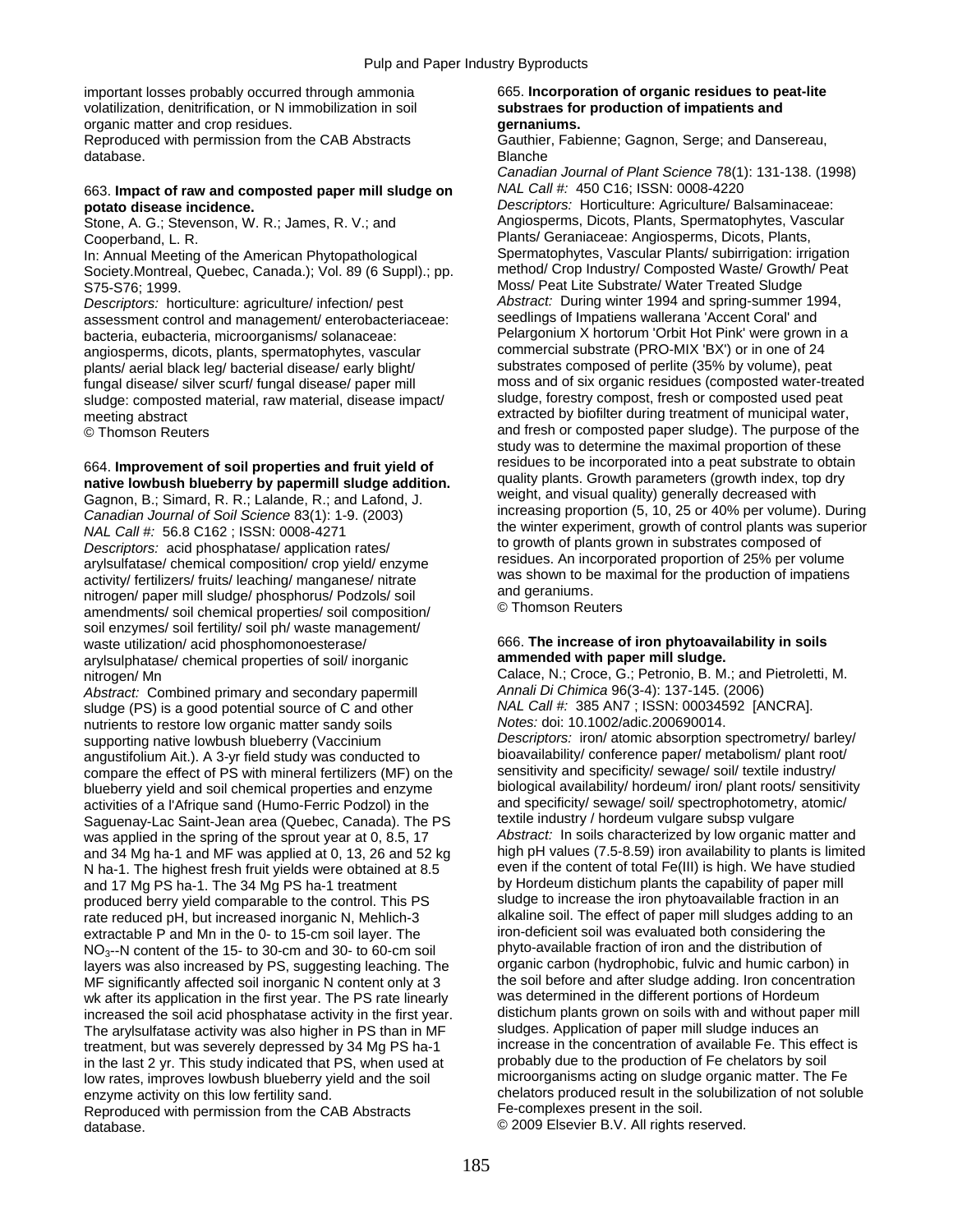important losses probably occurred through ammonia 665. **Incorporation of organic residues to peat-lite**  volatilization, denitrification, or N immobilization in soil **substraes for production of impatients and**  organic matter and crop residues. Reproduced with permission from the CAB Abstracts Gauthier, Fabienne; Gagnon, Serge; and Dansereau, database. Blanche

## 663. **Impact of raw and composted paper mill sludge on** *NAL Call #:* 450 C16; ISSN: 0008-4220

Stone, A. G.; Stevenson, W. R.; James, R. V.; and

In: Annual Meeting of the American Phytopathological Spermatophytes, Vascular Plants/ subirrigation: irrigation<br>Society Montreal, Quebec, Canada.): Vol. 89 (6 Suppl).: pp. method/ Crop Industry/ Composted Waste/ Growth/ Pe Society.Montreal, Quebec, Canada.); Vol. 89 (6 Suppl).; pp. S75-S76; 1999. Moss/ Peat Lite Substrate/ Water Treated Sludge

assessment control and management/ enterobacteriaceae: bacteria, eubacteria, microorganisms/ solanaceae: Pelargonium X hortorum 'Orbit Hot Pink' were grown in a<br>
angiosperms, dicots, plants, spermatophytes, vascular commercial substrate (PRO-MIX 'BX') or in one of 24 angiosperms, dicots, plants, spermatophytes, vascular commercial substrate (PRO-MIX 'BX') or in one of 24<br>nlants/ aerial black leg/ bacterial disease/ early blight/ substrates composed of perlite (35% by volume), peat fungal disease/ silver scurf/ fungal disease/ paper mill moss and of six organic residues (composted water-treat<br>sludge: composted material, raw material, disease impact/ sludge, forestry compost, fresh or composted used p sludge: composted material, raw material, disease impact/ meeting abstract extracted by biofilter during treatment of municipal water,

Canadian Journal of Soil Science 83(1): 1-9. (2003)<br>
NAL Call #: 56.8 C162; ISSN: 0008-4271<br>
Descriptors: acid phosphatase/ application rates/<br>
arylsulfatase/ chemical composition/ crop yield/ enzyme<br>
activity/ fertilizers soil enzymes/ soil fertility/ soil ph/ waste management/ waste utilization/ acid phosphomonoesterase/ 666. **The increase of iron phytoavailability in soils**<br> **andsulphatase/ chemical properties of soil/ inorganic ammended with paper mill sludge.** arylsulphatase/ chemical properties of soil/ inorganic **ammended with paper mill sludge.** 

*Abstract:* Combined primary and secondary papermill *Annali Di Chimica* 96(3-4): 137-145. (2006) sludge (PS) is a good potential source of C and other *NAL Call #:* 385 AN7 ; ISSN: 000345<br>200690014. *Notes:* doi: 10.1002/adic.200690014. nutrients to restore low organic matter sandy soils *Notes:* doi: 10.1002/adic.200690014. supporting native lowbush blueberry (Vaccinium *Descriptors: iron/ atomic absorption spectrometry/ barley*<br>/angustifolium Ait.), A 3-yr field study was conducted to bioavailability/ conference paper/ metabolism/ plant root angustifolium Ait.). A 3-yr field study was conducted to bioavailability/ conference paper/ metabolism/ plant root<br>compare the effect of PS with mineral fertilizers (MF) on the sensitivity and specificity/ sewage/ soil/ te compare the effect of PS with mineral fertilizers (MF) on the sensitivity and specificity/ sewage/ soil/ textile industry/ blueberry yield and soil chemical properties and enzyme biological availability/ hordeum/ iron/ plant roots/ sensitivities of a l'Afrique sand (Humo-Ferric Podzol) in the and specificity/ sewage/ soil/ spectrophotometry, a activities of a l'Afrique sand (Humo-Ferric Podzol) in the and specificity/ sewage/ soil/ spectrophotometry, and specificity/ sewage/ soil/ spectrophotometry, atomic-Saguenay-Lac Saint-Jean area (Quebec, Canada). The PS textile industry / hordeum vulgare subsp vulgare<br>was applied in the spring of the sprout year at 0, 8.5, 17 Abstract: In soils characterized by low organic matter and and 34 Mg ha-1 and MF was applied at 0, 13, 26 and 52 kg high pH values (7.5-8.59) iron availability to plants is limite<br>N ha-1. The highest fresh fruit vields were obtained at 8.5 even if the content of total Fe(III) is h N ha-1. The highest fresh fruit yields were obtained at 8.5 even if the content of total Fe(III) is high. We have studie<br>And 17 Mg PS ha-1. The 34 Mg PS ha-1 treatment by Hordeum distichum plants the capability of paper mi and 17 Mg PS ha-1. The 34 Mg PS ha-1 treatment by Hordeum distichum plants the capability of paper mill<br>produced berry vield comparable to the control. This PS sludge to increase the iron phytoavailable fraction in an produced berry yield comparable to the control. This PS sludge to increase the iron phytoavailable fraction in an<br>state reduced pH, but increased inorganic N. Mehlich-3 alkaline soil. The effect of paper mill sludges addin rate reduced pH, but increased inorganic N, Mehlich-3 alkaline soil. The effect of paper mill sludges adding to<br>extractable P and Mn in the 0- to 15-cm soil layer. The strategy incon-deficient soil was evaluated both consi extractable P and Mn in the 0- to 15-cm soil layer. The investigation-deficient soil was evaluated both considering the NO<sub>3</sub>-N content of the 15- to 30-cm and 30- to 60-cm soil was phyto-available fraction of iron and the NO<sub>3</sub>--N content of the 15- to 30-cm and 30- to 60-cm soil phyto-available fraction of iron and the distribution of<br>layers was also increased by P.S. suggesting leaching The organic carbon (hydrophobic, fulvic and humic ca layers was also increased by PS, suggesting leaching. The organic carbon (hydrophobic, fulvic and humic carbon) in<br>ME significantly affected soil inorganic N content only at 3 the soil before and after sludge adding. Iron MF significantly affected soil inorganic N content only at 3 the soil before and after sludge adding. Iron concentration in the first vear. The PS rate linearly was determined in the different portions of Hordeum wk after its application in the first year. The PS rate linearly was determined in the different portions of Hordeum<br>increased the soil acid phosphatase activity in the first year. distichum plants grown on soils with and increased the soil acid phosphatase activity in the first year. distichum plants grown on soils with and without pap<br>The ary sulfatase activity was also higher in PS than in MF sludges. Application of paper mill sludge ind The arylsulfatase activity was also higher in PS than in MF treatment, but was severely depressed by 34 Mg PS ha-1 increase in the concentration of available Fe. This effect is<br>in the last 2 vr. This study indicated that PS when used at probably due to the production of Fe chelator in the last 2 yr. This study indicated that PS, when used at probably due to the production of Fe chelators by soil<br>low rates, improves lowbush blueberry vield and the soil microorganisms acting on sludge organic matter. T low rates, improves lowbush blueberry yield and the soil enzyme activity on this low fertility sand.<br>
Reproduced with permission from the CAB Abstracts<br>
Fe-complexes present in the soil.<br>
Fe-complexes present in the soil. Reproduced with permission from the CAB Abstracts

*Canadian Journal of Plant Science* 78(1): 131-138. (1998)

**potato disease incidence.**<br> **potato disease incidence.**<br>
Stone, A. G.: Stevenson, W. R.: James. R. V.: and **Angiosperms, Dicots, Plants, Spermatophytes**, Vascular Cooperband, L. R.<br>
In: Annual Meeting of the American Phytopathological Spermatophytes, Vascular Plants/ subirrigation: irrigation *Descriptors:* horticulture: agriculture/ infection/ pest *Abstract:* During winter 1994 and spring-summer 1994, plants/ aerial black leg/ bacterial disease/ early blight/ substrates composed of perlite (35% by volume), peat<br>tungal disease/ silver scurf/ fungal disease/ paper mill moss and of six organic residues (composted water-tre © Thomson Reuters and fresh or composted paper sludge). The purpose of the study was to determine the maximal proportion of these 664. **Improvement of soil properties and fruit yield of** residues to be incorporated into a peat substrate to obtain<br> **native lowbush blueberry by papermill sludge addition.** quality plants. Growth parameters (growth inde Gagnon, B.; Simard, R. R.; Lalande, R.; and Lafond, J. weight, and visual quality) generally decreased with<br>Canadian Journal of Soil Science 83(1): 1-9 (2003) [[International proportion (5, 10, 25 or 40% per volume). Durin

nitrogen/ Mn Calace, N.; Croce, G.; Petronio, B. M.; and Pietroletti, M.<br>Abstract: Combined primary and secondary papermill Annali Di Chimica 96(3-4): 137-145. (2006) was applied in the spring of the sprout year at 0, 8.5, 17 *Abstract:* In soils characterized by low organic matter and<br>and 34 Mg ha-1 and ME was applied at 0, 13, 26 and 52 kg in high pH values (7.5-8.59) iron availabilit database. **External 1** and 2009 Elsevier B.V. All rights reserved.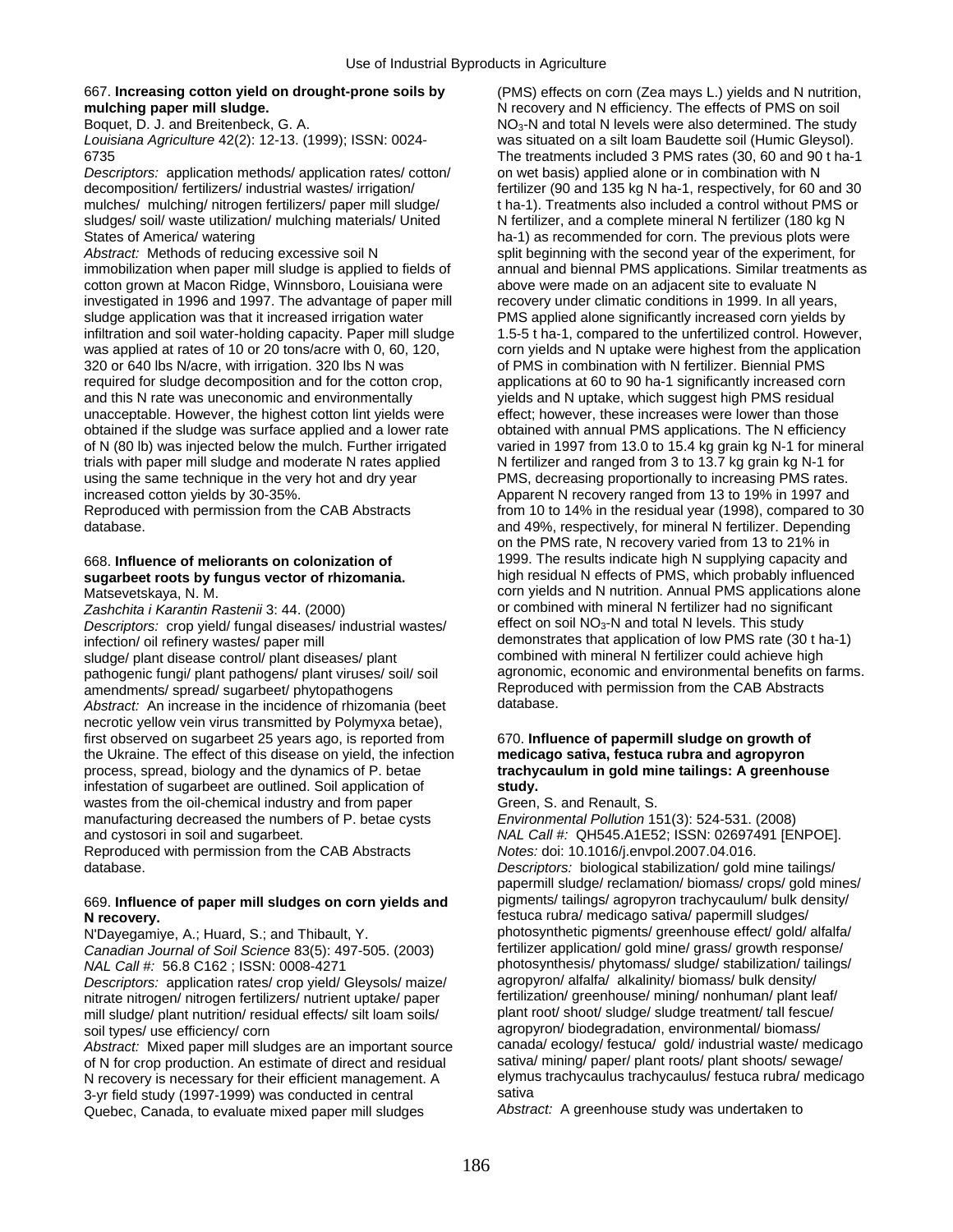### 667. **Increasing cotton yield on drought-prone soils by** (PMS) effects on corn (Zea mays L.) yields and N nutrition, **mulching paper mill sludge. Network in the State of PMS on soil** Network Network Network Network School School School School School School School School School School School School School School School School School Sch

*Descriptors:* application methods/ application rates/ cotton/ on wet basis) applied alone or in combination with N mulches/ mulching/ nitrogen fertilizers/ paper mill sludge/ t ha-1). Treatments also included a control without PMS or sludges/ soil/ waste utilization/ mulching materials/ United N fertilizer, and a complete mineral N fertilizer (180 kg N States of America/ watering ha-1) as recommended for corn. The previous plots were

cotton grown at Macon Ridge, Winnsboro, Louisiana were above were made on an adjacent site to evaluate N investigated in 1996 and 1997. The advantage of paper mill recovery under climatic conditions in 1999. In all years, sludge application was that it increased irrigation water PMS applied alone significantly increased corn yields by<br>infiltration and soil water-holding capacity. Paper mill sludge 1.5-5 t ha-1, compared to the unfertilized infiltration and soil water-holding capacity. Paper mill sludge 1.5-5 t ha-1, compared to the unfertilized control. However,<br>was applied at rates of 10 or 20 tons/acre with 0, 60, 120. corn vields and N uptake were highest 320 or 640 lbs N/acre, with irrigation. 320 lbs N was of PMS in combination with N fertilizer. Biennial PMS required for sludge decomposition and for the cotton crop, applications at 60 to 90 ha-1 significantly increased corn and this N rate was uneconomic and environmentally yields and N uptake, which suggest high PMS residual unacceptable. However, the highest cotton lint yields were effect; however, these increases were lower than those obtained if the sludge was surface applied and a lower rate obtained with annual PMS applications. The N efficiency of N (80 lb) was injected below the mulch. Further irrigated varied in 1997 from 13.0 to 15.4 kg grain kg N-1 for mineral trials with paper mill sludge and moderate N rates applied N fertilizer and ranged from 3 to 13.7 kg grain kg N-1 for using the same technique in the very hot and dry year PMS, decreasing proportionally to increasing PMS rates. increased cotton yields by 30-35%. Apparent N recovery ranged from 13 to 19% in 1997 and

# sugarbeet roots by fungus vector of rhizomania.

*Descriptors:* crop yield/ fungal diseases/ industrial wastes/ infection/ oil refinery wastes/ paper mill<br>sludge/ plant disease control/ plant diseases/ plant<br>combined with mineral N fertilizer could achieve high pathogenic fungi/ plant pathogens/ plant viruses/ soil/ soil amendments/ spread/ sugarbeet/ phytopathogens Reproduced with permission from the CAB Abstracts<br>Abstract: An increase in the incidence of rhizomania (beet database. *Abstract:* An increase in the incidence of rhizomania (beet necrotic yellow vein virus transmitted by Polymyxa betae), first observed on sugarbeet 25 years ago, is reported from 670. **Influence of papermill sludge on growth of**  the Ukraine. The effect of this disease on yield, the infection **medicago sativa, festuca rubra and agropyron**  process, spread, biology and the dynamics of P. betae **trachycaulum in gold mine tailings: A greenhouse**  infestation of sugarbeet are outlined. Soil application of **study.**  wastes from the oil-chemical industry and from paper Green, S. and Renault, S.<br>manufacturing decreased the numbers of P. betae cysts *Environmental Pollution* 151(3): 524-531. (2008) manufacturing decreased the numbers of P. betae cysts and cystosori in soil and sugarbeet. *NAL Call #:* QH545.A1E52; ISSN: 02697491 [ENPOE].

Reproduced with permission from the CAB Abstracts *Notes:* doi: 10.1016/j.envpol.2007.04.016.

## **N recovery.** festuca rubra/ medicago sativa/ papermill sludges/

*Canadian Journal of Soil Science* 83(5): 497-505. (2003)<br>NAL Call #: 56.8 C162 ; ISSN: 0008-4271

nitrate nitrogen/ nitrogen fertilizers/ nutrient uptake/ paper fertilization/ greenhouse/ mining/ nonhuman/ plant leaf/<br>/mill sludge/ plant nutrition/ residual effects/ silt loam soils/ plant root/ shoot/ sludge/ sludge tr mill sludge/ plant nutrition/ residual effects/ silt loam soils/ soil types/ use efficiency/ corn and agropyron/ biodegradation, environmental/ biomass/

of N for crop production. An estimate of direct and residual sativa/ mining/ paper/ plant roots/ plant shoots/ sewage/<br>N recovery is necessary for their efficient management A elymus trachycaulus trachycaulus/ festuca rubr N recovery is necessary for their efficient management. A elymus trachycaulus trachycaulus trachycaulus trachy<br>3-yr field study (1997-1999) was conducted in central medical 3-yr field study (1997-1999) was conducted in central sativa<br>Quebec, Canada, to evaluate mixed paper mill sludges *Abstract:* A greenhouse study was undertaken to Quebec, Canada, to evaluate mixed paper mill sludges

Boquet, D. J. and Breitenbeck, G. A. No3-N and total N levels were also determined. The study<br>And is No3-No3-N and total Nevels were also determined. The study Louisiana Agriculture 42(2): 12-13. (1999): was situated on a silt loam Baudette soil (Humic Gleysol). 6735 The treatments included 3 PMS rates (30, 60 and 90 t ha-1 decomposition/ fertilizers/ industrial wastes/ irrigation/ fertilizer (90 and 135 kg N ha-1, respectively, for 60 and 30 Abstract: Methods of reducing excessive soil N split beginning with the second year of the experiment, for immobilization when paper mill sludge is applied to fields of annual and biennal PMS applications. Similar treatments as corn vields and N uptake were highest from the application Reproduced with permission from the CAB Abstracts from 10 to 14% in the residual year (1998), compared to 30 database. **and 49%, respectively, for mineral N fertilizer.** Depending and 49%, respectively, for mineral N fertilizer. Depending on the PMS rate, N recovery varied from 13 to 21% in 668. **Influence of meliorants on colonization of** 1999. The results indicate high N supplying capacity and Matsevetskaya, N. M.<br>
Zashchita i Karantin Rastenii 3: 44. (2000) Corn yields and N nutrition. Annual PMS applications alone<br>
or combined with mineral N fertilizer had no significant or combined with mineral N fertilizer had no significant effect on soil NO<sub>3</sub>-N and total N levels. This study sludge/ plant disease control/ plant diseases/ plant combined with mineral N fertilizer could achieve high<br>
pathogenic fungi/ plant pathogens/ plant viruses/ soil/ soil agronomic, economic and environmental benefits on far

database. *Descriptors:* biological stabilization/ gold mine tailings/ papermill sludge/ reclamation/ biomass/ crops/ gold mines/ 669. **Influence of paper mill sludges on corn yields and** pigments/ tailings/ agropyron trachycaulum/ bulk density/ N'Dayegamiye, A.; Huard, S.; and Thibault, Y. photosynthetic pigments/ greenhouse effect/ gold/ alfalfa/<br>Canadian Journal of Soil Science 83(5): 497-505. (2003) fertilizer application/ gold mine/ grass/ growth response/ photosynthesis/ phytomass/ sludge/ stabilization/ tailings/ agropyron/ alfalfa/ alkalinity/ biomass/ bulk density/ *Descriptors:* application rates/ crop yield/ Gleysols/ maize/ agropyron/ alfalfa/ alkalinity/ biomass/ bulk density/ *Abstract:* Mixed paper mill sludges are an important source canada/ ecology/ festuca/ gold/ industrial waste/ medicago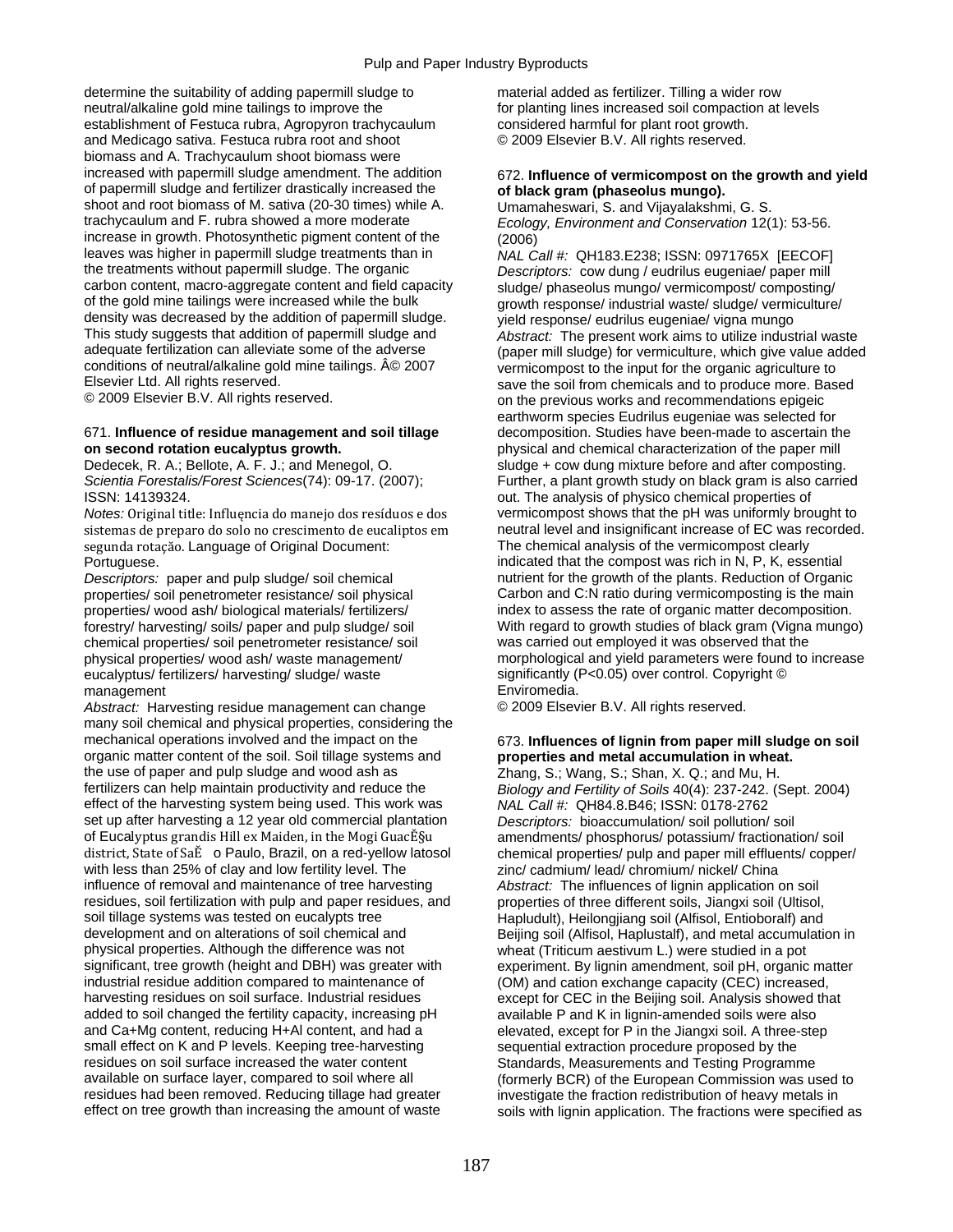determine the suitability of adding papermill sludge to material added as fertilizer. Tilling a wider row neutral/alkaline gold mine tailings to improve the forel for planting lines increased soil compaction at levels establishment of Festuca rubra, Agropyron trachycaulum considered harmful for plant root growth. and Medicago sativa. Festuca rubra root and shoot © 2009 Elsevier B.V. All rights reserved. biomass and A. Trachycaulum shoot biomass were increased with papermill sludge amendment. The addition 672. **Influence of vermicompost on the growth and yield** of papermill sludge and fertilizer drastically increased the **of black gram (phaseolus mungo).**  shoot and root biomass of M. sativa (20-30 times) while A. trachycaulum and F. rubra showed a more moderate increase in growth. Photosynthetic pigment content of the  $(2006)$ <br>leaves was higher in papermill sludge treatments than in  $NAIC$ leaves was higher in papermill sludge treatments than in *NAL Call #:* QH183.E238; ISSN: 0971765X [EECOF] carbon content, macro-aggregate content and field capacity sludge/ phaseolus mungo/ vermicompost/ composting/<br>of the gold mine tailings were increased while the bulk arowth response/ industrial waste/ sludge/ vermiculture density was decreased by the addition of papermill sludge.<br>This study suggests that addition of papermill sludge and<br>Abstract: The present work aims to utilize indust This study suggests that addition of papermill sludge and *Abstract:* The present work aims to utilize industrial waste adequate fertilization can alleviate some of the adverse (paper mill sludge) for vermiculture, which give value added<br>conditions of neutral/alkaline gold mine tailings. © 2007 vermicompost to the input for the organic agr

### 671. **Influence of residue management and soil tillage** decomposition. Studies have been-made to ascertain the **on second rotation eucalyptus growth. physical and chemical characterization of the paper mill**

ISSN: 14139324. out. The analysis of physico chemical properties of

*Notes:* Original title: Influęncia do manejo dos resíduos e dos vermicompost shows that the pH was uniformly brought to segunda rotaçăo. Language of Original Document: The chemical analysis of the vermicompost clearly Portuguese. indicated that the compost was rich in N, P, K, essential

chemical properties/ soil penetrometer resistance/ soil physical properties/ wood ash/ waste management/ eucalyptus/ fertilizers/ harvesting/ sludge/ waste significantly (Poster controller controller controller controller controller controller controller controller controller controller controller controller controller contro management<br>
Abstract: Harvesting residue management can change  $\bullet$  C 2009 Elsevier B.V. All rights reserved.

*Abstract:* Harvesting residue management can change many soil chemical and physical properties, considering the mechanical operations involved and the impact on the 673. **Influences of lignin from paper mill sludge on soil**  organic matter content of the soil. Soil tillage systems and **properties and metal accumulation in wheat.**  the use of paper and pulp sludge and wood ash as Zhang, S.; Wang, S.; Shan, X. Q.; and Mu, H. fertilizers can help maintain productivity and reduce the *Biology and Fertility of Soils 40(4)*: 237-242. (S effect of the harvesting system being used. This work was set up after harvesting a 12 year old commercial plantation *Descriptors:* bioaccumulation/ soil pollution/ soil<br>of Eucalyptus grandis Hill ex Maiden, in the Mogi GuacEşu amendments/ phosphorus/ potassium/ fractionat of Eucalyptus grandis Hill ex Maiden, in the Mogi GuacĔ§u amendments/ phosphorus/ potassium/ fractionation/ soil<br>district, State of SaE o Paulo, Brazil, on a red-yellow latosol chemical properties/ pulp and paper mill eff with less than 25% of clay and low fertility level. The zinc/ cadmium/ lead/ chromium/ nickel/ China<br>influence of removal and maintenance of tree harvesting *Abstract:* The influences of lignin application of residues, soil fertilization with pulp and paper residues, and properties of three different soils, Jiangxi soil (Ultisol, soil tillage systems was tested on eucalypts tree Hapludult). Heilongiiang soil (Alfisol, Entiobora soil tillage systems was tested on eucalypts tree Hapludult), Heilongjiang soil (Alfisol, Entioboralf) and<br>development and on alterations of soil chemical and Beijing soil (Alfisol, Haplustalf), and metal accumulation development and on alterations of soil chemical and Beijing soil (Alfisol, Haplustalf), and metal accumulation in<br>
physical properties. Although the difference was not wheat (Triticum aestivum L.) were studied in a pot physical properties. Although the difference was not wheat (Triticum aestivum L.) were studied in a pot significant, tree growth (height and DBH) was greater with experiment. By lignin amendment, soil pH, organic industrial residue addition compared to maintenance of (OM) and cation exchange capacity (CEC) increased, harvesting residues on soil surface. Industrial residues except for CEC in the Beijing soil. Analysis showed that added to soil changed the fertility capacity, increasing pH available P and K in lignin-amended soils were also and Ca+Mg content, reducing H+AI content, and had a elevated, except for P in the Jiangxi soil. A three-step small effect on K and P levels. Keeping tree-harvesting sequential extraction procedure proposed by the residues on soil surface increased the water content Standards, Measurements and Testing Programme<br>
standards, Measurements and Testing Programme<br>
(formerly BCR) of the European Commission was used at the Soil where all residues had been removed. Reducing tillage had greater investigate the fraction redistribution of heavy metals in<br>effect on tree growth than increasing the amount of waste soils with lignin application. The fractions were

Ecology, Environment and Conservation 12(1): 53-56.

Descriptors: cow dung / eudrilus eugeniae/ paper mill or the response industrial waste sludge vermiculture Elsevier Ltd. All rights reserved.<br>© 2009 Elsevier B.V. All rights reserved. Save the soll from chemicals and tecommendations epigeic on the previous works and recommendations epigeic earthworm species Eudrilus eugeniae was selected for Dedecek, R. A.; Bellote, A. F. J.; and Menegol, O. sludge + cow dung mixture before and after composting.<br>Scientia Forestalis/Forest Sciences(74): 09-17. (2007); Further, a plant growth study on black gram is also carrie Further, a plant growth study on black gram is also carried sistemas de preparo do solo no crescimento de eucaliptos em neutral level and insignificant increase of EC was recorded. *Descriptors:* paper and pulp sludge/ soil chemical nutrient for the growth of the plants. Reduction of Organic properties/ soil penetrometer resistance/ soil physical Carbon and C:N ratio during vermicomposting is the main properties/ wood ash/ biological materials/ fertilizers/ index to assess the rate of organic matter decomposition. forestry/ harvesting/ soils/ paper and pulp sludge/ soil With regard to growth studies of black gram (Vigna mungo)<br>
chemical properties/ soil penetrometer resistance/ soil was carried out employed it was observed that the morphological and yield parameters were found to increase<br>significantly (P<0.05) over control. Copyright  $\circledcirc$ 

*Biology and Fertility of Soils* 40(4): 237-242. (Sept. 2004)<br>NAL Call #: QH84.8.B46; ISSN: 0178-2762 chemical properties/ pulp and paper mill effluents/ copper/ Abstract: The influences of lignin application on soil experiment. By lignin amendment, soil pH, organic matter (formerly BCR) of the European Commission was used to soils with lignin application. The fractions were specified as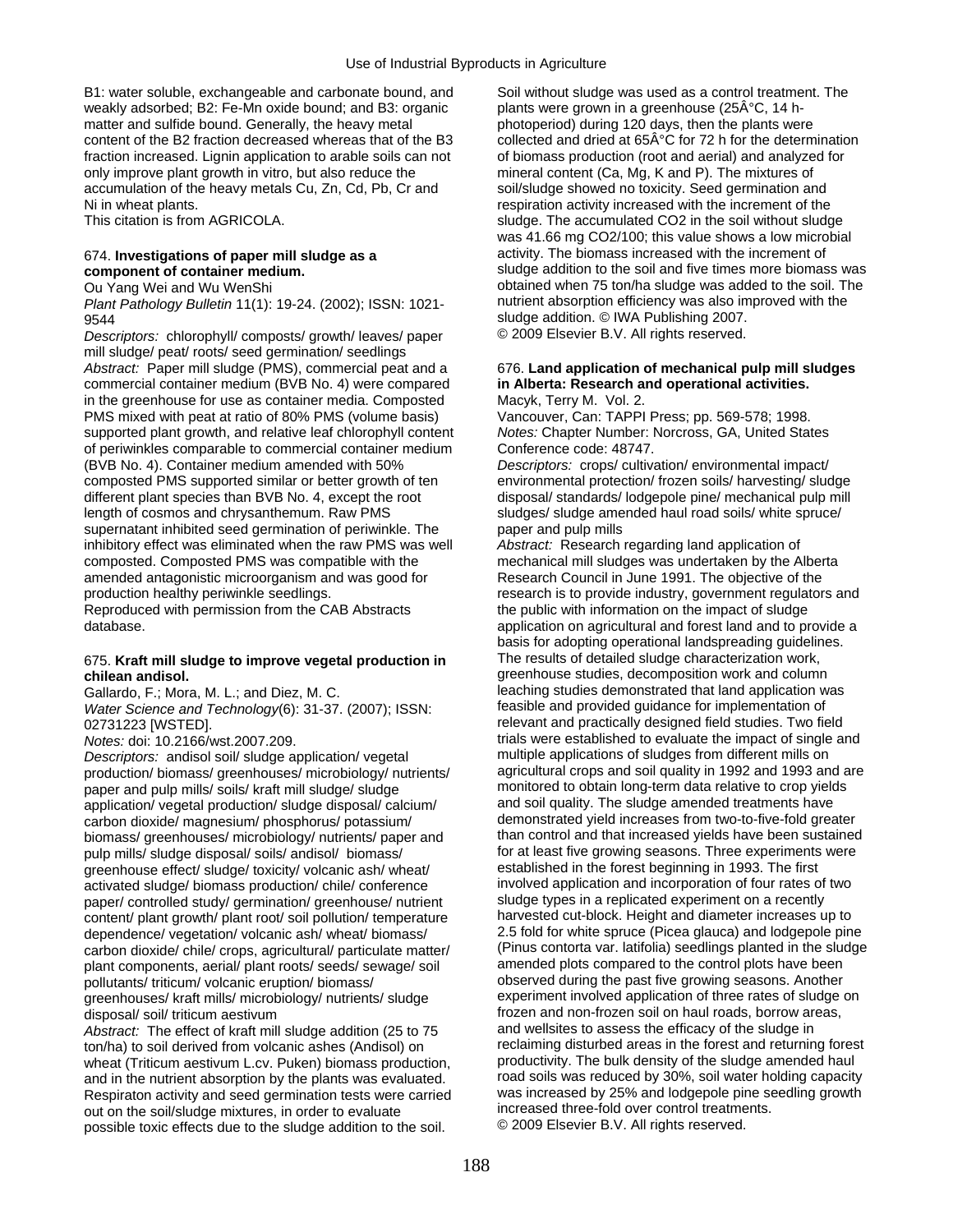B1: water soluble, exchangeable and carbonate bound, and Soil without sludge was used as a control treatment. The weakly adsorbed; B2: Fe-Mn oxide bound; and B3: organic plants were grown in a greenhouse (25ŰC, 14 hmatter and sulfide bound. Generally, the heavy metal photoperiod) during 120 days, then the plants were content of the B2 fraction decreased whereas that of the B3 collected and dried at  $65\text{\AA}^{\circ}\text{C}$  for 72 h for the determination fraction increased. Lignin application to arable soils can not of biomass production (root and aerial) and analyzed for only improve plant growth in vitro, but also reduce the mineral content (Ca, Mg, K and P). The mixtures of accumulation of the heavy metals Cu, Zn, Cd, Pb, Cr and soil/sludge showed no toxicity. Seed germination and Ni in wheat plants. The increment of the increment of the increment of the increment of the increment of the increment of the increment of the increment of the increment of the increment of the increment of the increment o

*Plant Pathology Bulletin* 11(1): 19-24. (2002); ISSN: 1021-

*Descriptors:* chlorophyll/ composts/ growth/ leaves/ paper mill sludge/ peat/ roots/ seed germination/ seedlings *Abstract:* Paper mill sludge (PMS), commercial peat and a 676. **Land application of mechanical pulp mill sludges**  commercial container medium (BVB No. 4) were compared **in Alberta: Research and operational activities.** in the greenhouse for use as container media. Composted Macyk, Terry M. Vol. 2. PMS mixed with peat at ratio of 80% PMS (volume basis) Vancouver, Can: TAPPI Press; pp. 569-578; 1998. supported plant growth, and relative leaf chlorophyll content *Notes:* Chapter Number: Norcross, GA, United States of periwinkles comparable to commercial container medium Conference code: 48747. (BVB No. 4). Container medium amended with 50% *Descriptors:* crops/ cultivation/ environmental impact/ composted PMS supported similar or better growth of ten environmental protection/ frozen soils/ harvesting/ sludge different plant species than BVB No. 4, except the root disposal/ standards/ lodgepole pine/ mechanical pulp mill length of cosmos and chrysanthemum. Raw PMS sludges/ sludges/ sludge amended haul road soils/ white spruce/ supernatant inhibited seed germination of periwinkle. The paper and pulp mills inhibitory effect was eliminated when the raw PMS was well *Abstract:* Research regarding land application of composted. Composted PMS was compatible with the mechanical mill sludges was undertaken by the Alberta amended antagonistic microorganism and was good for Research Council in June 1991. The objective of the production healthy periwinkle seedlings.<br>
Reproduced with permission from the CAB Abstracts<br>
the public with information on the impact of sludge Reproduced with permission from the CAB Abstracts

## 675. **Kraft mill sludge to improve vegetal production in** The results of detailed sludge characterization work,

*Water Science and Technology*(6): 31-37. (2007); ISSN: 02731223 [WSTED].

*Descriptors:* andisol soil/ sludge application/ vegetal multiple applications of sludges from different mills on production/ biomass/ greenhouses/ microbiology/ nutrients/ paper and pulp mills/ soils/ kraft mill sludge/ sludge monitored to obtain long-term data relative to crop yields<br>application/ yegetal production/ sludge disposal/ calcium/ and soil quality. The sludge amended treatments h application/ vegetal production/ sludge disposal/ calcium/ carbon dioxide/ magnesium/ phosphorus/ potassium/ demonstrated yield increases from two-to-five-fold greater<br>biomass/ greenhouses/ microbiology/ nufrients/ paper and than control and that increased yields have been sustain biomass/ greenhouses/ microbiology/ nutrients/ paper and than control and that increased yields have been sustained<br>for at least five growing seasons. Three experiments were pulp mills/ sludge disposal/ soils/ andisol/ biomass/ for at least five growing seasons. Three experiments preenhouse effect/ sludge/ toxicity/ volcanic ash/ wheat/ established in the forest beginning in 1993. The first greenhouse effect/ sludge/ toxicity/ volcanic ash/ wheat/ established in the forest beginning in 1993. The first<br>activated sludge/ biomass production/ chile/ conference involved application and incorporation of four rates activated sludge/ biomass production/ chile/ conference involved application and incorporation of four rates of<br>happroportion and the two sludge types in a replicated experiment on a recently paper/ controlled study/ germination/ greenhouse/ nutrient sludge types in a replicated experiment on a recently<br>content/ plant growth/ plant root/ soil pollution/ temperature harvested cut-block. Height and diameter incre content/ plant growth/ plant root/ soil pollution/ temperature harvested cut-block. Height and diameter increases up to<br>dependence/ vegetation/ volcanic ash/ wheat/ biomass/  $\qquad \qquad$  2.5 fold for white spruce (Picea glauca carbon dioxide/ chile/ crops, agricultural/ particulate matter/ (Pinus contorta var. latifolia) seedlings planted in the sludge planted in the sludge planted in the sludge planted in the sludge plant roots/ seeds/ sewage/ plant components, aerial/ plant roots/ seeds/ sewage/ soil pollutants/ triticum/ volcanic eruption/ biomass/ observed during the past five growing seasons. Another<br>greenhouses/ kraft mills/ microbiology/ nutrients/ sludge<br>prepriment involved application of three rates of sludge on areenhouses/ kraft mills/ microbiology/ nutrients/ sludge

*Abstract:* The effect of kraft mill sludge addition (25 to 75 wheat (Triticum aestivum L.cv. Puken) biomass production, exproductivity. The bulk density of the sludge amended haul<br>and in the putrient absorption by the plants was evaluated road soils was reduced by 30%, soil water hol and in the nutrient absorption by the plants was evaluated. The road soils was reduced by 30%, soil water holding capacity<br>Respiraton activity and seed germination tests were carried was increased by 25% and lodgepole pine Respiraton activity and seed germination tests were carried was increased by 25% and lodgepole pine se<br>out on the soil/sludge mixtures, in order to evaluate increased three-fold over control treatments. out on the soil/sludge mixtures, in order to evaluate increased three-fold over control treatme<br>
nossible toxic effects due to the sludge addition to the soil © 2009 Elsevier B.V. All rights reserved. possible toxic effects due to the sludge addition to the soil.

This citation is from AGRICOLA. Sludge. The accumulated CO2 in the soil without sludge was 41.66 mg CO2/100; this value shows a low microbial 674. **Investigations of paper mill sludge as a** activity. The biomass increased with the increment of **component of container medium. Example 3** Sludge addition to the soil and five times more biomass was Ou Yang Wei and Wu WenShi obtained when 75 ton/ha sludge was added to the soil. The<br>Plant Pathology Bulletin 11(1): 19-24. (2002): ISSN: 1021- nutrient absorption efficiency was also improved with the sludge addition. © IWA Publishing 2007.<br>Descriptors: chlorophyll/ composts/ growth/ leaves/ paper © 2009 Elsevier B.V. All rights reserved.

database. application on agricultural and forest land and to provide a basis for adopting operational landspreading guidelines. **chilean andisol.**<br> **chilean andisol. greenhouse studies, decomposition work and column**<br> **Gallardo F:** Mora M L: and Diez M C. **Sharehouse studies demonstrated that land application was** Gallardo, F.; Mora, M. L.; and Diez, M. C. leaching studies demonstrated that land application w<br>Water Science and Technology 6): 31-37 (2007): ISSN: feasible and provided guidance for implementation of relevant and practically designed field studies. Two field *Notes:* doi: 10.2166/wst.2007.209.<br> *Notes:* doi: 10.2166/wst.2007.209.<br> *Nescriptors:* andisol soil/ sludge application/ vegetal multiple applications of sludges from different mills on dependence/ vegetation/ volcanic ash/ wheat/ biomass/ 2.5 fold for white spruce (Picea glauca) and lodgepole pine<br>carbon dioxide/ chile/ crops, agricultural/ particulate matter/ (Pinus contorta var. latifolia) seedlings pl disposal/ soil/ triticum aestivum<br>Abstract: The effect of kraft mill sludge addition (25 to 75 and wellsites to assess the efficacy of the sludge in ton/ha) to soil derived from volcanic ashes (Andisol) on reclaiming disturbed areas in the forest and returning forest<br>wheat (Triticum aestivum L cy Puken) biomass production productivity. The bulk density of the sludge am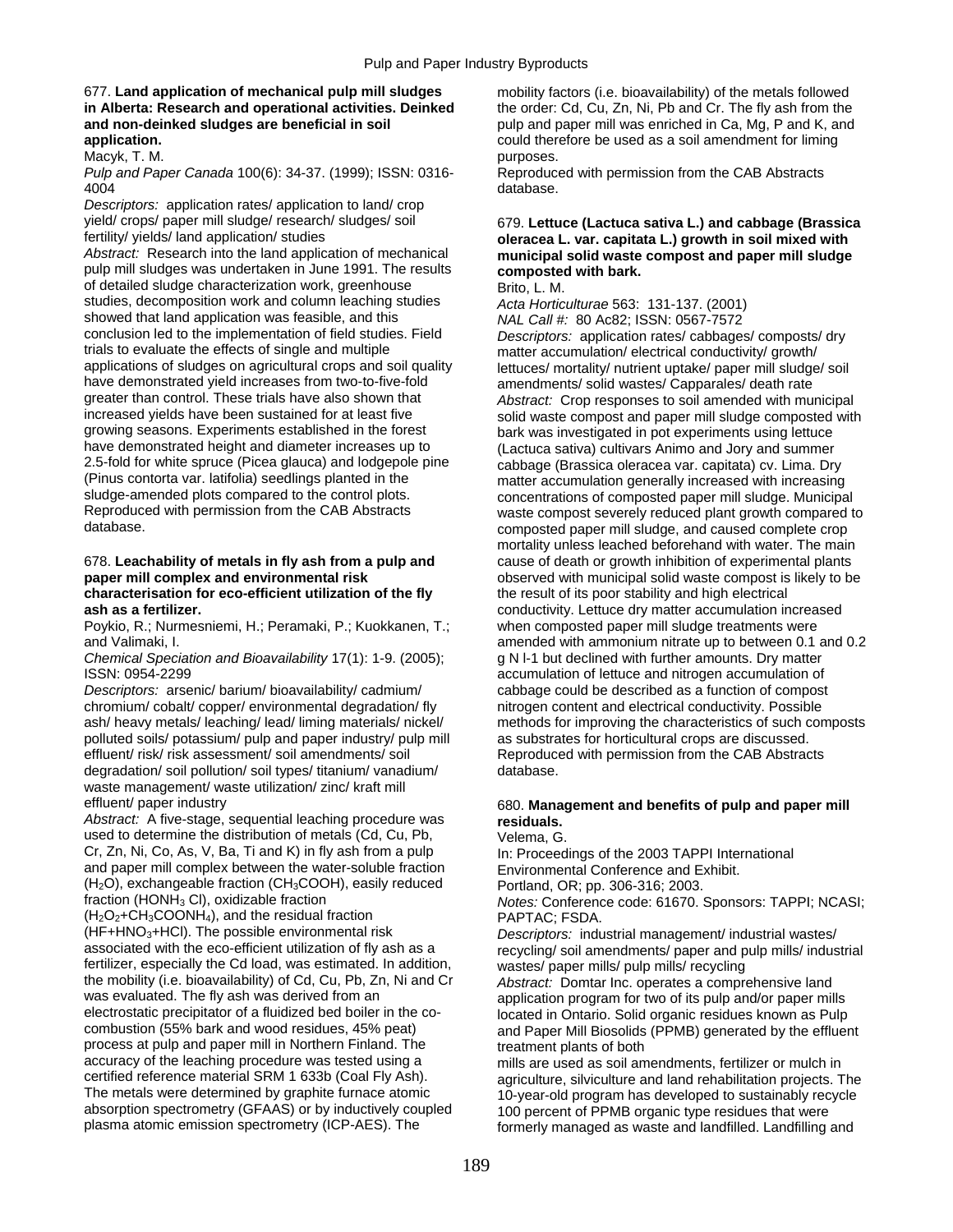### 677. **Land application of mechanical pulp mill sludges** mobility factors (i.e. bioavailability) of the metals followed **in Alberta: Research and operational activities. Deinked** the order: Cd, Cu, Zn, Ni, Pb and Cr. The fly ash from the **and non-deinked sludges are beneficial in soil pulp and paper mill was enriched in Ca, Mg, P and K, and application.** could therefore be used as a soil amendment for liming Macyk, T. M. purposes.

### *Pulp and Paper Canada* 100(6): 34-37. (1999); ISSN: 0316- Reproduced with permission from the CAB Abstracts 4004 database.

*Descriptors:* application rates/ application to land/ crop yield/ crops/ paper mill sludge/ research/ sludges/ soil 679. **Lettuce (Lactuca sativa L.) and cabbage (Brassica** 

pulp mill sludges was undertaken in June 1991. The results **composted with bark.**  of detailed sludge characterization work, greenhouse Brito, L. M. studies, decomposition work and column leaching studies *Acta Horticulturae* 563: 131-137. (2001) showed that land application was feasible, and this *NAL Call #:* 80 Ac82; ISSN: 0567-7572<br>conclusion led to the implementation of field studies. Field *Descriptors: application rates/ cabbage*: conclusion led to the implementation of field studies. Field *Descriptors:* application rates/ cabbages/ composts/ dry trials to evaluate the effects of single and multiple matter accumulation/ electrical conductivity/ growth/<br>applications of sludges on agricultural crops and soil quality and the tuces/ mortality/ putrient untake/ paper mi applications of sludges on agricultural crops and soil quality lettuces/ mortality/ nutrient uptake/ paper mill sludge/ soil<br>have demonstrated vield increases from two-to-five-fold amendments/ solid wastes/ Capparales/ dea have demonstrated yield increases from two-to-five-fold amendments/ solid wastes/ Capparales/ death rate<br>greater than control. These trials have also shown that and abstract: Crop responses to soil amended with mul greater than control. These trials have also shown that *Abstract:* Crop responses to soil amended with municipal<br>increased yields have been sustained for at least five solid waste compost and paper mill sludge composted w increased yields have been sustained for at least five solid waste compost and paper mill sludge composted with<br>growing seasons. Experiments established in the forest bark was investigated in pot experiments using lettuce growing seasons. Experiments established in the forest bark was investigated in pot experiments using lettuce<br>have demonstrated height and diameter increases up to flectuce satival cultivars Animo and Jory and summer 2.5-fold for white spruce (Picea glauca) and lodgepole pine cabbage (Brassica oleracea var. capitata) cv. Lima. Dry<br>(Pinus contorta var. latifolia) seedlings planted in the matter accumulation generally increased with incr (Pinus contorta var. latifolia) seedlings planted in the matter accumulation generally increased with increasing<br>sludge-amended plots compared to the control plots.<br>concentrations of composted paper mill sludge. Municipa sludge-amended plots compared to the control plots.<br>Reproduced with permission from the CAB Abstracts waste compost severely reduced plant growth compared to Reproduced with permission from the CAB Abstracts waste compost severely reduced plant growth compared to<br>composted paper mill sludge, and caused complete crop

### 678. **Leachability of metals in fly ash from a pulp and** cause of death or growth inhibition of experimental plants **paper mill complex and environmental risk be a componenty** observed with municipal solid waste compost is likely to be **characterisation for eco-efficient utilization of the fly** the result of its poor stability and high electrical **ash as a fertilizer.** conductivity. Lettuce dry matter accumulation increased

Poykio, R.; Nurmesniemi, H.; Peramaki, P.; Kuokkanen, T.; when composted paper mill sludge treatments were

*Chemical Speciation and Bioavailability* 17(1): 1-9. (2005); g N l-1 but declined with further amounts. Dry matter ISSN: 0954-2299 accumulation of lettuce and nitrogen accumulation of

*Descriptors:* arsenic/ barium/ bioavailability/ cadmium/ cabbage could be described as a function of compost chromium/ cobalt/ copper/ environmental degradation/ fly nitrogen content and electrical conductivity. Possible polluted soils/ potassium/ pulp and paper industry/ pulp mill as substrates for horticultural crops are discussed. effluent/ risk/ risk assessment/ soil amendments/ soil Reproduced with permission from the CAB Abstracts<br>degradation/ soil pollution/ soil types/ titanium/ vanadium/ database. degradation/ soil pollution/ soil types/ titanium/ vanadium/ waste management/ waste utilization/ zinc/ kraft mill

*Abstract:* A five-stage, sequential leaching procedure was **residuals.** used to determine the distribution of metals (Cd, Cu, Pb, Velema, G. Cr, Zn, Ni, Co, As, V, Ba, Ti and K) in fly ash from a pulp In: Proceedings of the 2003 TAPPI International and paper mill complex between the water-soluble fraction Environmental Conference and Exhibit.  $(H<sub>2</sub>O)$ , exchangeable fraction (CH<sub>3</sub>COOH), easily reduced Portland, OR; pp. 306-316; 2003.<br>
fraction (HONH<sub>3</sub> CI), oxidizable fraction **Property Automage Conference code: 61670** 

 $(H_2O_2+CH_3COONH_4)$ , and the residual fraction  $PAPTAC$ ; FSDA.<br>(HF+HNO<sub>3</sub>+HCl). The possible environmental risk *Descriptors*: indu (HF+HNO3+HCl). The possible environmental risk *Descriptors:* industrial management/ industrial wastes/ fertilizer, especially the Cd load, was estimated. In addition, the mobility (i.e. bioavailability) of Cd, Cu, Pb, Zn, Ni and Cr the mobility (i.e. bioavailability) of Cd, Cu, Pb, Zn, Ni and Cr *Abstract:* Domtar Inc. operates a comprehensive land was evaluated. The fly ash was derived from an application program for two of its pulp and/or paper mills<br>electrostatic precipitator of a fluidized bed boiler in the co-<br>located in Ontario, Solid organic residues known as electrostatic precipitator of a fluidized bed boiler in the co-<br>combustion (55% bark and wood residues, 45% peat) and Paper Mill Biosolids (PPMB) generated by the effluer process at pulp and paper mill in Northern Finland. The treatment plants of both accuracy of the leaching procedure was tested using a mills are used as soil amendments, fertilizer or mulch in<br>
certified reference material SRM 1 633b (Coal Fly Ash). certified reference material SRM 1 633b (Coal Fly Ash). agriculture, silviculture and land rehabilitation projects. The<br>The metals were determined by graphite furnace atomic 10-year-old program has developed to sustainably The metals were determined by graphite furnace atomic and the vertical program has developed to sustainably recycle<br>100 percent of PPMB organic type residues that were absorption spectrometry (GFAAS) or by inductively coupled 100 percent of PPMB organic type residues that were<br>plasma atomic emission spectrometry (ICP-AES). The formerly managed as waste and landfilled. Landfilling

## fertility/ yields/ land application/ studies **oleracea L. var. capitata L.) growth in soil mixed with**  *Absorptack: Maxte sompost and paper mill sludge municipal solid waste compost and paper mill sludge*

(Lactuca sativa) cultivars Animo and Jory and summer composted paper mill sludge, and caused complete crop mortality unless leached beforehand with water. The main

and Valimaki, I. **amended with ammonium nitrate up to between 0.1 and 0.2** amended with ammonium nitrate up to between 0.1 and 0.2 ash/ heavy metals/ leaching/ lead/ liming materials/ nickel/ methods for improving the characteristics of such composts

## effluent/ paper industry 680. **Management and benefits of pulp and paper mill**

*Notes: Conference code: 61670. Sponsors: TAPPI; NCASI;* 

recycling/ soil amendments/ paper and pulp mills/ industrial wastes/ paper mills/ pulp mills/ recycling

and Paper Mill Biosolids (PPMB) generated by the effluent

formerly managed as waste and landfilled. Landfilling and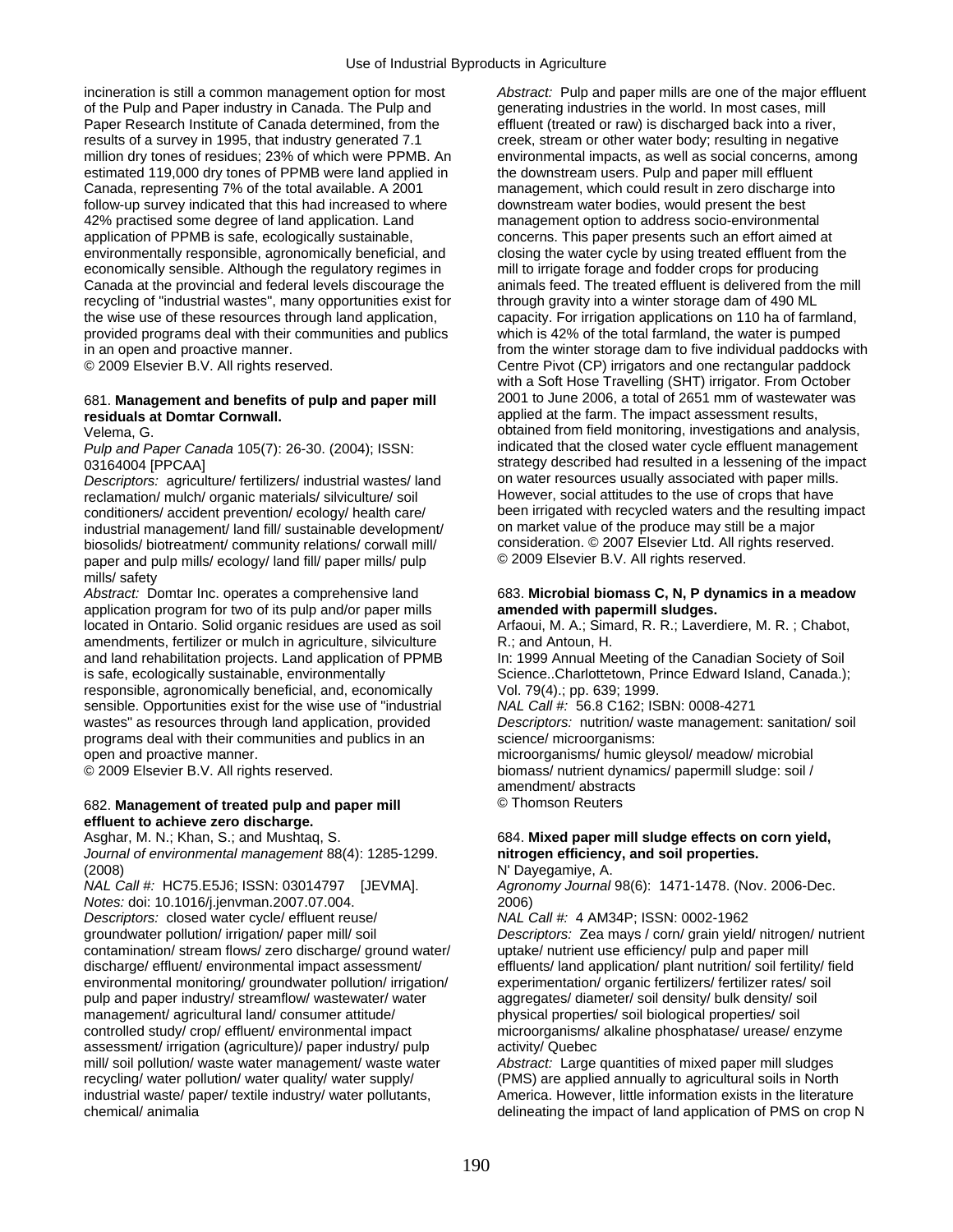incineration is still a common management option for most *Abstract:* Pulp and paper mills are one of the major effluent of the Pulp and Paper industry in Canada. The Pulp and generating industries in the world. In most cases, mill Paper Research Institute of Canada determined, from the effluent (treated or raw) is discharged back into a river, results of a survey in 1995, that industry generated 7.1 creek, stream or other water body; resulting in negative million dry tones of residues; 23% of which were PPMB. An environmental impacts, as well as social concerns, among estimated 119,000 dry tones of PPMB were land applied in the downstream users. Pulp and paper mill effluent Canada, representing 7% of the total available. A 2001 management, which could result in zero discharge into follow-up survey indicated that this had increased to where downstream water bodies, would present the best 42% practised some degree of land application. Land management option to address socio-environmental application of PPMB is safe, ecologically sustainable, concerns. This paper presents such an effort aimed at environmentally responsible, agronomically beneficial, and closing the water cycle by using treated effluent from the economically sensible. Although the regulatory regimes in mill to irrigate forage and fodder crops for producing Canada at the provincial and federal levels discourage the animals feed. The treated effluent is delivered from the mill recycling of "industrial wastes", many opportunities exist for through gravity into a winter storage dam of 490 ML the wise use of these resources through land application, capacity. For irrigation applications on 110 ha of farmland, provided programs deal with their communities and publics which is 42% of the total farmland, the water provided programs deal with their communities and publics

## **residuals at Domtar Cornwall. and the farm. The impact assessment results, and in the impact assessment results,**

*Descriptors:* agriculture/ fertilizers/ industrial wastes/ land on water resources usually associated with paper mills.<br>
reclamation/ mulch/ organic materials/ silviculture/ soil **by** However, social attitudes to the use conditioners/ accident prevention/ ecology/ health care/ been irrigated with recycled waters and the resulting<br>industrial management/ land fill/ sustainable development/ on market value of the produce may still be a major industrial management/ land fill/ sustainable development/ on market value of the produce may still be a major<br>biosolids/ biotreatment/ community relations/ corwall mill/ on consideration. © 2007 Elsevier Ltd. All rights r biosolids/ biotreatment/ community relations/ corwall mill/ consideration. © 2007 Elsevier Ltd. All rights reserved. paper and pulp mills/ ecology/ land fill/ paper mills/ pulp mills/ safety

*Abstract:* Domtar Inc. operates a comprehensive land 683. **Microbial biomass C, N, P dynamics in a meadow**  application program for two of its pulp and/or paper mills **amended with papermill sludges.**<br>
located in Ontario. Solid organic residues are used as soil Arfaoui, M. A.; Simard, R. R.; Laverdiere, M. R.; Chabot, located in Ontario. Solid organic residues are used as soil amendments, fertilizer or mulch in agriculture, silviculture R.; and Antoun, H.<br>and land rehabilitation projects. Land application of PPMB In: 1999 Annual Meeting of the Canadian Society of Soil and land rehabilitation projects. Land application of PPMB is safe, ecologically sustainable, environmentally Science..Charlottetown, Prince Edward Island, Canada.);<br>
responsible. agronomically beneficial, and, economically Vol. 79(4).; pp. 639; 1999. responsible, agronomically beneficial, and, economically sensible. Opportunities exist for the wise use of "industrial *NAL Call #:* 56.8 C162; ISBN: 0008-4271 wastes" as resources through land application, provided *Descriptors:* nutrition/ waste management: sanitation/ soil programs deal with their communities and publics in an science/ microorganisms: open and proactive manner. microorganisms/ humic gleysol/ meadow/ microbial

### 682. **Management of treated pulp and paper mill** © Thomson Reuters **effluent to achieve zero discharge.**

*Journal of environmental management* 88(4): 1285-1299. **nitrogen efficiency, and soil properties.**  (2008) N' Dayegamiye, A.

*NAL Call #:* HC75.E5J6; ISSN: 03014797 [JEVMA]. *Agronomy Journal* 98(6): 1471-1478. (Nov. 2006-Dec. *Notes:* doi: 10.1016/j.jenvman.2007.07.004. 2006) *Descriptors:* closed water cycle/ effluent reuse/ *NAL Call #:* 4 AM34P; ISSN: 0002-1962 contamination/ stream flows/ zero discharge/ ground water/ discharge/ effluent/ environmental impact assessment/ environmental monitoring/ groundwater pollution/ irrigation/ experimentation/ organic fertilizers/ fertilizer rates/ soil pulp and paper industry/ streamflow/ wastewater/ water aggregates/ diameter/ soil density/ bulk density/ soil management/ agricultural land/ consumer attitude/ physical properties/ soil biological properties/ soil controlled study/ crop/ effluent/ environmental impact microorganisms/ alkaline phosphatase/ urease/ enzyme assessment/ irrigation (agriculture)/ paper industry/ pulp activity/ Quebec mill/ soil pollution/ waste water management/ waste water *Abstract:* Large quantities of mixed paper mill sludges recycling/ water pollution/ water quality/ water supply/ (PMS) are applied annually to agricultural soils in North industrial waste/ paper/ textile industry/ water pollutants, America. However, little information exists in the literature

in an open and proactive manner.<br>
© 2009 Elsevier B.V. All rights reserved. 
From the winter storage dam to five individual paddocks with Centre Pivot (CP) irrigators and one rectangular paddock Centre Pivot (CP) irrigators and one rectangular paddock with a Soft Hose Travelling (SHT) irrigator. From October 681. **Management and benefits of pulp and paper mill** 2001 to June 2006, a total of 2651 mm of wastewater was Velema, G. obtained from field monitoring, investigations and analysis, *Pulp and Paper Canada* 105(7): 26-30. (2004); ISSN: indicated that the closed water cycle effluent management 03164004 [PPCAA] strategy described had resulted in a lessening of the impact<br>Descriptors: agriculture/ fertilizers/ industrial wastes/ land on water resources usually associated with paper mills. reclamation/ mulch/ organic materials/ silviculture/ soil However, social attitudes to the use of crops that have<br>conditioners/ accident prevention/ ecology/ health care/ been irrigated with recycled waters and the resulti

© 2009 Elsevier B.V. All rights reserved. biomass/ nutrient dynamics/ papermill sludge: soil / amendment/ abstracts

## Asghar, M. N.; Khan, S.; and Mushtaq, S. **684. Mixed paper mill sludge effects on corn yield, 684. Mixed paper mill sludge effects on corn yield**,

groundwater pollution/ irrigation/ paper mill/ soil *Descriptors:* Zea mays / corn/ grain yield/ nitrogen/ nutrient effluents/ land application/ plant nutrition/ soil fertility/ field

chemical/ animalia delineating the impact of land application of PMS on crop N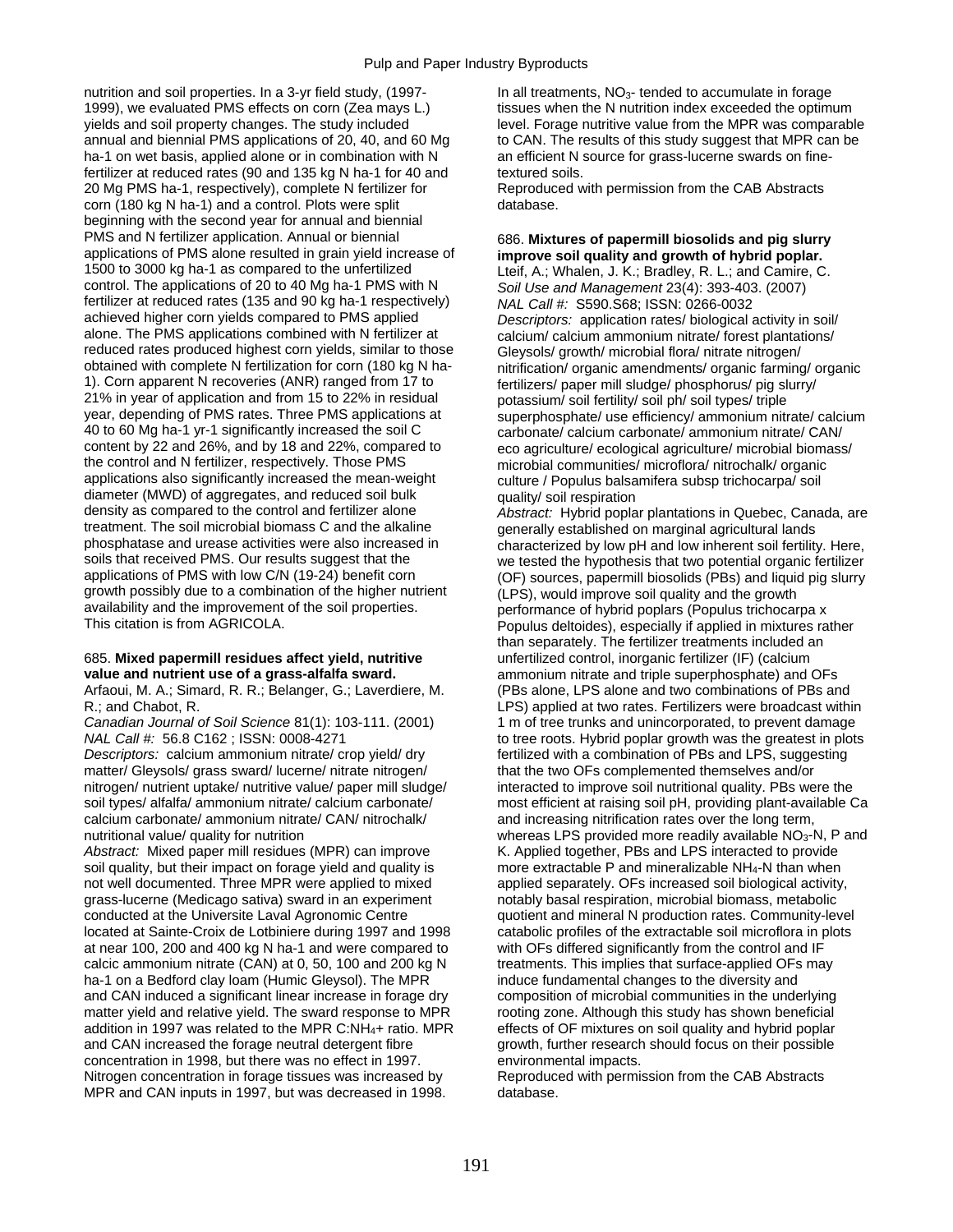nutrition and soil properties. In a 3-yr field study, (1997- In all treatments, NO<sub>3</sub>- tended to accumulate in forage 1999), we evaluated PMS effects on corn (Zea mays L.) tissues when the N nutrition index exceeded the optimum yields and soil property changes. The study included level. Forage nutritive value from the MPR was comparable annual and biennial PMS applications of 20, 40, and 60 Mg to CAN. The results of this study suggest that MPR can be ha-1 on wet basis, applied alone or in combination with N an efficient N source for grass-lucerne swards on finefertilizer at reduced rates (90 and 135 kg N ha-1 for 40 and textured soils. 20 Mg PMS ha-1, respectively), complete N fertilizer for Reproduced with permission from the CAB Abstracts corn (180 kg N ha-1) and a control. Plots were split database. beginning with the second year for annual and biennial PMS and N fertilizer application. Annual or biennial 686. Mixtures of papermill biosolids and pig slurry applications of PMS alone resulted in grain yield increase of **improve soil quality and growth of hybrid poplar.** applications of PMS alone resulted in grain yield increase of **improve soil quality and growth of hybrid poplar.**  control. The applications of 20 to 40 Mg ha-1 PMS with N *Soil Use and Management* 23(4): 393-403. (2007) fertilizer at reduced rates (135 and 90 kg ha-1 respectively) *NAL Call #:* S590.S68; ISSN: 0266-0032 achieved higher corn yields compared to PMS applied *Descriptors:* application rates/ biological activity in soil/ alone. The PMS applications combined with N fertilizer at calcium/ calcium ammonium nitrate/ forest plantations/<br>reduced rates produced highest corn yields, similar to those Glevsols/ growth/ microbial flora/ nitrate nitro reduced rates produced highest corn yields, similar to those Gleysols/ growth/ microbial flora/ nitrate nitrogen/<br>obtained with complete N fertilization for corn (180 kg N ha-<br>pritrication/ organic amendments/ organic farm obtained with complete N fertilization for corn (180 kg N ha-<br>1). Corn apparent N recoveries (ANR) ranged from 17 to<br>fertilizers/ paper mill sludge/ phosphorus/ pig slurry/ 1). Corn apparent N recoveries (ANR) ranged from 17 to fertilizers/ paper mill sludge/ phosphorus/ pig slurry/<br>21% in year of application and from 15 to 22% in residual processium/ soil fertility/ soil ph/ soil types/ trip 21% in year of application and from 15 to 22% in residual potassium/ soil fertility/ soil ph/ soil types/ triple<br>year, depending of PMS rates. Three PMS applications at superphosphate/ use efficiency/ ammonium nitr year, depending of PMS rates. Three PMS applications at superphosphate/ use efficiency/ ammonium nitrate/ calcium<br>40 to 60 Mg ha-1 yr-1 significantly increased the soil C carbonate/ calcium carbonate/ ammonium nitrate/ CAN 40 to 60 Mg ha-1 yr-1 significantly increased the soil C carbonate/ calcium carbonate/ ammonium nitrate/ CAN/<br>content by 22 and 26%, and by 18 and 22%, compared to eco agriculture/ ecological agriculture/ microbial biomas content by 22 and 26%, and by 18 and 22%, compared to eco agriculture/ ecological agriculture/ microbial biomass/<br>the control and N fertilizer, respectively. Those PMS microbial communities/ microflora/ nitrochalk/ organic applications also significantly increased the mean-weight culture / Populus balsamifera subsp trichocarpa/ soil diameter (MWD) of aggregates, and reduced soil bulk quality/ soil respiration<br>density as compared to the control and fertilizer alone *Abstract:* Hybrid popla density as compared to the control and fertilizer alone *Abstract:* Hybrid poplar plantations in Quebec, Canada, are<br>treatment. The soil microbial biomass C and the alkaline *annerally established on marginal agricultural* treatment. The soil microbial biomass C and the alkaline generally established on marginal agricultural lands<br>phosphatase and urease activities were also increased in characterized by low pH and low inherent soil fertilit phosphatase and urease activities were also increased in characterized by low pH and low inherent soil fertility. Here,<br>soils that received PMS. Our results suggest that the same that the hypothesis that two potential orga soils that received PMS. Our results suggest that the we tested the hypothesis that two potential organic fertilizer<br>(OF) sources papermill biosolids (PBs) and liquid pig slurry growth possibly due to a combination of the higher nutrient (LPS), would improve soil quality and the growth availability and the improvement of the soil properties. availability and the improvement of the soil properties.<br>This citation is from AGRICOLA.<br>Populus deltoides), especially if applied in mixtures ra

### 685. **Mixed papermill residues affect yield, nutritive** unfertilized control, inorganic fertilizer (IF) (calcium **value and nutrient use of a grass-alfalfa sward. and ammonium nitrate and triple superphosphate) and OFs**

Arfaoui, M. A.; Simard, R. R.; Belanger, G.; Laverdiere, M. (PBs alone, LPS alone and two combinations of PBs and

*Descriptors:* calcium ammonium nitrate/ crop yield/ dry fertilized with a combination of PBs and LPS, suggesting matter/ Gleysols/ grass sward/ lucerne/ nitrate nitrogen/ that the two OFs complemented themselves and/or nitrogen/ nutrient uptake/ nutritive value/ paper mill sludge/ interacted to improve soil nutritional quality. PBs were the soil types/ alfalfa/ ammonium nitrate/ calcium carbonate/ most efficient at raising soil pH, provi calcium carbonate/ ammonium nitrate/ CAN/ nitrochalk/ and increasing nitrification rates over the long term,

Abstract: Mixed paper mill residues (MPR) can improve K. Applied together, PBs and LPS interacted to provide soil quality, but their impact on forage yield and quality is more extractable P and mineralizable NH<sub>4</sub>-N than when<br>not well documented. Three MPR were applied to mixed applied separately. OFs increased soil biological ac grass-lucerne (Medicago sativa) sward in an experiment notably basal respiration, microbial biomass, metabolic conducted at the Universite Laval Agronomic Centre quotient and mineral N production rates. Community-level located at Sainte-Croix de Lotbiniere during 1997 and 1998 catabolic profiles of the extractable soil microflora in plots at near 100, 200 and 400 kg N ha-1 and were compared to with OFs differed significantly from the control and IF calcic ammonium nitrate (CAN) at 0, 50, 100 and 200 kg N treatments. This implies that surface-applied OFs may ha-1 on a Bedford clay loam (Humic Gleysol). The MPR induce fundamental changes to the diversity and and CAN induced a significant linear increase in forage dry composition of microbial communities in the underlying matter yield and relative yield. The sward response to MPR rooting zone. Although this study has shown beneficial<br>addition in 1997 was related to the MPR C:NH<sub>4</sub>+ ratio. MPR effects of OF mixtures on soil quality and hybri addition in 1997 was related to the MPR C:NH<sub>4</sub>+ ratio. MPR and CAN increased the forage neutral detergent fibre concentration in 1998, but there was no effect in 1997. environmental impacts. Nitrogen concentration in forage tissues was increased by Reproduced with permission from the CAB Abstracts MPR and CAN inputs in 1997, but was decreased in 1998. database.

Lteif, A.; Whalen, J. K.; Bradley, R. L.; and Camire, C. microbial communities/ microflora/ nitrochalk/ organic

(OF) sources, papermill biosolids (PBs) and liquid pig slurry Populus deltoides), especially if applied in mixtures rather than separately. The fertilizer treatments included an R.; and Chabot, R. LPS) applied at two rates. Fertilizers were broadcast within *Canadian Journal of Soil Science* 81(1): 103-111. (2001) 1 m of tree trunks and unincorporated, to prevent damage *NAL Call #:* 56.8 C162 ; ISSN: 0008-4271 to tree roots. Hybrid poplar growth was the greatest in plots most efficient at raising soil pH, providing plant-available Ca nutritional value/ quality for nutrition whereas LPS provided more readily available NO<sub>3</sub>-N, P and applied separately. OFs increased soil biological activity, growth, further research should focus on their possible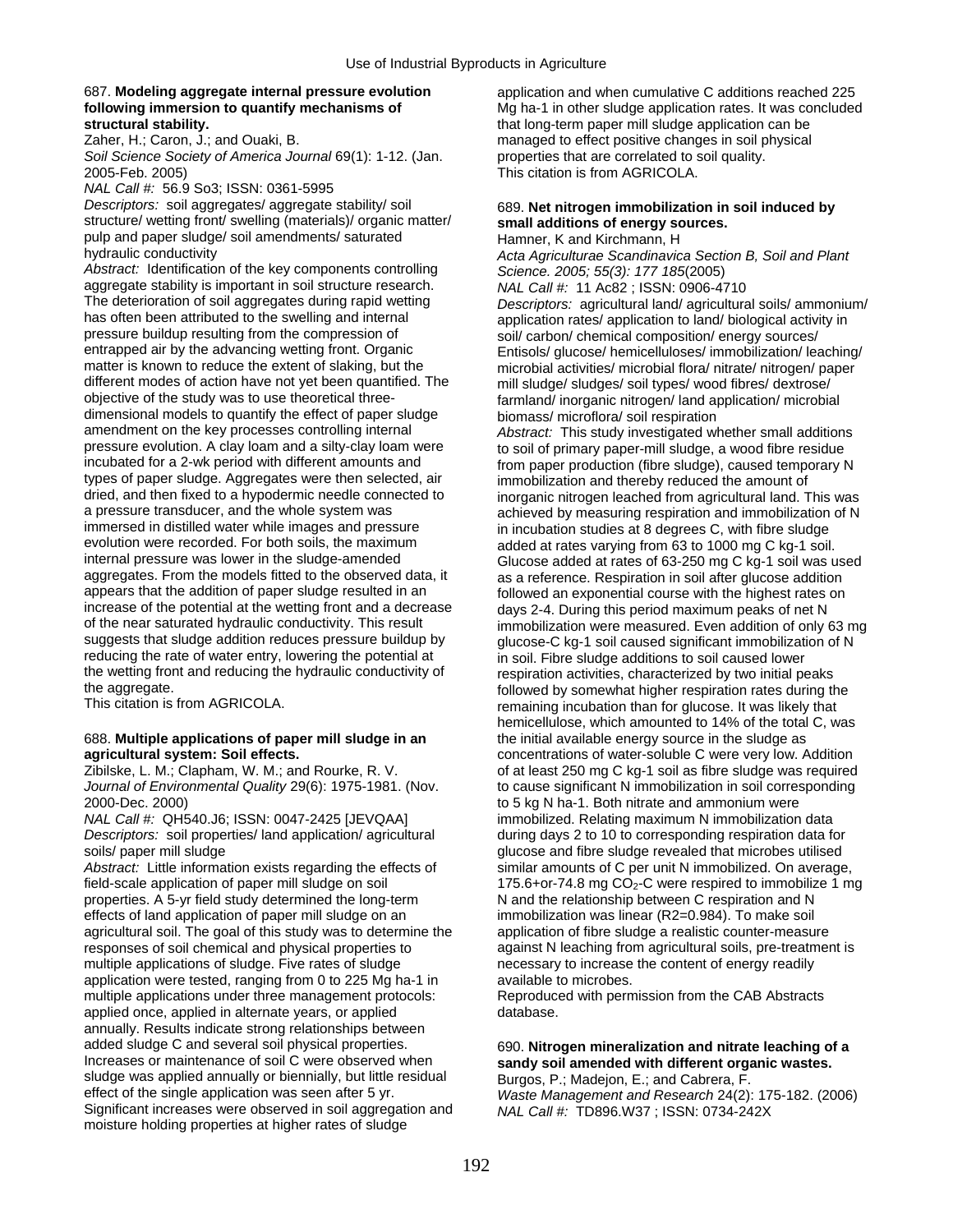*NAL Call #:* 56.9 So3; ISSN: 0361-5995

*Descriptors:* soil aggregates/ aggregate stability/ soil 689. Net nitrogen immobilization in soil induced by structure/ wetting front/ swelling (materials)/ organic matter/ small additions of energy sources. structure/ wetting front/ swelling (materials)/ organic matter/ pulp and paper sludge/ soil amendments/ saturated Hamner, K and Kirchmann, H<br>hydraulic conductivity example and Hamner, K and Kirchmann, H

*Abstract:* Identification of the key components controlling *Science. 2005; 55(3): 177 185*(2005) aggregate stability is important in soil structure research. *NAL Call #:* 11 Ac82 ; ISSN: 0906-4710<br>The deterioration of soil aggregates during rapid wetting *Descriptors: agricultural land/agricultura* has often been attributed to the swelling and internal application rates/ application to land/ biological activity in<br>  $\frac{1}{2}$  application rates/ application to land/ biological activity in pressure buildup resulting from the compression of soil/ carbon/ chemical composition/ energy sources/<br>
entrapped air by the advancing wetting front. Organic Fritisols/ glucose/ hemicelluloses/ immobilization/ lea entrapped air by the advancing wetting front. Organic Entisols/ glucose/ hemicelluloses/ immobilization/ leaching/<br>matter is known to reduce the extent of slaking, but the microbial activities/ microbial flora/ pitrate/ ni matter is known to reduce the extent of slaking, but the microbial activities/ microbial flora/ nitrate/ nitrogen/ paper<br>different modes of action have not yet been quantified. The mill sludge/ sludges/ soil types/ wood fi different modes of action have not yet been quantified. The mill sludge/ sludges/ soil types/ wood fibres/ dextrose/<br>objective of the study was to use theoretical three-**the contained formland/** inorganic nitrogen/ land ap dimensional models to quantify the effect of paper sludge biomass/ microflora/ soil respiration<br>amendment on the key processes controlling internal and abstract: This study investigated when amendment on the key processes controlling internal *Abstract:* This study investigated whether small additions pressure evolution. A clay loam and a silty-clay loam were to soil of primary paper-mill sludge, a wood fibre residue<br>incubated for a 2-wk period with different amounts and from paper production (fibre sludge), caused temp types of paper sludge. Aggregates were then selected, air immobilization and thereby reduced the amount of dived, and then fixed to a hypodermic needle connected to increanic nitrogen leached from agricultural land. T dried, and then fixed to a hypodermic needle connected to inorganic nitrogen leached from agricultural land. This was<br>a pressure transducer, and the whole system was achieved by measuring respiration and immobilization of a pressure transducer, and the whole system was achieved by measuring respiration and immobilization of N<br>in incubation studies at 8 degrees C, with fibre sludge immersed in distilled water while images and pressure in incubation studies at 8 degrees C, with fibre sludge<br>
evolution were recorded. For both soils, the maximum<br>
added at rates varying from 63 to 1000 mg C kg-1 soil evolution were recorded. For both soils, the maximum added at rates varying from 63 to 1000 mg C kg-1 soil.<br>internal pressure was lower in the sludge-amended Glucose added at rates of 63-250 mg C kg-1 soil was u internal pressure was lower in the sludge-amended<br>aggregates. From the models fitted to the observed data, it as a reference. Respiration in soil after glucose addition aggregates. From the models fitted to the observed data, it as a reference. Respiration in soil after glucose addition<br>appears that the addition of paper sludge resulted in an a followed an exponential course with the high increase of the potential at the wetting front and a decrease days 2-4. During this period maximum peaks of net N<br>of the near saturated hydraulic conductivity. This result immobilization were measured. Even addition of onl suggests that sludge addition reduces pressure buildup by glucose-C kg-1 soil caused significant immobilization of N<br>reducing the rate of water entry, lowering the potential at in soil Fibre sludge additions to soil caused the wetting front and reducing the hydraulic conductivity of respiration activities, characterized by two initial peaks<br>followed by somewhat bigher respiration rates during the aggregate.

## 688. **Multiple applications of paper mill sludge in an** the initial available energy source in the sludge as

2000-Dec. 2000) **to 5 kg N ha-1. Both nitrate and ammonium were** 

*Descriptors:* soil properties/ land application/ agricultural during days 2 to 10 to corresponding respiration data for soils/ paper mill sludge glucose and fibre sludge revealed that microbes utilised

Abstract: Little information exists regarding the effects of similar amounts of C per unit N immobilized. On average, field-scale application of paper mill sludge on soil  $175.6+$ or-74.8 mg CO<sub>2</sub>-C were respired to immobilize 1 mg<br>properties. A 5-yr field study determined the long-term N and the relationship between C respiration and N properties. A 5-yr field study determined the long-term effects of land application of paper mill sludge on an immobilization was linear (R2=0.984). To make soil agricultural soil. The goal of this study was to determine the application of fibre sludge a realistic counter-measure responses of soil chemical and physical properties to against N leaching from agricultural soils, pre-treatment is multiple applications of sludge. Five rates of sludge necessary to increase the content of energy readily application were tested, ranging from 0 to 225 Mg ha-1 in available to microbes. multiple applications under three management protocols:<br>
applied once, applied in alternate vears, or applied database.<br>
database. applied once, applied in alternate years, or applied annually. Results indicate strong relationships between added sludge C and several soil physical properties.<br>
Increases or maintenance of soil C were observed when **sandy soil amended with different organic wastes**. sludge was applied annually or biennially, but little residual Burgos, P.; Madejon, E.; and Cabrera, F.<br>effect of the single application was seen after 5 yr. Waste Management and Research 24(2) Significant increases were observed in soil aggregation and *NAL Call #:* TD896.W37 ; ISSN: 0734-242X moisture holding properties at higher rates of sludge

687. **Modeling aggregate internal pressure evolution** application and when cumulative C additions reached 225 **following immersion to quantify mechanisms of** Mg ha-1 in other sludge application rates. It was concluded **structural stability. following** that long-term paper mill sludge application can be **structural stability.**<br> **zaher.** H.: Caron. J.: and Ouaki. B. <br> **zaher.** H.: Caron. J.: and Ouaki. B. **All and State Constituent Constituent Constituent Constituent Constituent Constituent Constituent Constituent Constitu** managed to effect positive changes in soil physical *Soil Science Society of America Journal* 69(1): 1-12. (Jan. properties that are correlated to soil quality. 2005-Feb. 2005) This citation is from AGRICOLA.

Acta Agriculturae Scandinavica Section B, Soil and Plant The deterioration of soil aggregates during rapid wetting *Descriptors:* agricultural land/ agricultural soils/ ammonium/ farmland/ inorganic nitrogen/ land application/ microbial from paper production (fibre sludge), caused temporary N followed an exponential course with the highest rates on of the near saturated hydraulic conductivity. This result immobilization were measured. Even addition of only 63 mg<br>suggests that sludge addition reduces pressure buildup by alucose-C kg-1 soil caused significant immobiliz in soil. Fibre sludge additions to soil caused lower the aggregate.<br>This citation is from AGRICOLA. This citation is followed by somewhat higher respiration rates during the This remaining incubation than for glucose. It was likely that hemicellulose, which amounted to 14% of the total C, was **agricultural system: Soil effects. concentrations of water-soluble C were very low. Addition** Zibilske, L. M.; Clapham, W. M.; and Rourke, R. V. of at least 250 mg C kg-1 soil as fibre sludge was required *Journal of Environmental Quality* 29(6): 1975-1981. (Nov. to cause significant N immobilization in soil corresponding *NAL Call #:* QH540.J6; ISSN: 0047-2425 [JEVQAA] immobilized. Relating maximum N immobilization data

## sandy soil amended with different organic wastes.

Waste Management and Research 24(2): 175-182. (2006)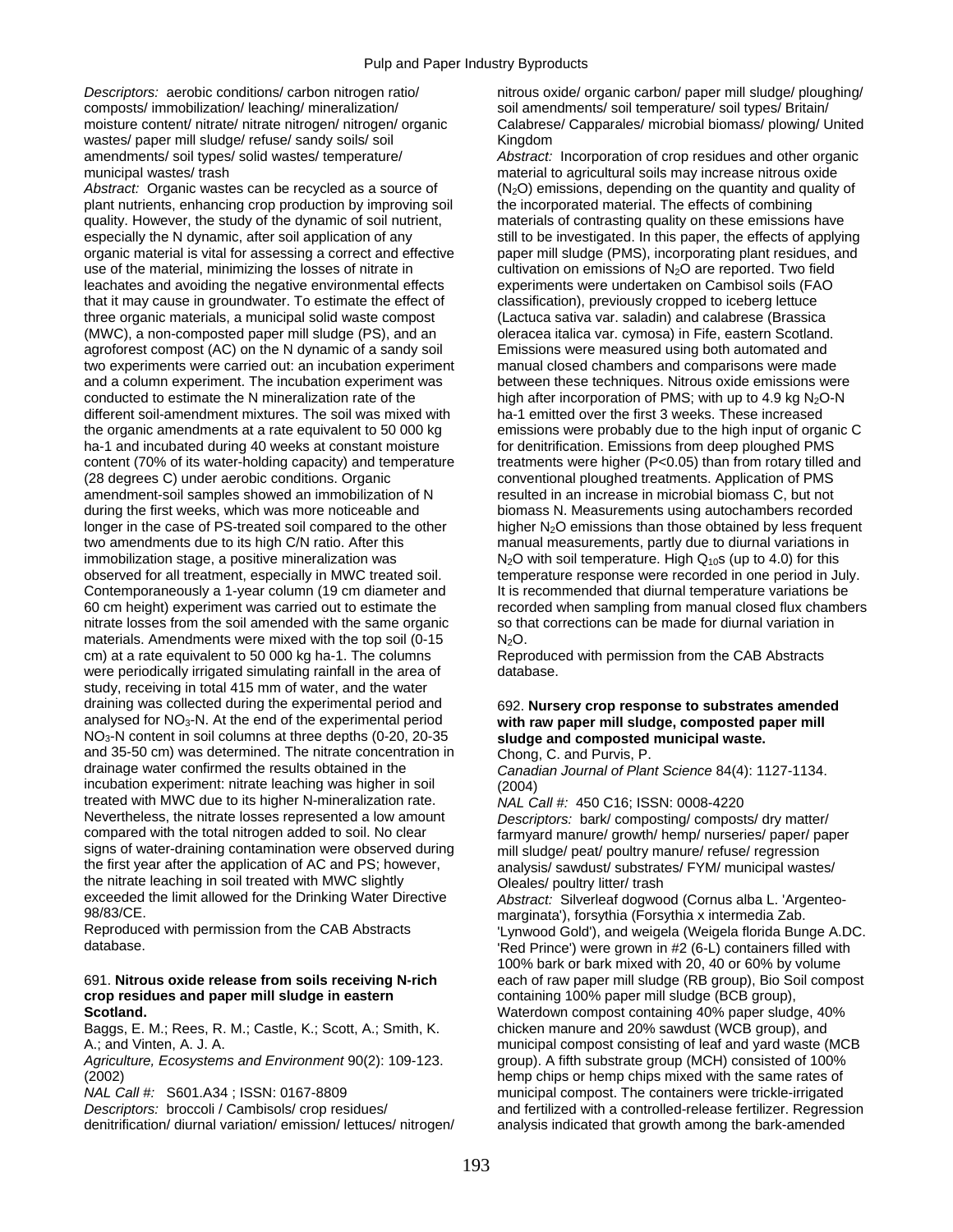composts/ immobilization/ leaching/ mineralization/ soil amendments/ soil temperature/ soil types/ Britain/ wastes/ paper mill sludge/ refuse/ sandy soils/ soil Kingdom amendments/ soil types/ solid wastes/ temperature/ *Abstract:* Incorporation of crop residues and other organic municipal wastes/ trash material to agricultural soils may increase nitrous oxide

plant nutrients, enhancing crop production by improving soil the incorporated material. The effects of combining quality. However, the study of the dynamic of soil nutrient, materials of contrasting quality on these emissions have especially the N dynamic, after soil application of any still to be investigated. In this paper, the effects of applying organic material is vital for assessing a correct and effective paper mill sludge (PMS), incorporating plant residues, and use of the material, minimizing the losses of nitrate in cultivation on emissions of  $N_2O$  are reported. Two field leachates and avoiding the negative environmental effects experiments were undertaken on Cambisol soils (FAO that it may cause in groundwater. To estimate the effect of classification), previously cropped to iceberg lettuce three organic materials, a municipal solid waste compost (Lactuca sativa var. saladin) and calabrese (Brassica (MWC), a non-composted paper mill sludge (PS), and an oleracea italica var. cymosa) in Fife, eastern Scotland.<br>agroforest compost (AC) on the N dynamic of a sandy soil Emissions were measured using both automated and agroforest compost (AC) on the N dynamic of a sandy soil two experiments were carried out: an incubation experiment manual closed chambers and comparisons were made and a column experiment. The incubation experiment was between these techniques. Nitrous oxide emissions were conducted to estimate the N mineralization rate of the high after incorporation of PMS; with up to 4.9 kg N<sub>2</sub>O-N different soil-amendment mixtures. The soil was mixed with ha-1 emitted over the first 3 weeks. These increased the organic amendments at a rate equivalent to 50 000 kg emissions were probably due to the high input of organic C ha-1 and incubated during 40 weeks at constant moisture for denitrification. Emissions from deep ploughed PMS content (70% of its water-holding capacity) and temperature treatments were higher (P<0.05) than from rotary tilled and (28 degrees C) under aerobic conditions. Organic conventional ploughed treatments. Application of PMS amendment-soil samples showed an immobilization of N resulted in an increase in microbial biomass C, but not during the first weeks, which was more noticeable and biomass N. Measurements using autochambers recorded longer in the case of PS-treated soil compared to the other higher  $N_2O$  emissions than those obtained by less frequent two amendments due to its high C/N ratio. After this manual measurements, partly due to diurnal variations in immobilization stage, a positive mineralization was  $N_2O$  with soil temperature. High  $Q_{10}$ s (up to 4.0) for this observed for all treatment, especially in MWC treated soil. temperature response were recorded in one pe Contemporaneously a 1-year column (19 cm diameter and It is recommended that diurnal temperature variations be 60 cm height) experiment was carried out to estimate the recorded when sampling from manual closed flux chambers nitrate losses from the soil amended with the same organic so that corrections can be made for diurnal variation in materials. Amendments were mixed with the top soil  $(0-15$  N<sub>2</sub>O. cm) at a rate equivalent to 50 000 kg ha-1. The columns Reproduced with permission from the CAB Abstracts were periodically irrigated simulating rainfall in the area of database. study, receiving in total 415 mm of water, and the water draining was collected during the experimental period and 692. **Nursery crop response to substrates amended**  analysed for NO3-N. At the end of the experimental period **with raw paper mill sludge, composted paper mill**  NO3-N content in soil columns at three depths (0-20, 20-35 **sludge and composted municipal waste.**  and 35-50 cm) was determined. The nitrate concentration in Chong, C. and Purvis, P.<br>drainage water confirmed the results obtained in the Canadian Journal of Plan incubation experiment: nitrate leaching was higher in soil (2004) treated with MWC due to its higher N-mineralization rate. *NAL Call #:* 450 C16; ISSN: 0008-4220<br>Nevertheless, the nitrate losses represented a low amount Descriptors: bark/ composting/ compost Nevertheless, the nitrate losses represented a low amount *Descriptors:* bark/ composting/ composts/ dry matter/ signs of water-draining contamination were observed during mill sludge/ peat/ poultry manure/ refuse/ regression the first year after the application of AC and PS; however, analysis/ sawdust/ substrates/ FYM/ municipal wastes/ the nitrate leaching in soil treated with MWC slightly **Oleales** Oleales poultry litter trash<br>exceeded the limit allowed for the Drinking Water Directive *Abstract:* Silverleaf dogwood exceeded the limit allowed for the Drinking Water Directive *Abstract:* Silverleaf dogwood (Cornus alba L. 'Argenteo-

# **crop residues and paper mill sludge in eastern** containing 100% paper mill sludge (BCB group),

Baggs, E. M.; Rees, R. M.; Castle, K.; Scott, A.; Smith, K.

*Agriculture, Ecosystems and Environment* 90(2): 109-123. group). A fifth substrate group (MCH) consisted of 100% (2002) hemp chips or hemp chips mixed with the same rates of

denitrification/ diurnal variation/ emission/ lettuces/ nitrogen/ analysis indicated that growth among the bark-amended

*Descriptors:* aerobic conditions/ carbon nitrogen ratio/ nitrous oxide/ organic carbon/ paper mill sludge/ ploughing/ moisture content/ nitrate/ nitrate nitrogen/ nitrogen/ organic Calabrese/ Capparales/ microbial biomass/ plowing/ United

Abstract: Organic wastes can be recycled as a source of (N<sub>2</sub>O) emissions, depending on the quantity and quality of temperature response were recorded in one period in July.

Canadian Journal of Plant Science 84(4): 1127-1134.

farmyard manure/ growth/ hemp/ nurseries/ paper/ paper

98/83/CE. marginata'), forsythia (Forsythia x intermedia Zab. Reproduced with permission from the CAB Abstracts 'Lynwood Gold'), and weigela (Weigela florida Bunge A.DC.<br>
"Red Prince") were grown in #2 (6-L) containers filled with 'Red Prince') were grown in #2 (6-L) containers filled with 100% bark or bark mixed with 20, 40 or 60% by volume 691. **Nitrous oxide release from soils receiving N-rich** each of raw paper mill sludge (RB group), Bio Soil compost **Scotland.**<br>
Baggs, E. M.; Rees, R. M.; Castle, K.; Scott, A.; Smith, K. chicken manure and 20% sawdust (WCB group), and A.; and Vinten, A. J. A. municipal compost consisting of leaf and yard waste (MCB *NAL Call #:* S601.A34 ; ISSN: 0167-8809 municipal compost. The containers were trickle-irrigated *Descriptors:* broccoli / Cambisols/ crop residues/ and fertilized with a controlled-release fertilizer. Regression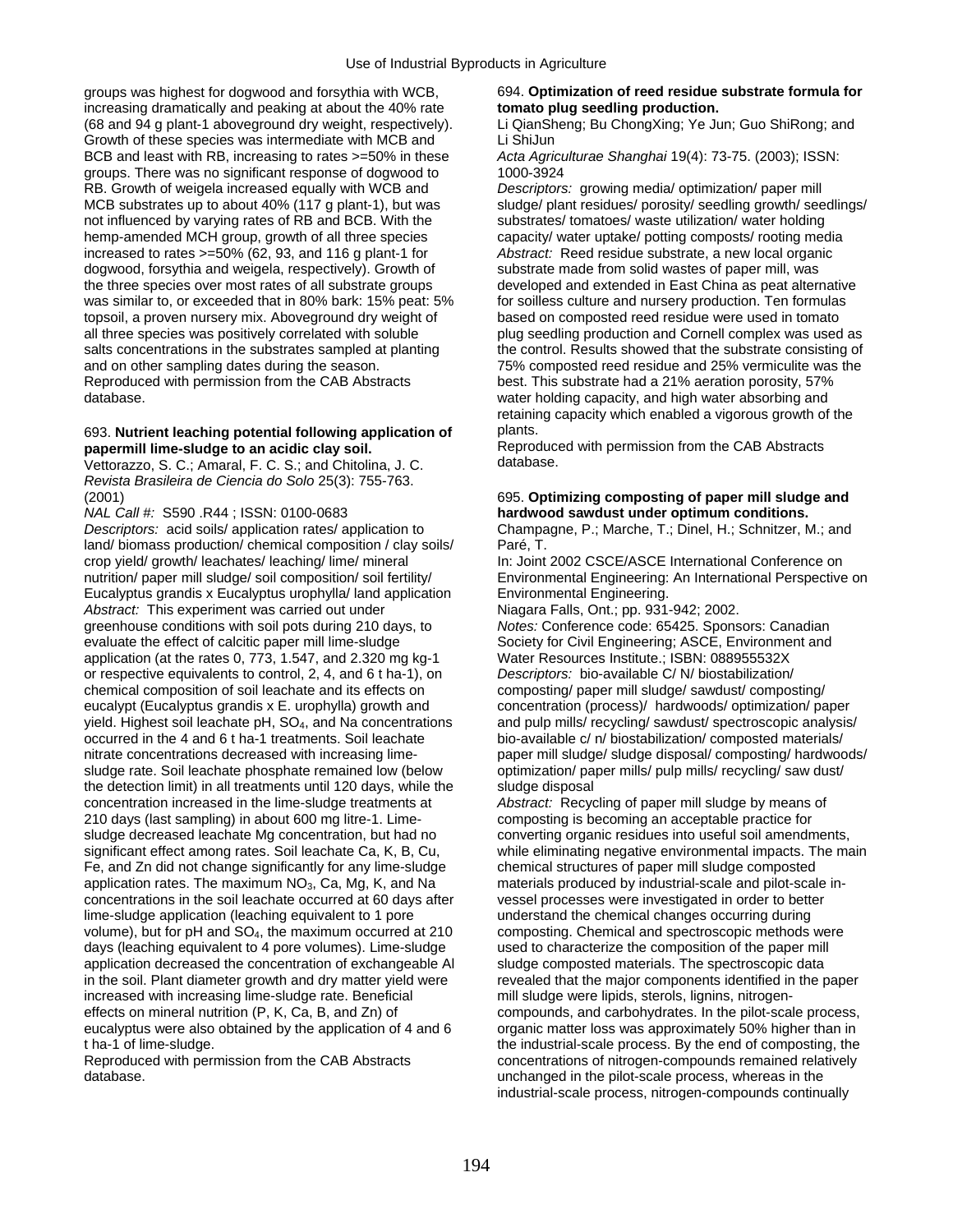groups was highest for dogwood and forsythia with WCB, 694. **Optimization of reed residue substrate formula for**  increasing dramatically and peaking at about the 40% rate **tomato plug seedling production.**  (68 and 94 g plant-1 aboveground dry weight, respectively). Li QianSheng; Bu ChongXing; Ye Jun; Guo ShiRong; and Growth of these species was intermediate with MCB and Li ShiJun BCB and least with RB, increasing to rates >=50% in these *Acta Agriculturae Shanghai* 19(4): 73-75. (2003); ISSN: groups. There was no significant response of dogwood to 1000-3924 RB. Growth of weigela increased equally with WCB and *Descriptors:* growing media/ optimization/ paper mill MCB substrates up to about 40% (117 g plant-1), but was sludge/ plant residues/ porosity/ seedling growth/ seedlings/ not influenced by varying rates of RB and BCB. With the substrates/ tomatoes/ waste utilization/ water holding hemp-amended MCH group, growth of all three species capacity/ water uptake/ potting composts/ rooting media increased to rates >=50% (62, 93, and 116 g plant-1 for *Abstract:* Reed residue substrate, a new local organic dogwood, forsythia and weigela, respectively). Growth of substrate made from solid wastes of paper mill, was<br>the three species over most rates of all substrate groups developed and extended in East China as peat altern was similar to, or exceeded that in 80% bark: 15% peat: 5% for soilless culture and nursery production. Ten formulas topsoil, a proven nursery mix. Aboveground dry weight of based on composted reed residue were used in tomato<br>all three species was positively correlated with soluble plug seedling production and Cornell complex was used all three species was positively correlated with soluble plug seedling production and Cornell complex was used as<br>salts concentrations in the substrates sampled at planting the control. Results showed that the substrate co and on other sampling dates during the season. 75% composted reed residue and 25% vermiculite was the Reproduced with permission from the CAB Abstracts best. This substrate had a 21% aeration porosity, 57% database. water holding capacity, and high water absorbing and

## 693. **Nutrient leaching potential following application of** plants.

Vettorazzo, S. C.; Amaral, F. C. S.; and Chitolina, J. C. *Revista Brasileira de Ciencia do Solo* 25(3): 755-763.

*NAL Call #:* S590 .R44 ; ISSN: 0100-0683 **hardwood sawdust under optimum conditions.** *Descriptors:* acid soils/ application rates/ application to Champagne, P.; Marche, T.; Dinel, H.; Schnitzer, M.; and land/ biomass production/ chemical composition / clay soils/ Paré, T. crop yield/ growth/ leachates/ leaching/ lime/ mineral In: Joint 2002 CSCE/ASCE International Conference on nutrition/ paper mill sludge/ soil composition/ soil fertility/ Environmental Engineering: An International Perspective on Eucalyptus grandis x Eucalyptus urophylla/ land application Environmental Engineering.<br>Abstract: This experiment was carried out under **Niceland Review Niagara Falls, Ont.;** pp. 931-942; 2002. *Abstract:* This experiment was carried out under Niagara Falls, Ont.; pp. 931-942; 2002.<br>greenhouse conditions with soil pots during 210 days, to Notes: Conference code: 65425. Sponsors: Canadian greenhouse conditions with soil pots during 210 days, to evaluate the effect of calcitic paper mill lime-sludge Society for Civil Engineering; ASCE, Environment and application (at the rates 0, 773, 1.547, and 2.320 mg kg-1 Water Resources Institute.; ISBN: 088955532X application (at the rates 0, 773, 1.547, and 2.320 mg kg-1 or respective equivalents to control, 2, 4, and 6 t ha-1), on *Descriptors:* bio-available C/ N/ biostabilization/ chemical composition of soil leachate and its effects on composting/ paper mill sludge/ sawdust/ composting/ eucalypt (Eucalyptus grandis x E. urophylla) growth and concentration (process)/ hardwoods/ optimization/ paper yield. Highest soil leachate pH, SO4, and Na concentrations and pulp mills/ recycling/ sawdust/ spectroscopic analysis/ occurred in the 4 and 6 t ha-1 treatments. Soil leachate bio-available c/ n/ biostabilization/ composted materials/ nitrate concentrations decreased with increasing lime-<br>sludge rate. Soil leachate phosphate remained low (below optimization/ paper mills/ pulp mills/ recycling/ saw dust/ sludge rate. Soil leachate phosphate remained low (below the detection limit) in all treatments until 120 days, while the sludge disposal concentration increased in the lime-sludge treatments at *Abstract:* Recycling of paper mill sludge by means of 210 days (last sampling) in about 600 mg litre-1. Lime- composting is becoming an acceptable practice for sludge decreased leachate Mg concentration, but had no converting organic residues into useful soil amendments, significant effect among rates. Soil leachate Ca, K, B, Cu, while eliminating negative environmental impacts. The main Fe, and Zn did not change significantly for any lime-sludge chemical structures of paper mill sludge composted application rates. The maximum  $NO_3$ , Ca, Mg, K, and Na materials produced by industrial-scale and pilot-scale in-<br>concentrations in the soil leachate occurred at 60 days after vessel processes were investigated in order concentrations in the soil leachate occurred at 60 days after lime-sludge application (leaching equivalent to 1 pore understand the chemical changes occurring during volume), but for pH and SO<sub>4</sub>, the maximum occurred at 210 composting. Chemical and spectroscopic methods were days (leaching equivalent to 4 pore volumes). Lime-sludge used to characterize the composition of the paper mill application decreased the concentration of exchangeable Al sludge composted materials. The spectroscopic data in the soil. Plant diameter growth and dry matter yield were revealed that the major components identified in the paper<br>increased with increasing lime-sludge rate. Beneficial mill sludge were lipids, sterols, lignins, nitr increased with increasing lime-sludge rate. Beneficial effects on mineral nutrition (P, K, Ca, B, and Zn) of eucalyptus were also obtained by the application of 4 and 6 t ha-1 of lime-sludge. the industrial-scale process. By the end of composting, the

developed and extended in East China as peat alternative the control. Results showed that the substrate consisting of retaining capacity which enabled a vigorous growth of the

**papermill lime-sludge to an acidic clay soil.** Reproduced with permission from the CAB Abstracts<br>Vettorazzo S. C.: Amaral E. C. S.: and Chitolina J. C. database.

## (2001) 695. **Optimizing composting of paper mill sludge and**

compounds, and carbohydrates. In the pilot-scale process, organic matter loss was approximately 50% higher than in Reproduced with permission from the CAB Abstracts concentrations of nitrogen-compounds remained relatively<br>database. whereas in the unchanged in the pilot-scale process, whereas in the industrial-scale process, nitrogen-compounds continually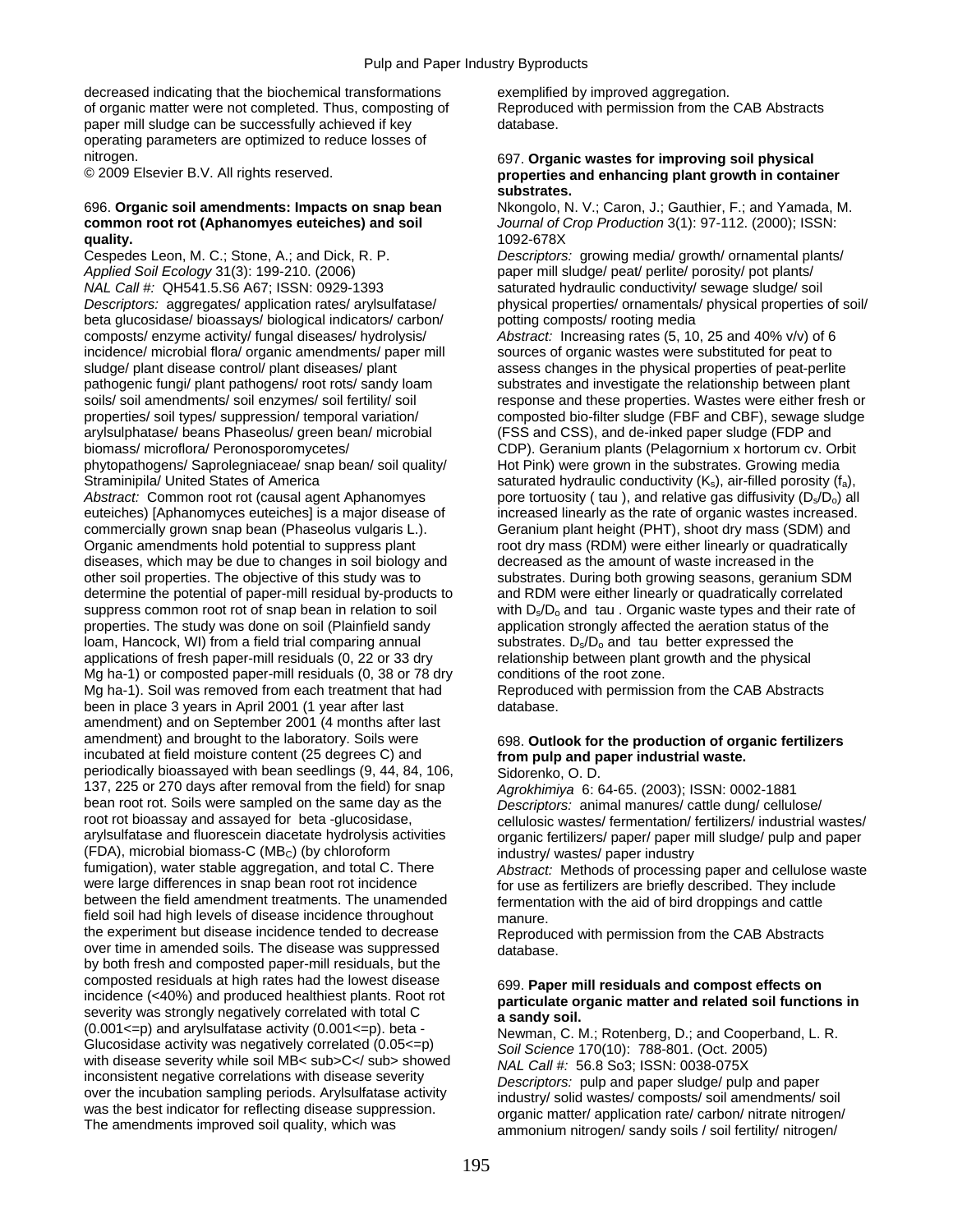decreased indicating that the biochemical transformations exemplified by improved aggregation. of organic matter were not completed. Thus, composting of Reproduced with permission from the CAB Abstracts paper mill sludge can be successfully achieved if key database. operating parameters are optimized to reduce losses of

## 696. **Organic soil amendments: Impacts on snap bean** Nkongolo, N. V.; Caron, J.; Gauthier, F.; and Yamada, M. **quality.** 1092-678X

Cespedes Leon, M. C.; Stone, A.; and Dick, R. P. *Descriptors:* growing media/ growth/ ornamental plants/ *Applied Soil Ecology* 31(3): 199-210. (2006) paper mill sludge/ peat/ perlite/ porosity/ pot plants/ *NAL Call #:* QH541.5.S6 A67: ISSN: 0929-1393 saturated hydraulic conductivity/ sewage sludge/ soil *Descriptors:* aggregates/ application rates/ arylsulfatase/ physical properties/ ornamentals/ physical properties of soil/ beta glucosidase/ bioassays/ biological indicators/ carbon/ potting composts/ rooting media composts/ enzyme activity/ fungal diseases/ hydrolysis/ *Abstract:* Increasing rates (5, 10, 25 and 40% v/v) of 6 incidence/ microbial flora/ organic amendments/ paper mill sources of organic wastes were substituted for peat to sludge/ plant disease control/ plant diseases/ plant assess changes in the physical properties of peat-perlite pathogenic fungi/ plant pathogens/ root rots/ sandy loam substrates and investigate the relationship between plant soils/ soil amendments/ soil enzymes/ soil fertility/ soil response and these properties. Wastes were either fresh or properties/ soil types/ suppression/ temporal variation/ composted bio-filter sludge (FBF and CBF), sewage sludge arylsulphatase/ beans Phaseolus/ green bean/ microbial (FSS and CSS), and de-inked paper sludge (FDP and biomass/ microflora/ Peronosporomycetes/ CDP). Geranium plants (Pelagornium x hortorum cv. Orbit phytopathogens/ Saprolegniaceae/ snap bean/ soil quality/ Hot Pink) were grown in the substrates. Growing media Straminipila/ United States of America saturated hydraulic conductivity (K<sub>s</sub>), air-filled porosity (f<sub>a</sub>), and relative quasity (D<sub>s</sub>/D<sub>o</sub>) all and *Abstract:* Common root rot (causal agent Aphanomyes pore tortuosity (ta *Abstract: Common root rot (causal agent Aphanomyes* pore tortuosity ( tau ), and relative gas diffusivity (D<sub>s</sub>/D<sub>o</sub>) all euteiches) [Aphanomyces euteiches] is a major disease of increased linearly as the rate of organic commercially grown snap bean (Phaseolus vulgaris L.). Geranium plant height (PHT), shoot dry mass (SDM) and Organic amendments hold potential to suppress plant root dry mass (RDM) were either linearly or quadratically diseases, which may be due to changes in soil biology and decreased as the amount of waste increased in the other soil properties. The objective of this study was to substrates. During both growing seasons, geranium SDM determine the potential of paper-mill residual by-products to and RDM were either linearly or quadratically correlated suppress common root rot of snap bean in relation to soil with  $D_s/D_o$  and tau . Organic waste types and their rate of properties. The study was done on soil (Plainfield sandy application strongly affected the aeration sta properties. The study was done on soil (Plainfield sandy loam, Hancock, WI) from a field trial comparing annual substrates.  $D_s/D_o$  and tau better expressed the applications of fresh paper-mill residuals (0, 22 or 33 dry relationship between plant growth and the physical applications of fresh paper-mill residuals (0, 22 or 33 dry Mg ha-1) or composted paper-mill residuals (0, 38 or 78 dry conditions of the root zone. Mg ha-1). Soil was removed from each treatment that had Reproduced with permission from the CAB Abstracts been in place 3 years in April 2001 (1 year after last database. amendment) and on September 2001 (4 months after last amendment) and brought to the laboratory. Soils were 698. Outlook for the production of organic fertilizers incubated at field moisture content (25 degrees C) and **from pulp and paper industrial waste.**  periodically bioassayed with bean seedlings (9, 44, 84, 106, Sidorenko, O. D. 137, 225 or 270 days after removal from the field) for snap *Agrokhimiya* 6: 64-65. (2003); ISSN: 0002-1881 bean root rot. Soils were sampled on the same day as the *Descriptors:* animal manures/ cattle dung/ cellulose/ root rot bioassay and assayed for beta -glucosidase, cellulosic wastes/ fermentation/ fertilizers/ industrial wastes/<br>arylsulfatase and fluorescein diacetate hydrolysis activities organic fertilizers/ paper/ paper mill slu  $(FDA)$ , microbial biomass-C (MB<sub>C</sub>) (by chloroform industry/ wastes/ paper industry fumigation), water stable aggregation, and total C. There *Abstract:* Methods of processing fumigation), water stable aggregation, and total C. There *Abstract:* Methods of processing paper and cellulose waste between the field amendment treatments. The unamended fermentation with the aid of bird droppings and cattle field soil had high levels of disease incidence throughout manure.<br>the experiment but disease incidence tended to decrease Reprodu over time in amended soils. The disease was suppressed database. by both fresh and composted paper-mill residuals, but the composted residuals at high rates had the lowest disease  $699$ . **Paper mill residuals and compost effects on** incidence (<40%) and produced healthiest plants. Root rot **particulate organic matter and related soil function** 

### nitrogen. 697. **Organic wastes for improving soil physical**  properties and enhancing plant growth in container **substrates.**

**common root rot (Aphanomyes euteiches) and soil** *Journal of Crop Production* 3(1): 97-112. (2000); ISSN:

increased linearly as the rate of organic wastes increased.

organic fertilizers/ paper/ paper mill sludge/ pulp and paper

for use as fertilizers are briefly described. They include

Reproduced with permission from the CAB Abstracts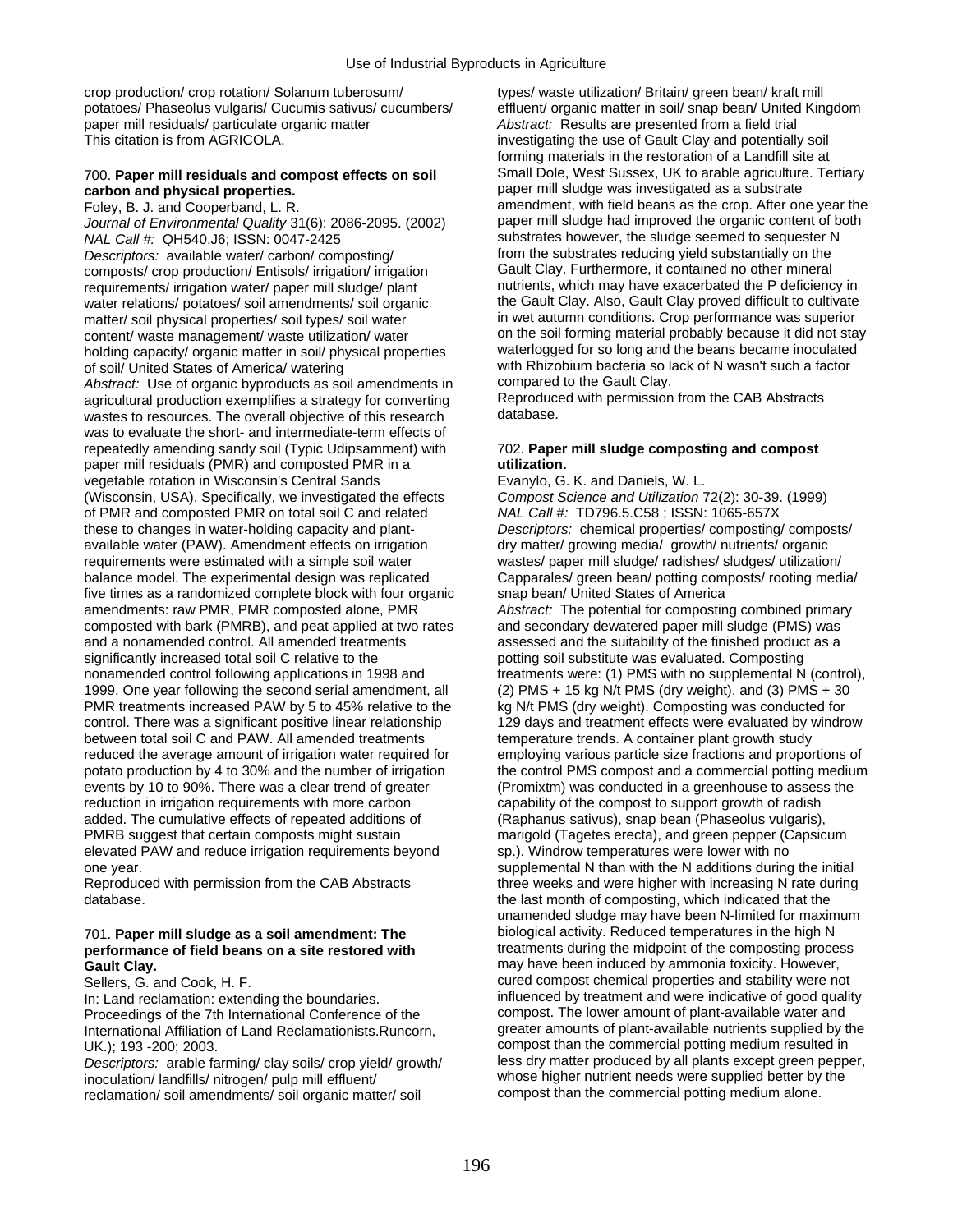crop production/ crop rotation/ Solanum tuberosum/ types/ waste utilization/ Britain/ green bean/ kraft mill potatoes/ Phaseolus vulgaris/ Cucumis sativus/ cucumbers/ effluent/ organic matter in soil/ snap bean/ United Kingdom paper mill residuals/ particulate organic matter **Abstract:** Results are presented from a field trial This citation is from AGRICOLA. investigating the use of Gault Clay and potentially soil

*Journal of Environmental Quality* 31(6): 2086-2095. (2002) *NAL Call #:* QH540.J6; ISSN: 0047-2425 substrates however, the sludge seemed to sequester N *Descriptors:* available water/ carbon/ composting/ from the substrates reducing yield substantially on the composts/ crop production/ Fortisols/ irrigation/ irrigation **composition** composts/ crop production/ Fortisols/ i composts/ crop production/ Entisols/ irrigation/ irrigation requirements/ irrigation water/ paper mill sludge/ plant nutrients, which may have exacerbated the P deficiency in water relations/ potatoes/ soil amendments/ soil organic the Gault Clay. Also, Gault Clay proved difficult to cultivate matter/ soil physical properties/ soil types/ soil water in wet autumn conditions. Crop performance was superior content/ waste management/ waste utilization/ water on the soil forming material probably because it did not stay<br>holding capacity/ organic matter in soil/ physical properties waterlogged for so long and the beans became i holding capacity/ organic matter in soil/ physical properties of soil/ United States of America/ watering with Rhizobium bacteria so lack of N wasn't such a factor<br>Abstract: Use of organic byproducts as soil amendments in compared to the Gault Clay. *Abstract:* Use of organic byproducts as soil amendments in compared to the Gault Clay.<br>agricultural production exemplifies a strategy for converting Reproduced with permission from the CAB Abstracts agricultural production exemplifies a strategy for converting Reproduce<br>wastes to resources. The overall objective of this research database. wastes to resources. The overall objective of this research was to evaluate the short- and intermediate-term effects of repeatedly amending sandy soil (Typic Udipsamment) with 702. **Paper mill sludge composting and compost**  paper mill residuals (PMR) and composted PMR in a **utilization.**  vegetable rotation in Wisconsin's Central Sands Evanylo, G. K. and Daniels, W. L. (Wisconsin, USA). Specifically, we investigated the effects *Compost Science and Utilization* 72(2): 30-39. (1999) of PMR and composted PMR on total soil C and related *NAL Call #:* TD796.5.C58 ; ISSN: 1065-657X these to changes in water-holding capacity and plant- *Descriptors:* chemical properties/ composting/ composts/ available water (PAW). Amendment effects on irrigation dry matter/ growing media/ growth/ nutrients/ organic requirements were estimated with a simple soil water wastes/ paper mill sludge/ radishes/ sludges/ utilization/ balance model. The experimental design was replicated Capparales/ green bean/ potting composts/ rooting media/ five times as a randomized complete block with four organic snap bean/ United States of America<br>amendments: raw PMR, PMR composted alone, PMR *Abstract:* The potential for compostin composted with bark (PMRB), and peat applied at two rates and a nonamended control. All amended treatments assessed and the suitability of the finished product as a significantly increased total soil C relative to the potting soil substitute was evaluated. Composting nonamended control following applications in 1998 and treatments were: (1) PMS with no supplemental N (control), 1999. One year following the second serial amendment, all (2) PMS + 15 kg N/t PMS (dry weight), and (3) PMS + 30 PMR treatments increased PAW by 5 to 45% relative to the kg N/t PMS (dry weight). Composting was conducted for control. There was a significant positive linear relationship 129 days and treatment effects were evaluated by windrow between total soil C and PAW. All amended treatments temperature trends. A container plant growth study reduced the average amount of irrigation water required for employing various particle size fractions and proportions of reduction in irrigation requirements with more carbon capability of the compost to support growth of radish added. The cumulative effects of repeated additions of (Raphanus sativus), snap bean (Phaseolus vulgaris), PMRB suggest that certain composts might sustain marigold (Tagetes erecta), and green pepper (Capsicum elevated PAW and reduce irrigation requirements beyond sp.). Windrow temperatures were lower with no

# performance of field beans on a site restored with

Proceedings of the 7th International Conference of the

*Descriptors:* arable farming/ clay soils/ crop yield/ growth/ less dry matter produced by all plants except green pepper, inoculation/ landfills/ nitrogen/ pulp mill effluent/ whose higher nutrient needs were supplied better by<br>
reclamation/ soil amendments/ soil organic matter/ soil compost than the commercial potting medium alone. reclamation/ soil amendments/ soil organic matter/ soil

forming materials in the restoration of a Landfill site at 700. **Paper mill residuals and compost effects on soil** Small Dole, West Sussex, UK to arable agriculture. Tertiary **carbon and physical properties. paper mill sludge was investigated as a substrate**<br>
Foley, B. J. and Cooperband, L. R. **paper in the and a substrate and properties** and a substrate amendment, with field beans as the cro amendment, with field beans as the crop. After one year the paper mill sludge had improved the organic content of both

Abstract: The potential for composting combined primary and secondary dewatered paper mill sludge (PMS) was potato production by 4 to 30% and the number of irrigation the control PMS compost and a commercial potting medium<br>events by 10 to 90%. There was a clear trend of greater (Promixtm) was conducted in a greenhouse to assess (Promixtm) was conducted in a greenhouse to assess the one year. supplemental N than with the N additions during the initial Reproduced with permission from the CAB Abstracts three weeks and were higher with increasing N rate during database. **the last month of composting, which indicated that the** database. unamended sludge may have been N-limited for maximum 701. **Paper mill sludge as a soil amendment: The** biological activity. Reduced temperatures in the high N **Gault Clay. Clay. Example 20 and 1** may have been induced by ammonia toxicity. However, Sellers, G. and Cook, H. F. cured compost chemical properties and stability were not In: Land reclamation: extending the boundaries.<br>Proceedings of the 7th International Conference of the compost. The lower amount of plant-available water and International Affiliation of Land Reclamationists.Runcorn, greater amounts of plant-available nutrients supplied by the UK.); 193 -200; 2003.<br>
Descriptors: arable farming/ clay soils/ crop vield/ growth/ less dry matter produced by all plants except green pepper.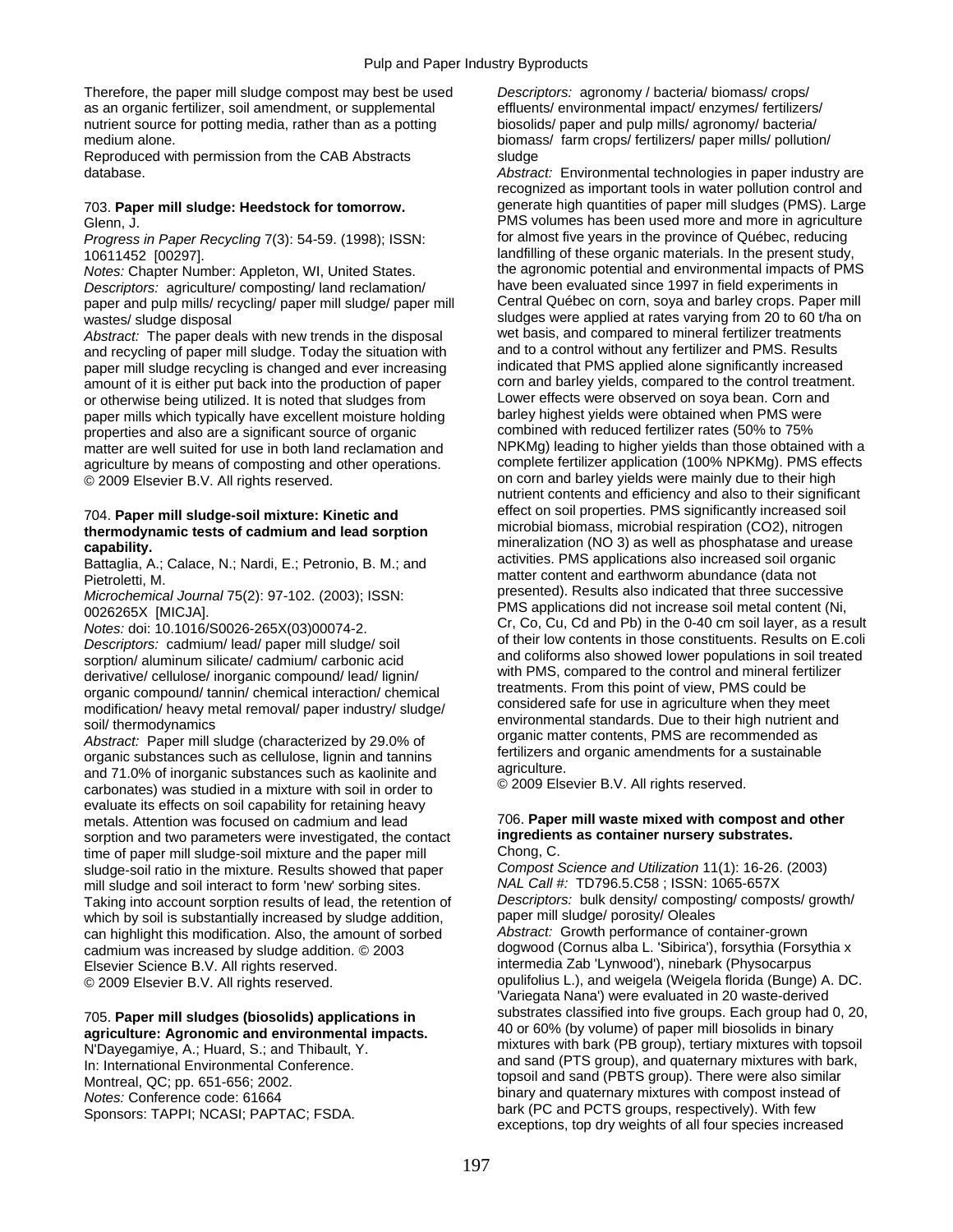Therefore, the paper mill sludge compost may best be used *Descriptors:* agronomy / bacteria/ biomass/ crops/ as an organic fertilizer, soil amendment, or supplemental effluents/ environmental impact/ enzymes/ fertilizers/ nutrient source for potting media, rather than as a potting biosolids/ paper and pulp mills/ agronomy/ bacteria/ medium alone. biomass/ farm crops/ fertilizers/ paper mills/ pollution/

Reproduced with permission from the CAB Abstracts sludge

*Progress in Paper Recycling* 7(3): 54-59. (1998); ISSN:

*Notes:* Chapter Number: Appleton, WI, United States. *Descriptors:* agriculture/ composting/ land reclamation/ have been evaluated since 1997 in field experiments in paper and pulp mills/ recycling/ paper mill sludge/ paper mill

*Abstract:* The paper deals with new trends in the disposal wet basis, and compared to mineral fertilizer treatments and recycling of paper mill sludge. Today the situation with and to a control without any fertilizer and PMS. Results<br>naper mill sludge recycling is changed and ever increasing indicated that PMS applied alone significantl paper mill sludge recycling is changed and ever increasing indicated that PMS applied alone significantly increased<br>amount of it is either put back into the production of paper corn and barley yields, compared to the contr amount of it is either put back into the production of paper corn and barley yields, compared to the control treatment or otherwise being utilized. It is noted that sludges from Lower effects were observed on soya bean. Co or otherwise being utilized. It is noted that sludges from Lower effects were observed on soya bean. Corn and<br>paper mills which typically have excellent moisture holding barley highest yields were obtained when PMS were paper mills which typically have excellent moisture holding barley highest yields were obtained when PMS were<br>175% or properties and also are a significant source of organic combined with reduced fertilizer rates (50% to properties and also are a significant source of organic © 2009 Elsevier B.V. All rights reserved. on corn and barley yields were mainly due to their high

organic compound/ tannin/ chemical interaction/ chemical<br>modification/ heavy metal removal/ paper industry/ sludge/ considered safe for use in agriculture when they meet<br>environmental standards. Due to their high nutrient

soil/ thermodynamics<br>
Abstract: Paper mill sludge (characterized by 29.0% of<br>
organic authorities and organic amendments for a sustainable<br>
and 71.0% of inorganic substances such as kaolinite and<br>
carbonates) was studied i evaluate its effects on soil capability for retaining heavy metals. Attention was focused on cadmium and lead 706. **Paper mill waste mixed with compost and other**<br>
sorption and two parameters were investigated, the contact **ingredients as container nursery substrates.** sorption and two parameters were investigated, the contact **ingredieneral intervals** as container time of paper mill sludge-soil mixture and the paper mill Chong. C. time of paper mill sludge-soil mixture and the paper mill Chong, C.<br>sludge-soil ratio in the mixture. Results showed that paper Compost Science and Utilization 11(1): 16-26. (2003) sludge-soil ratio in the mixture. Results showed that paper *Compost Science and Utilization* 11(1): 16-26. (2003) mill sludge and soil interact to form 'new' sorbing sites. *NAL Call #:* TD796.5.C58 ; ISSN: 1065-657X Taking into account sorption results of lead, the retention of *Descriptors:* bulk density/ composting<br>which by soil is substantially increased by sludge addition paper mill sludge/ porosity/ Oleales which by soil is substantially increased by sludge addition, paper mill sludge/ porosity/ Oleales<br>can highlight this modification. Also, the amount of sorbed and abstract: Growth performance of container-grown can highlight this modification. Also, the amount of sorbed *Abstract:* Growth performance of container-grown cadmium was increased by sludge addition. © 2003<br>Elsevier Science B.V. All rights reserved. © 2009 Elsevier B.V. All rights reserved. **opulifolius L.), and weigela (Weigela florida (Bunge)** A. DC.

database. *Abstract:* Environmental technologies in paper industry are recognized as important tools in water pollution control and 703. **Paper mill sludge: Heedstock for tomorrow.** generate high quantities of paper mill sludges (PMS). Large Glenn, J.<br>PMS volumes has been used more and more in agriculture<br>Progress in Paper Recycling 7(3): 54-59. (1998): ISSN: for almost five years in the province of Québec, reducing 10611452 [00297].<br>
Notes: Chapter Number: Appleton, WI. United States. The agronomic potential and environmental impacts of PMS wastes/ sludge disposal<br>Abstract: The paper deals with new trends in the disposal wet basis, and compared to mineral fertilizer treatments matter are well suited for use in both land reclamation and NPKMg) leading to higher yields than those obtained with a agriculture by means of composting and other operations. complete fertilizer application (100% NPKMg). PMS effects nutrient contents and efficiency and also to their significant effect on soil properties. PMS significantly increased soil 704. **Paper mill sludge-soil mixture: Kinetic and**  thermodynamic tests of cadmium and lead sorption<br>
capability.<br>
Battaglia, A.; Calace, N.; Nardi, E.; Petronio, B. M.; and<br>
Pietroletti, M.<br>
Microchamical Journal 75(2): 97-102 (2003): ISSN:<br>
Microchamical Journal 75(2): 97 Microchemical Journal 75(2): 97-102. (2003); ISSN:<br>
0026265X [MICJA].<br>
Notes: doi: 10.1016/S0026-265X(03)00074-2.<br>
Descriptors: cadmium/ lead/ paper mill sludge/ soil<br>
sorption/ aluminum silicate/ cadmium/ carbonic acid<br>
d

intermedia Zab 'Lynwood'), ninebark (Physocarpus 'Variegata Nana') were evaluated in 20 waste-derived To b. Paper mill sludges (biosolids) applications in<br>
agriculture: Agronomic and environmental impacts.<br>
N'Dayegamiye, A.; Huard, S.; and Thibault, Y.<br>
In: International Environmental Conference.<br>
and sand (PTS group), and Montreal, QC; pp. 651-656; 2002.<br>Montreal, QC; pp. 651-656; 2002. binary and quaternary mixtures with compost instead of<br>
Notes: Conference code: 61664<br>
Sponsors: TABBL: NCASL: BABTAC: ESDA<br> **BRACE CONFERENCE CONFERENCE CONFERENCE CONFERENCE CONFERENCE CONFERENCE CONFERENCE CONFERENCE CO** Sponsors: TAPPI; NCASI; PAPTAC; FSDA. exceptions, top dry weights of all four specturely). With few Sponsors: TAPPI; NCASI; PAPTAC; FSDA. exceptions, top dry weights of all four species increased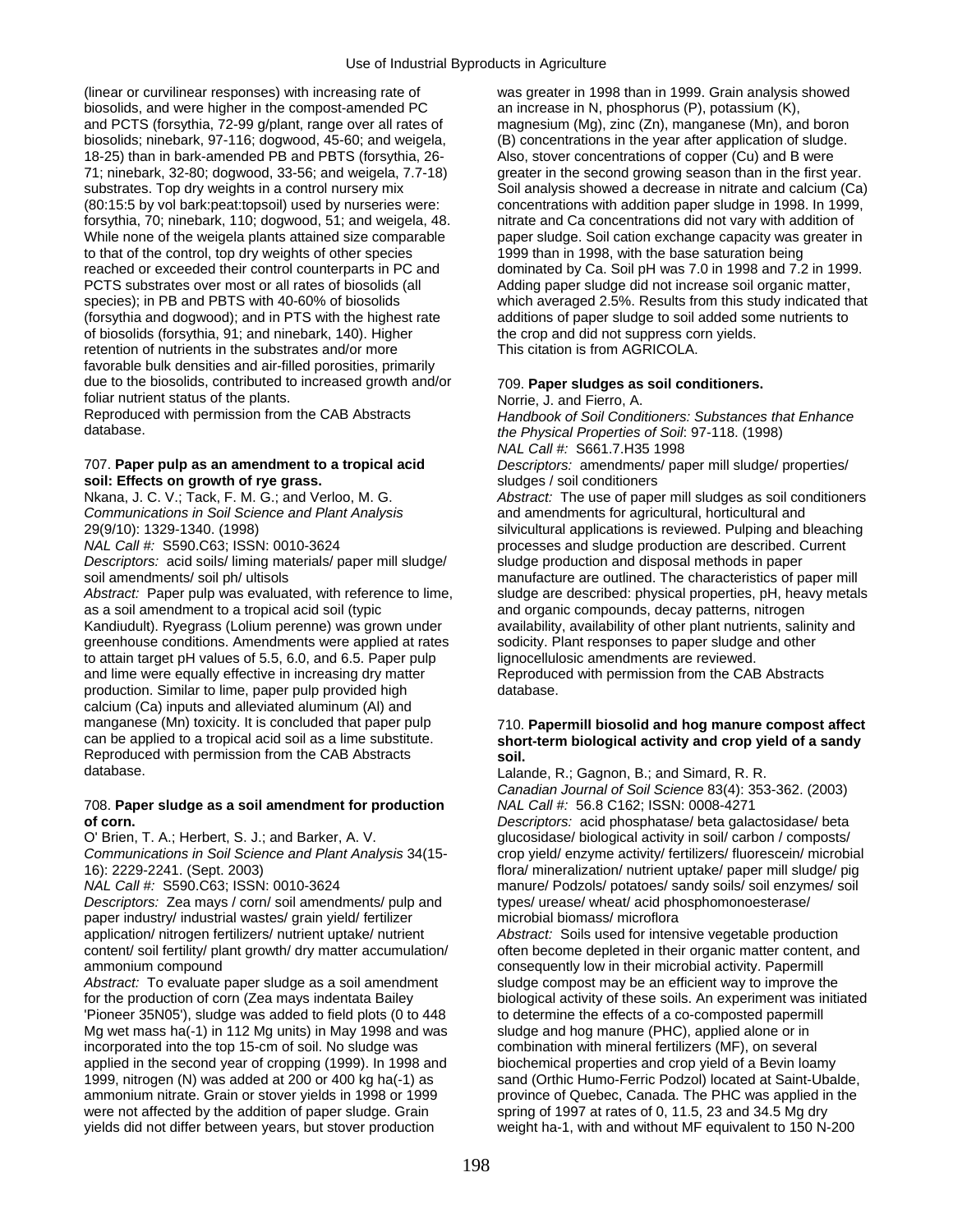(linear or curvilinear responses) with increasing rate of was greater in 1998 than in 1999. Grain analysis showed biosolids, and were higher in the compost-amended PC an increase in N, phosphorus (P), potassium (K), and PCTS (forsythia, 72-99 g/plant, range over all rates of magnesium (Mg), zinc (Zn), manganese (Mn), and boron biosolids; ninebark, 97-116; dogwood, 45-60; and weigela, (B) concentrations in the year after application of sludge. 18-25) than in bark-amended PB and PBTS (forsythia, 26- Also, stover concentrations of copper (Cu) and B were 71; ninebark, 32-80; dogwood, 33-56; and weigela, 7.7-18) greater in the second growing season than in the first year. substrates. Top dry weights in a control nursery mix Soil analysis showed a decrease in nitrate and calcium (Ca) (80:15:5 by vol bark:peat:topsoil) used by nurseries were: concentrations with addition paper sludge in 1998. In 1999, forsythia, 70; ninebark, 110; dogwood, 51; and weigela, 48. nitrate and Ca concentrations did not vary with addition of While none of the weigela plants attained size comparable paper sludge. Soil cation exchange capacity was greater in to that of the control, top dry weights of other species 1999 than in 1998, with the base saturation being reached or exceeded their control counterparts in PC and dominated by Ca. Soil pH was 7.0 in 1998 and 7.2 in 1999. PCTS substrates over most or all rates of biosolids (all Adding paper sludge did not increase soil organic matter, (forsythia and dogwood); and in PTS with the highest rate additions of paper sludge to soil added some nutrients to of biosolids (forsythia, 91; and ninebark, 140). Higher the crop and did not suppress corn yields.<br>
retention of nutrients in the substrates and/or more This citation is from AGRICOLA. retention of nutrients in the substrates and/or more favorable bulk densities and air-filled porosities, primarily due to the biosolids, contributed to increased growth and/or 709. **Paper sludges as soil conditioners.**  foliar nutrient status of the plants.<br>
Reproduced with permission from the CAB Abstracts<br>
Handbook of Soil Condi

## **soil: Effects on growth of rye grass. sludges** / soil conditioners

*Communications in Soil Science and Plant Analysis* and amendments for agricultural, horticultural and

*Descriptors:* acid soils/ liming materials/ paper mill sludge/ sludge production and disposal methods in paper

as a soil amendment to a tropical acid soil (typic and provid and organic compounds, decay patterns, nitrogen<br>Kandiudult). Ryegrass (Lolium perenne) was grown under availability, availability of other plant nutrients, sali greenhouse conditions. Amendments were applied at rates sodicity. Plant responses to paper sludge and other to attain target pH values of 5.5, 6.0, and 6.5. Paper pulp lignocellulosic amendments are reviewed.<br>
and lime were equally effective in increasing dry matter Reproduced with permission from the CAB Abstracts and lime were equally effective in increasing dry matter production. Similar to lime, paper pulp provided high database. calcium (Ca) inputs and alleviated aluminum (Al) and manganese (Mn) toxicity. It is concluded that paper pulp 710. **Papermill biosolid and hog manure compost affect**<br>
can be applied to a tropical acid soil as a lime substitute. **Short-term biological activity and crop vield** Reproduced with permission from the CAB Abstracts **soil.** 

### 708. Paper sludge as a soil amendment for production **of corn.** *Descriptors:* acid phosphatase/ beta galactosidase/ beta

*Descriptors:* Zea mays / corn/ soil amendments/ pulp and types/ urease/ wheat/ acid phosphomonoesterase/ paper industry/ industrial wastes/ grain yield/ fertilizer microbial biomass/ microflora application/ nitrogen fertilizers/ nutrient uptake/ nutrient *Abstract:* Soils used for intensive vegetable production content/ soil fertility/ plant growth/ dry matter accumulation/ often become depleted in their organic matter content, and ammonium compound **consequently low in their microbial activity**. Papermill

*Abstract:* To evaluate paper sludge as a soil amendment sludge compost may be an efficient way to improve the for the production of corn (Zea mays indentata Bailey biological activity of these soils. An experiment was ini 'Pioneer 35N05'), sludge was added to field plots (0 to 448 to determine the effects of a co-composted papermill Mg wet mass ha(-1) in 112 Mg units) in May 1998 and was sludge and hog manure (PHC), applied alone or in incorporated into the top 15-cm of soil. No sludge was combination with mineral fertilizers (MF), on several applied in the second year of cropping (1999). In 1998 and biochemical properties and crop yield of a Bevin loamy 1999, nitrogen (N) was added at 200 or 400 kg ha(-1) as sand (Orthic Humo-Ferric Podzol) located at Saint-Ubalde, ammonium nitrate. Grain or stover yields in 1998 or 1999 province of Quebec, Canada. The PHC was applied in the were not affected by the addition of paper sludge. Grain spring of 1997 at rates of 0, 11.5, 23 and 34.5 Mg dry yields did not differ between years, but stover production weight ha-1, with and without MF equivalent to 150 N-200

species); in PB and PBTS with 40-60% of biosolids which averaged 2.5%. Results from this study indicated that

Reproduced with permission from the CAB Abstracts *Handbook of Soil Conditioners: Substances that Enhance*  the Physical Properties of Soil: 97-118. (1998) *NAL Call #:* S661.7.H35 1998 707. **Paper pulp as an amendment to a tropical acid** *Descriptors:* amendments/ paper mill sludge/ properties/ Nkana, J. C. V.; Tack, F. M. G.; and Verloo, M. G. *Abstract:* The use of paper mill sludges as soil conditioners 29(9/10): 1329-1340. (1998) silvicultural applications is reviewed. Pulping and bleaching *NAL Call #:* S590.C63; ISSN: 0010-3624 processes and sludge production are described. Current soil amendments/ soil ph/ ultisols manufacture are outlined. The characteristics of paper mill *Abstract:* Paper pulp was evaluated, with reference to lime, sludge are described: physical properties, pH, heavy metals availability, availability of other plant nutrients, salinity and

# short-term biological activity and crop yield of a sandy

Lalande, R.; Gagnon, B.; and Simard, R. R. *Canadian Journal of Soil Science* 83(4): 353-362. (2003)

O' Brien, T. A.; Herbert, S. J.; and Barker, A. V. Glucosidase/ biological activity in soil/ carbon / composts/ *Communications in Soil Science and Plant Analysis* 34(15- crop yield/ enzyme activity/ fertilizers/ fluorescein/ microbial 16): 2229-2241. (Sept. 2003) flora/ mineralization/ nutrient uptake/ paper mill sludge/ pig *NAL Call #:* S590.C63; ISSN: 0010-3624 manure/ Podzols/ potatoes/ sandy soils/ soil enzymes/ soil

biological activity of these soils. An experiment was initiated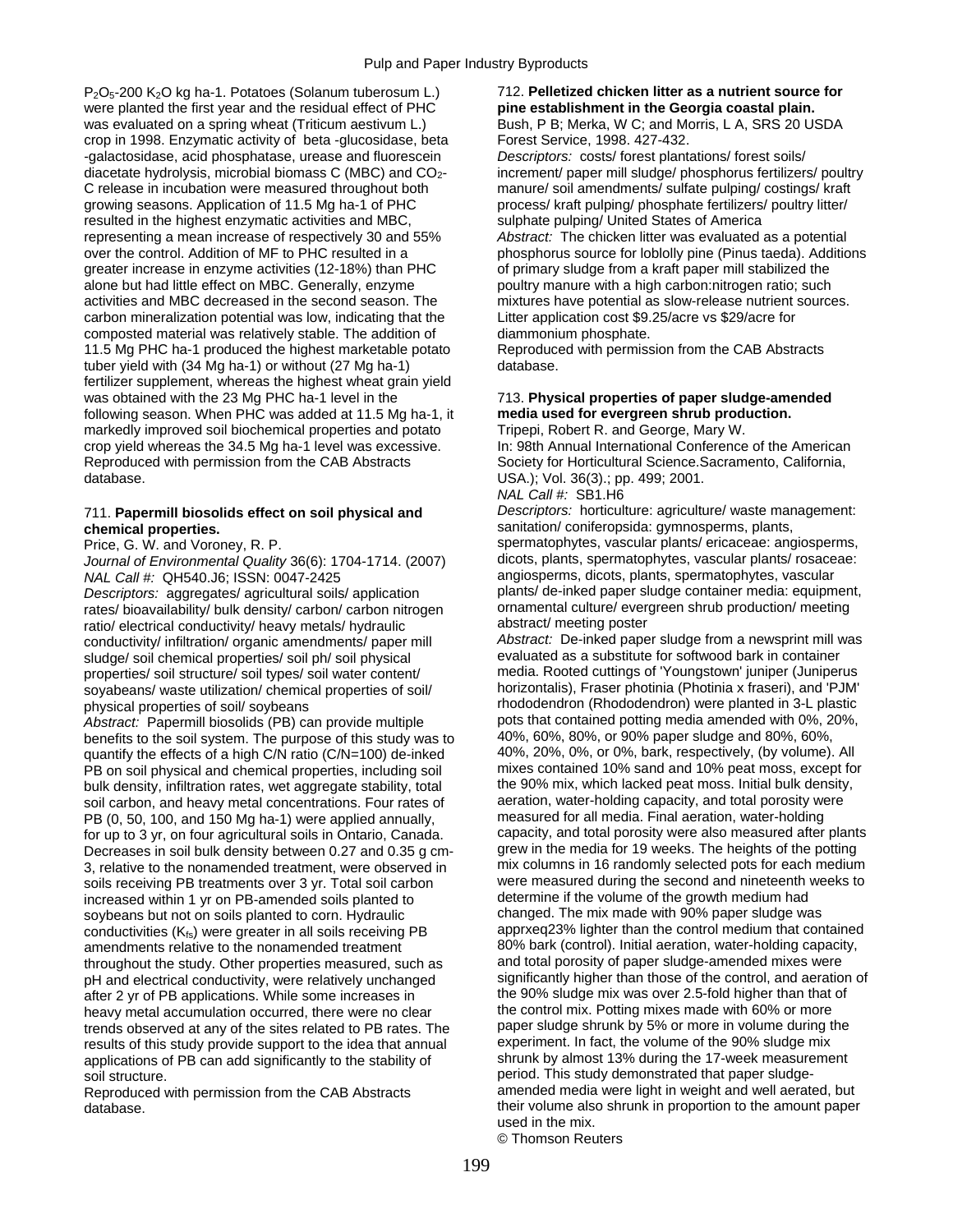P2O5-200 K2O kg ha-1. Potatoes (Solanum tuberosum L.) 712. **Pelletized chicken litter as a nutrient source for**  were planted the first year and the residual effect of PHC **pine establishment in the Georgia coastal plain.**  was evaluated on a spring wheat (Triticum aestivum L.) Bush, P B; Merka, W C; and Morris, L A, SRS 20 USDA crop in 1998. Enzymatic activity of beta -qlucosidase, beta  $\overline{\phantom{a}}$  Forest Service, 1998. 427-432. crop in 1998. Enzymatic activity of beta -glucosidase, beta -galactosidase, acid phosphatase, urease and fluorescein *Descriptors:* costs/ forest plantations/ forest soils/ diacetate hydrolysis, microbial biomass C (MBC) and CO<sub>2</sub>- increment/ paper mill sludge/ phosphorus fertilizers/ poultry C release in incubation were measured throughout both manure/ soil amendments/ sulfate pulping/ costings/ kraft growing seasons. Application of 11.5 Mg ha-1 of PHC process/ kraft pulping/ phosphate fertilizers/ poultry litter/ resulted in the highest enzymatic activities and MBC, sulphate pulping/ United States of America representing a mean increase of respectively 30 and 55% *Abstract:* The chicken litter was evaluated as a potential over the control. Addition of MF to PHC resulted in a phosphorus source for loblolly pine (Pinus taeda). Additions greater increase in enzyme activities (12-18%) than PHC of primary sludge from a kraft paper mill stabilized the<br>alone but had little effect on MBC. Generally, enzyme poultry manure with a high carbon:nitrogen ratio; such activities and MBC decreased in the second season. The mixtures have potential as slow-release nutrient sources. carbon mineralization potential was low, indicating that the Litter application cost \$9.25/acre vs \$29/acre for composted material was relatively stable. The addition of diammonium phosphate. 11.5 Mg PHC ha-1 produced the highest marketable potato Reproduced with permission from the CAB Abstracts tuber yield with (34 Mg ha-1) or without (27 Mg ha-1) database. fertilizer supplement, whereas the highest wheat grain yield was obtained with the 23 Mg PHC ha-1 level in the 713. **Physical properties of paper sludge-amended**  following season. When PHC was added at 11.5 Mg ha-1, it **media used for evergreen shrub production.** markedly improved soil biochemical properties and potato Tripepi, Robert R. and George, Mary W. crop yield whereas the 34.5 Mg ha-1 level was excessive. In: 98th Annual International Conference of the American Reproduced with permission from the CAB Abstracts Society for Horticultural Science.Sacramento, California, database. USA.); Vol. 36(3).; pp. 499; 2001.

## **chemical properties.** sanitation/ coniferopsida: gymnosperms, plants,

*Journal of Environmental Quality* 36(6): 1704-1714. (2007) *NAL Call #:* QH540.J6; ISSN: 0047-2425 angiosperms, dicots, plants, spermatophytes, vascular

rates/ bioavailability/ bulk density/ carbon/ carbon nitrogen ornamental culture/ evergreen shrub productivity<br>
ratio/ electrical conductivity/ heavy metals/ hydraulic abstract/ meeting poster ratio/ electrical conductivity/ heavy metals/ hydraulic abstract/ meeting poster<br>conductivity/ infiltration/ organic amendments/ paper mill abstract: De-inked paper sludge from a newsprint mill was conductivity/ infiltration/ organic amendments/ paper mill **Abstract:** De-inked paper sludge from a newsprint mill v<br>sludge/ soil chemical properties/ soil ph/ soil physical evaluated as a substitute for softwood bark in c sludge/ soil chemical properties/ soil ph/ soil physical evaluated as a substitute for softwood bark in container<br>properties/ soil structure/ soil types/ soil water content/ media. Rooted cuttings of 'Youngstown' juniper ( properties/ soil structure/ soil types/ soil water content/

benefits to the soil system. The purpose of this study was to  $40\%$ , 60%, 80%, or 90% paper sludge and 80%, 60%, A<br>guantify the effects of a high C/N ratio (C/N=100) de-inked 40%, 20%, 0%, or 0%, bark, respectively, (by v quantify the effects of a high C/N ratio (C/N=100) de-inked 40%, 20%, 0%, or 0%, bark, respectively, (by volume). All<br>PR on soil physical and chemical properties, including soil mixes contained 10% sand and 10% peat moss, PB on soil physical and chemical properties, including soil mixes contained 10% sand and 10% peat moss, except for<br>bulk density, infiltration rates, wet aggregate stability, total the 90% mix, which lacked peat moss. Initi bulk density, infiltration rates, wet aggregate stability, total the 90% mix, which lacked peat moss. Initial bulk density<br>soil carbon, and heavy metal concentrations. Four rates of aeration, water-holding capacity, and to soil carbon, and heavy metal concentrations. Four rates of aeration, water-holding capacity, and total porosity we<br>PB (0, 50, 100, and 150 Mg ha-1) were applied annually. The measured for all media. Final aeration, water-h PB (0, 50, 100, and 150 Mg ha-1) were applied annually, measured for all media. Final aeration, water-holding<br>for up to 3 yr, on four agricultural soils in Ontario. Canada. Capacity, and total porosity were also measured a for up to 3 yr, on four agricultural soils in Ontario, Canada. capacity, and total porosity were also measured after plants<br>Decreases in soil bulk density between 0.27 and 0.35 g cm-grew in the media for 19 weeks. The heig Decreases in soil bulk density between 0.27 and 0.35 g cm-3, relative to the nonamended treatment, were observed in mix columns in 16 randomly selected pots for each medium soils receiving PB treatments over 3 yr. Total soil carbon were measured during the second and nineteenth weeks to increased within 1 yr on PB-amended soils planted to determine if the volume of the growth medium had increased within 1 yr on PB-amended soils planted to determine if the volume of the growth medium had<br>sovbeans but not on soils planted to corn. Hydraulic changed. The mix made with 90% paper sludge was soybeans but not on soils planted to corn. Hydraulic changed. The mix made with 90% paper sludge was<br>conductivities (K<sub>io</sub>) were greater in all soils receiving PR apprxeg23% lighter than the control medium that contained conductivities ( $K_{fs}$ ) were greater in all soils receiving PB apprxeq23% lighter than the control medium that contained<br>amendments relative to the nonamended treatment 80% bark (control). Initial aeration, water-holding amendments relative to the nonamended treatment 80% bark (control). Initial aeration, water-holding capacit<br>throughout the study. Other properties measured, such as and total porosity of paper sludge-amended mixes were throughout the study. Other properties measured, such as and total porosity of paper sludge-amended mixes were<br>
pH and electrical conductivity, were relatively unchanged significantly higher than those of the control, and pH and electrical conductivity, were relatively unchanged significantly higher than those of the control, and aeration of the control, and aeration of the control, and aeration of the some increases in the 90% sludge mix w after 2 yr of PB applications. While some increases in the 90% sludge mix was over 2.5-fold higher than that  $\frac{1}{2}$  heavy metal accumulation occurred, there were no clear the control mix. Potting mixes made with 60% or heavy metal accumulation occurred, there were no clear the control mix. Potting mixes made with 60% or more<br>trends observed at any of the sites related to PB rates. The paper sludge shrunk by 5% or more in volume during th trends observed at any of the sites related to PB rates. The paper sludge shrunk by 5% or more in volume during the paper sludge mix results of this study provide support to the idea that annual experiment. In fact, the vo results of this study provide support to the idea that annual experiment. In fact, the volume of the 90% sludge mix<br>applications of PB can add significantly to the stability of shrunk by almost 13% during the 17-week measu applications of PB can add significantly to the stability of soil structure. **period.** This study demonstrated that paper sludge-

poultry manure with a high carbon:nitrogen ratio; such

*NAL Call #:* SB1.H6

711. **Papermill biosolids effect on soil physical and** *Descriptors:* horticulture: agriculture/ waste management:

Price, G. W. and Voroney, R. P. Spermatophytes, vascular plants/ ericaceae: angiosperms, Price, G. W. and Voroney, R. P. Spermatophytes, vascular plants/ rosaceae: angiosperms, claurnal of Fnyironmental Quality 36(6): 1704 *Descriptors:* aggregates/ agricultural soils/ application plants/ de-inked paper sludge container media: equipment, rates/ bioavailability/ bulk density/ carbon/ carbon nitrogen promamental culture/ evergreen shrub produc

soyabeans/ waste utilization/ chemical properties of soil/ horizontalis), Fraser photinia (Photinia x fraseri), and 'PJM' rhododendron (Rhododendron) were planted in 3-L plastic Abstract: Papermill biosolids (PB) can provide multiple pots that contained potting media amended with 0%, 20%,<br>henefits to the soil system. The purpose of this study was to 40%, 60%, 80%, or 90% paper sludge and 80%, 60%, Reproduced with permission from the CAB Abstracts amended media were light in weight and well aerated, but database. their volume also shrunk in proportion to the amount paper used in the mix.

© Thomson Reuters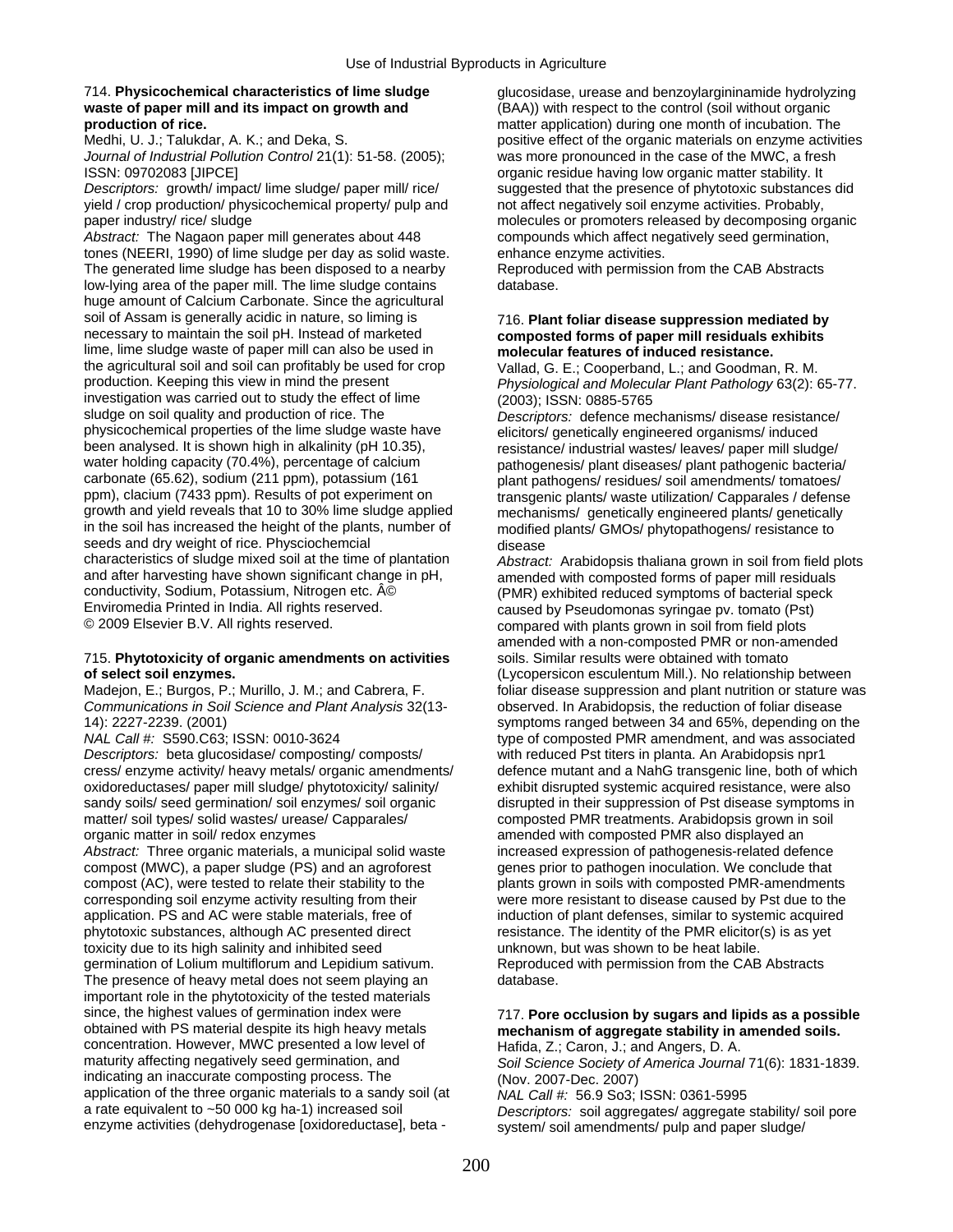# **waste of paper mill and its impact on growth and** (BAA)) with respect to the control (soil without organic<br> **production of rice.** The matter application) during one month of incubation. The

*Journal of Industrial Pollution Control* 21(1): 51-58. (2005); was more pronounced in the case of the MWC, a fresh ISSN: 09702083 [JIPCE] **ISSN:** 09702083 [JIPCE]

yield / crop production/ physicochemical property/ pulp and not affect negatively soil enzyme activities. Probably, paper industry/ rice/ sludge molecules or promoters released by decomposing organic

*Abstract:* The Nagaon paper mill generates about 448 compounds which affect negatively seed germination, tones (NEERI, 1990) of lime sludge per day as solid waste. enhance enzyme activities. The generated lime sludge has been disposed to a nearby Reproduced with permission from the CAB Abstracts low-lying area of the paper mill. The lime sludge contains database. huge amount of Calcium Carbonate. Since the agricultural soil of Assam is generally acidic in nature, so liming is 716. **Plant foliar disease suppression mediated by**<br>
necessary to maintain the soil pH. Instead of marketed **composted forms of paper mill residuals exhibits** lime, lime sludge waste of paper mill can also be used in **molecular features of induced resistance.**<br>
the agricultural soil and soil can profitably be used for crop the agricultural soil and soil can profitably be used for crop Vallad, G. E.; Cooperband, L.; and Goodman, R. M.<br>Physiological and Molecular Plant Pathology 63(2): I investigation was carried out to study the effect of lime  $(2003)$ ; ISSN: 0885-5765<br>sludge on soil quality and production of rice. The  $D \text{escriptors}$ : defence mee physicochemical properties of the lime sludge waste have elicitors/ genetically engineered organisms/ induced<br>been analysed. It is shown high in alkalinity (pH 10.35), entity resistance/ industrial wastes/ leaves/ paper mi been analysed. It is shown high in alkalinity (pH 10.35), resistance/ industrial wastes/ leaves/ paper mill sludge/<br>water holding capacity (70.4%), percentage of calcium resistance pathogenesis/ plant diseases/ plant patho water holding capacity (70.4%), percentage of calcium pathogenesis/ plant diseases/ plant pathogenic bacteria/<br>carbonate (65.62), sodium (211 ppm), potassium (161 carbonat plant pathogens/ residues/ soil amendments/ tomato carbonate (65.62), sodium (211 ppm), potassium (161 plant pathogens/ residues/ soil amendments/ tomatoes/<br>ppm), clacium (7433 ppm). Results of pot experiment on transgenic plants/ waste utilization/ Capparales / defens ppm), clacium (7433 ppm). Results of pot experiment on transgenic plants/ waste utilization/ Capparales / defense<br>growth and yield reveals that 10 to 30% lime sludge applied mechanisms/ genetically engineered plants/ genet growth and yield reveals that 10 to 30% lime sludge applied mechanisms/ genetically engineered plants/ genetically<br>in the soil has increased the height of the plants, number of modified plants/ GMOs/ phytopathogens/ resist seeds and dry weight of rice. Physciochemcial disease<br>characteristics of sludge mixed soil at the time of plantation *Abstraction* and after harvesting have shown significant change in pH,<br>
conductivity, Sodium, Potassium, Nitrogen etc. © (PMR) exhibited reduced symptoms of bacterial speck<br>
Enviromedia Printed in India. All rights reserved.<br>
caused b Enviromedia Printed in India. All rights reserved.<br>© 2009 Elsevier B.V. All rights reserved. cause of the compared with plants grown in soil from field plots

### 715. **Phytotoxicity of organic amendments on activities** soils. Similar results were obtained with tomato **of select soil enzymes.** (Lycopersicon esculentum Mill.). No relationship between

*Communications in Soil Science and Plant Analysis* 32(13- observed. In Arabidopsis, the reduction of foliar disease

*Descriptors:* beta glucosidase/ composting/ composts/ with reduced Pst titers in planta. An Arabidopsis npr1 cress/ enzyme activity/ heavy metals/ organic amendments/ defence mutant and a NahG transgenic line, both of which oxidoreductases/ paper mill sludge/ phytotoxicity/ salinity/ exhibit disrupted systemic acquired resistance, were also sandy soils/ seed germination/ soil enzymes/ soil organic disrupted in their suppression of Pst disease symptoms in matter/ soil types/ solid wastes/ urease/ Capparales/ composted PMR treatments. Arabidopsis grown in soil organic matter in soil/ redox enzymes and the same amended with composted PMR also displayed an

compost (MWC), a paper sludge (PS) and an agroforest genes prior to pathogen inoculation. We conclude that compost (AC), were tested to relate their stability to the plants grown in soils with composted PMR-amendments corresponding soil enzyme activity resulting from their were more resistant to disease caused by Pst due to the application. PS and AC were stable materials, free of induction of plant defenses, similar to systemic acquired phytotoxic substances, although AC presented direct resistance. The identity of the PMR elicitor(s) is as yet toxicity due to its high salinity and inhibited seed unknown, but was shown to be heat labile. germination of Lolium multiflorum and Lepidium sativum. Reproduced with permission from the CAB Abstracts The presence of heavy metal does not seem playing an database. important role in the phytotoxicity of the tested materials since, the highest values of germination index were 717. **Pore occlusion by sugars and lipids as a possible**<br>
obtained with PS material despite its high heavy metals **mechanism of aggregate stability in amended soils** concentration. However, MWC presented a low level of Hafida, Z.; Caron, J.; and Angers, D. A.<br>maturity affecting negatively seed germination, and Soil Science Society of America Journa indicating an inaccurate composting process. The (Nov. 2007-Dec. 2007) application of the three organic materials to a sandy soil (at *NAL Call #:*  56.9 So3; ISSN: 0361-5995<br>a rate equivalent to ~50 000 kg ha-1) increased soil **Descriptors:** soil angregates/ angregate enzyme activities (dehydrogenase [oxidoreductase], beta - system/ soil amendments/ pulp and paper sludge/

714. **Physicochemical characteristics of lime sludge** glucosidase, urease and benzoylargininamide hydrolyzing **production of rice.**<br>
Medhi, U. J.: Talukdar, A. K.: and Deka, S. **matter application**) during one month of incubation. The<br>
positive effect of the organic materials on enzyme activit positive effect of the organic materials on enzyme activities *Descriptors:* growth/ impact/ lime sludge/ paper mill/ rice/ suggested that the presence of phytotoxic substances did

# composted forms of paper mill residuals exhibits

Physiological and Molecular Plant Pathology 63(2): 65-77.

Descriptors: defence mechanisms/ disease resistance/ modified plants/ GMOs/ phytopathogens/ resistance to

Abstract: Arabidopsis thaliana grown in soil from field plots compared with plants grown in soil from field plots amended with a non-composted PMR or non-amended Madejon, E.; Burgos, P.; Murillo, J. M.; and Cabrera, F. foliar disease suppression and plant nutrition or stature was 14): 2227-2239. (2001)<br>
MAL Call #: S590.C63; ISSN: 0010-3624 symptoms ranged between 34 and 65%, depending on the<br>
type of composted PMR amendment, and was associated type of composted PMR amendment, and was associated *Abstract:* Three organic materials, a municipal solid waste increased expression of pathogenesis-related defence

## mechanism of aggregate stability in amended soils.

Soil Science Society of America Journal 71(6): 1831-1839. Descriptors: soil aggregates/ aggregate stability/ soil pore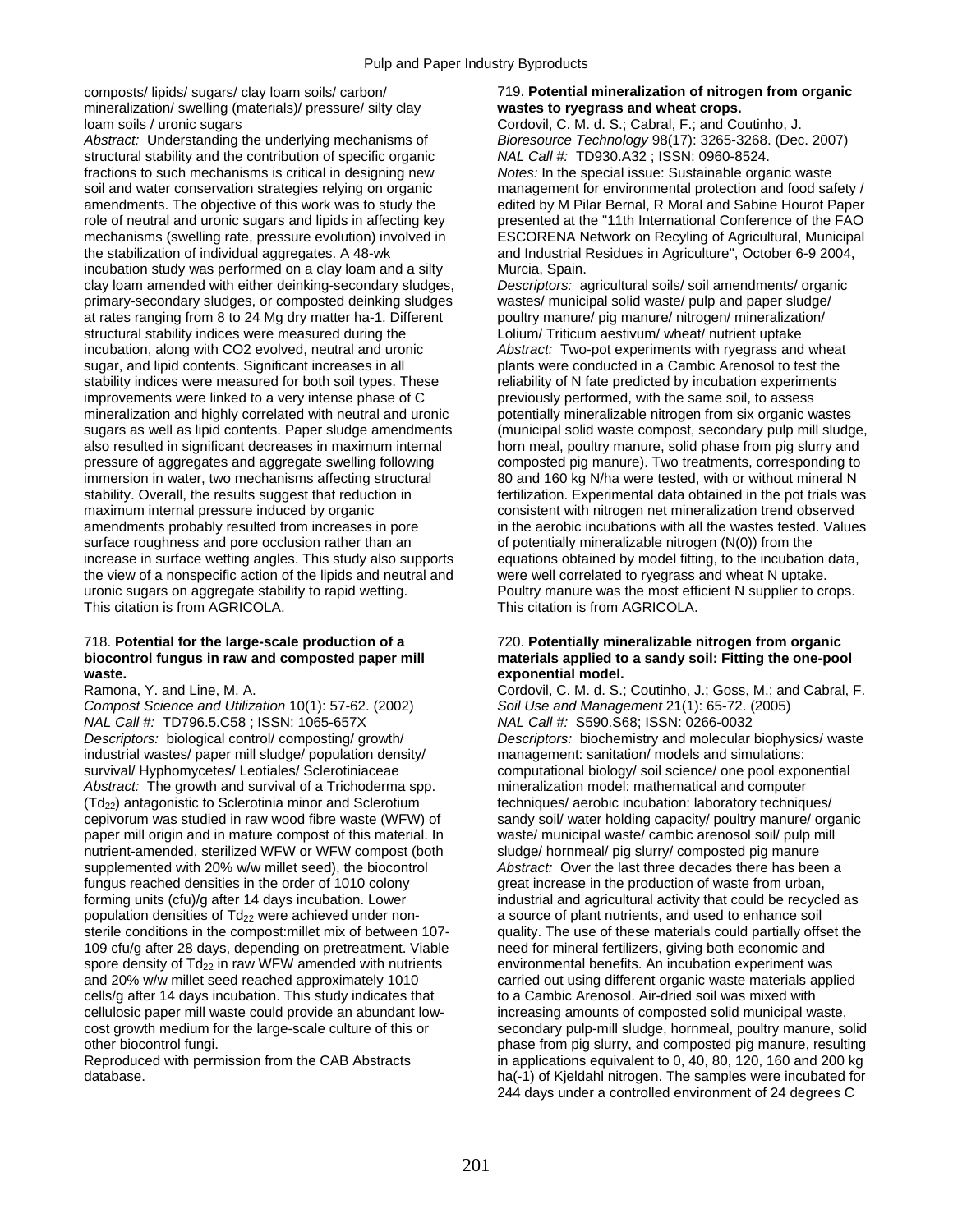mineralization/ swelling (materials)/ pressure/ silty clay **wastes to ryegrass and wheat crops.**  loam soils / uronic sugars **Cordovil, C. M. d. S.; Cabral, F.; and Coutinho, J.** Cordovil, C. M. d. S.; Cabral, F.; and Coutinho, J.

*Abstract:* Understanding the underlying mechanisms of *Bioresource Technology* 98(17): 3265-3268. (Dec. 2007) structural stability and the contribution of specific organic *NAL Call #:* TD930.A32 ; ISSN: 0960-8524. fractions to such mechanisms is critical in designing new *Notes:* In the special issue: Sustainable organic waste soil and water conservation strategies relying on organic management for environmental protection and food safety / amendments. The objective of this work was to study the edited by M Pilar Bernal, R Moral and Sabine Hourot Paper role of neutral and uronic sugars and lipids in affecting key presented at the "11th International Conference of the FAO mechanisms (swelling rate, pressure evolution) involved in ESCORENA Network on Recyling of Agricultural, Municipal the stabilization of individual aggregates. A 48-wk and Industrial Residues in Agriculture", October 6-9 2004, incubation study was performed on a clay loam and a silty Murcia, Spain. clay loam amended with either deinking-secondary sludges, *Descriptors:* agricultural soils/ soil amendments/ organic primary-secondary sludges, or composted deinking sludges wastes/ municipal solid waste/ pulp and paper sludge/ at rates ranging from 8 to 24 Mg dry matter ha-1. Different poultry manure/ pig manure/ nitrogen/ mineralization/<br>structural stability indices were measured during the state building Triticum aestivum/ wheat/ nutrient upta structural stability indices were measured during the loculation, along with CO2 evolved, neutral and uronic sugar, and lipid contents. Significant increases in all plants were conducted in a Cambic Arenosol to test the stability indices were measured for both soil types. These reliability of N fate predicted by incubation experiments improvements were linked to a very intense phase of C previously performed, with the same soil, to assess mineralization and highly correlated with neutral and uronic potentially mineralizable nitrogen from six organic wastes sugars as well as lipid contents. Paper sludge amendments (municipal solid waste compost, secondary pulp mill sludge, also resulted in significant decreases in maximum internal horn meal, poultry manure, solid phase from pig slurry and pressure of aggregates and aggregate swelling following composted pig manure). Two treatments, corresponding to immersion in water, two mechanisms affecting structural 80 and 160 kg N/ha were tested, with or without mineral N<br>stability. Overall, the results suggest that reduction in fertilization. Experimental data obtained in the p maximum internal pressure induced by organic consistent with nitrogen net mineralization trend observed amendments probably resulted from increases in pore in the aerobic incubations with all the wastes tested. Values surface roughness and pore occlusion rather than an of potentially mineralizable nitrogen (N(0)) from the increase in surface wetting angles. This study also supports equations obtained by model fitting, to the incubation data, the view of a nonspecific action of the lipids and neutral and were well correlated to ryegrass and wheat N uptake. uronic sugars on aggregate stability to rapid wetting. Poultry manure was the most efficient N supplier to crops. This citation is from AGRICOLA. This citation is from AGRICOLA.

## 718. **Potential for the large-scale production of a** 720. **Potentially mineralizable nitrogen from organic waste. exponential model.**

*Compost Science and Utilization* 10(1): 57-62. (2002) *Soil Use and Management* 21(1): 65-72. (2005) *NAL Call #:* TD796.5.C58 ; ISSN: 1065-657X *NAL Call #:* S590.S68; ISSN: 0266-0032 industrial wastes/ paper mill sludge/ population density/ management: sanitation/ models and simulations: survival/ Hyphomycetes/ Leotiales/ Sclerotiniaceae computational biology/ soil science/ one pool exponential *Abstract:* The growth and survival of a Trichoderma spp. mineralization model: mathematical and computer (Td<sub>22</sub>) antagonistic to Sclerotinia minor and Sclerotium techniques/ aerobic incubation: laboratory techniques/<br>
cepivorum was studied in raw wood fibre waste (WFW) of sandy soil/ water holding capacity/ poultry manure/ o cepivorum was studied in raw wood fibre waste (WFW) of paper mill origin and in mature compost of this material. In waste/ municipal waste/ cambic arenosol soil/ pulp mill nutrient-amended, sterilized WFW or WFW compost (both sludge/ hornmeal/ pig slurry/ composted pig manure supplemented with 20% w/w millet seed), the biocontrol *Abstract:* Over the last three decades there has been a fungus reached densities in the order of 1010 colony example areat increase in the production of waste from urban, forming units (cfu)/g after 14 days incubation. Lower industrial and agricultural activity that could be recycled as population densities of Td<sub>22</sub> were achieved under non- a source of plant nutrients, and used to enhance soil sterile conditions in the compost:millet mix of between 107- quality. The use of these materials could partially offset the 109 cfu/g after 28 days, depending on pretreatment. Viable need for mineral fertilizers, giving both economic and spore density of  $Td_{22}$  in raw WFW amended with nutrients environmental benefits. An incubation experiment was and 20% w/w millet seed reached approximately 1010 carried out using different organic waste materials applied cells/g after 14 days incubation. This study indicates that to a Cambic Arenosol. Air-dried soil was mixed with cellulosic paper mill waste could provide an abundant low-<br>
cost growth medium for the large-scale culture of this or<br>
secondary pulp-mill sludge, hornmeal, poultry manure, so

## composts/ lipids/ sugars/ clay loam soils/ carbon/ 719. **Potential mineralization of nitrogen from organic**

Abstract: Two-pot experiments with ryegrass and wheat fertilization. Experimental data obtained in the pot trials was

# materials applied to a sandy soil: Fitting the one-pool

Ramona, Y. and Line, M. A. Cordovil, C. M. d. S.; Coutinho, J.; Goss, M.; and Cabral, F. *Descriptors:* biological control/ composting/ growth/ *Descriptors:* biochemistry and molecular biophysics/ waste secondary pulp-mill sludge, hornmeal, poultry manure, solid other biocontrol fungi. phase from pig slurry, and composted pig manure, resulting Reproduced with permission from the CAB Abstracts in applications equivalent to 0, 40, 80, 120, 160 and 200 kg<br>database. in applications equivalent to 0, 40, 80, 120, 160 and 200 kg<br>ha(-1) of Kieldahl nitrogen. The samples ha(-1) of Kjeldahl nitrogen. The samples were incubated for 244 days under a controlled environment of 24 degrees C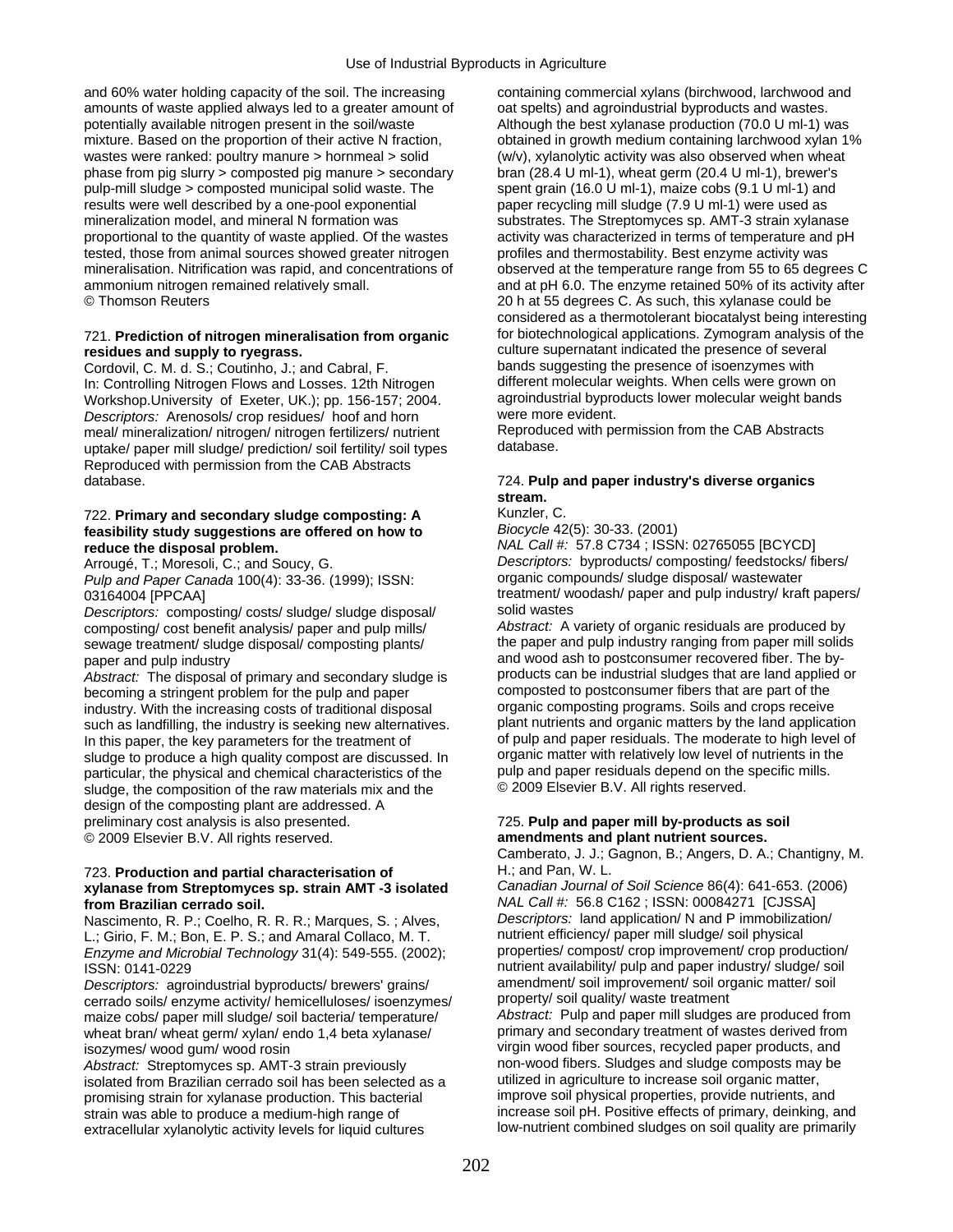and 60% water holding capacity of the soil. The increasing containing commercial xylans (birchwood, larchwood and amounts of waste applied always led to a greater amount of oat spelts) and agroindustrial byproducts and wastes. potentially available nitrogen present in the soil/waste Although the best xylanase production (70.0 U ml-1) was mixture. Based on the proportion of their active N fraction, obtained in growth medium containing larchwood xylan 1% wastes were ranked: poultry manure > hornmeal > solid (w/v), xylanolytic activity was also observed when wheat phase from pig slurry > composted pig manure > secondary bran (28.4 U ml-1), wheat germ (20.4 U ml-1), brewer's pulp-mill sludge > composted municipal solid waste. The spent grain (16.0 U ml-1), maize cobs (9.1 U ml-1) and results were well described by a one-pool exponential paper recycling mill sludge (7.9 U ml-1) were used as mineralization model, and mineral N formation was substrates. The Streptomyces sp. AMT-3 strain xylanase proportional to the quantity of waste applied. Of the wastes activity was characterized in terms of temperature and pH tested, those from animal sources showed greater nitrogen profiles and thermostability. Best enzyme activity was mineralisation. Nitrification was rapid, and concentrations of observed at the temperature range from 55 to 65 degrees C ammonium nitrogen remained relatively small. and at pH 6.0. The enzyme retained 50% of its activity after © Thomson Reuters 20 h at 55 degrees C. As such, this xylanase could be

Cordovil, C. M. d. S.; Coutinho, J.; and Cabral, F. bands suggesting the presence of isoenzymes with<br>In: Controlling Nitrogen Flows and Losses, 12th Nitrogen different molecular weights. When cells were grown on In: Controlling Nitrogen Flows and Losses. 12th Nitrogen different molecular weights. When cells were grown on<br>Workshop University of Exeter UK ): pp. 156-157: 2004 agroindustrial byproducts lower molecular weight bands Workshop.University of Exeter, UK.); pp. 156-157; 2004. agroindustrial byproductrial byproductrial byproduction model bands and bands and bands and weight bands are more evident. *Descriptors:* Arenosols/ crop residues/ hoof and horn were more evident.<br>meal/ mineralization/ nitrogen/ nitrogen fertilizers/ nutrient Reproduced with permission from the CAB Abstracts meal/ mineralization/ nitrogen/ nitrogen fertilizers/ nutrient Reproduce<br>uptake/ paper mill sludge/ prediction/ soil fertility/ soil types database. uptake/ paper mill sludge/ prediction/ soil fertility/ soil types. Reproduced with permission from the CAB Abstracts database. 724. **Pulp and paper industry's diverse organics** 

## 722. **Primary and secondary sludge composting: A** Kunzler, C.<br>**Framility study suggestions are offered on how to** Biocycle 42(5): 30-33. (2001) feasibility study suggestions are offered on how to

*Pulp and Paper Canada* 100(4): 33-36. (1999); ISSN:

*Descriptors: composting/ costs/ sludge/ sludge disposal/* sewage treatment/ sludge disposal/ composting plants/

*Abstract:* The disposal of primary and secondary sludge is products can be industrial sludges that are land applie<br>becoming a stringent problem for the pulp and paper composted to postconsumer fibers that are part of the becoming a stringent problem for the pulp and paper composted to postconsumer fibers that are part of the<br>industry With the increasing costs of traditional disposal organic composting programs. Soils and crops receive industry. With the increasing costs of traditional disposal organic composting programs. Soils and crops receive<br>such as landfilling, the industry is seeking new alternatives plant nutrients and organic matters by the land such as landfilling, the industry is seeking new alternatives. plant nutrients and organic matters by the land application<br>In this paper, the key parameters for the treatment of sould and paper residuals. The moderate to h In this paper, the key parameters for the treatment of of pulp and paper residuals. The moderate to high level of pulp and paper residuals. The moderate to high level of pulp and paper residuals. The moderate to high level sludge to produce a high quality compost are discussed. In organic matter with relatively low level of nutrients in the particular, the physical and chemical characteristics of the pulp and paper residuals depend on the sp particular, the physical and chemical characteristics of the pulp and paper residuals depend on the sludge, the composition of the raw materials mix and the  $\degree$  2009 Elsevier B.V. All rights reserved. sludge, the composition of the raw materials mix and the design of the composting plant are addressed. A preliminary cost analysis is also presented. 725. **Pulp and paper mill by-products as soil**  © 2009 Elsevier B.V. All rights reserved. **amendments and plant nutrient sources.** 

## 723. **Production and partial characterisation of** H.; and Pan, W. L. **xylanase from Streptomyces sp. strain AMT -3 isolated** *Canadian Journal of Soil Science* 86(4): 641-653. (2006)

Nascimento, R. P.; Coelho, R. R.; Marques, S.; Alves, *Descriptors:* land application/ N and P immobiliza<br>I Girio F. M.: Bon, F. P. S.: and Amaral Collaco, M. T. and antitient efficiency/ paper mill sludge/ soil physical L.; Girio, F. M.; Bon, E. P. S.; and Amaral Collaco, M. T. The mutrient efficiency/ paper mill sludge/ soil physical<br>Enzyme and Microbial Technology 31(4): 549-555. (2002): Properties/ compost/ crop improvement/ crop produ *Enzyme and Microbial Technology* 31(4): 549-555. (2002);

*Descriptors:* agroindustrial byproducts/ brewers' grains/ amendment/ soil improvement/ soil organic metal organic metal organic metal organic metal organic metal organic metal organic metal organic metal organic metal org cerrado soils/ enzyme activity/ hemicelluloses/ isoenzymes/ property/ soil quality/ waste treatment<br>maize cobs/ paper mill sludge/ soil bacteria/ temperature/ Abstract: Pulp and paper mill sludges are produced from maize cobs/ paper mill sludge/ soil bacteria/ temperature/ *Abstract:* Pulp and paper mill sludges are produced from wheat bran/ wheat germ/ xylan/ endo 1,4 beta xylanase/

Abstract: Streptomyces sp. AMT-3 strain previously non-wood fibers. Sludges and sludge composts may<br>isolated from Brazilian cerrado soil has been selected as a waillized in agriculture to increase soil organic matter, isolated from Brazilian cerrado soil has been selected as a utilized in agriculture to increase soil organic matter,<br>promising strain for xylanase production. This bacterial improve soil physical properties, provide nutrie promising strain for xylanase production. This bacterial strain was able to produce a medium-high range of increase soil pH. Positive effects of primary, deinking, and<br>extracellular xylanolytic activity levels for liquid cultures low-nutrient combined sludges on soil quality are extracellular xylanolytic activity levels for liquid cultures

considered as a thermotolerant biocatalyst being interesting 721. **Prediction of nitrogen mineralisation from organic** for biotechnological applications. Zymogram analysis of the **residues and supply to ryegrass.** culture supernatant indicated the presence of several<br>Cordovil C. M. d. S.: Coutinho, J.: and Cabral F. **bands** suggesting the presence of isoenzymes with

## **stream.**

**reduce the disposal problem.**<br>Arrougé, T.; Moresoli, C.; and Soucy, G. *Descriptors: byproducts/composting/feedstocks/fi***ming.** Descriptors: byproducts/ composting/ feedstocks/ fibers/ organic compounds/ sludge disposal/ wastewater 03164004 [PPCAA] treatment/ woodash/ paper and pulp industry/ kraft papers/<br>Descriptors: composting/ costs/ sludge/ sludge disposal/ solid wastes

composting/ cost benefit analysis/ paper and pulp mills/ *Abstract:* A variety of organic residuals are produced by paper and pulp industry<br>Abstract: The disposal of primary and secondary sludge is products can be industrial sludges that are land applied or

Camberato, J. J.; Gagnon, B.; Angers, D. A.; Chantigny, M.

**from Brazilian cerrado soil.** *NAL Call #:* **56.8 C162 ; ISSN: 00084271 [CJSSA]<br>Nascimento R. P. Coelho R. R. R. Marques S. Alves** *Descriptors:* **land application/ N and P immobilization/** ISSN: 0141-0229<br>Descriptors: agroindustrial byproducts/ brewers' grains/ amendment/ soil improvement/ soil organic matter/ soil isozymes/ wood gum/ wood rosin virgin wood fiber sources, recycled paper products, and<br>Abstract: Streptomyces sp. AMT-3 strain previously non-wood fibers. Sludges and sludge composts may be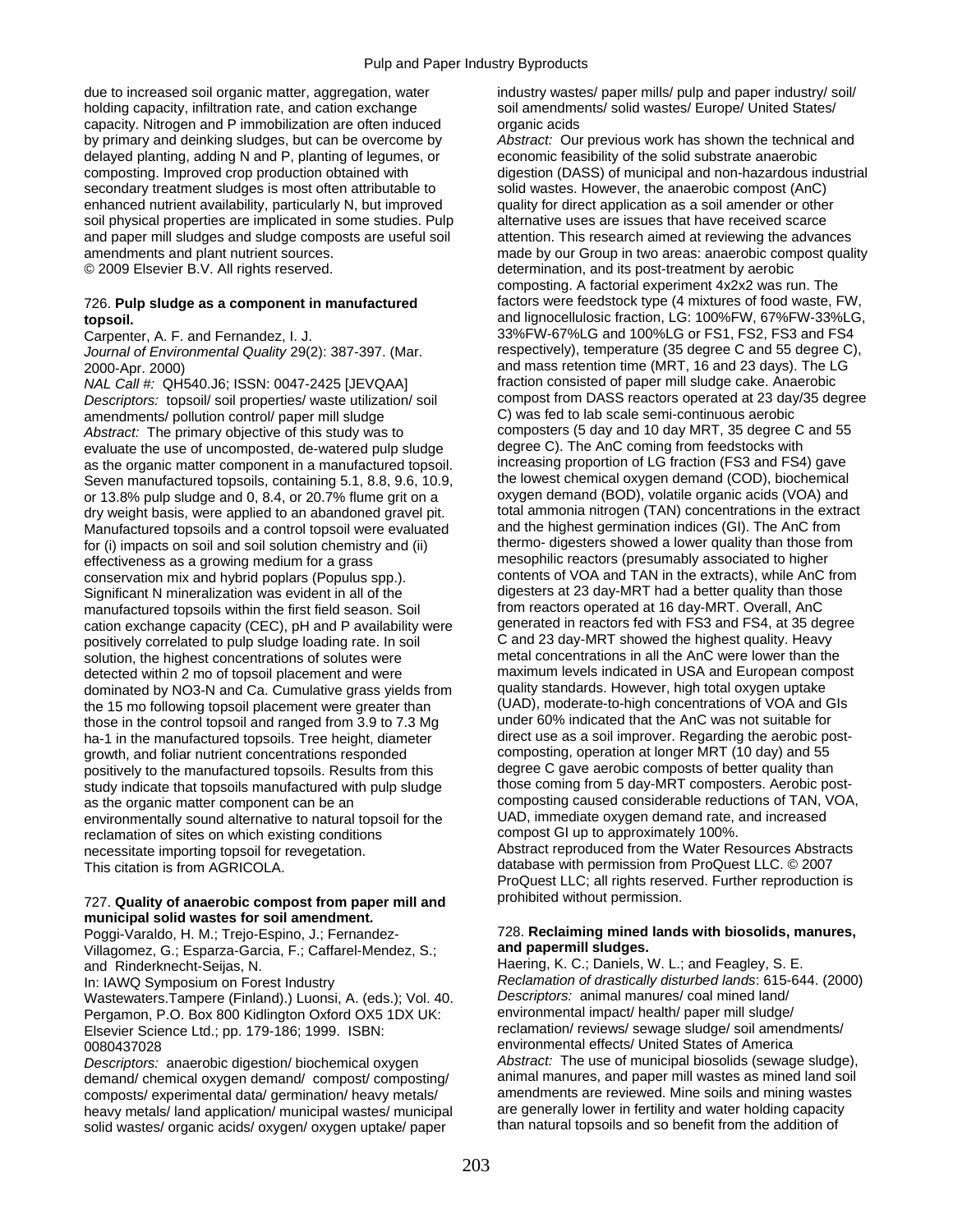due to increased soil organic matter, aggregation, water industry wastes/ paper mills/ pulp and paper industry/ soil/ holding capacity, infiltration rate, and cation exchange soil amendments/ solid wastes/ Europe/ United States/ capacity. Nitrogen and P immobilization are often induced organic acids by primary and deinking sludges, but can be overcome by *Abstract:* Our previous work has shown the technical and delayed planting, adding N and P, planting of legumes, or economic feasibility of the solid substrate anaerobic composting. Improved crop production obtained with digestion (DASS) of municipal and non-hazardous industrial secondary treatment sludges is most often attributable to solid wastes. However, the anaerobic compost (AnC) enhanced nutrient availability, particularly N, but improved quality for direct application as a soil amender or other soil physical properties are implicated in some studies. Pulp alternative uses are issues that have received scarce and paper mill sludges and sludge composts are useful soil attention. This research aimed at reviewing the advances amendments and plant nutrient sources. made by our Group in two areas: anaerobic compost quality © 2009 Elsevier B.V. All rights reserved. determination, and its post-treatment by aerobic

*Journal of Environmental Quality* 29(2): 387-397. (Mar.

*NAL Call #:* QH540.J6; ISSN: 0047-2425 [JEVQAA] fraction consisted of paper mill sludge cake. Anaerobic<br>Descriptors: topsoil/soil properties/waste utilization/soil compost from DASS reactors operated at 23 day/35 degree *Descriptors:* topsoil/ soil properties/ waste utilization/ soil compost from DASS reactors operated at 23 day<br>C) was fed to lab scale semi-continuous aerobic amendments/ pollution control/ paper mill sludge *Abstract:* The primary objective of this study was to composters (5 day and 10 day MRT, 35 degree C and 55 evaluate the use of uncomposted, de-watered pulp sludge degree C). The AnC coming from feedstocks with evaluate the use of uncomposted, de-watered pulp sludge degree C). The AnC coming from feedstocks with<br>as the organic matter component in a manufactured topsoil. The ancreasing proportion of LG fraction (FS3 and FS4) gave as the organic matter component in a manufactured topsoil. increasing proportion of LG fraction (FS3 and FS4) gave<br>Seven manufactured topsoils, containing 5.1, 8.8, 9.6, 10.9. Ithe lowest chemical oxygen demand (COD), bioc Seven manufactured topsoils, containing 5.1, 8.8, 9.6, 10.9, the lowest chemical oxygen demand (COD), biochemical<br>or 13.8% pulp sludge and 0, 8.4, or 20.7% flume grit on a coxygen demand (BOD), volatile organic acids (VOA) or 13.8% pulp sludge and 0, 8.4, or 20.7% flume grit on a dry weight basis, were applied to an abandoned gravel pit. total ammonia nitrogen (TAN) concentrations in the extract<br>Manufactured topsoils and a control topsoil were evaluated and the highest germination indices (GI). The Manufactured topsoils and a control topsoil were evaluated and the highest germination indices (GI). The AnC from<br>for (i) impacts on soil and soil solution chemistry and (ii) thermo-digesters showed a lower quality than th for (i) impacts on soil and soil solution chemistry and (ii) thermo- digesters showed a lower quality than those from<br>esophilic reactors (presumably associated to higher effectiveness as a growing or a grass effectiveness as a growing medium for a grass conservation mix and hybrid poplars (Populus spp.). contents of VOA and TAN in the extracts), while AnC from Significant N mineralization was evident in all of the digesters at 23 day-MRT had a better quality than those<br>manufactured topsoils within the first field season. Soil from reactors operated at 16 day-MRT. Overall, AnC manufactured topsoils within the first field season. Soil from reactors operated at 16 day-MRT. Overall, AnC<br>cation exchange capacity (CEC), pH and P availability were generated in reactors fed with FS3 and FS4, at 35 degr cation exchange capacity (CEC), pH and P availability were generated in reactors fed with FS3 and FS4, at 35 deg<br>positively correlated to pulp sludge loading rate. In soil C and 23 day-MRT showed the highest quality. Heavy positively correlated to pulp sludge loading rate. In soil C and 23 day-MRT showed the highest quality. Heavy<br>solution the highest concentrations of solutes were metal concentrations in all the AnC were lower than the solution, the highest concentrations of solutes were detected within 2 mo of topsoil placement and were maximum levels indicated in USA and European compost<br>dominated by NO3-N and Ca. Cumulative grass vields from quality standards. However, high total oxygen uptake dominated by NO3-N and Ca. Cumulative grass yields from quality standards. However, high total oxygen uptake the 15 mo following topsoil placement were greater than (UAD), moderate-to-high concentrations of VOA and G<br>those in the control topsoil and ranged from 3.9 to 7.3 Mg under 60% indicated that the AnC was not suitable for those in the control topsoil and ranged from 3.9 to 7.3 Mg under 60% indicated that the AnC was not suitable for<br>ha-1 in the manufactured topsoils. Tree height, diameter direct use as a soil improver. Regarding the aerobic ha-1 in the manufactured topsoils. Tree height, diameter growth, and foliar nutrient concentrations responded composting, operation at longer MRT (10 day) and 55<br>nositively to the manufactured tonsoils. Results from this degree C gave aerobic composts of better quality than positively to the manufactured topsoils. Results from this degree C gave aerobic composts of better quality than<br>study indicate that topsoils manufactured with pulp sludge those coming from 5 day-MRT composters. Aerobic po study indicate that topsoils manufactured with pulp sludge as the organic matter component can be an composting caused considerable reductions of TAN, VOA,<br>environmentally sound alternative to natural tonsoil for the UAD, immediate oxygen demand rate, and increased environmentally sound alternative to natural topsoil for the UAD, immediate oxygen demand rate, and increased to natural topsoil for the UAD, immediate oxygen demand rate, and increased reclamation of sites on which existi reclamation of sites on which existing conditions necessitate importing topsoil for revegetation. Abstract reproduced from the Water Resources Abstracts This citation is from AGRICOLA. This citation is from AGRICOLA.

### prohibited without permission. 727. **Quality of anaerobic compost from paper mill and municipal solid wastes for soil amendment.**

Villagomez, G.; Esparza-Garcia, F.; Caffarel-Mendez, S.; and Rinderknecht-Seijas, N. Haering, K. C.; Daniels, W. L.; and Feagley, S. E.

Wastewaters.Tampere (Finland).) Luonsi, A. (eds.); Vol. 40. *Descriptors: animal manures/ coal mined land/*<br>Pergamon, P.O. Box 800 Kidlington Oxford OX5 1DX UK: environmental impact/ health/ paper mill sludge/ Pergamon, P.O. Box 800 Kidlington Oxford OX5 1DX UK: Elsevier Science Ltd.; pp. 179-186; 1999. ISBN: reclamation/ reviews/ sewage sludge/ soil amendments/ 0080437028 environmental effects/ United States of America

demand/ chemical oxygen demand/ compost/ composting/ animal manures, and paper mill wastes as mined land soil<br>composts/ experimental data/ germination/ heavy metals/ amendments are reviewed. Mine soils and mining wastes composts/ experimental data/ germination/ heavy metals/ amendments are reviewed. Mine soils and mining wastes heavy metals/ land application/ municipal wastes/ municipal are generally lower in fertility and water holding capacity<br>solid wastes/ organic acids/ oxygen/ oxygen uptake/ paper than natural topsoils and so benefit from th solid wastes/ organic acids/ oxygen/ oxygen uptake/ paper

composting. A factorial experiment 4x2x2 was run. The 726. **Pulp sludge as a component in manufactured** factors were feedstock type (4 mixtures of food waste, FW, **topsoil.** and lignocellulosic fraction, LG: 100%FW, 67%FW-33%LG, Carpenter, A. F. and Fernandez, I. J. 387-397. (Mar. 33%FW-67%LG and 100%LG or FS1, FS2, FS3 and FS4<br>Journal of Environmental Quality 29(2): 387-397. (Mar. respectively), temperature (35 degree C and 55 degree C), 2000-Apr. 2000)<br>
2000-Apr. 2000) and mass retention time (MRT, 16 and 23 days). The LG<br>
1990 fraction consisted of paper mill sludge cake. Anaerobic ProQuest LLC; all rights reserved. Further reproduction is

## Poggi-Varaldo, H. M.; Trejo-Espino, J.; Fernandez- 728. **Reclaiming mined lands with biosolids, manures,** *Villagomez, G.: Fanarza-Garcia, F.: Caffarel-Mendez, S.:* **and papermill sludges.**

In: IAWQ Symposium on Forest Industry *Reclamation of drastically disturbed lands*: 615-644. (2000)<br>Wastewaters Tampere (Finland).) Luonsi, A. (eds.): Vol. 40. *Descriptors: animal manures/ coal mined land/ Descriptors:* anaerobic digestion/ biochemical oxygen *Abstract:* The use of municipal biosolids (sewage sludge),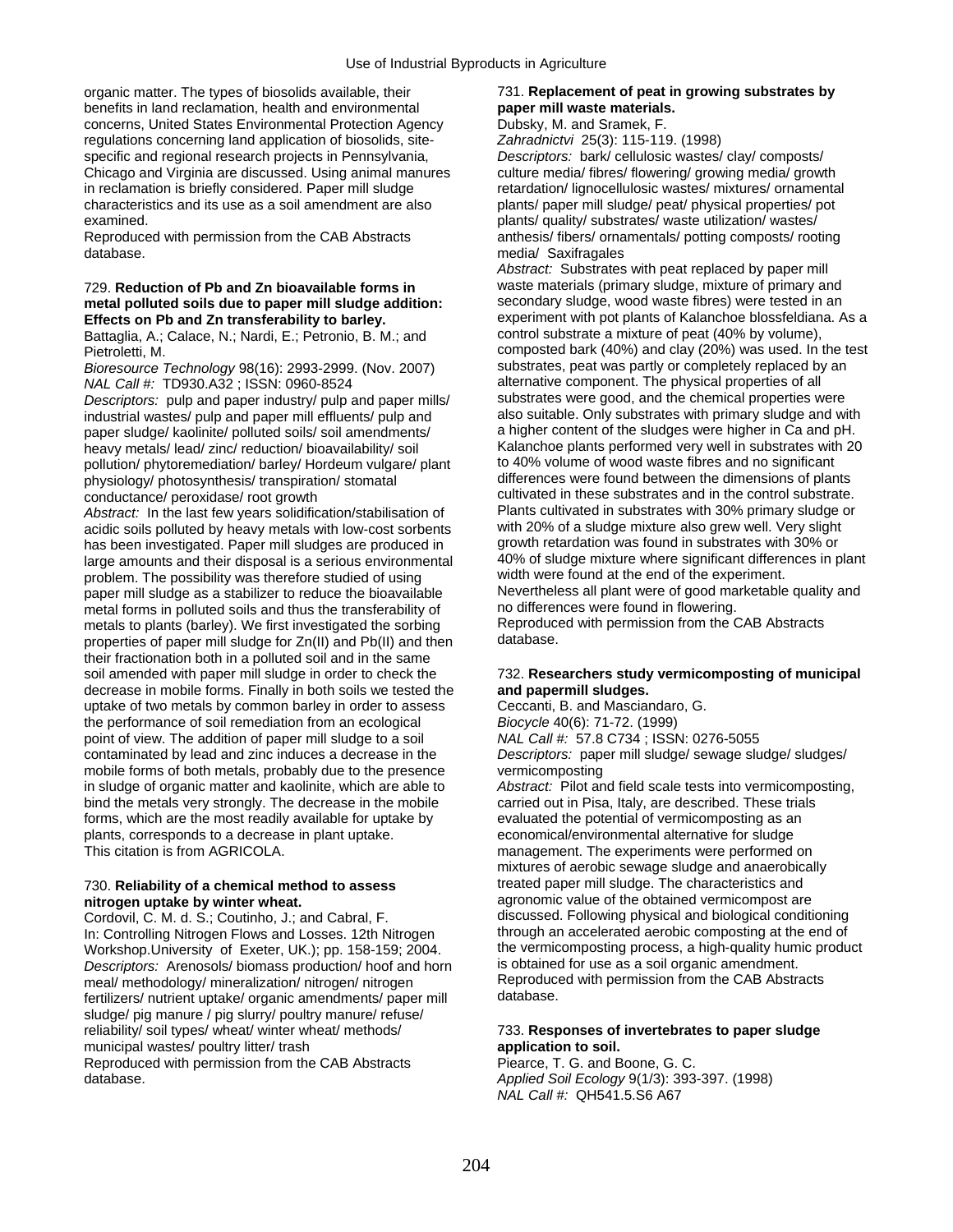organic matter. The types of biosolids available, their 731. **Replacement of peat in growing substrates by benefits in land reclamation, health and environmental paper mill waste materials.** benefits in land reclamation, health and environmental **paper mill waste materials**<br>
concerns, United States Environmental Protection Agency Dubsky, M. and Sramek, F. concerns, United States Environmental Protection Agency regulations concerning land application of biosolids, site- *Zahradnictvi* 25(3): 115-119. (1998) specific and regional research projects in Pennsylvania, *Descriptors:* bark/ cellulosic wastes/ clay/ composts/ Chicago and Virginia are discussed. Using animal manures culture media/ fibres/ flowering/ growing media/ growth in reclamation is briefly considered. Paper mill sludge retardation/ lignocellulosic wastes/ mixtures/ ornamental characteristics and its use as a soil amendment are also plants/ paper mill sludge/ peat/ physical properties/ pot examined. **plants/ quality/ substrates/ waste utilization/ wastes/**  $\blacksquare$ 

database. **media/ Saxifragales** entry and the media/ Saxifragales

# metal polluted soils due to paper mill sludge addition:

Battaglia, A.; Calace, N.; Nardi, E.; Petronio, B. M.; and

*Bioresource Technology* 98(16): 2993-2999. (Nov. 2007) substrates, peat was partly or completely replaced by<br>MAL Call #: TD930 A32 · ISSN: 0960-8524

*Descriptors:* pulp and paper industry/ pulp and paper mills/ substrates were good, and the chemical properties were industrial wastes/ pulp and paper mill effluents/ pulp and also suitable. Only substrates with primary sludge and with<br>a higher content of the sludges were higher in Ca and pH. paper sludge/ kaolinite/ polluted soils/ soil amendments/ heavy metals/ lead/ zinc/ reduction/ bioavailability/ soil Kalanchoe plants performed very well in substrates with 20<br>
pollution/ phytoremediation/ barley/ Hordeum vulgare/ plant to 40% volume of wood waste fibres and no s pollution/ phytoremediation/ barley/ Hordeum vulgare/ plant to 40% volume of wood waste fibres and no significant<br>hysiology/ photosynthesis/ transpiration/ stomatal differences were found between the dimensions of plants physiology/ photosynthesis/ transpiration/ stomatal

*Abstract:* In the last few years solidification/stabilisation of Plants cultivated in substrates with 30% primary sludge or Plants cultivated in substrates with 30% primary sludge or a singlet continue also grew well. Ver acidic soils polluted by heavy metals with low-cost sorbents with 20% of a sludge mixture also grew well. Very slight<br>has been investigated. Paper mill sludges are produced in growth retardation was found in substrates wit has been investigated. Paper mill sludges are produced in growth retardation was found in substrates with 30% or<br>Iarge amounts and their disposal is a serious environmental 40% of sludge mixture where significant differenc large amounts and their disposal is a serious environmental and the soft sludge mixture where significant differe<br>nroblem. The possibility was therefore studied of using and width were found at the end of the experiment. problem. The possibility was therefore studied of using width were found at the end of the experiment.<br>paper mill sludge as a stabilizer to reduce the bioavailable Nevertheless all plant were of good marketable quality and paper mill sludge as a stabilizer to reduce the bioavailable Nevertheless all plant were of good marketable metal<br>metal forms in polluted soils and thus the transferability of no differences were found in flowering. metal forms in polluted soils and thus the transferability of no differences were found in flowering.<br>metals to plants (barley). We first investigated the sorbing Reproduced with permission from the CAB Abstracts metals to plants (barley). We first investigated the sorbing Reproduce<br>properties of paper mill sludge for Zn(II) and Ph(II) and then database. properties of paper mill sludge for Zn(II) and Pb(II) and then their fractionation both in a polluted soil and in the same soil amended with paper mill sludge in order to check the 732. **Researchers study vermicomposting of municipal**  decrease in mobile forms. Finally in both soils we tested the **and papermill sludges.**  uptake of two metals by common barley in order to assess Ceccanti, B. and Masciandaro, G. the performance of soil remediation from an ecological *Biocycle* 40(6): 71-72. (1999) point of view. The addition of paper mill sludge to a soil *NAL Call #:* 57.8 C734 ; ISSN: 0276-5055 contaminated by lead and zinc induces a decrease in the *Descriptors:* paper mill sludge/ sewage sludge/ sludges/ mobile forms of both metals, probably due to the presence vermicomposting<br>in sludge of organic matter and kaolinite, which are able to *Abstract:* Pilot and field scale tests into vermicomposting, in sludge of organic matter and kaolinite, which are able to bind the metals very strongly. The decrease in the mobile carried out in Pisa, Italy, are described. These trials forms, which are the most readily available for uptake by evaluated the potential of vermicomposting as an plants, corresponds to a decrease in plant uptake. economical/environmental alternative for sludge This citation is from AGRICOLA. management. The experiments were performed on

In: Controlling Nitrogen Flows and Losses. 12th Nitrogen through an accelerated aerobic composting at the end of<br>Workshop University of Exeter. UK.): pp. 158-159: 2004. The vermicomposting process, a high-quality humic pro Workshop.University of Exeter, UK.); pp. 158-159; 2004. the vermicomposting process, a high-quality hum<br>Descriptors: Arenosols/biomass production/ hoof and horn is obtained for use as a soil organic amendment. *Descriptors:* Arenosols/ biomass production/ hoof and horn is obtained for use as a soil organic amendment.<br>meal/ methodology/ mineralization/ pitrogen/ nitrogen Reproduced with permission from the CAB Abstracts meal/ methodology/ mineralization/ nitrogen/ nitrogen Reproduced Reproduced with permission for the CAB Abstracts<br>
Reproduced with permission from the CAB Abstracts of the CAB Abstracts of the CAB Abstracts of the CAB Abst fertilizers/ nutrient uptake/ organic amendments/ paper mill sludge/ pig manure / pig slurry/ poultry manure/ refuse/ reliability/ soil types/ wheat/ winter wheat/ methods/ 733. **Responses of invertebrates to paper sludge**  municipal wastes/ poultry litter/ trash **application to soil. application to soil.** 

Reproduced with permission from the CAB Abstracts Piearce, T. G. and Boone, G. C. database. *Applied Soil Ecology* 9(1/3): 393-397. (1998)

Reproduced with permission from the CAB Abstracts anthesis/ fibers/ ornamentals/ potting composts/ rooting

*Abstract:* Substrates with peat replaced by paper mill 729. **Reduction of Pb and Zn bioavailable forms in** waste materials (primary sludge, mixture of primary and **Effects on Pb and Zn transferability to barley.** experiment with pot plants of Kalanchoe blossfeldiana. As a carrier and partial and control substrate a mixture of peat (40% by volume), Pietroletti, M.<br>Pietroletti, M. composted bark (40%) and clay (20%) was used. In the test<br>Bioresource Technology 98(16): 2993-2999 (Nov. 2007) substrates, peat was partly or completely replaced by an *NAL Call #:* TD930.A32; ISSN: 0960-8524 alternative component. The physical properties of all<br>Descriptors: pulp and paper industry/ pulp and paper mills/ substrates were good, and the chemical properties were conductance/ peroxidase/ root growth cultivated in these substrates and in the control substrate.<br>
cultivated in substrates with 30% primary sludge or<br>
Abstract: In the last few years solidification/stabilisation of Plants

mixtures of aerobic sewage sludge and anaerobically 730. **Reliability of a chemical method to assess** treated paper mill sludge. The characteristics and **nitrogen uptake by winter wheat.** agronomic value of the obtained vermicompost are<br>Cordovil, C. M. d. S.: Coutinho, J.: and Cabral, F. **and Counting discussed.** Following physical and biological conditioning Cordovil, C. M. d. S.; Coutinho, J.; and Cabral, F. discussed. Following physical and biological conditioning<br>In: Controlling Nitrogen Flows and Losses. 12th Nitrogen through an accelerated aerobic composting at the end of

*NAL Call #:* QH541.5.S6 A67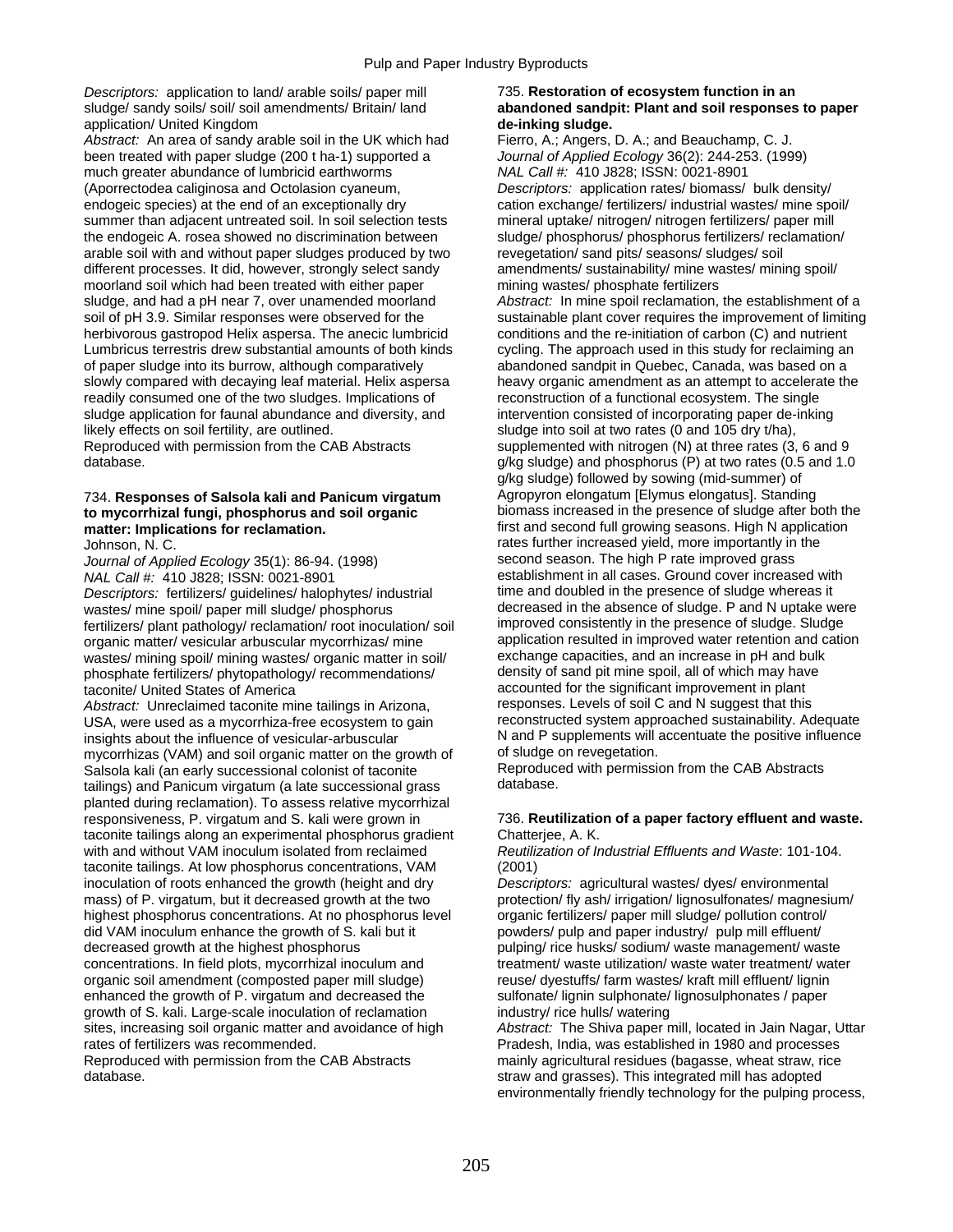*Descriptors:* application to land/ arable soils/ paper mill 735. **Restoration of ecosystem function in an**  application/ United Kingdom **de-inking sludge.** 

Abstract: An area of sandy arable soil in the UK which had Fierro, A.; Angers, D. A.; and Beauchamp, C. J. been treated with paper sludge (200 t ha-1) supported a *Journal of Applied Ecology* 36(2): 244-253. (1999) much greater abundance of lumbricid earthworms *NAL Call #:* 410 J828; ISSN: 0021-8901 (Aporrectodea caliginosa and Octolasion cyaneum, *Descriptors:* application rates/ biomass/ bulk density/ endogeic species) at the end of an exceptionally dry cation exchange/ fertilizers/ industrial wastes/ mine spoil/ summer than adjacent untreated soil. In soil selection tests mineral uptake/ nitrogen/ nitrogen fertilizers/ paper mill the endogeic A. rosea showed no discrimination between sludge/ phosphorus/ phosphorus fertilizers/ reclamation/ arable soil with and without paper sludges produced by two revegetation/ sand pits/ seasons/ sludges/ soil different processes. It did, however, strongly select sandy amendments/ sustainability/ mine wastes/ mining spoil/<br>moorland soil which had been treated with either paper mining wastes/ phosphate fertilizers moorland soil which had been treated with either paper sludge, and had a pH near 7, over unamended moorland *Abstract:* In mine spoil reclamation, the establishment of a herbivorous gastropod Helix aspersa. The anecic lumbricid conditions and the re-initiation of carbon (C) and nutrient<br>Lumbricus terrestris drew substantial amounts of both kinds cycling. The approach used in this study for Lumbricus terrestris drew substantial amounts of both kinds of paper sludge into its burrow, although comparatively abandoned sandpit in Quebec, Canada, was based on a slowly compared with decaying leaf material. Helix aspersa heavy organic amendment as an attempt to accelerate the readily consumed one of the two sludges. Implications of reconstruction of a functional ecosystem. The single sludge application for faunal abundance and diversity, and intervention consisted of incorporating paper de-inking likely effects on soil fertility, are outlined. Sludge into soil at two rates (0 and 105 dry t/ha), Reproduced with permission from the CAB Abstracts supplemented with nitrogen (N) at three rates (3, 6 and 9

## to mycorrhizal fungi, phosphorus and soil organic **matter: Implications for reclamation. First and second full growing seasons. High N application**

*Journal of Applied Ecology* 35(1): 86-94. (1998)

*Descriptors: fertilizers/ guidelines/ halophytes/ industrial* wastes/ mine spoil/ paper mill sludge/ phosphorus decreased in the absence of sludge. P and N uptake were<br>fertilizers/ plant pathology/ reclamation/ root inoculation/ soil improved consistently in the presence of sludge. S fertilizers/ plant pathology/ reclamation/ root inoculation/ soil improved consistently in the presence of sludge. Sludge organic matter/ vesicular arbuscular mycorrhizas/ mine application resulted in improved water retention and c<br>wastes/ mining spoil/ mining wastes/ organic matter in soil/ exchange capacities, and an increase in pH and bulk wastes/ mining spoil/ mining wastes/ organic matter in soil/ exchange capacities, and an increase in pH and bulk<br>phosphate fertilizers/ phytopathology/ recommendations/ density of sand pit mine spoil, all of which may have phosphate fertilizers/ phytopathology/ recommendations/

*Abstract: Unreclaimed taconite mine tailings in Arizona,* USA, were used as a mycorrhiza-free ecosystem to gain reconstructed system approached sustainability. Adequate insights about the influence of vesicular-arbuscular N and P supplements will accentuate the positive influence<br>mycorrhizas (VAM) and soil organic matter on the growth of of sludge on revegetation. mycorrhizas (VAM) and soil organic matter on the growth of of sludge on revegetation.<br>Salsola kali (an early successional colonist of taconite Reproduced with permission from the CAB Abstracts Salsola kali (an early successional colonist of taconite Reproduced Reproduced with permission from the CAB Abstracts<br>
Reproduction from the CAB Abstracts of the CAB Abstracts of the CAB Abstracts of the CAB Abstracts tailings) and Panicum virgatum (a late successional grass. planted during reclamation). To assess relative mycorrhizal responsiveness, P. virgatum and S. kali were grown in 736. **Reutilization of a paper factory effluent and waste.**  taconite tailings along an experimental phosphorus gradient Chatterjee, A. K. with and without VAM inoculum isolated from reclaimed *Reutilization of Industrial Effluents and Waste*: 101-104. taconite tailings. At low phosphorus concentrations, VAM (2001) inoculation of roots enhanced the growth (height and dry *Descriptors:* agricultural wastes/ dyes/ environmental mass) of P. virgatum, but it decreased growth at the two protection/ fly ash/ irrigation/ lignosulfonates/ magnesium/ highest phosphorus concentrations. At no phosphorus level organic fertilizers/ paper mill sludge/ pollution control/ did VAM inoculum enhance the growth of S. kali but it powders/ pulp and paper industry/ pulp mill effluent/ decreased growth at the highest phosphorus **pulping** rice husks/ sodium/ waste management/ waste concentrations. In field plots, mycorrhizal inoculum and treatment/ waste utilization/ waste water treatment/ water organic soil amendment (composted paper mill sludge) reuse/ dyestuffs/ farm wastes/ kraft mill effluent/ lignin enhanced the growth of P. virgatum and decreased the sulfonate/ lignin sulphonate/ lignosulphonates / paper growth of S. kali. Large-scale inoculation of reclamation industry/ rice hulls/ watering growth of S. kali. Large-scale inoculation of reclamation industry/ rice hulls/ watering<br>sites, increasing soil organic matter and avoidance of high *Abstract:* The Shiva paper mill, located in Jain Nagar, Uttar sites, increasing soil organic matter and avoidance of high rates of fertilizers was recommended. Pradesh, India, was established in 1980 and processes

# sludge/ sandy soils/ soil/ soil amendments/ Britain/ land **abandoned sandpit: Plant and soil responses to paper**

soil of pH 3.9. Similar responses were observed for the sustainable plant cover requires the improvement of limiting<br>herbivorous gastropod Helix aspersa. The anecic lumbricid conditions and the re-initiation of carbon (C) database. g/kg sludge) and phosphorus (P) at two rates (0.5 and 1.0 g/kg sludge) followed by sowing (mid-summer) of 734. **Responses of Salsola kali and Panicum virgatum** Agropyron elongatum [Elymus elongatus]. Standing<br> **to mycorrhizal fungi, phosphorus and soil organic** biomass increased in the presence of sludge after both the Johnson, N. C.<br>Johnson, N. C. rates further increased yield, more importantly in the second season. The high P rate improved grass *NAL Call #*: <sup>41</sup>0 J828; ISSN: 0021-8901<br> *Descriptors:* fertilizers/ quidelines/ halophytes/ industrial time and doubled in the presence of sludge whereas it taconite/ United States of America<br>
Abstract: Unreclaimed taconite mine tailings in Arizona<br> **Abstract:** Unreclaimed taconite mine tailings in Arizona<br> **Example 2014**<br> **Example 18 Feature 10 Feature 10 Feature 10 Feature 1** 

Reproduced with permission from the CAB Abstracts mainly agricultural residues (bagasse, wheat straw, rice<br>database. This integrated mill has adopted straw and grasses). This integrated mill has adopted environmentally friendly technology for the pulping process,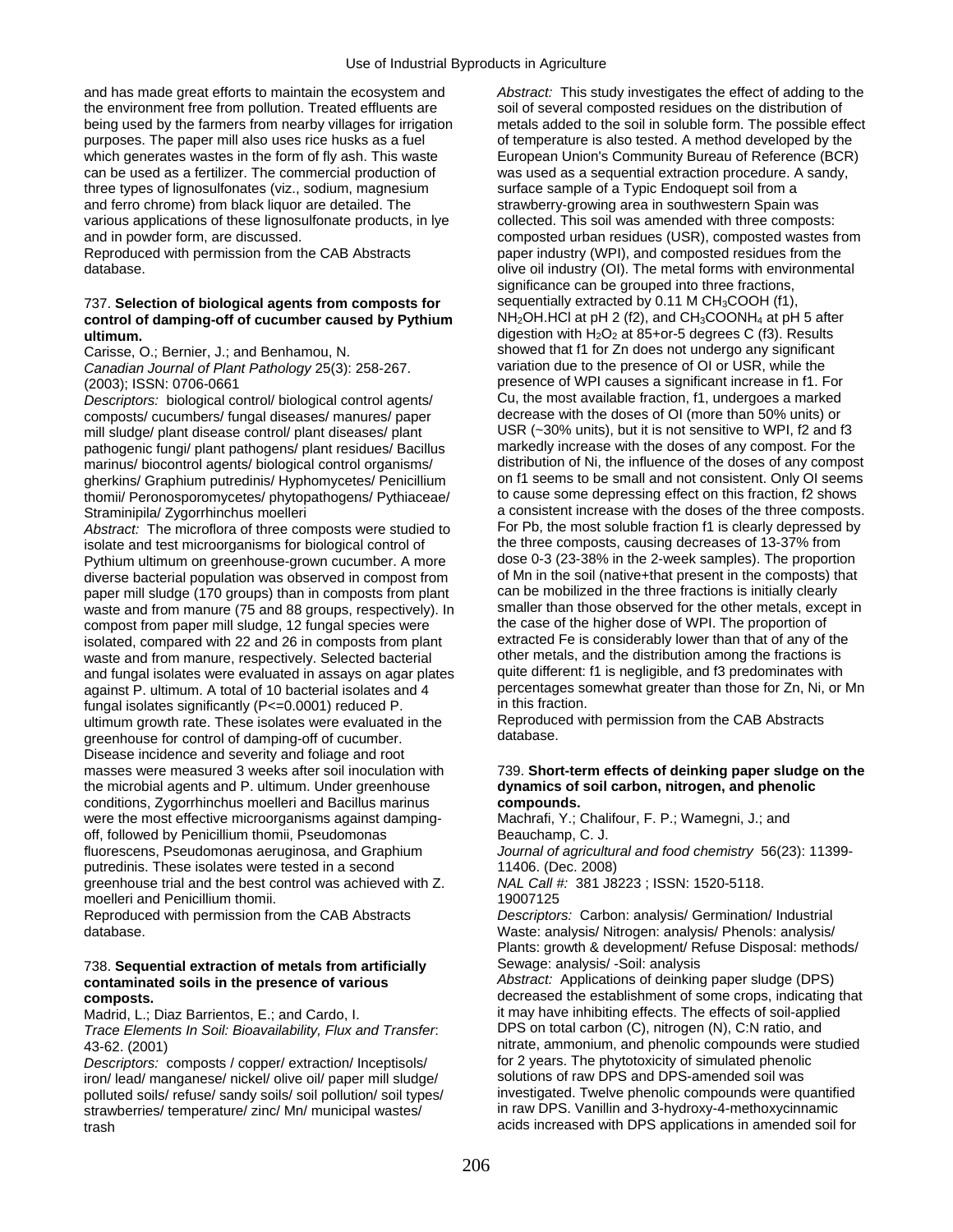and has made great efforts to maintain the ecosystem and *Abstract:* This study investigates the effect of adding to the the environment free from pollution. Treated effluents are soil of several composted residues on the distribution of being used by the farmers from nearby villages for irrigation metals added to the soil in soluble form. The possible effect purposes. The paper mill also uses rice husks as a fuel of temperature is also tested. A method developed by the which generates wastes in the form of fly ash. This waste European Union's Community Bureau of Reference (BCR) can be used as a fertilizer. The commercial production of was used as a sequential extraction procedure. A sandy, three types of lignosulfonates (viz., sodium, magnesium surface sample of a Typic Endoquept soil from a and ferro chrome) from black liquor are detailed. The strawberry-growing area in southwestern Spain was various applications of these lignosulfonate products, in lye collected. This soil was amended with three composts: and in powder form, are discussed. composted urban residues (USR), composted wastes from

## control of damping-off of cucumber caused by Pythium **ultimum. digestion with H<sub>2</sub>O<sub>2</sub> at 85+or-5 degrees C (f3). Results**

*Canadian Journal of Plant Pathology* 25(3): 258-267.

*Descriptors:* biological control/ biological control agents/ Cu, the most available fraction, f1, undergoes a marked<br>composts/ cucumbers/ fungal diseases/ manures/ paper decrease with the doses of OI (more than 50% units) composts/ cucumbers/ fungal diseases/ manures/ paper decrease with the doses of OI (more than 50% units) or<br>mill sludge/ plant disease control/ plant diseases/ plant USR (~30% units), but it is not sensitive to WPI, f2 and mill sludge/ plant disease control/ plant diseases/ plant USR (~30% units), but it is not sensitive to WPI, f2 and f3<br>pathogenic fungi/ plant pathogens/ plant residues/ Bacillus markedly increase with the doses of any comp pathogenic fungi/ plant pathogens/ plant residues/ Bacillus marinus/ biocontrol agents/ biological control organisms/ distribution of Ni, the influence of the doses of any compost<br>
distribution of Ni, the influence of the doses of any compost<br>
on f1 seems to be small and not consis gherkins/ Graphium putredinis/ Hyphomycetes/ Penicillium on f1 seems to be small and not consistent. Only OI seems<br>thomii/ Peronosporomycetes/ phytopathogens/ Pythiaceae/ to cause some depressing effect on this fraction, f thomii/ Peronosporomycetes/ phytopathogens/ Pythiaceae/

Abstract: The microflora of three composts were studied to For Pb, the most soluble fraction f1 is clearly depressed<br>isolate and test microorganisms for biological control of the three composts, causing decreases of 13-37% isolate and test microorganisms for biological control of the three composts, causing decreases of 13-37% from<br>Pythium ultimum on greenhouse-grown cucumber, A more dose 0-3 (23-38% in the 2-week samples). The proportion Pythium ultimum on greenhouse-grown cucumber. A more dose 0-3 (23-38% in the 2-week samples). The proportion<br>diverse bacterial population was observed in compost from of Mn in the soil (native+that present in the composts) diverse bacterial population was observed in compost from of Mn in the soil (native+that present in the composts) t<br>paper mill sludge (170 groups) than in composts from plant can be mobilized in the three fractions is init paper mill sludge (170 groups) than in composts from plant can be mobilized in the three fractions is initially clearly<br>waste and from manure (75 and 88 groups, respectively). In smaller than those observed for the other m waste and from manure (75 and 88 groups, respectively). In smaller than those observed for the other metals, except compost from paper mill sludge. 12 fungal species were the case of the higher dose of WPI. The proportion compost from paper mill sludge, 12 fungal species were the case of the higher dose of WPI. The proportion of the isolated, compared with 22 and 26 in composts from plant extracted Fe is considerably lower than that of any isolated, compared with 22 and 26 in composts from plant extracted Fe is considerably lower than that of any of the<br>waste and from manure, respectively. Selected bacterial other metals, and the distribution among the fract waste and from manure, respectively. Selected bacterial other metals, and the distribution among the fractions is<br>and fungal isolates were evaluated in assays on agar plates quite different: f1 is negligible, and f3 predom and fungal isolates were evaluated in assays on agar plates against P. ultimum. A total of 10 bacterial isolates and 4 percentages somewhat greater than those for Zn, Ni, or Mn<br>fungal isolates significantly (P<=0.0001) reduced P in this fraction. fungal isolates significantly (P<=0.0001) reduced P.<br>ultimum growth rate. These isolates were evaluated in the Reproduced with permission from the CAB Abstracts ultimum growth rate. These isolates were evaluated in the Reproduce<br>
oreenhouse for control of damping-off of cucumber<br>  $\frac{1}{2}$ greenhouse for control of damping-off of cucumber. Disease incidence and severity and foliage and root masses were measured 3 weeks after soil inoculation with 739. **Short-term effects of deinking paper sludge on the**  the microbial agents and P. ultimum. Under greenhouse **dynamics of soil carbon, nitrogen, and phenolic**  conditions, Zygorrhinchus moelleri and Bacillus marinus **compounds.**  were the most effective microorganisms against damping-<br>
Machrafi, Y.; Chalifour, F. P.; Wamegni, J.; and off, followed by Penicillium thomii, Pseudomonas Beauchamp, C. J. fluorescens, Pseudomonas aeruginosa, and Graphium *Journal of agricultural and food chemistry* 56(23): 11399 putredinis. These isolates were tested in a second 11406. (Dec. 2008) greenhouse trial and the best control was achieved with Z. *NAL Call #:* 381 J8223 ; ISSN: 1520-5118. moelleri and Penicillium thomii. 19007125

### 738. **Sequential extraction of metals from artificially** Sewage: analysis/ -Soil: analysis **contaminated soils in the presence of various** *Abstract:* Applications of deinking paper sludge (DPS)

*Trace Elements In Soil: Bioavailability, Flux and Transfer.* 

*Descriptors:* composts / copper/ extraction/ Inceptisols/ for 2 years. The phytotoxicity of simulated phenolic<br>iron/ lead/ manganese/ nickel/ olive oil/ paper mill sludge/ solutions of raw DPS and DPS-amended soil was iron/ lead/ manganese/ nickel/ olive oil/ paper mill sludge/ solutions of raw DPS and DPS-amended soil was<br>polluted soils/ refuse/ sandy soils/ soil pollution/ soil types/ investigated. Twelve phenolic compounds were quant polluted soils/ refuse/ sandy soils/ soil pollution/ soil types/ investigated. Twelve phenolic compounds were quantifi<br>strawberries/ temperature/ zinc/ Mn/ municipal wastes/ in raw DPS. Vanillin and 3-hydroxy-4-methoxycinn strawberries/ temperature/ zinc/ Mn/ municipal wastes/ trash acids increased with DPS applications in amended soil for

Reproduced with permission from the CAB Abstracts paper industry (WPI), and composted residues from the database. **our contract of the metal forms with environmental** olive oil industry (OI). The metal forms with environmental significance can be grouped into three fractions, 737. **Selection of biological agents from composts for** sequentially extracted by 0.11 M CH<sub>3</sub>COOH (f1),<br> **control of damping-off of cucumber caused by Pythium** NH<sub>2</sub>OH.HCl at pH 2 (f2), and CH<sub>3</sub>COONH<sub>4</sub> at pH 5 after Carisse, O.; Bernier, J.; and Benhamou, N. Showed that f1 for Zn does not undergo any significant<br>Canadian Journal of Plant Pathology 25(3): 258-267 variation due to the presence of OI or USR, while the (2003); ISSN: 0706-0661 presence of WPI causes a significant increase in f1. For<br>Descriptors: biological control/biological control agents/ Cu, the most available fraction, f1, undergoes a marked Straminipila/ Zygorrhinchus moelleri<br>Abstract: The microflora of three composts were studied to For Pb, the most soluble fraction f1 is clearly depressed by

Reproduced with permission from the CAB Abstracts *Descriptors:* Carbon: analysis/ Germination/ Industrial database. Waste: analysis/ Nitrogen: analysis/ Phenols: analysis/ Plants: growth & development/ Refuse Disposal: methods/

**composts. decreased the establishment of some crops, indicating that decreased the establishment of some crops**, indicating that Madrid, L.; Diaz Barrientos, E.; and Cardo, I. it may have inhibiting effects. The effects of soil-applied<br>Trace Elements In Soil: Bioavailability. Flux and Transfer. DPS on total carbon (C), nitrogen (N), C:N ratio, and 43-62. (2001)<br>
Descriptors: composts / copper/ extraction/ Inceptisols/ for 2 years. The phytotoxicity of simulated phenolic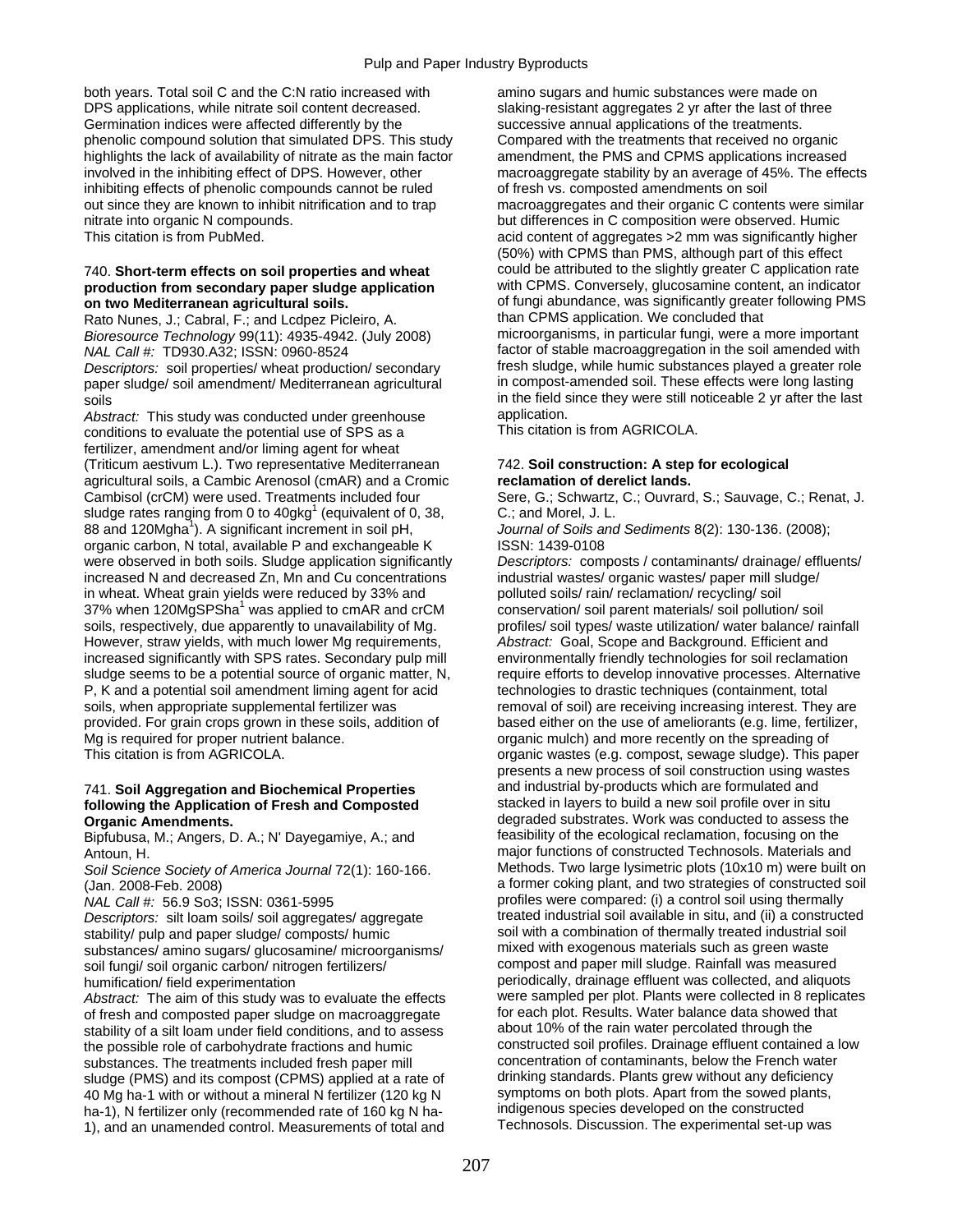both years. Total soil C and the C:N ratio increased with amino sugars and humic substances were made on DPS applications, while nitrate soil content decreased. Slaking-resistant aggregates 2 yr after the last of three Germination indices were affected differently by the successive annual applications of the treatments. phenolic compound solution that simulated DPS. This study Compared with the treatments that received no organic highlights the lack of availability of nitrate as the main factor amendment, the PMS and CPMS applications increased involved in the inhibiting effect of DPS. However, other macroaggregate stability by an average of 45%. The effects inhibiting effects of phenolic compounds cannot be ruled of fresh vs. composted amendments on soil out since they are known to inhibit nitrification and to trap macroaggregates and their organic C contents were similar nitrate into organic N compounds. but differences in C composition were observed. Humic

# production from secondary paper sludge application

Rato Nunes, J.; Cabral, F.; and Lcdpez Picleiro, A.

paper sludge/ soil amendment/ Mediterranean agricultural

*Abstract:* This study was conducted under greenhouse application.<br>
conditions to evaluate the potential use of SPS as a This citation is from AGRICOLA. conditions to evaluate the potential use of SPS as a fertilizer, amendment and/or liming agent for wheat (Triticum aestivum L.). Two representative Mediterranean 742. **Soil construction: A step for ecological**  agricultural soils, a Cambic Arenosol (cmAR) and a Cromic **reclamation of derelict lands.**  Cambisol (crCM) were used. Treatments included four Sere, G.; Schwartz, C.; Ouvrard, S.; Sauvage, C.; Renat, J. sludge rates ranging from 0 to  $40$ gkg<sup>1</sup> (equivalent of 0, 38, C.; and Morel, J. L. 88 and 120Mgha<sup>1</sup>). A significant increment in soil pH, organic carbon, N total, available P and exchangeable K ISSN: 1439-0108 were observed in both soils. Sludge application significantly *Descriptors:* composts / contaminants/ drainage/ effluents/ increased N and decreased Zn, Mn and Cu concentrations industrial wastes/ organic wastes/ paper mill sludge/ in wheat. Wheat grain yields were reduced by 33% and polluted soils/ rain/ reclamation/ recycling/ soil 37% when 120MgSPSha<sup>1</sup> was applied to cmAR and crCM soils, respectively, due apparently to unavailability of Mg. However, straw yields, with much lower Mg requirements, *Abstract:* Goal, Scope and Background. Efficient and increased significantly with SPS rates. Secondary pulp mill environmentally friendly technologies for soil reclamation<br>sludge seems to be a potential source of organic matter, N, require efforts to develop innovative proce sludge seems to be a potential source of organic matter, N, P. K and a potential soil amendment liming agent for acid echnologies to drastic techniques (containment, total soils, when appropriate supplemental fertilizer was removal of soil) are receiving increasing interest. They are provided. For grain crops grown in these soils, addition of based either on the use of ameliorants (e.g. lime, fertilizer, Mg is required for proper nutrient balance.  $\blacksquare$  organic mulch) and more recently on the spreading of

# following the Application of Fresh and Composted

Bipfubusa, M.; Angers, D. A.; N' Dayegamiye, A.; and

*Soil Science Society of America Journal 72(1): 160-166.* 

*Descriptors:* silt loam soils/ soil aggregates/ aggregate stability/ pulp and paper sludge/ composts/ humic soil with a combination of thermally treated industrial soil<br>substances/ amino sugars/ glucosamine/ microorganisms/ mixed with exogenous materials such as green waste substances/ amino sugars/ glucosamine/ microorganisms/ mixed with exogenous materials such as green waste<br>soil fungi/ soil organic carbon/ nitrogen fertilizers/ compost and paper mill sludge. Rainfall was measured soil fungi/ soil organic carbon/ nitrogen fertilizers/

*Abstract:* The aim of this study was to evaluate the effects were sampled per plot. Plants were collected in 8 replication of fresh and composted paper sludge on macroaggregate for each plot. Results. Water balance data s of fresh and composted paper sludge on macroaggregate for each plot. Results. Water balance data showed of free<br>stability of a silt loam under field conditions, and to assess about 10% of the rain water percolated through stability of a silt loam under field conditions, and to assess the possible role of carbohydrate fractions and humic constructed soil profiles. Drainage effluent contained a low<br>substances. The treatments included fresh paper mill concentration of contaminants, below the French water substances. The treatments included fresh paper mill concentration of contaminants, below the French water<br>sludge (PMS) and its compost (CPMS) applied at a rate of contamining standards. Plants grew without any deficiency sludge (PMS) and its compost (CPMS) applied at a rate of drinking standards. Plants grew without any deficiency<br>40 Mg ha-1 with or without a mineral N fertilizer (120 kg N symptoms on both plots. Apart from the sowed plant 40 Mg ha-1 with or without a mineral N fertilizer (120 kg N symptoms on both plots. Apart from the sowed plant<br>ha-1) N fertilizer only (recommended rate of 160 kg N ha-<br>indigenous species developed on the constructed ha-1), N fertilizer only (recommended rate of 160 kg N ha- indigenous species developed on the constructed 1), and an unamended control. Measurements of total and

This citation is from PubMed. This citation is from PubMed. And the state of aggregates of aggregates  $>2$  mm was significantly higher (50%) with CPMS than PMS, although part of this effect 740. **Short-term effects on soil properties and wheat** could be attributed to the slightly greater C application rate **on two Mediterranean agricultural soils.**  $\begin{array}{ccc}\n\bullet & \bullet & \bullet \\
\bullet & \bullet & \bullet\n\end{array}$  of fungi abundance, was significantly greater following PMS<br>Rato Nunes J. Cabral F. and Lodnez Picleiro A than CPMS application. We concluded tha *Bioresource Technology* 99(11): 4935-4942. (July 2008) microorganisms, in particular fungi, were a more important *NAL Call #:* TD930.A32; ISSN: 0960-8524 factor of stable macroaggregation in the soil amended with<br>Descriptors: soil properties/ wheat production/ secondary fresh sludge, while humic substances played a greater role *Descriptors:* soil properties/ wheat production/ secondary fresh sludge, while humic substances played a greater role soils<br>Abstract: This study was conducted under greenhouse application.

Journal of Soils and Sediments 8(2): 130-136. (2008);

conservation/ soil parent materials/ soil pollution/ soil profiles/ soil types/ waste utilization/ water balance/ rainfall This citation is from AGRICOLA. **organic wastes (e.g. compost, sewage sludge)**. This paper presents a new process of soil construction using wastes 741. **Soil Aggregation and Biochemical Properties** and industrial by-products which are formulated and **Organic Amendments.**<br>
Biofubusa, M.: Angers, D. A.: N' Davegamive, A.: and **the example of the example of the example of the example of the** Antoun, H. major functions of constructed Technosols. Materials and<br>Soil Science Society of America Journal 72(1): 160-166 Methods. Two large lysimetric plots (10x10 m) were built on (Jan. 2008-Feb. 2008) a former coking plant, and two strategies of constructed soil *NAL Call #: 56.9 So3*; ISSN: 0361-5995 profiles were compared: (i) a control soil using thermally<br>Descriptors: silt loam soils/ soil aggregates/ aggregate treated industrial soil available in situ, and (ii) a constructed humification/ field experimentation evaluate the effects periodically, drainage effluent was collected, and aliquots<br>Abstract: The aim of this study was to evaluate the effects were sampled per plot. Plants were collected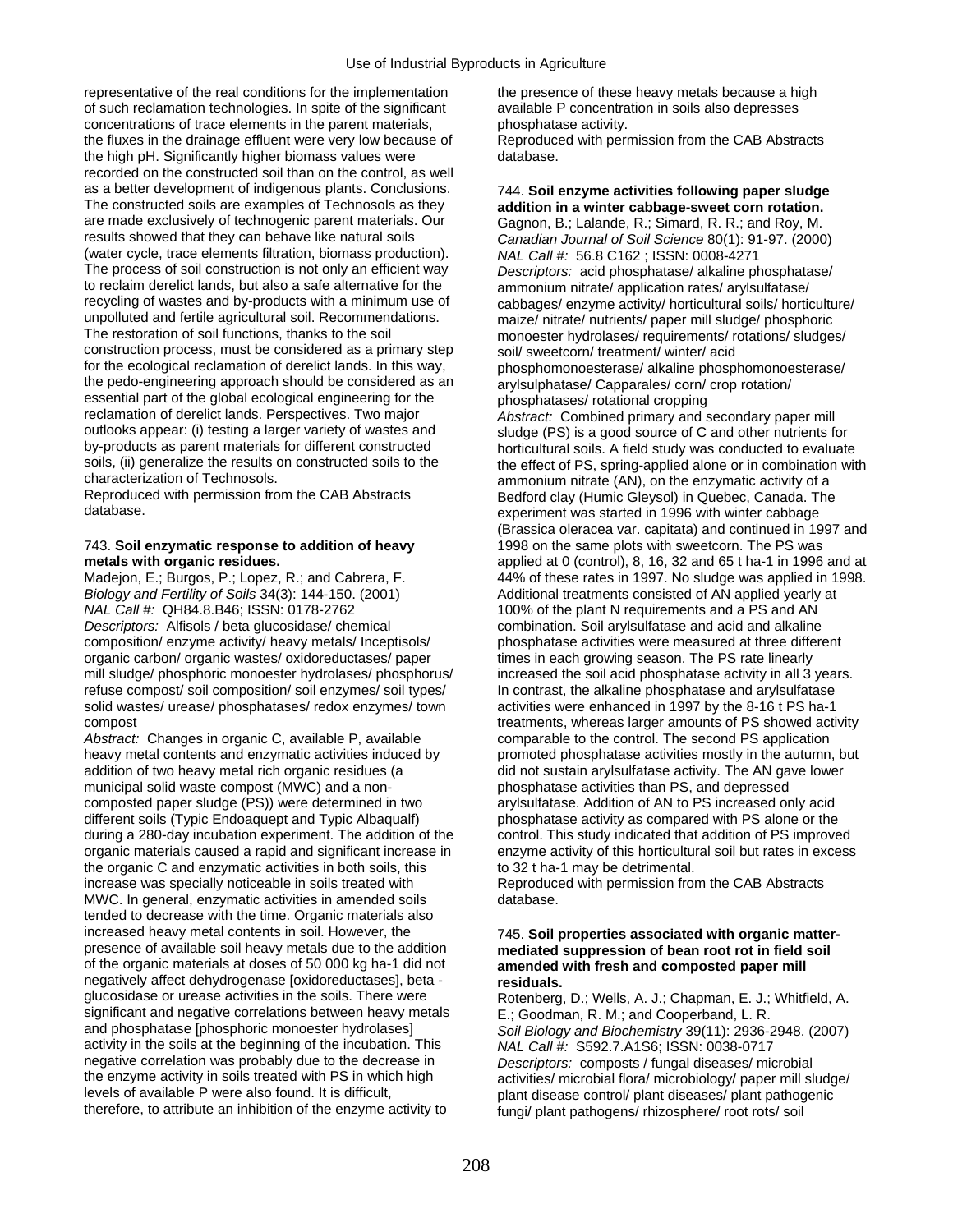representative of the real conditions for the implementation the presence of these heavy metals because a high of such reclamation technologies. In spite of the significant available P concentration in soils also depresses concentrations of trace elements in the parent materials, phosphatase activity. the fluxes in the drainage effluent were very low because of Reproduced with permission from the CAB Abstracts the high pH. Significantly higher biomass values were database. recorded on the constructed soil than on the control, as well as a better development of indigenous plants. Conclusions. 744. **Soil enzyme activities following paper sludge**  The constructed soils are examples of Technosols as they **addition in a winter cabbage-sweet corn rotation.**<br>
are made exclusively of technogenic parent materials. Our Gagnon, B.: Lalande, R.: Simard, R. R.: and Roy, M. are made exclusively of technogenic parent materials. Our Gagnon, B.; Lalande, R.; Simard, R. R.; and Roy, M.<br>
canadian Journal of Soil Science 80(1): 91-97. (2000 (water cycle, trace elements filtration, biomass production). *NAL Call #:* 56.8 C162 ; ISSN: 0008-4271 to reclaim derelict lands, but also a safe alternative for the ammonium nitrate/ application rates/ arylsulfatase/ recycling of wastes and by-products with a minimum use of cabbages/ enzyme activity/ horticultural soils/ horticulture/<br>unpolluted and fertile agricultural soil. Recommendations. maize/ nitrate/ nutrients/ paper mill sludg unpolluted and fertile agricultural soil. Recommendations. maize/ nitrate/ nutrients/ paper mill sludge/ phosphoric<br>The restoration of soil functions, thanks to the soil monoester hydrolases/ requirements/ rotations/ sludg construction process, must be considered as a primary step<br>for the ecological reclamation of derelict lands. In this way,<br>hosphomonoesterase/ alkaline phospl the pedo-engineering approach should be considered as an arylsulphatase/ Capparales/ corn/ crop rotation/ essential part of the global ecological engineering for the phosphatases/ rotational cropping<br>
reclamation of derelict lands. Perspectives. Two major *Abstract:* Combined primary and s reclamation of derelict lands. Perspectives. Two major *Abstract:* Combined primary and secondary paper mill outlooks appear: (i) testing a larger variety of wastes and sludge (PS) is a good source of C and other nutrients for<br>by-products as parent materials for different constructed horticultural soils. A field study was conduct by-products as parent materials for different constructed horticultural soils. A field study was conducted to evaluate<br>soils, (ii) generalize the results on constructed soils to the the effect of PS, spring-applied alone o soils, (ii) generalize the results on constructed soils to the the effect of PS, spring-applied alone or in combination with characterization of Technosols.

## 743. **Soil enzymatic response to addition of heavy** 1998 on the same plots with sweetcorn. The PS was

*Biology and Fertility of Soils* 34(3): 144-150. (2001) <br>
MAL Call #: QH84.8.B46; ISSN: 0178-2762 <br>
100% of the plant N requirements and a PS and AN *Descriptors:* Alfisols / beta glucosidase/ chemical combination. Soil arylsulfatase and acid and alkaline composition/ enzyme activity/ heavy metals/ Inceptisols/ phosphatase activities were measured at three different composition/ enzyme activity/ heavy metals/ Inceptisols/ phosphatase activities were measured at three differentian<br>organic carbon/ organic wastes/ oxidoreductases/ paper times in each growing season. The PS rate linearly organic carbon/ organic wastes/ oxidoreductases/ paper times in each growing season. The PS rate linearly<br>mill sludge/ phosphoric monoester hydrolases/ phosphorus/ increased the soil acid phosphatase activity in all 3 year mill sludge/ phosphoric monoester hydrolases/ phosphorus/ refuse compost/ soil composition/ soil enzymes/ soil types/ In contrast, the alkaline phosphatase and arylsulfatase solid wastes/ urease/ phosphatases/ redox enzymes/ town activities were enhanced in 1997 by the 8-16 t PS ha-1 compost treatments, whereas larger amounts of PS showed activity

heavy metal contents and enzymatic activities induced by promoted phosphatase activities mostly in the autumn, but addition of two heavy metal rich organic residues (a did not sustain arylsulfatase activity. The AN gave lower municipal solid waste compost (MWC) and a non-<br>
composted paper sludge (PS)) were determined in two arylsulfatase. Addition of AN to PS increased or different soils (Typic Endoaquept and Typic Albaqualf) phosphatase activity as compared with PS alone or the during a 280-day incubation experiment. The addition of the control. This study indicated that addition of PS improved organic materials caused a rapid and significant increase in enzyme activity of this horticultural soil but rates in excess the organic C and enzymatic activities in both soils, this to 32 t ha-1 may be detrimental. increase was specially noticeable in soils treated with Theoroduced with permission from the CAB Abstracts MWC. In general, enzymatic activities in amended soils database. tended to decrease with the time. Organic materials also increased heavy metal contents in soil. However, the 745. **Soil properties associated with organic matter**presence of available soil heavy metals due to the addition **mediated suppression of bean root rot in field soil**  negatively affect dehydrogenase [oxidoreductases], beta - **residuals.**<br>
glucosidase or urease activities in the soils. There were Rotenberg. significant and negative correlations between heavy metals E.; Goodman, R. M.; and Cooperband, L. R.<br>and phosphatase [phosphoric monoester hydrolases] Soil Biology and Biochemistry 39(11): 2936-2 activity in the soils at the beginning of the incubation. This *NAL Call #:* S592.7.A1S6; ISSN: 0038-0717 negative correlation was probably due to the decrease in *Descriptors:* composts / fungal diseases/ microbial<br>the enzyme activity in soils treated with PS in which high activities/ microbial flora/ microbiology/ paper mill the enzyme activity in soils treated with PS in which high activities/ microbial flora/ microbiology/ paper mill sludge/<br>levels of available P were also found. It is difficult, and the paper of paper control/ plant disease therefore, to attribute an inhibition of the enzyme activity to fungi/ plant pathogens/ rhizosphere/ root rots/ soil

Canadian Journal of Soil Science 80(1): 91-97. (2000) Descriptors: acid phosphatase/ alkaline phosphatase/ monoester hydrolases/ requirements/ rotations/ sludges/ phosphomonoesterase/ alkaline phosphomonoesterase/ characterization of Technosols.<br>
Reproduced with permission from the CAB Abstracts<br>
Reproduced with permission from the CAB Abstracts<br>
Redford clay (Humic Glevsol) in Quebec, Canada, The Reproduced with permission from the CAB Abstracts Bedford clay (Humic Gleysol) in Quebec, Canada. The<br>Bedford clay (Humic Gleysol) in Quebec, Canada. The experiment was started in 1996 with winter cabbage (Brassica oleracea var. capitata) and continued in 1997 and **metals with organic residues. applied at 0 (control), 8, 16, 32 and 65 t ha-1 in 1996 and at at** Madejon, E.; Burgos, P.; Lopez, R.; and Cabrera, F. 44% of these rates in 1997. No sludge was applied in 1998. 100% of the plant N requirements and a PS and AN combination. Soil aryl sulfatase and acid and alkaline *Abstract:* Changes in organic C, available P, available comparable to the control. The second PS application arylsulfatase. Addition of AN to PS increased only acid

# amended with fresh and composted paper mill

Rotenberg, D.; Wells, A. J.; Chapman, E. J.; Whitfield, A. Soil Biology and Biochemistry 39(11): 2936-2948. (2007) plant disease control/ plant diseases/ plant pathogenic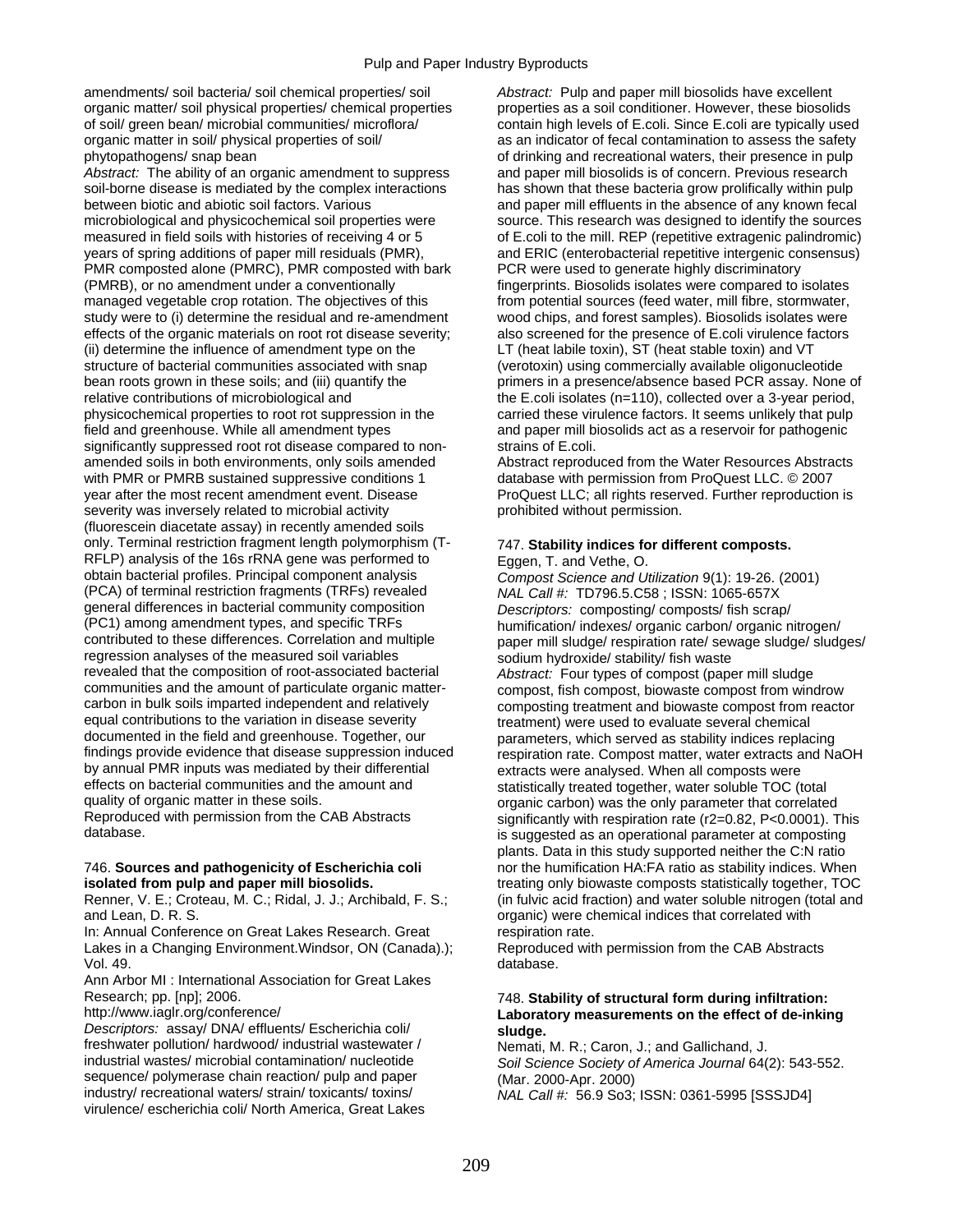amendments/ soil bacteria/ soil chemical properties/ soil *Abstract:* Pulp and paper mill biosolids have excellent organic matter/ soil physical properties/ chemical properties properties as a soil conditioner. However, these biosolids of soil/ green bean/ microbial communities/ microflora/ contain high levels of E.coli. Since E.coli are typically used organic matter in soil/ physical properties of soil/ as an indicator of fecal contamination to assess the safety phytopathogens/ snap bean of drinking and recreational waters, their presence in pulp

soil-borne disease is mediated by the complex interactions has shown that these bacteria grow prolifically within pulp between biotic and abiotic soil factors. Various and paper mill effluents in the absence of any known fecal microbiological and physicochemical soil properties were source. This research was designed to identify the sources measured in field soils with histories of receiving 4 or 5 of E.coli to the mill. REP (repetitive extragenic palindromic) years of spring additions of paper mill residuals (PMR), and ERIC (enterobacterial repetitive intergenic consensus) PMR composted alone (PMRC), PMR composted with bark PCR were used to generate highly discriminatory (PMRB), or no amendment under a conventionally fingerprints. Biosolids isolates were compared to isolates managed vegetable crop rotation. The objectives of this from potential sources (feed water, mill fibre, stormwater, study were to (i) determine the residual and re-amendment wood chips, and forest samples). Biosolids isolates were effects of the organic materials on root rot disease severity; also screened for the presence of E.coli vir effects of the organic materials on root rot disease severity;<br>(ii) determine the influence of amendment type on the (ii) determine the influence of amendment type on the LT (heat labile toxin), ST (heat stable toxin) and VT (tract stable toxin) and VT (tract stable toxin) and VT (verotoxin) using commercially available oligonucled bean roots grown in these soils; and (iii) quantify the primers in a presence/absence based PCR assay. None of relative contributions of microbiological and the E.coli isolates (n=110), collected over a 3-year period, physicochemical properties to root rot suppression in the carried these virulence factors. It seems unlikely that pulp field and greenhouse. While all amendment types and paper mill biosolids act as a reservoir for pathogenic significantly suppressed root rot disease compared to non-<br>strains of E.coli. amended soils in both environments, only soils amended<br>
With PMR or PMRB sustained suppressive conditions 1<br>
database with permission from ProQuest LLC. © 2007 with PMR or PMRB sustained suppressive conditions 1 year after the most recent amendment event. Disease ProQuest LLC; all rights reserved. Further reproduction is severity was inversely related to microbial activity example prohibited without permission. (fluorescein diacetate assay) in recently amended soils only. Terminal restriction fragment length polymorphism (T- 747. **Stability indices for different composts.**  RFLP) analysis of the 16s rRNA gene was performed to Eggen, T. and Vethe, O. botain bacterial profiles. Principal component analysis Compost Science and U (PCA) of terminal restriction fragments (TRFs) revealed general differences in bacterial community composition *Descriptors:* composting/ composts/ fish scrap/<br>(PC1) among amendment types, and specific TRFs humification/ indexes/ organic carbon/ organic n (PC1) among amendment types, and specific TRFs humification/ indexes/ organic carbon/ organic nitrogen/<br>contributed to these differences. Correlation and multiple paper mill sludge/ respiration rate/ sewage sludge/ regression analyses of the measured soil variables sodium hydroxide/ stability/ fish waste<br>revealed that the composition of root-associated bacterial abstract: Four types of compost (pape communities and the amount of particulate organic matter-<br>
compost, fish compost, biowaste compost from windrow<br>
composting treatment and biowaste compost from reactor<br>
composting treatment and biowaste compost from reacto carbon in bulk soils imparted independent and relatively composting treatment and biowaste compost from reactor<br>
equal contributions to the variation in disease severity entity treatment) were used to evaluate several chem equal contributions to the variation in disease severity entity treatment) were used to evaluate several chemical<br>documented in the field and greenhouse. Together, our solutionary parameters, which served as stability indi documented in the field and greenhouse. Together, our exameters, which served as stability indices replacing<br>findings provide evidence that disease suppression induced respiration rate. Compost matter, water extracts and N findings provide evidence that disease suppression induced respiration rate. Compost matter, water extracts and NaOH<br>by annual PMR inputs was mediated by their differential respirance extracts were analysed. When all compo by annual PMR inputs was mediated by their differential extracts were analysed. When all composts were effects on bacterial communities and the amount and extracts vere statistically treated together water soluble TOC (t effects on bacterial communities and the amount and statistically treated together, water soluble TOC (total<br>
organic carbon) was the only parameter that correlate quality of organic matter in these soils.<br>Reproduced with permission from the CAB Abstracts<br>significantly with respiration rate (r2=0.82, P<0.0001).

and Lean, D. R. S. organic) were chemical indices that correlated with

In: Annual Conference on Great Lakes Research. Great respiration rate. Lakes in a Changing Environment. Windsor, ON (Canada).); Reproduced with permission from the CAB Abstracts Vol. 49. database.

Ann Arbor MI : International Association for Great Lakes

*Descriptors:* assay/ DNA/ effluents/ Escherichia coli/ **sludge.**  freshwater pollution/ hardwood/ industrial wastewater / Nemati, M. R.; Caron, J.; and Gallichand, J.<br>industrial wastes/ microbial contamination/ nucleotide Soil Science Society of America Journal 640 sequence/ polymerase chain reaction/ pulp and paper (Mar. 2000-Apr. 2000)<br>
industry/ recreational waters/ strain/ toxicants/ toxins/ (Mar. 2000-Apr. 2000) virulence/ escherichia coli/ North America, Great Lakes

Abstract: The ability of an organic amendment to suppress and paper mill biosolids is of concern. Previous research (verotoxin) using commercially available oligonucleotide

Compost Science and Utilization 9(1): 19-26. (2001)<br>NAL Call #: TD796.5.C58 ; ISSN: 1065-657X paper mill sludge/ respiration rate/ sewage sludge/ sludges/ Abstract: Four types of compost (paper mill sludge Reproduced with permission from the CAB Abstracts significantly with respiration rate (r2=0.82, P<0.0001). This database. is suggested as an operational parameter at composting plants. Data in this study supported neither the C:N ratio 746. **Sources and pathogenicity of Escherichia coli** nor the humification HA:FA ratio as stability indices. When **isolated from pulp in proposers** statistically together, TOC Renner, V. E.; Croteau, M. C.; Ridal, J. J.; Archibald, F. S.; (in fulvic acid fraction) and water soluble nitrogen (total and

## Research; pp. [np]; 2006. **The search; pp. [np]; 2006.** 748. **Stability of structural form during infiltration: http://www.iaglr.org/conference/ The stability of structural form during infiltration: http://www.iaglr. Laboratory measurements on the effect of de-inking**

Soil Science Society of America Journal 64(2): 543-552. *NAL Call #: 56.9 So3; ISSN: 0361-5995 [SSSJD4]*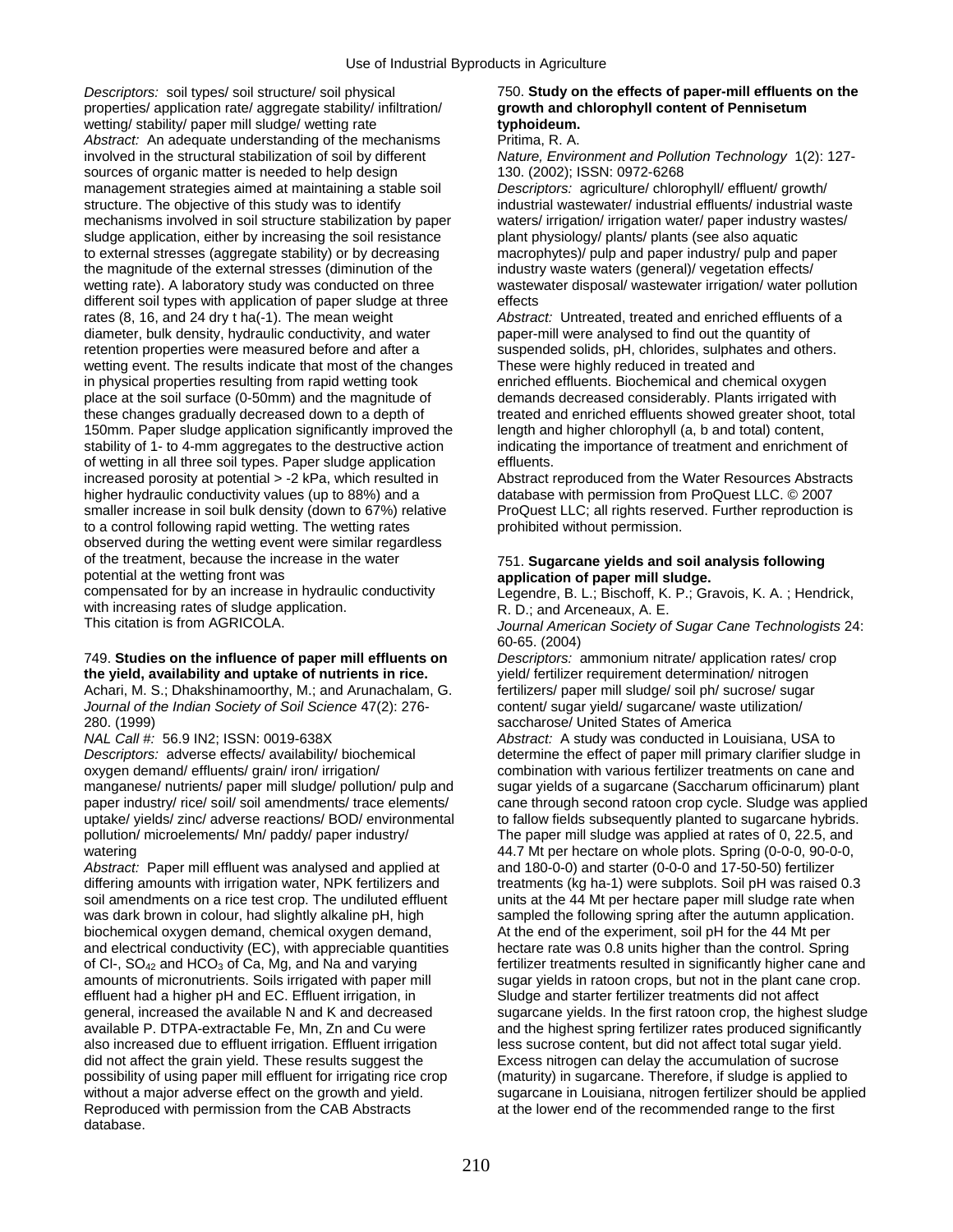*Descriptors:* soil types/ soil structure/ soil physical 750. **Study on the effects of paper-mill effluents on the**  properties/ application rate/ aggregate stability/ infiltration/ **growth and chlorophyll content of Pennisetum**  wetting/ stability/ paper mill sludge/ wetting rate **typhoideum.**  *Abstract:* An adequate understanding of the mechanisms Pritima, R. A. involved in the structural stabilization of soil by different *Nature, Environment and Pollution Technology* 1(2): 127 sources of organic matter is needed to help design 130. (2002); ISSN: 0972-6268 management strategies aimed at maintaining a stable soil *Descriptors:* agriculture/ chlorophyll/ effluent/ growth/ structure. The objective of this study was to identify industrial wastewater/ industrial effluents/ industrial waste mechanisms involved in soil structure stabilization by paper waters/ irrigation/ irrigation water/ paper industry wastes/ sludge application, either by increasing the soil resistance plant physiology/ plants/ plants (see also aquatic to external stresses (aggregate stability) or by decreasing macrophytes)/ pulp and paper industry/ pulp and paper the magnitude of the external stresses (diminution of the industry waste waters (general)/ vegetation effects/ wetting rate). A laboratory study was conducted on three wastewater disposal/ wastewater irrigation/ water pollution different soil types with application of paper sludge at three effects rates (8, 16, and 24 dry t ha(-1). The mean weight *Abstract:* Untreated, treated and enriched effluents of a diameter, bulk density, hydraulic conductivity, and water paper-mill were analysed to find out the quantity of retention properties were measured before and after a suspended solids, pH, chlorides, sulphates and others. wetting event. The results indicate that most of the changes These were highly reduced in treated and in physical properties resulting from rapid wetting took enriched effluents. Biochemical and chemical oxygen place at the soil surface (0-50mm) and the magnitude of demands decreased considerably. Plants irrigated with these changes gradually decreased down to a depth of treated and enriched effluents showed greater shoot, total 150mm. Paper sludge application significantly improved the length and higher chlorophyll (a, b and total) content, stability of 1- to 4-mm aggregates to the destructive action indicating the importance of treatment and enrichment of of wetting in all three soil types. Paper sludge application effluents.<br>
increased porosity at potential > -2 kPa, which resulted in Abstract reproduced from the Water Resources Abstracts increased porosity at potential > -2 kPa, which resulted in higher hydraulic conductivity values (up to 88%) and a database with permission from ProQuest LLC. © 2007 smaller increase in soil bulk density (down to 67%) relative ProQuest LLC; all rights reserved. Further reproduction is to a control following rapid wetting. The wetting rates prohibited without permission. observed during the wetting event were similar regardless of the treatment, because the increase in the water 751. **Sugarcane yields and soil analysis following**  potential at the wetting front was **application of paper mill sludge.**  with increasing rates of sludge application.<br>This citation is from AGRICOLA. This citation is from AGRICOLA.

### 749. **Studies on the influence of paper mill effluents on** *Descriptors:* ammonium nitrate/ application rates/ crop **the yield, availability and uptake of nutrients in rice.** yield/ fertilizer requirement determination/ nitrogen

Achari, M. S.; Dhakshinamoorthy, M.; and Arunachalam, G. fertilizers/ paper mill sludge/ soil ph/ sucrose/ sugar *Journal of the Indian Society of Soil Science 47(2): 276-* content/ sugar yield/ sugarcane/ waste utilization/ 280. (1999) saccharose/ United States of America

*Descriptors:* adverse effects/ availability/ biochemical determine the effect of paper mill primary clarifier sludge in oxygen demand/ effluents/ grain/ iron/ irrigation/ combination with various fertilizer treatments on cane and manganese/ nutrients/ paper mill sludge/ pollution/ pulp and sugar yields of a sugarcane (Saccharum officinarum) plant paper industry/ rice/ soil/ soil amendments/ trace elements/ cane through second ratoon crop cycle. Sludge was applied uptake/ yields/ zinc/ adverse reactions/ BOD/ environmental to fallow fields subsequently planted to sugarcane hybrids. pollution/ microelements/ Mn/ paddy/ paper industry/ The paper mill sludge was applied at rates of 0, 22.5, and watering watering  $\frac{44.7 \text{ Mt}}{2}$  and  $\frac{44.7 \text{ Mt}}{2}$  bectare on whole plots. Spring (0-0-0, 90-0-0,

*Abstract:* Paper mill effluent was analysed and applied at and 180-0-0) and starter (0-0-0 and 17-50-50) fertilizer differing amounts with irrigation water, NPK fertilizers and treatments (kg ha-1) were subplots. Soil pH was raised 0.3 soil amendments on a rice test crop. The undiluted effluent units at the 44 Mt per hectare paper mill sludge rate when was dark brown in colour, had slightly alkaline pH, high sampled the following spring after the autumn application. biochemical oxygen demand, chemical oxygen demand, At the end of the experiment, soil pH for the 44 Mt per and electrical conductivity (EC), with appreciable quantities hectare rate was 0.8 units higher than the control. Spring of Cl-,  $SO_{42}$  and HCO<sub>3</sub> of Ca, Mg, and Na and varying fertilizer treatments resulted in significantly higher cane and amounts of micronutrients. Soils irrigated with paper mill sugar yields in ratoon crops, but not in the plant cane crop. effluent had a higher pH and EC. Effluent irrigation, in Sludge and starter fertilizer treatments did not affect also increased due to effluent irrigation. Effluent irrigation less sucrose content, but did not affect total sugar yield. did not affect the grain yield. These results suggest the Excess nitrogen can delay the accumulation of sucrose<br>possibility of using paper mill effluent for irrigating rice crop (maturity) in sugarcane. Therefore, if sludg possibility of using paper mill effluent for irrigating rice crop without a major adverse effect on the growth and yield. sugarcane in Louisiana, nitrogen fertilizer should be applied Reproduced with permission from the CAB Abstracts at the lower end of the recommended range to the first database.

Legendre, B. L.; Bischoff, K. P.; Gravois, K. A. ; Hendrick,

Journal American Society of Sugar Cane Technologists 24: 60-65. (2004)

*NAL Call #:* 56.9 IN2; ISSN: 0019-638X *Abstract:* A study was conducted in Louisiana, USA to general, increased the available N and K and decreased sugarcane yields. In the first ratoon crop, the highest sludge<br>available P. DTPA-extractable Fe, Mn, Zn and Cu were and the highest spring fertilizer rates produced si and the highest spring fertilizer rates produced significantly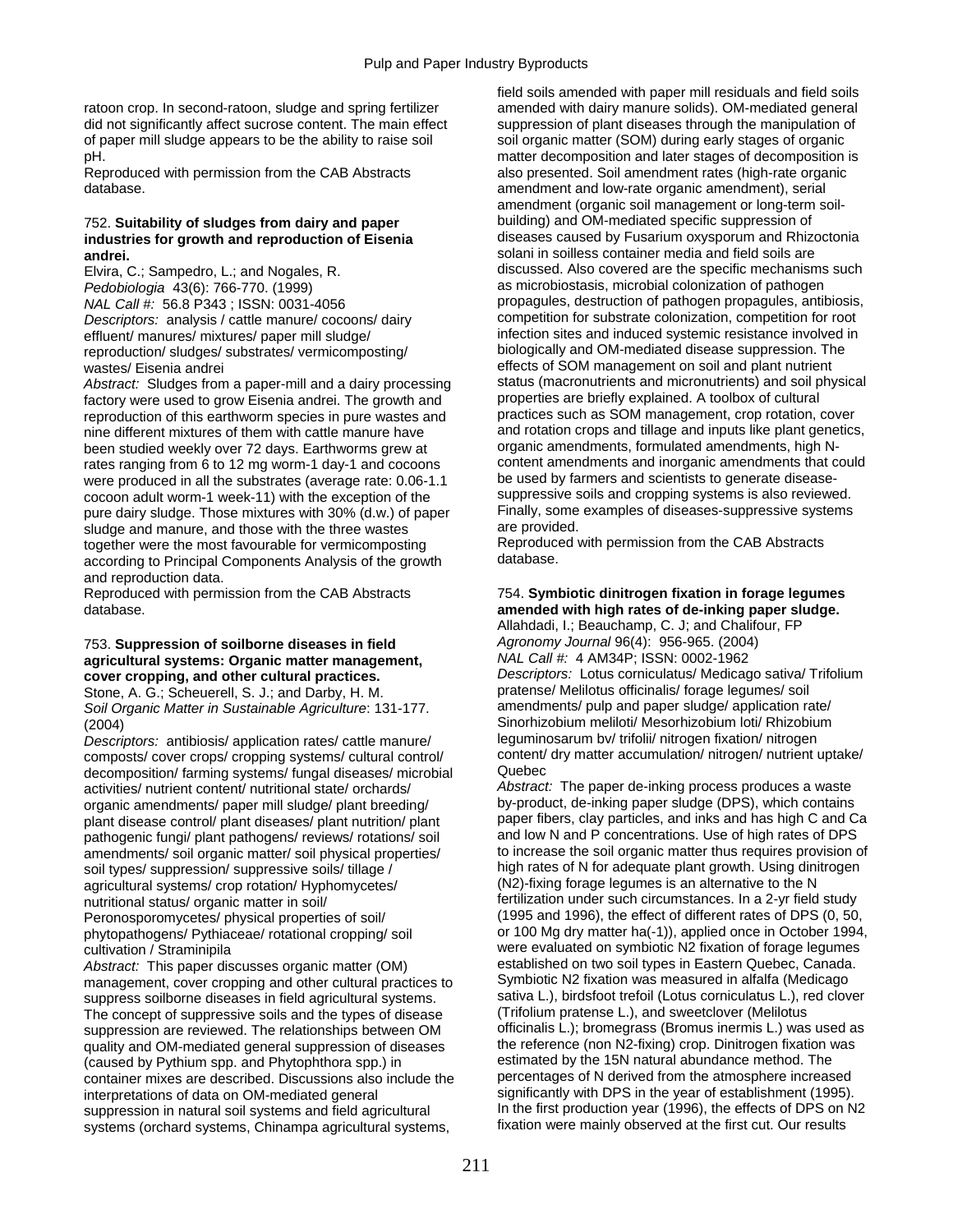ratoon crop. In second-ratoon, sludge and spring fertilizer amended with dairy manure solids). OM-mediated general did not significantly affect sucrose content. The main effect suppression of plant diseases through the manipulation of of paper mill sludge appears to be the ability to raise soil soil organic matter (SOM) during early stages of organic pH. matter decomposition and later stages of decomposition is

database. amendment and low-rate organic amendment), serial

# industries for growth and reproduction of Eisenia

Pedobiologia 43(6): 766-770. (1999) **as microbiostasis, microbial colonization of pathogen** and pathogen reproduction/ sludges/ substrates/ vermicomposting/

Abstract: Sludges from a paper-mill and a dairy processing status (macronutrients and micronutrients) and soil p<br>factory were used to grow Fisenia andrei. The growth and suppoperties are briefly explained. A toolbox of cul factory were used to grow Eisenia andrei. The growth and properties are briefly explained. A toolbox of cultural<br>reproduction of this earthworm species in pure wastes and practices such as SOM management, crop rotation, co reproduction of this earthworm species in pure wastes and nine different mixtures of them with cattle manure have and rotation crops and tillage and inputs like plant genetics,<br>been studied weekly over 72 days. Farthworms grew at organic amendments, formulated amendments, high Nbeen studied weekly over 72 days. Earthworms grew at rates ranging from 6 to 12 mg worm-1 day-1 and cocoons content amendments and inorganic amendments that could were produced in all the substrates (average rate: 0.06-1.1 be used by farmers and scientists to generate diseas were produced in all the substrates (average rate: 0.06-1.1 cocoon adult worm-1 week-11) with the exception of the suppressive soils and cropping systems is also reviewed.<br>
pure dairy sludge. Those mixtures with 30% (d.w.) of paper Finally, some examples of diseases-suppressive sys pure dairy sludge. Those mixtures with 30% (d.w.) of paper Finally, some Finally, some examples of the three wastes sludge and manure, and those with the three wastes **are provided.**<br>together were the most favourable for vermicomposting **are Reproduced with permission from the CAB Abstracts** together were the most favourable for vermicomposting Reproduced Reproduced according to Principal Components Abstracts of the crowth according to Principal Components Analysis of the growth and reproduction data.

## 753. **Suppression of soilborne diseases in field** *Agronomy Journal* 96(4): 956-965. (2004) agricultural systems: Organic matter management,

*Soil Organic Matter in Sustainable Agriculture*: 131-177.

*Descriptors:* antibiosis/ application rates/ cattle manure/ leguminosarum bv/ trifolii/ nitrogen fixation/ nitrogen composts/ cover crops/ cropping systems/ cultural control/ content/<br>decomposition/ farming systems/ fungal diseases/ microbial Quebec decomposition/ farming systems/ fungal diseases/ microbial activities/ nutrient content/ nutritional state/ orchards/ plant disease control/ plant diseases/ plant nutrition/ plant paper fibers, clay particles, and inks and has high C and C<br>pathogenic fungi/ plant pathogens/ reviews/ rotations/ soil and low N and P concentrations. Use of h amendments/ soil organic matter/ soil physical properties/ soil types/ suppression/ suppressive soils/ tillage / high rates of N for adequate plant growth. Using dinitrogen<br>
agricultural systems/ crop rotation/ Hyphomycetes/ (N2)-fixing forage legumes is an alternative to the N agricultural systems/ crop rotation/ Hyphomycetes/ nutritional status/ organic matter in soil/ fertilization under such circumstances. In a 2-yr field study Peronosporomycetes/ physical properties of soil/ (1995 and 1996), the effect of different rates of DPS (0, 50,

*Abstract:* This paper discusses organic matter (OM) established on two soil types in Eastern Quebec, Canada.<br>management cover cropping and other cultural practices to Symbiotic N2 fixation was measured in alfalfa (Medicag management, cover cropping and other cultural practices to suppress soilborne diseases in field agricultural systems. sativa L.), birdsfoot trefoil (Lotus corniculatus L.), red clover<br>The concept of suppressive soils and the types of disease (Trifolium pratense L.), and sweetclove The concept of suppressive soils and the types of disease suppression are reviewed. The relationships between OM officinalis L.); bromegrass (Bromus inermis L.) was used as quality and OM-mediated general suppression of diseases the reference (non N2-fixing) crop. Dinitrogen fixation was (caused by Pythium spp. and Phytophthora spp.) in estimated by the 15N natural abundance method. The container mixes are described. Discussions also include the percentages of N derived from the atmosphere increased container mixes are described. Discussions also include the interpretations of data on OM-mediated general significantly with DPS in the year of establishment (1995). suppression in natural soil systems and field agricultural In the first production year (1996), the effects of DPS on N2<br>systems (orchard systems, Chinampa agricultural systems fixation were mainly observed at the first cu systems (orchard systems, Chinampa agricultural systems,

field soils amended with paper mill residuals and field soils Reproduced with permission from the CAB Abstracts also presented. Soil amendment rates (high-rate organic amendment (organic soil management or long-term soil-752. **Suitability of sludges from dairy and paper** building) and OM-mediated specific suppression of **andrei. andrei. andrei. andrei. andrei. and in soilless container media and field soils are Elvira, C.; Sampedro, L.; and Nogales, R. <b>and Solani in solless container media and field soils are** discussed. Also c discussed. Also covered are the specific mechanisms such *NAL Call #:* 56.8 P343 ; ISSN: 0031-4056 **propagules**, destruction of pathogen propagules, antibiosis, *Descriptors:* analysis / cattle manure/ cocoons/ dairy competition for substrate colonization, competition for root effluent/ manures/ mixtures/ paper mill sludge/ intection sites and induced systemic resistance involved in<br>
reproduction/ sludges/ substrates/ vermicomposting/ biologically and OM-mediated disease suppression. The wastes/ Eisenia andrei effects of SOM management on soil and plant nutrient<br>Abstract: Sludges from a paper-mill and a dairy processing status (macronutrients and micronutrients) and soil physical

### Reproduced with permission from the CAB Abstracts 754. **Symbiotic dinitrogen fixation in forage legumes**  amended with high rates of de-inking paper sludge.

Allahdadi, I.; Beauchamp, C. J; and Chalifour, FP **cover cropping, and other cultural practices.** *Descriptors:* Lotus corniculatus/ Medicago sativa/ Trifolium<br>
Stone A. G.: Scheuerell, S. J.: and Darby, H. M. **Drifter and Participalis** (Melliotus officinalis/ forage legu Stone, A. G.; Scheuerell, S. J.; and Darby, H. M. pratense/ Melilotus officinalis/ forage legumes/ soil<br>Soil Organic Matter in Sustainable Agriculture: 131-177 and amendments/ pulp and paper sludge/ application rate (2004)<br>
Compare in the Sinorhizobium meliloti/ Mesorhizobium loti/ Rhizobium<br>
Descriptors: antibiosis/ application rates/ cattle manure/<br>
leguminosarum by/ trifolii/ nitrogen fixation/ nitrogen

Abstract: The paper de-inking process produces a waste<br>by-product, de-inking paper sludge (DPS), which contains organic amendments/ paper mill sludge/ plant breeding/ by-product, de-inking paper sludge (DPS), which contains<br>plant disease control/ plant diseases/ plant nutrition/ plant paper fibers, clay particles, and inks and has h pathogenic fungi/ plant pathogens/ reviews/ rotations/ soil and low N and P concentrations. Use of high rates of DPS<br>amendments/ soil organic matter/ soil physical properties/ to increase the soil organic matter thus requi phytopathogens/ Pythiaceae/ rotational cropping/ soil or 100 Mg dry matter ha(-1)), applied once in October 1994, cultivation / Straminipila<br>Abstract: This paper discusses organic matter (OM) established on two soil types in Eastern Quebec, Canada.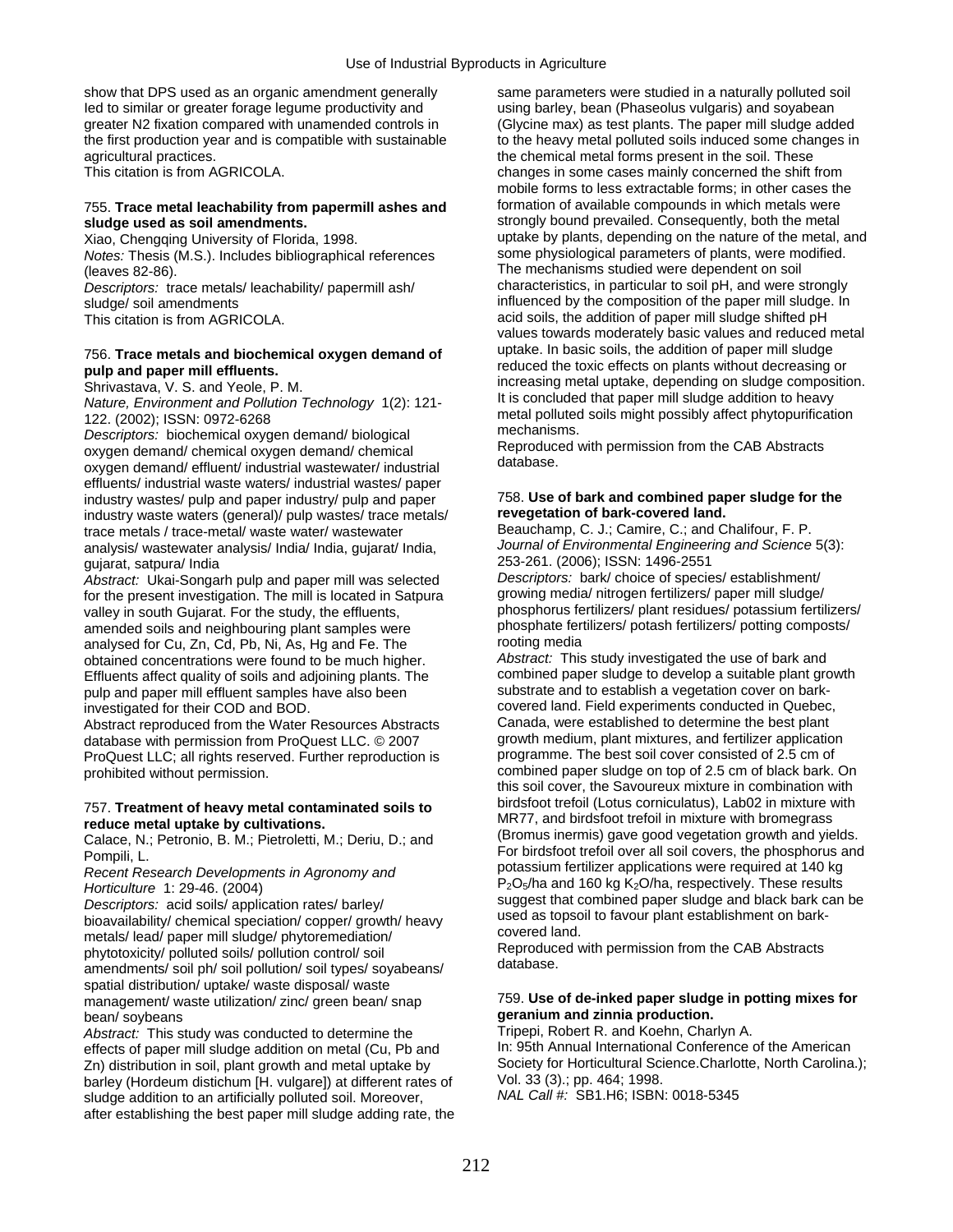show that DPS used as an organic amendment generally same parameters were studied in a naturally polluted soil Ied to similar or greater forage legume productivity and using barley, bean (Phaseolus vulgaris) and soyabean<br>greater N2 fixation compared with unamended controls in (Glycine max) as test plants. The paper mill sludge add the first production year and is compatible with sustainable to the heavy metal polluted soils induced some changes in agricultural practices. the chemical metal forms present in the soil. These

## 755. **Trace metal leachability from papermill ashes and** formation of available compounds in which metals were

*Notes:* Thesis (M.S.). Includes bibliographical references

*Descriptors:* trace metals/ leachability/ papermill ash/

effluents/ industrial waste waters/ industrial wastes/ paper industry wastes/ pulp and paper industry/ pulp and paper 758. **Use of bark and combined paper sludge for the**  industry waste waters (general)/ pulp wastes/ trace metals/ **revegetation of bark-covered land.**  trace metals / trace-metal/ waste water/ wastewater Beauchamp, C. J.; Camire, C.; and Chalifour, F. P.<br>
analysis/ wastewater analysis/ India/ India, quiarat/ India.<br>
Journal of Environmental Engineering and Science 5(3): analysis/ wastewater analysis/ India/ India, gujarat/ India, *gujarat*, satpura/ India

*Abstract:* Ukai-Songarh pulp and paper mill was selected *Descriptors:* bark/ choice of species/ establishment/ for the present investigation. The mill is located in Satpura amended soils and neighbouring plant samples were phosphate fertilizers/ potash fertilizers/ potting composts/<br>analysed for Cu. Zn. Cd. Ph. Ni. As. Hg and Ee. The rooting media analysed for Cu, Zn, Cd, Pb, Ni, As, Hg and Fe. The rooting media<br>obtained concentrations were found to be much higher *Abstract:* This study investigated the use of bark and Effluents affect quality of soils and adjoining plants. The combined paper sludge to develop a suitable plant gro<br>culp and paper mill effluent samples have also been substrate and to establish a vegetation cover on barkpulp and paper mill effluent samples have also been investigated for their COD and BOD.

Abstract reproduced from the Water Resources Abstracts Canada, were established to determine the best plant<br>
database with permission from ProQuest LLC © 2007<br>
growth medium, plant mixtures, and fertilizer application database with permission from ProQuest LLC. © 2007 growth medium, plant mixtures, and fertilizer application<br>ProQuest LLC: all rights reserved. Further reproduction is programme. The best soil cover consisted of 2.5 cm of ProQuest LLC; all rights reserved. Further reproduction is prohibited without permission.

metals/ lead/ paper mill sludge/ phytoremediation/<br>nhytotoxicity/ polluted soils/ pollution control/ soil covered Reproduced with permission from the CAB Abstracts phytotoxicity/ polluted soils/ pollution control/ soil<br>amendments/ soil ph/ soil pollution/ soil types/ soyabeans/ database. spatial distribution/ uptake/ waste disposal/ waste bean/ soybeans<br>Abstract: This study was conducted to determine the **geranium and zinnia production.**<br>Abstract: This study was conducted to determine the **Tripepi. Robert R. and Koehn. Charlyn A.** 

*Abstract:* This study was conducted to determine the Tripepi, Robert R. and Koehn, Charlyn A.<br>effects of paper mill sludge addition on metal (Cu. Ph and In: 95th Annual International Conference of the American effects of paper mill sludge addition on metal (Cu, Pb and In: 95th Annual International Conference of the American<br>In: distribution in soil, plant growth and metal uptake by Society for Horticultural Science Charlotte, No Zn) distribution in soil, plant growth and metal uptake by Society for Horticultural Science.<br>Charlotte, Charlotte, North Carolina. (Hortence.Charlotte, North Carolina.); pp. 464; 1998. barley (Hordeum distichum [H. vulgare]) at different rates of Vol. 33 (3).; pp. 464; 1998.<br>sludge addition to an artificially polluted soil. Moreover. NAL Call #: SB1.H6; ISBN: 0018-5345 sludge addition to an artificially polluted soil. Moreover, after establishing the best paper mill sludge adding rate, the

(Glycine max) as test plants. The paper mill sludge added This citation is from AGRICOLA. Changes in some cases mainly concerned the shift from mobile forms to less extractable forms; in other cases the **sludge used as soil amendments. strongly bound prevailed. Consequently, both the metal <br>Xiao, Chengging University of Florida, 1998. <b>Strongly and strongly bound prevailed.** Consequently, both the metal, uptake by plants, depending on the nature of the metal, and some physiological parameters of plants, were modified. (leaves 82-86).<br>
The mechanisms studied were dependent on soil<br>
Descriptors: trace metals/leachability/papermill ash/ characteristics, in particular to soil pH, and were strongly sludge/ soil amendments<br>
This citation is from AGRICOLA.<br>
This citation is from AGRICOLA.<br>
Subset of the addition of paper mill sludge shifted pH acid soils, the addition of paper mill sludge shifted pH values towards moderately basic values and reduced metal<br>uptake. In basic soils, the addition of paper mill sludge T56. **Trace metals and biochemical oxygen demand of** *uptake. In basic soils, the addition of paper mill sludge*<br> **pulp and paper mill effluents.**<br>
Shrivastava, V. S. and Yeole, P. M. **pulp and paper of particular of and p** Shrivastava, V. S. and Yeole, P. M.<br>
Mature, Environment and Pollution Technology 1(2): 121-<br>
122. (2002); ISSN: 0972-6268<br>
Descriptors: biochemical oxygen demand/ biological<br>
oxygen demand/ chemical oxygen demand/ chemica

253-261. (2006); ISSN: 1496-2551.<br>Descriptors: bark/ choice of species/ establishment/

valley in south Guiarat. For the study, the effluents, phosphorus fertilizers/ plant residues/ potassium fertilizers/

obtained concentrations were found to be much higher. *Abstract:* This study investigated the use of bark and covered land. Field experiments conducted in Quebec,<br>Canada, were established to determine the best plant combined paper sludge on top of 2.5 cm of black bark. On this soil cover, the Savoureux mixture in combination with 757. **Treatment of heavy metal contaminated soils to**<br> **Exercice metal uptake by cultivations.**<br>
Calace, N.; Petronio, B. M.; Pietroletti, M.; Deriu, D.; and<br>
Pompili, L.<br>
Recent Research Developments in Agronomy and<br>
Hor Horticulture 1: 29-46. (2004)<br>
Descriptors: acid soils/ application rates/ barley/<br>
Descriptors: acid soils/ application rates/ barley/<br>
bioavailability/ chemical speciation/ copper/ growth/ heavy<br>
suggest that combined p

## management/ waste utilization/ zinc/ green bean/ snap 759. **Use of de-inked paper sludge in potting mixes for**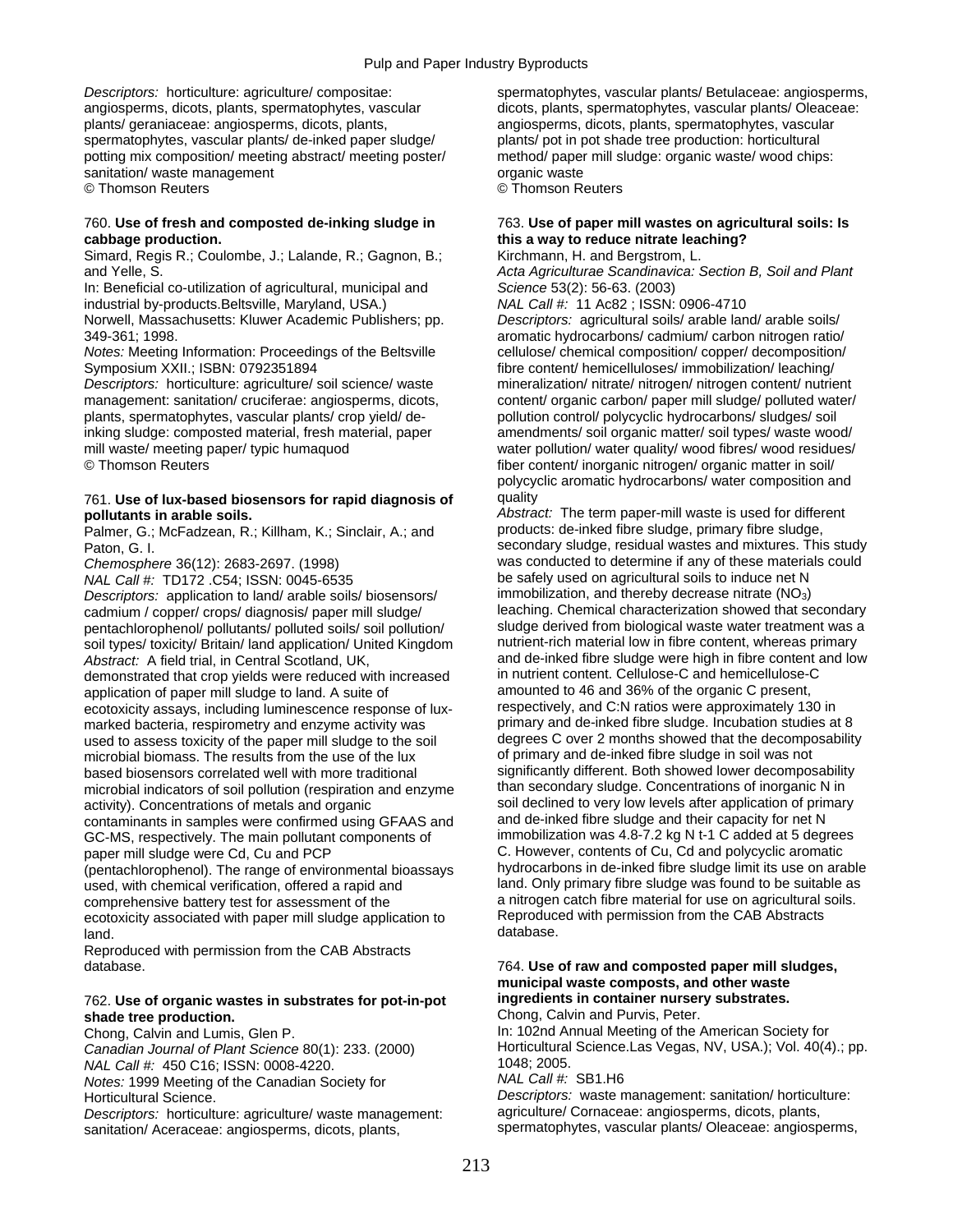plants/ geraniaceae: angiosperms, dicots, plants, angiosperms, dicots, plants, spermatophytes, vascular spermatophytes, vascular plants/ de-inked paper sludge/ plants/ pot in pot shade tree production: horticultural potting mix composition/ meeting abstract/ meeting poster/ method/ paper mill sludge: organic waste/ wood chips: sanitation/waste management organic waste © Thomson Reuters © Thomson Reuters

## 760. **Use of fresh and composted de-inking sludge in** 763. **Use of paper mill wastes on agricultural soils: Is cabbage production. this a way to reduce nitrate leaching?**

Simard, Regis R.; Coulombe, J.; Lalande, R.; Gagnon, B.; and Yelle, S. *Acta Agriculturae Scandinavica: Section B, Soil and Plant* 

In: Beneficial co-utilization of agricultural, municipal and *Science* 53(2): 56-63. (2003) industrial by-products.Beltsville, Maryland, USA.) *NAL Call #:* 11 Ac82 ; ISSN: 0906-4710 Norwell, Massachusetts: Kluwer Academic Publishers; pp. *Descriptors:* agricultural soils/ arable land/ arable soils/ 349-361; 1998. aromatic hydrocarbons/ cadmium/ carbon nitrogen ratio/

Symposium XXII.; ISBN: 0792351894 fibre content/ hemicelluloses/ immobilization/ leaching/

*Descriptors:* horticulture: agriculture/ soil science/ waste mineralization/ nitrate/ nitrogen/ nitrogen content/ nutrient plants, spermatophytes, vascular plants/ crop yield/ de- pollution control/ polycyclic hydrocarbons/ sludges/ soil inking sludge: composted material, fresh material, paper amendments/ soil organic matter/ soil types/ waste wood/ © Thomson Reuters fiber content/ inorganic nitrogen/ organic matter in soil/

## 761. **Use of lux-based biosensors for rapid diagnosis of** quality

Palmer, G.; McFadzean, R.; Killham, K.; Sinclair, A.; and

*NAL Call #:* TD172 .C54; ISSN: 0045-6535 be safely used on agricultural soils to induce net N<br> *Descriptors:* application to land/ arable soils/ biosensors/ immobilization, and thereby decrease nitrate (NO<sub>3</sub>) *Descriptors:* application to land/ arable soils/ biosensors/ cadmium / copper/ crops/ diagnosis/ paper mill sludge/ leaching. Chemical characterization showed that secondary pentachlorophenol/ pollutants/ polluted soils/ soil pollution/ sludge derived from biological waste water treatment was a soil types/ toxicity/ Britain/ land application/ United Kingdom nutrient-rich material low in fibre content, whereas primary *Abstract:* A field trial, in Central Scotland, UK, and de-inked fibre sludge were high in fibre content and low demonstrated that crop vields were reduced with increased in nutrient content. Cellulose-C and hemicellulosedemonstrated that crop yields were reduced with increased in nutrient content. Cellulose-C and hemicellulose-C<br>application of paper mill sludge to land. A suite of amounted to 46 and 36% of the organic C present, application of paper mill sludge to land. A suite of amounted to 46 and 36% of the organic C present,<br>ecotoxicity assays including luminescence response of lux-<br>respectively, and C:N ratios were approximately 130 in ecotoxicity assays, including luminescence response of lux-<br>marked bacteria, respirometry and enzyme activity was primary and de-inked fibre sludge. Incubation studies at 8 marked bacteria, respirometry and enzyme activity was primary and de-inked fibre sludge. Incubation studies at 8<br>I degrees C over 2 months showed that the decomposability used to assess to vicit the decomposability used to assess toxicity of the paper mill sludge to the soil degrees C over 2 months showed that the decomponent of primary and de-inked fibre sludge in soil was not microbial biomass. The results from the use of the lux based biosensors correlated well with more traditional significantly different. Both showed lower decomposability<br>microbial indicators of soil pollution (respiration and enzyme than secondary sludge. Concentrations of inor microbial indicators of soil pollution (respiration and enzyme activity). Concentrations of metals and organic contaminants in samples were confirmed using GFAAS and GC-MS, respectively. The main pollutant components of immobilization was 4.8-7.2 kg N t-1 C added at 5 degrees

(pentachlorophenol). The range of environmental bioassays used, with chemical verification, offered a rapid and land. Only primary fibre sludge was found to be suitable as comprehensive battery test for assessment of the a nitrogen catch fibre material for use on agricultural soils.<br>
ecotoxicity associated with paper mill sludge application to Reproduced with permission from the CAB Abstract ecotoxicity associated with paper mill sludge application to Reproduce<br>land database. land. **database.** 

Reproduced with permission from the CAB Abstracts

### 762. **Use of organic wastes in substrates for pot-in-pot ingredients in container nursery substrates. shade tree production. Chong, Calvin and Purvis, Peter. Chong, Calvin and Purvis, Peter.**

*NAL Call #:* 450 C16; ISSN: 0008-4220.<br>*Notes:* 1999 Meeting of the Canadian Society for **1048** MAL Call #: SB1.H6 *Notes:* 1999 Meeting of the Canadian Society for *Descriptors:* horticulture: agriculture/ waste management:

sanitation/ Aceraceae: angiosperms, dicots, plants, subsections of the spermatophytes, vascular plants/ Oleaceae: angiosperms,

Descriptors: horticulture: agriculture/ compositae: spermatophytes, vascular plants/ Betulaceae: angiosperms, angiosperms, dicots, plants, spermatophytes, vascular dicots, plants, spermatophytes, vascular plants/ Oleaceae:

*Notes:* Meeting Information: Proceedings of the Beltsville cellulose/ chemical composition/ copper/ decomposition/ management: sanitation/ cruciferae: angiosperms, dicots, content/ organic carbon/ paper mill sludge/ polluted water/ mill waste/ meeting paper/ typic humaquod water pollution/ water quality/ wood fibres/ wood residues/ polycyclic aromatic hydrocarbons/ water composition and

**pollutants in arable soils.** *Pollutants in arable soils. Abstract: The term paper-mill waste is used for different palmer. G.: McFadzean, R.: Killham, K.: Sinclair, A.: and products: de-inked fibre sludge, primary f* Paton, G. I. Secondary sludge, residual wastes and mixtures. This study Chemosphere 36(12): 2683-2697. (1998) was conducted to determine if any of these materials could<br>
NAL Call #: TD172 C54: ISSN: 0045-6535<br>
NAL Call #: TD172 C54: ISSN: 0045-6535 soil declined to very low levels after application of primary and de-inked fibre sludge and their capacity for net N paper mill sludge were Cd, Cu and PCP C. However, contents of Cu, Cd and polycyclic aromatic<br>
(pentachlorophenol) The range of environmental bioassays bydrocarbons in de-inked fibre sludge limit its use on arable

## database. 764. **Use of raw and composted paper mill sludges, municipal waste composts, and other waste**

Chong, Calvin and Lumis, Glen P. In: 102nd Annual Meeting of the American Society for Canadian Journal of Plant Science 80(1): 233. (2000) **Horticultural Science.Las Vegas, NV, USA.**); Vol. 40(4).; pp.<br>NAL Call #: 450 C16: ISSN: 0008-4220

Horticultural Science.<br>*Descriptors:* **waste management:** *Descriptors:* and *Descriptors:* horticulture: *Descriptors:* horticulture: *Descriptors:* horticulture: *Descriptors:* horticulture: *Descriptors:* horticulture: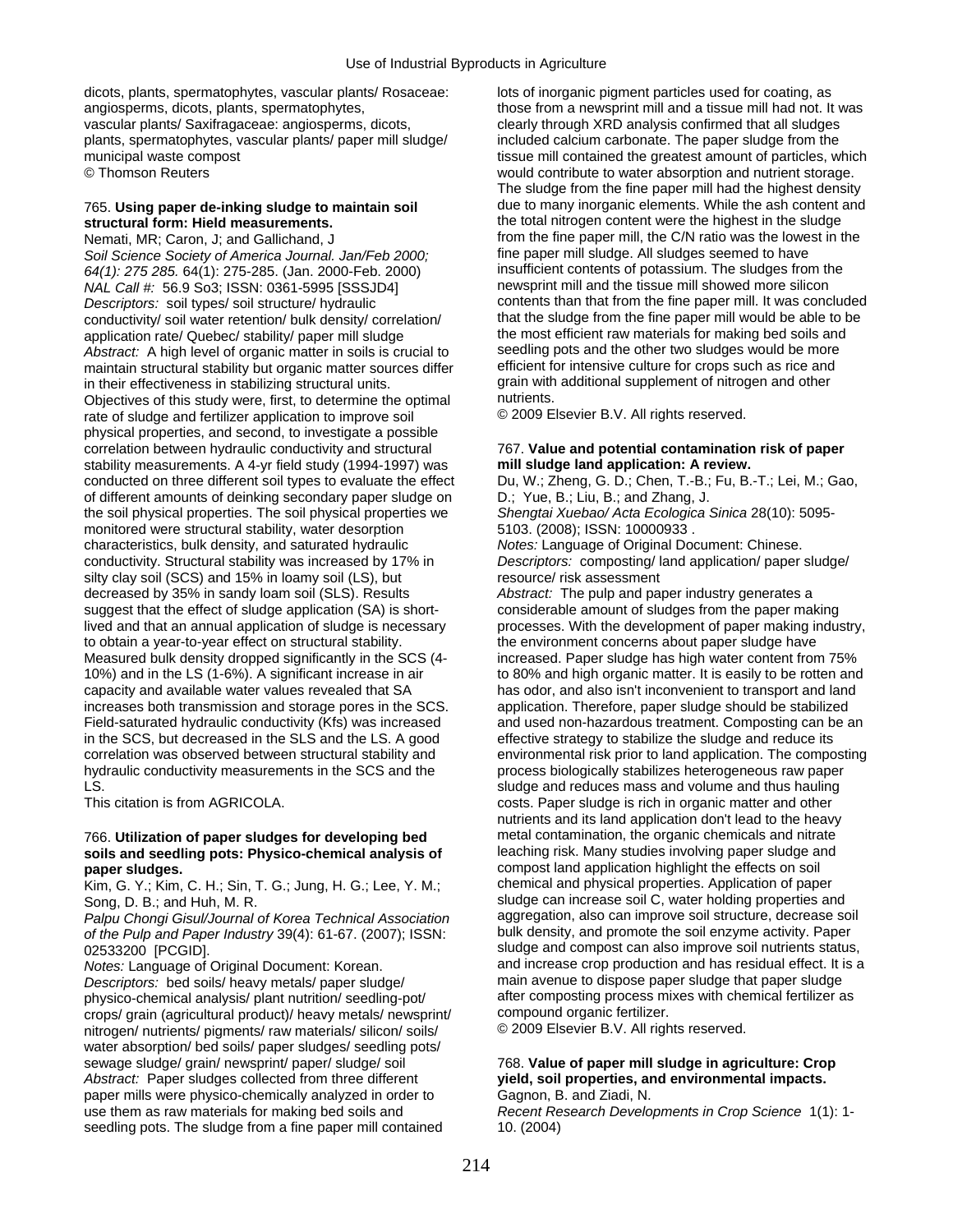dicots, plants, spermatophytes, vascular plants/ Rosaceae: lots of inorganic pigment particles used for coating, as vascular plants/ Saxifragaceae: angiosperms, dicots, clearly through XRD analysis confirmed that all sludges plants, spermatophytes, vascular plants/ paper mill sludge/ included calcium carbonate. The paper sludge from the

Soil Science Society of America Journal. Jan/Feb 2000;<br>64(1): 275 285, 64(1): 275-285, (Jan. 2000-Feb. 2000) **by any solut set of the fact of potassium**. The sludges from the *64(1): 275 285.* 64(1): 275-285. (Jan. 2000-Feb. 2000) *NAL Call #:* 56.9 So3; ISSN: 0361-5995 [SSSJD4] newsprint mill and the tissue mill showed more silicon conductivity/ soil water retention/ bulk density/ correlation/ application rate/ Quebec/ stability/ paper mill sludge the most efficient raw materials for making bed soils and<br>Abstract: A high level of organic matter in soils is crucial to seedling pots and the other two sludges would *Abstract:* A high level of organic matter in soils is crucial to seedling pots and the other two sludges would be more<br>maintain structural stability but organic matter sources differ efficient for intensive culture for cr maintain structural stability but organic matter sources differ efficient for intensive culture for crops such as rice and<br>in their effectiveness in stabilizing structural units. example qualin with additional supplement o in their effectiveness in stabilizing structural units. Objectives of this study were, first, to determine the optimal nutrients.<br>
rate of sludge and fertilizer application to improve soil <br>
© 2009 Elsevier B.V. All rights reserved. rate of sludge and fertilizer application to improve soil physical properties, and second, to investigate a possible correlation between hydraulic conductivity and structural 767. **Value and potential contamination risk of paper**  stability measurements. A 4-yr field study (1994-1997) was **mill sludge land application: A review.**  conducted on three different soil types to evaluate the effect Du, W.; Zheng, G. D.; Chen, T.-B.; Fu, B.-T.; Lei, M.; Gao, of different amounts of deinking secondary paper sludge on D.; Yue, B.; Liu, B.; and Zhang, J. the soil physical properties. The soil physical properties we *Shengtai Xuebao/ Acta Ecologica Sinica* 28(10): 5095 monitored were structural stability, water desorption 5103. (2008); ISSN: 10000933 . characteristics, bulk density, and saturated hydraulic *Notes:* Language of Original Document: Chinese. conductivity. Structural stability was increased by 17% in *Descriptors:* composting/ land application/ paper sludge/ silty clay soil (SCS) and 15% in loamy soil (LS), but resource/ risk assessment decreased by 35% in sandy loam soil (SLS). Results *Abstract:* The pulp and paper industry generates a suggest that the effect of sludge application (SA) is short- considerable amount of sludges from the paper making lived and that an annual application of sludge is necessary processes. With the development of paper making industry, to obtain a year-to-year effect on structural stability. The environment concerns about paper sludge have Measured bulk density dropped significantly in the SCS (4- increased. Paper sludge has high water content from 75% 10%) and in the LS (1-6%). A significant increase in air to 80% and high organic matter. It is easily to be rotten and capacity and available water values revealed that SA has odor, and also isn't inconvenient to transport and land increases both transmission and storage pores in the SCS. application. Therefore, paper sludge should be stabilized Field-saturated hydraulic conductivity (Kfs) was increased and used non-hazardous treatment. Composting can be an in the SCS, but decreased in the SLS and the LS. A good effective strategy to stabilize the sludge and reduce its hydraulic conductivity measurements in the SCS and the

## 766. **Utilization of paper sludges for developing bed** metal contamination, the organic chemicals and nitrate soils and seedling pots: Physico-chemical analysis of

Kim, G. Y.; Kim, C. H.; Sin, T. G.; Jung, H. G.; Lee, Y. M.;

*Palpu Chongi Gisul/Journal of Korea Technical Association* aggregation, also can improve soil structure, decrease soil *of the Pulp and Paper Industry* 39(4): 61-67. (2007); ISSN:

*Descriptors:* bed soils/ heavy metals/ paper sludge/ main avenue to dispose paper sludge that paper sludge physico-chemical analysis/ plant nutrition/ seedling-pot/ after composting process m<br>crops/ grain (agricultural product)/ heavy metals/ newsprint/ compound organic fertilizer. crops/ grain (agricultural product)/ heavy metals/ newsprint/ compound organic fertilizer.<br>nitrogen/ nutrients/ pigments/ raw materials/ silicon/ soils/  $\degree$  2009 Elsevier B.V. All rights reserved. nitrogen/ nutrients/ pigments/ raw materials/ silicon/ soils/ water absorption/ bed soils/ paper sludges/ seedling pots/ sewage sludge/ grain/ newsprint/ paper/ sludge/ soil 768. **Value of paper mill sludge in agriculture: Crop**  *Abstract:* Paper sludges collected from three different **yield, soil properties, and environmental impacts.**  paper mills were physico-chemically analyzed in order to Gagnon, B. and Ziadi, N. use them as raw materials for making bed soils and *Recent Research Developments in Crop Science* 1(1): 1 seedling pots. The sludge from a fine paper mill contained 10. (2004)

angiosperms, dicots, plants, spermatophytes, those from a newsprint mill and a tissue mill had not. It was municipal waste compost **the compost** tissue mill contained the greatest amount of particles, which © Thomson Reuters would contribute to water absorption and nutrient storage. The sludge from the fine paper mill had the highest density 765. **Using paper de-inking sludge to maintain soil** due to many inorganic elements. While the ash content and **structural form: Hield measurements.** the total nitrogen content were the highest in the sludge Nemati, MR; Caron, J; and Gallichand, J<br>Soil Science Society of America Journal Jan/Feb 2000: fine paper mill sludge. All sludges seemed to have *Descriptors:* soil types/ soil structure/ hydraulic contents than that from the fine paper mill. It was concluded<br>conductivity/ soil water retention/ bulk density/ correlation/ that the sludge from the fine paper mill wou

correlation was observed between structural stability and environmental risk prior to land application. The composting<br>hydraulic conductivity measurements in the SCS and the process biologically stabilizes heterogeneous ra LS. Sudge and reduces mass and volume and thus hauling This citation is from AGRICOLA. Costs. Paper sludge is rich in organic matter and other nutrients and its land application don't lead to the heavy **paper sludges.**<br>
Kim G Y · Kim C H · Sin T G · Jung H G · Lee Y M · chemical and physical properties. Application of paper Song, D. B.; and Huh, M. R. single of the sludge can increase soil C, water holding properties and<br>
Palnu Chongi Gisul/Journal of Korea Technical Association aggregation, also can improve soil structure, decrease soil 02533200 [PCGID].<br>
Motes: I anguage of Original Document: Korean and increase crop production and has residual effect. It is a *Notes:* Language of Original Document: Korean. and increase crop production and has residual effect. It is and increase crop production and has residual effect. It is a residual effect. It is a residual effect. It is a re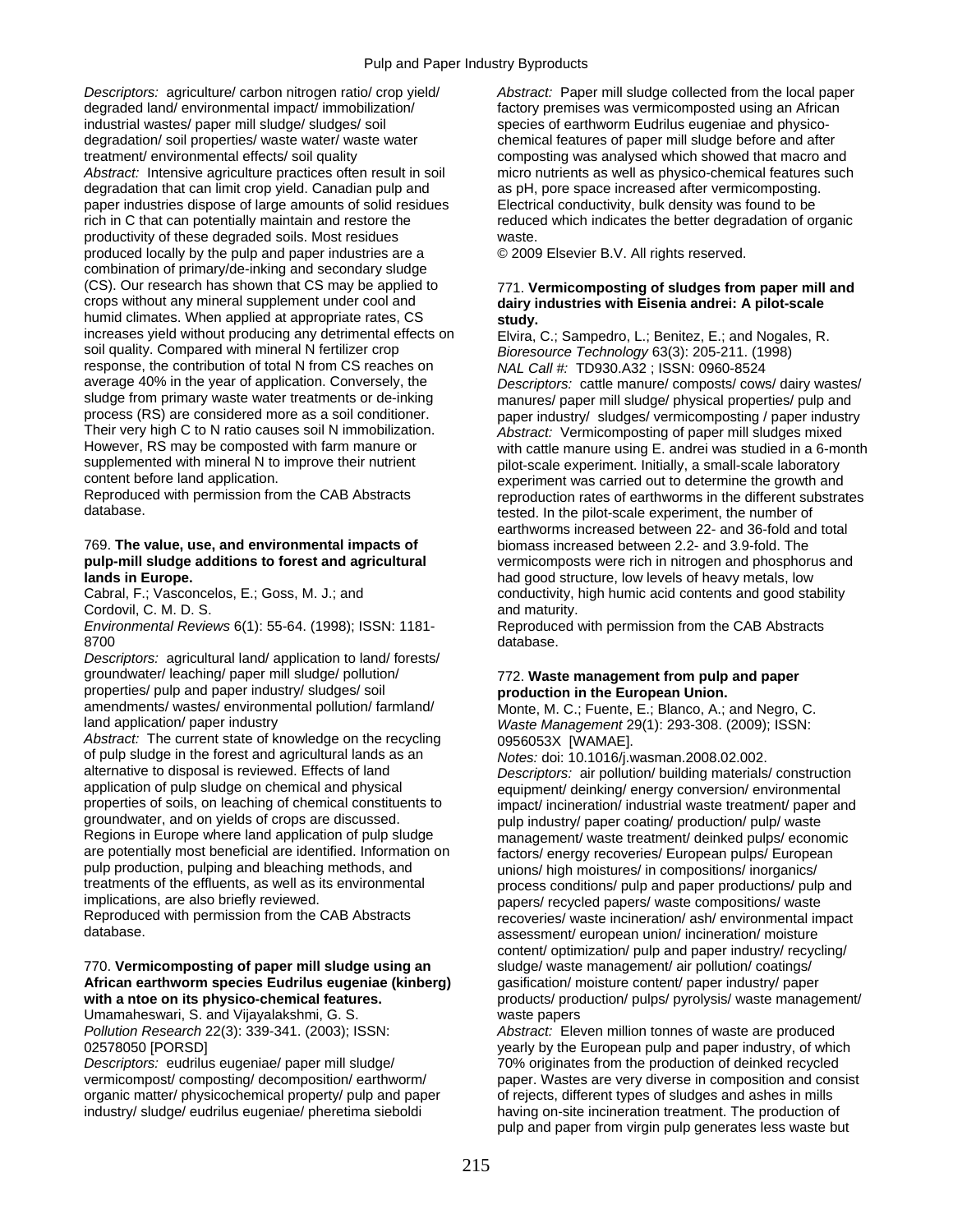*Descriptors:* agriculture/ carbon nitrogen ratio/ crop yield/ *Abstract:* Paper mill sludge collected from the local paper degraded land/ environmental impact/ immobilization/ factory premises was vermicomposted using an African industrial wastes/ paper mill sludge/ sludges/ soil species of earthworm Eudrilus eugeniae and physicodegradation/ soil properties/ waste water/ waste water chemical features of paper mill sludge before and after treatment/ environmental effects/ soil quality composting was analysed which showed that macro and *Abstract:* Intensive agriculture practices often result in soil micro nutrients as well as physico-chemical features such degradation that can limit crop yield. Canadian pulp and as pH, pore space increased after vermicomposting. paper industries dispose of large amounts of solid residues Electrical conductivity, bulk density was found to be rich in C that can potentially maintain and restore the reduced which indicates the better degradation of organic productivity of these degraded soils. Most residues waste. produced locally by the pulp and paper industries are a © 2009 Elsevier B.V. All rights reserved. combination of primary/de-inking and secondary sludge (CS). Our research has shown that CS may be applied to (CS). Our research has shown that CS may be applied to 771. **Vermicomposting of sludges from paper mill and**  humid climates. When applied at appropriate rates, CS **study.**<br>
increases yield without producing any detrimental effects on Flyira increases yield without producing any detrimental effects on Elvira, C.; Sampedro, L.; Benitez, E.; and Nogales, R.<br>soil quality. Compared with mineral N fertilizer crop Bioresource Technology 63(3): 205-211 (1998) soil quality. Compared with mineral N fertilizer crop *Bioresource Technology* 63(3): 205-211. (1998)<br>
response, the contribution of total N from CS reaches on *NAI Call #* TD930 A32 · ISSN: 0960-8524 response, the contribution of total N from CS reaches on *NAL Call #:* TD930.A32 ; ISSN: 0960-8524 average 40% in the year of application. Conversely, the *Descriptors:* cattle manure/ composts/ cows/ dairy wastes/ sludge from primary waste water treatments or de-inking manures/ paper mill sludge/ physical properties/ pulp and<br>process (RS) are considered more as a soil conditioner. process (RS) are considered more as a soil conditioner. paper industry/ sludges/ vermicomposting / paper industry<br>Their very high C to N ratio causes soil N immobilization. Abstract: Vermicomposting of paper mill sludges m Their very high C to N ratio causes soil N immobilization. *Abstract:* Vermicomposting of paper mill sludges mixed<br>However, RS may be composted with farm manure or with cattle manure using F, andrei was studied in a 6-mo However, RS may be composted with farm manure or with cattle manure using E. andrei was studied in a 6-month supplemented with mineral N to improve their nutrient proveinty prior-scale experiment. Initially, a small-scale supplemented with mineral N to improve their nutrient pilot-scale experiment. Initially, a small-scale laboratory<br>content before land application.<br>and their nutrient was carried out to determine the growth and

### 769. **The value, use, and environmental impacts of** biomass increased between 2.2- and 3.9-fold. The **lands in Europe. had good structure, low levels of heavy metals, low levels of heavy metals, low**

Cordovil, C. M. D. S.<br>
Environmental Reviews 6(1): 55-64. (1998); ISSN: 1181-<br>
Reproduced 8700 database.

*Descriptors:* agricultural land/ application to land/ forests/ groundwater/ leaching/ paper mill sludge/ pollution/ 772. **Waste management from pulp and paper**  properties/ pulp and paper industry/ sludges/ soil **production in the European Union.**  amendments/ wastes/ environmental pollution/ farmland/ Monte, M. C.; Fuente, E.; Blanco, A.; and Negro, C.<br>Band application/ paper industry and the state of the state Management 29(1): 293-308 (2009): ISSN:

Abstract: The current state of knowledge on the recycling 0956053X [WAMAE]. of pulp sludge in the forest and agricultural lands as an *Notes:* doi: 10.1016/j.wasman.2008.02.002. alternative to disposal is reviewed. Effects of land *Descriptors:* air pollution/ building materials/ construction application of pulp sludge on chemical and physical equipment/ deinking/ energy conversion/ environmental<br>properties of soils, on leaching of chemical constituents to impact/ incineration/ industrial waste treatment/ paper groundwater, and on yields of crops are discussed. pulp industry/ paper coating/ production/ pulp/ waste<br>Regions in Europe where land application of pulp sludge management/ waste treatment/ deinked pulps/ economic Regions in Europe where land application of pulp sludge management/ waste treatment/ deinked pulps/ economic<br>are potentially most beneficial are identified. Information on factors/ energy recoveries/ European pulps/ Europe are potentially most beneficial are identified. Information on factors/ energy recoveries/ European pulps/ European<br>
pulp production, pulping and bleaching methods, and pulps in intervalsions/ in compositions/ increanies/ pulp production, pulping and bleaching methods, and varions/ high moistures/ in compositions/ inorganics/<br>treatments of the effluents, as well as its environmental various process conditions/ pulp and paper productions/ pu treatments of the effluents, as well as its environmental process conditions/ pulp and paper productions/ pulp and<br>implications, are also briefly reviewed. implications, are also briefly reviewed.<br>Reproduced with permission from the CAB Abstracts<br>recoveries/ waste incineration/ ash/ environmental in

### 770. **Vermicomposting of paper mill sludge using an** sludge/ waste management/ air pollution/ coatings/<br>**African earthworm species Eudrilus eugeniae (kinberg)** gasification/ moisture content/ paper industry/ paper African earthworm species Eudrilus eugeniae (kinberg)

Umamaheswari, S. and Vijayalakshmi, G. S. waste papers

*Descriptors:* eudrilus eugeniae/ paper mill sludge/ 70% originates from the production of deinked recycled organic matter/ physicochemical property/ pulp and paper of rejects, different types of sludges and ashes in mills industry/ sludge/ eudrilus eugeniae/ pheretima sieboldi having on-site incineration treatment. The production of

# dairy industries with Eisenia andrei: A pilot-scale

content before land application.<br>Reproduced with permission from the CAB Abstracts experiment was carried out to determine the growth and reprod Reproduced with permission from the CAB Abstracts reproduction rates of earthworms in the different substrates<br>database. tested. In the pilot-scale experiment, the number of earthworms increased between 22- and 36-fold and total **pulp-mill sludge additions to forest and agricultural** vermicomposts were rich in nitrogen and phosphorus and Cabral, F.; Vasconcelos, E.; Goss, M. J.; and conductivity, high humic acid contents and good stability

**Reproduced with permission from the CAB Abstracts** 

Waste Management 29(1): 293-308. (2009); ISSN:

impact/ incineration/ industrial waste treatment/ paper and Reproduced with permission from the CAB Abstracts recoveries/ waste incineration/ ash/ environmental impact<br>database. assessment/ european union/ incineration/ moisture content/ optimization/ pulp and paper industry/ recycling/<br>sludge/ waste management/ air pollution/ coatings/ with a ntoe on its physico-chemical features. **products/ products/ production/ pulps/ pyrolysis/ waste management/** 

*Pollution Research* 22(3): 339-341. (2003); ISSN: *Abstract:* Eleven million tonnes of waste are produced 02578050 [PORSD] yearly by the European pulp and paper industry, of which vermicompost/ composting/ decomposition/ earthworm/ paper. Wastes are very diverse in composition and consist pulp and paper from virgin pulp generates less waste but